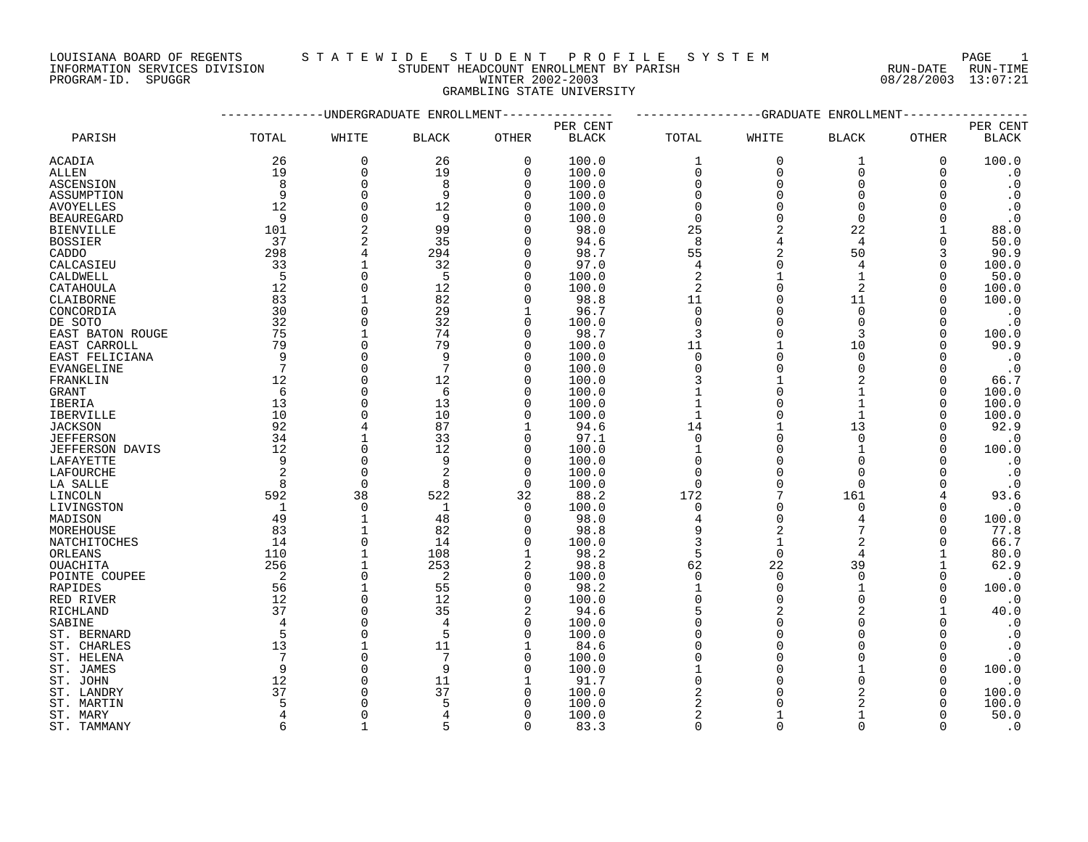LOUISIANA BOARD OF REGENTS STATEWIDE STUDE STUDENT PROFILE SYSTEM PAGE 1<br>INFORMATION SERVICES DIVISION STUDENT HEADCOUNT ENROLLMENT BY PARISH NUN-DATE RUN-TIME INFORMATION STUDENT HEADCOUNT ENROLLMENT BY PARISH

# PROGRAM-ID. SPUGGR WINTER 2002-2003 08/28/2003 13:07:21

# GRAMBLING STATE UNIVERSITY

|                  |                |              | -UNDERGRADUATE ENROLLMENT |             |              |                |              | --GRADUATE ENROLLMENT- |              |              |
|------------------|----------------|--------------|---------------------------|-------------|--------------|----------------|--------------|------------------------|--------------|--------------|
|                  |                |              |                           |             | PER CENT     |                |              |                        |              | PER CENT     |
| PARISH           | TOTAL          | WHITE        | <b>BLACK</b>              | OTHER       | <b>BLACK</b> | TOTAL          | WHITE        | <b>BLACK</b>           | <b>OTHER</b> | <b>BLACK</b> |
| ACADIA           | 26             | 0            | 26                        | $\mathbf 0$ | 100.0        | $\mathbf{1}$   | $\Omega$     | $\mathbf 1$            | $\Omega$     | 100.0        |
| ALLEN            | 19             | 0            | 19                        | 0           | 100.0        | 0              | $\mathbf 0$  | $\mathbf 0$            | 0            | $\cdot$ 0    |
| ASCENSION        | 8              | 0            | 8                         | 0           | 100.0        | $\mathbf 0$    | $\Omega$     | $\mathbf 0$            |              | $\cdot$ 0    |
| ASSUMPTION       | 9              | 0            | 9                         | 0           | 100.0        | 0              | $\Omega$     | $\mathbf 0$            |              | $\cdot$ 0    |
| AVOYELLES        | 12             | $\Omega$     | 12                        | 0           | 100.0        | 0              | $\Omega$     | $\Omega$               |              | $\cdot$ 0    |
| BEAUREGARD       | 9              | $\Omega$     | 9                         | $\Omega$    | 100.0        | $\mathbf 0$    | $\Omega$     | $\Omega$               |              | $\cdot$ 0    |
| BIENVILLE        | 101            | 2            | 99                        | $\Omega$    | 98.0         | 25             |              | 22                     |              | 88.0         |
| BOSSIER          | 37             | 2            | 35                        | O           | 94.6         | 8              |              | 4                      | 0            | 50.0         |
| CADDO            | 298            | 4            | 294                       | 0           | 98.7         | 55             |              | 50                     | 3            | 90.9         |
| CALCASIEU        | 33             | 1            | 32                        | O           | 97.0         | 4              |              | 4                      | ∩            | 100.0        |
| CALDWELL         | - 5            | 0            | -5                        | 0           | 100.0        | $\overline{2}$ |              | $\mathbf{1}$           | $\Omega$     | 50.0         |
| CATAHOULA        | 12             | $\Omega$     | 12                        | 0           | 100.0        | 2              |              | $\overline{2}$         |              | 100.0        |
| CLAIBORNE        | 83             | $\mathbf{1}$ | 82                        | 0           | 98.8         | $11$           |              | 11                     |              | 100.0        |
| CONCORDIA        | 30             | 0            | 29                        | 1           | 96.7         | 0              |              | $\Omega$               |              | $\cdot$ 0    |
| DE SOTO          | 32             | $\Omega$     | 32                        | O           | 100.0        | $\Omega$       |              | $\Omega$               |              | $\cdot$ 0    |
| EAST BATON ROUGE | 75             | 1            | 74                        | 0           | 98.7         | 3              |              | 3                      | $\Omega$     | 100.0        |
| EAST CARROLL     | 79             | $\Omega$     | 79                        | $\Omega$    | 100.0        | 11             |              | 10                     |              | 90.9         |
|                  | 9              |              | 9                         |             |              |                | $\Omega$     |                        |              |              |
| EAST FELICIANA   |                | 0            | 7                         | 0           | 100.0        | $\mathbf 0$    |              | $\mathbf 0$            |              | $\cdot$ 0    |
| EVANGELINE       | 7              | 0            |                           | 0           | 100.0        | $\mathbf 0$    | <sup>0</sup> | $\Omega$               | O            | $\cdot$ 0    |
| FRANKLIN         | 12             | 0            | 12                        | O           | 100.0        | 3              |              |                        | $\Omega$     | 66.7         |
| GRANT            | 6              | 0            | 6                         | 0           | 100.0        | $\mathbf 1$    |              | 1                      | $\Omega$     | 100.0        |
| IBERIA           | 13             | 0            | 13                        | 0           | 100.0        | $\mathbf 1$    |              | $\mathbf{1}$           | $\Omega$     | 100.0        |
| IBERVILLE        | 10             | $\Omega$     | 10                        | O           | 100.0        | $\mathbf{1}$   |              | $\mathbf{1}$           |              | 100.0        |
| <b>JACKSON</b>   | 92             | 4            | 87                        | 1           | 94.6         | 14             |              | 13                     | O            | 92.9         |
| <b>JEFFERSON</b> | 34             | 1            | 33                        | 0           | 97.1         | $\mathbf 0$    | $\Omega$     | $\Omega$               | O            | $\cdot$ 0    |
| JEFFERSON DAVIS  | 12             | $\Omega$     | 12                        | 0           | 100.0        | 1              |              | 1                      | ∩            | 100.0        |
| LAFAYETTE        | 9              | 0            | 9                         | 0           | 100.0        | 0              |              | $\Omega$               |              | $\cdot$ 0    |
| LAFOURCHE        | 2              | $\Omega$     | $\overline{2}$            | $\Omega$    | 100.0        | $\Omega$       | $\Omega$     | $\Omega$               |              | $\cdot$ 0    |
| LA SALLE         | 8              | $\mathbf 0$  | 8                         | $\mathbf 0$ | 100.0        | 0              | $\Omega$     | $\mathbf 0$            |              | $\cdot$ 0    |
| LINCOLN          | 592            | 38           | 522                       | 32          | 88.2         | 172            |              | 161                    |              | 93.6         |
| LIVINGSTON       | $\overline{1}$ | 0            | 1                         | 0           | 100.0        | $\mathbf 0$    | $\Omega$     | $\Omega$               | O            | $\cdot$ 0    |
| MADISON          | 49             | 1            | 48                        | 0           | 98.0         | 4              | $\Omega$     | 4                      | ∩            | 100.0        |
| MOREHOUSE        | 83             | $\mathbf{1}$ | 82                        | O           | 98.8         | 9              |              |                        | ∩            | 77.8         |
| NATCHITOCHES     | 14             | $\mathbf 0$  | 14                        | $\Omega$    | 100.0        | 3              | $\mathbf{1}$ | $\overline{a}$         |              | 66.7         |
| ORLEANS          | 110            | 1            | 108                       |             | 98.2         | 5              | $\Omega$     | 4                      |              | 80.0         |
| OUACHITA         | 256            | 1            | 253                       | 2           | 98.8         | 62             | 22           | 39                     |              | 62.9         |
| POINTE COUPEE    | $\overline{c}$ | 0            | 2                         | 0           | 100.0        | $\mathbf 0$    | $\Omega$     | $\Omega$               | 0            | $\cdot$ 0    |
| RAPIDES          | 56             | $\mathbf{1}$ | 55                        | $\Omega$    | 98.2         | $\mathbf{1}$   | $\Omega$     | $\mathbf{1}$           | $\Omega$     | 100.0        |
| RED RIVER        | 12             | $\Omega$     | 12                        | $\Omega$    | 100.0        | $\Omega$       | $\Omega$     | $\Omega$               | ∩            | $\cdot$ 0    |
| RICHLAND         | 37             | 0            | 35                        | 2           | 94.6         | 5              |              | $\overline{2}$         |              | 40.0         |
| SABINE           | 4              | 0            | 4                         | 0           | 100.0        | 0              | <sup>0</sup> | U                      |              | $\cdot$ 0    |
| ST. BERNARD      | 5              | 0            | 5                         | 0           | 100.0        | 0              | $\Omega$     | $\Omega$               | O            | $\cdot$ 0    |
| ST. CHARLES      | 13             | 1            | 11                        | 1           | 84.6         | $\Omega$       |              | O                      |              | $\cdot$ 0    |
| ST. HELENA       | 7              | $\Omega$     | 7                         | $\Omega$    | 100.0        | $\Omega$       |              | $\Omega$               | 0            | $\cdot$ 0    |
| ST. JAMES        | 9              | 0            | 9                         | 0           | 100.0        | 1              |              | 1                      | ∩            | 100.0        |
| ST. JOHN         | 12             | $\Omega$     | 11                        | 1           | 91.7         | $\Omega$       |              | U                      |              | $\cdot$ 0    |
| ST. LANDRY       | 37             | 0            | 37                        | 0           | 100.0        | 2              |              |                        | O            | 100.0        |
| ST. MARTIN       | 5              | $\Omega$     | 5                         | O           | 100.0        | 2              |              |                        |              | 100.0        |
| ST. MARY         |                | $\Omega$     |                           | 0           | 100.0        | 2              |              |                        |              | 50.0         |
| ST. TAMMANY      | 6              | 1            | 5                         | $\Omega$    | 83.3         | $\Omega$       | $\Omega$     | $\Omega$               | ∩            | $\cdot$ 0    |
|                  |                |              |                           |             |              |                |              |                        |              |              |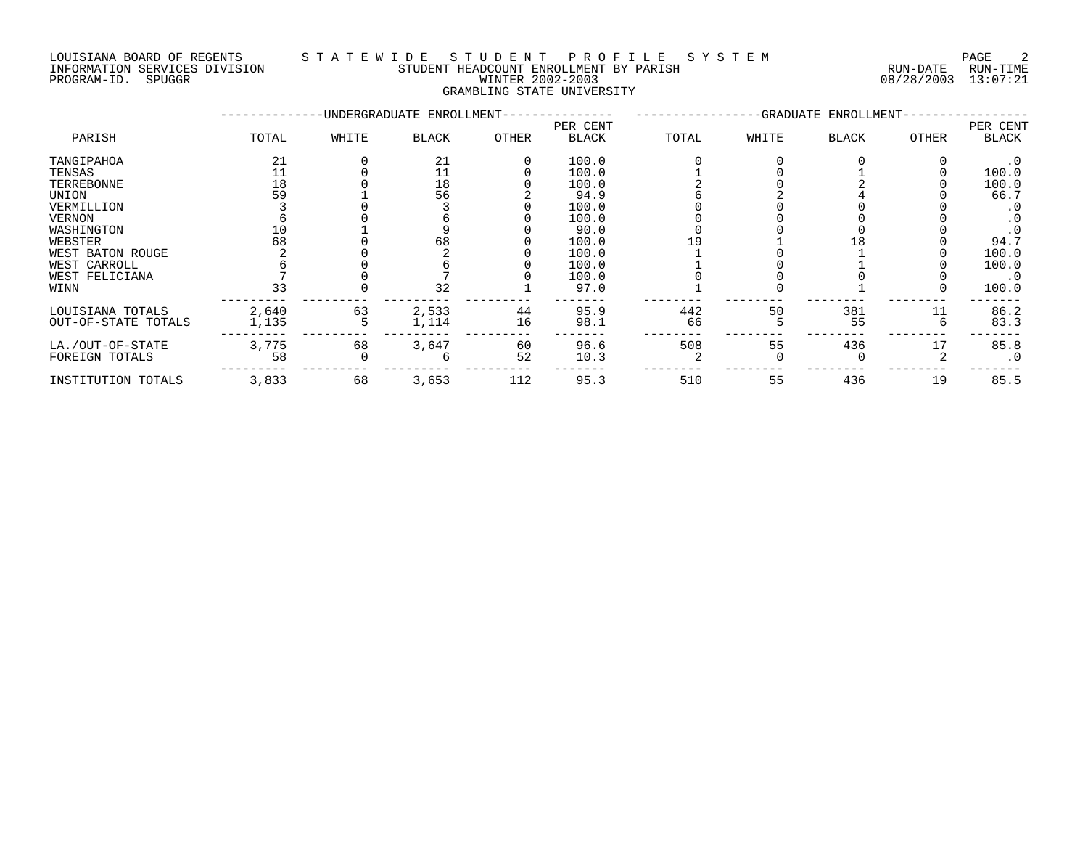## LOUISIANA BOARD OF REGENTS S T A T E W I D E S T U D E N T P R O F I L E S Y S T E M PAGE 2 INFORMATION SERVICES DIVISION STUDENT HEADCOUNT ENROLLMENT BY PARISH RUN-DATE RUN-TIME DOULSTANA BOARD OF REGENTS<br>INFORMATION SERVICES DIVISION TRANSMITICATION STUDENT HEADCOUNT ENROLLMENT BY PARISH THE CONFORMATION SERVICES<br>PROGRAM-ID. SPUGGR PROGRAM-ID. SPUGGR

GRAMBLING STATE UNIVERSITY

|                     |       |       | -UNDERGRADUATE ENROLLMENT- |       |                          |       |       | -GRADUATE ENROLLMENT- |       |                   |
|---------------------|-------|-------|----------------------------|-------|--------------------------|-------|-------|-----------------------|-------|-------------------|
| PARISH              | TOTAL | WHITE | BLACK                      | OTHER | PER CENT<br><b>BLACK</b> | TOTAL | WHITE | <b>BLACK</b>          | OTHER | PER CENT<br>BLACK |
| TANGIPAHOA          | 21    |       | 21                         |       | 100.0                    |       |       |                       |       | . 0               |
| TENSAS              |       |       |                            |       | 100.0                    |       |       |                       |       | 100.0             |
| TERREBONNE          | 18    |       | 18                         |       | 100.0                    |       |       |                       |       | 100.0             |
| UNION               | 59    |       | 56                         |       | 94.9                     |       |       |                       |       | 66.7              |
| VERMILLION          |       |       |                            |       | 100.0                    |       |       |                       |       | . 0               |
| <b>VERNON</b>       |       |       |                            |       | 100.0                    |       |       |                       |       | $\cdot$ 0         |
| WASHINGTON          |       |       |                            |       | 90.0                     |       |       |                       |       |                   |
| WEBSTER             | 68    |       | 68                         |       | 100.0                    |       |       | l 8                   |       | 94.7              |
| WEST BATON ROUGE    |       |       |                            |       | 100.0                    |       |       |                       |       | 100.0             |
| WEST CARROLL        |       |       |                            |       | 100.0                    |       |       |                       |       | 100.0             |
| WEST FELICIANA      |       |       |                            |       | 100.0                    |       |       |                       |       | $\cdot$ 0         |
| WINN                | 33    |       | 32                         |       | 97.0                     |       |       |                       |       | 100.0             |
| LOUISIANA TOTALS    | 2,640 | 63    | 2,533                      | 44    | 95.9                     | 442   | 50    | 381                   | 11    | 86.2              |
| OUT-OF-STATE TOTALS | 1,135 |       | 1,114                      | 16    | 98.1                     | 66    |       | 55                    |       | 83.3              |
| LA./OUT-OF-STATE    | 3,775 | 68    | 3,647                      | 60    | 96.6                     | 508   | 55    | 436                   | 17    | 85.8              |
| FOREIGN TOTALS      | 58    |       |                            | 52    | 10.3                     |       |       |                       |       | $\cdot$ 0         |
| INSTITUTION TOTALS  | 3,833 | 68    | 3,653                      | 112   | 95.3                     | 510   | 55    | 436                   | 19    | 85.5              |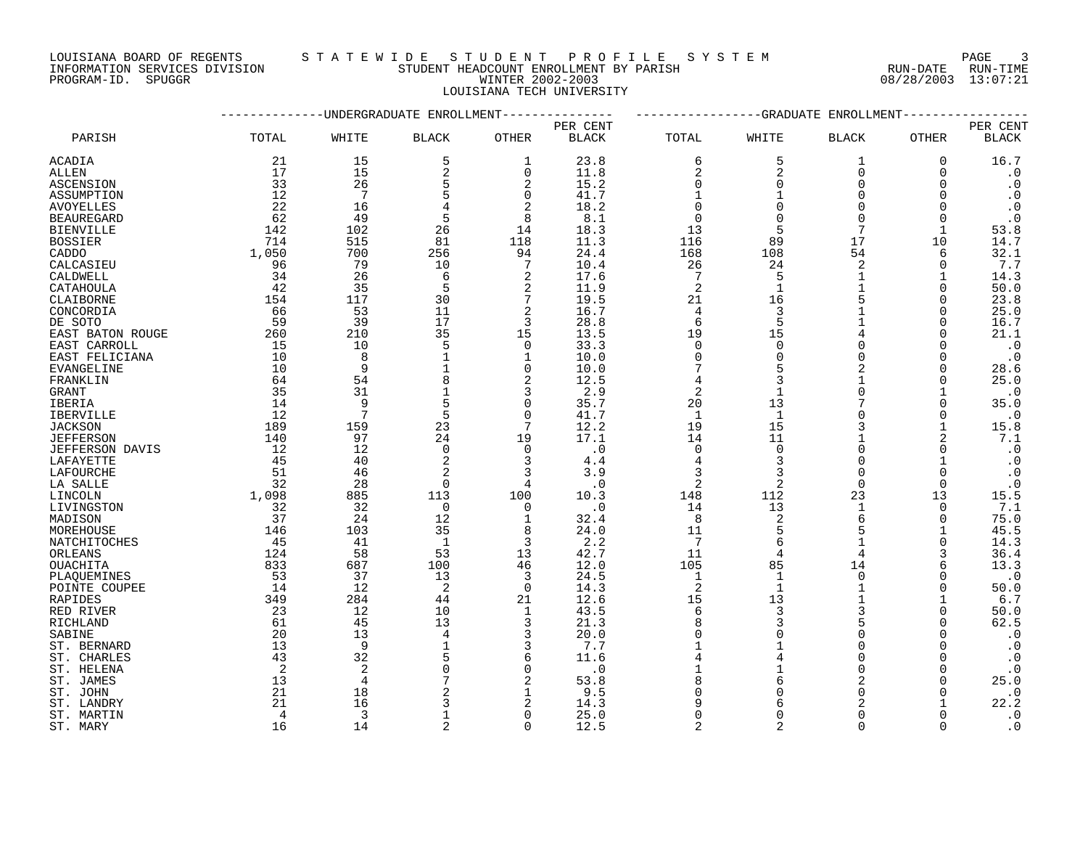LOUISIANA BOARD OF REGENTS STATEWIDE STUDENT PROFILE SYSTEM NAGE 3 INFORMATION SERVICES DIVISION STUDENT HEADCOUNT ENROLLMENT BY PARISH RUN-DATE RUN-TIME

LOUISIANA TECH UNIVERSITY

|                  |       |       | -UNDERGRADUATE ENROLLMENT |              |              |                |              | --GRADUATE ENROLLMENT- |              |              |
|------------------|-------|-------|---------------------------|--------------|--------------|----------------|--------------|------------------------|--------------|--------------|
|                  |       |       |                           |              | PER CENT     |                |              |                        |              | PER CENT     |
| PARISH           | TOTAL | WHITE | <b>BLACK</b>              | OTHER        | <b>BLACK</b> | TOTAL          | WHITE        | <b>BLACK</b>           | <b>OTHER</b> | <b>BLACK</b> |
| ACADIA           | 21    | 15    | 5                         | 1            | 23.8         | 6              | 5            | 1                      | 0            | 16.7         |
| ALLEN            | 17    | 15    | 2                         | 0            | 11.8         | 2              | 2            | $\Omega$               | $\Omega$     | $\cdot$ 0    |
| <b>ASCENSION</b> | 33    | 26    | 5                         | 2            | 15.2         | $\Omega$       | $\Omega$     | $\Omega$               | ∩            | $\cdot$ 0    |
| ASSUMPTION       | 12    | 7     | 5                         | 0            | 41.7         | $\mathbf{1}$   |              | $\Omega$               | ∩            | $\cdot$ 0    |
| AVOYELLES        | 22    | 16    |                           | 2            | 18.2         | $\mathbf 0$    | $\Omega$     | $\Omega$               |              | $\cdot$ 0    |
| BEAUREGARD       | 62    | 49    | 5                         | 8            | 8.1          | $\mathbf 0$    |              | $\Omega$               | $\Omega$     | $\cdot$ 0    |
| BIENVILLE        | 142   | 102   | 26                        | 14           | 18.3         | 13             |              | 7                      |              | 53.8         |
| BOSSIER          | 714   | 515   | 81                        | 118          | 11.3         | 116            | 89           | 17                     | 10           | 14.7         |
| CADDO            | 1,050 | 700   | 256                       | 94           | 24.4         | 168            | 108          | 54                     | 6            | 32.1         |
| CALCASIEU        | 96    | 79    | 10                        | 7            | 10.4         | 26             | 24           | 2                      | ∩            | 7.7          |
| CALDWELL         | 34    | 26    | 6                         | 2            | 17.6         | 7              | 5            | 1                      |              | 14.3         |
| CATAHOULA        | 42    | 35    | 5                         | 2            | 11.9         | 2              | 1            | 1                      | 0            | 50.0         |
| CLAIBORNE        | 154   | 117   | 30                        | 7            | 19.5         | 21             | 16           |                        | $\Omega$     | 23.8         |
| CONCORDIA        | 66    | 53    | 11                        | 2            | 16.7         | 4              |              |                        | $\Omega$     | 25.0         |
| DE SOTO          | 59    | 39    | 17                        | 3            | 28.8         | 6              | 5            |                        | O            | 16.7         |
| EAST BATON ROUGE | 260   | 210   | 35                        | 15           | 13.5         | 19             | 15           |                        | ∩            | 21.1         |
| EAST CARROLL     | 15    | 10    | 5                         | $\mathbf 0$  | 33.3         | $\mathbf 0$    | $\Omega$     | $\Omega$               | $\Omega$     | $\cdot$ 0    |
| EAST FELICIANA   | 10    | 8     |                           | 1            | 10.0         | $\Omega$       | $\Omega$     | U                      | ∩            | $\cdot$ 0    |
| EVANGELINE       | 10    | 9     |                           | 0            | 10.0         | 7              |              | 2                      | ∩            | 28.6         |
| FRANKLIN         | 64    | 54    | 8                         | 2            | 12.5         | 4              |              |                        | O            | 25.0         |
| GRANT            | 35    | 31    |                           | 3            | 2.9          | $\overline{2}$ |              | $\Omega$               |              | $\cdot$ 0    |
| IBERIA           | 14    | 9     | 5                         | 0            | 35.7         | 20             | 13           | 7                      | O            | 35.0         |
| IBERVILLE        | 12    | 7     | 5                         | $\Omega$     | 41.7         | $\mathbf{1}$   | 1            | U                      | ∩            | $\cdot$ 0    |
| JACKSON          | 189   | 159   | 23                        | 7            | 12.2         | 19             | 15           |                        | 1            | 15.8         |
| JEFFERSON        | 140   | 97    | 24                        | 19           | 17.1         | 14             | 11           |                        |              | 7.1          |
| JEFFERSON DAVIS  | 12    | 12    | $\Omega$                  | $\Omega$     | $\cdot$ 0    | $\Omega$       | $\Omega$     | $\Omega$               | 0            | $\cdot$ 0    |
| LAFAYETTE        | 45    | 40    | 2                         | 3            | 4.4          | 4              |              | $\Omega$               |              | $\cdot$ 0    |
| LAFOURCHE        | 51    | 46    | 2                         | 3            | 3.9          | 3              |              | $\Omega$               | $\Omega$     | $\cdot$ 0    |
| LA SALLE         | 32    | 28    | $\mathbf 0$               | 4            | . 0          | $\overline{2}$ | 2            | $\Omega$               | $\Omega$     | $\cdot$ 0    |
| LINCOLN          | 1,098 | 885   | 113                       | 100          | 10.3         | 148            | 112          | 23                     | 13           | 15.5         |
| LIVINGSTON       | 32    | 32    | 0                         | 0            | $\cdot$ 0    | 14             | 13           | 1                      | $\Omega$     | 7.1          |
| MADISON          | 37    | 24    | 12                        | 1            | 32.4         | 8              |              | 6                      | $\Omega$     | 75.0         |
| MOREHOUSE        | 146   | 103   | 35                        | 8            | 24.0         | 11             |              | 5                      |              | 45.5         |
| NATCHITOCHES     | 45    | 41    | $\mathbf{1}$              | 3            | 2.2          | 7              | 6            | $\mathbf{1}$           | $\Omega$     | 14.3         |
| ORLEANS          | 124   | 58    | 53                        | 13           | 42.7         | 11             |              | 4                      |              | 36.4         |
| OUACHITA         | 833   | 687   | 100                       | 46           | 12.0         | 105            | 85           | 14                     | 6            | 13.3         |
| PLAQUEMINES      | 53    | 37    | 13                        | 3            | 24.5         | $\mathbf{1}$   | $\mathbf{1}$ | $\Omega$               | ∩            | $\cdot$ 0    |
| POINTE COUPEE    | 14    | 12    | 2                         | $\mathbf 0$  | 14.3         | $\overline{2}$ | $\mathbf 1$  | 1                      | O            | 50.0         |
| RAPIDES          | 349   | 284   | 44                        | 21           | 12.6         | 15             | 13           |                        |              | 6.7          |
| RED RIVER        | 23    | 12    | 10                        | $\mathbf{1}$ | 43.5         | 6              |              |                        | $\Omega$     | 50.0         |
| RICHLAND         | 61    | 45    | 13                        | 3            | 21.3         | 8              |              |                        | O            | 62.5         |
| SABINE           | 20    | 13    | 4                         | 3            | 20.0         | $\Omega$       |              | $\cap$                 |              | $\cdot$ 0    |
| ST. BERNARD      | 13    | 9     |                           | 3            | 7.7          |                |              | $\Omega$               |              | $\cdot$ 0    |
| ST. CHARLES      | 43    | 32    |                           | 6            | 11.6         | 4              |              | U                      |              | $\cdot$ 0    |
| ST. HELENA       | 2     | 2     |                           | 0            | $\cdot$ 0    |                |              | $\Omega$               |              | $\cdot$ 0    |
| ST. JAMES        | 13    | 4     |                           | 2            | 53.8         | 8              |              |                        |              | 25.0         |
| ST. JOHN         | 21    | 18    |                           |              | 9.5          | $\Omega$       |              |                        |              | $\cdot$ 0    |
| ST. LANDRY       | 21    | 16    |                           | 2            | 14.3         | 9              | 6            |                        |              | 22.2         |
| ST. MARTIN       | 4     | 3     |                           | 0            | 25.0         | $\Omega$       | U            | U                      |              | $\cdot$ 0    |

ST. MARY 16 14 2 0 12.5 2 2 0 0 .0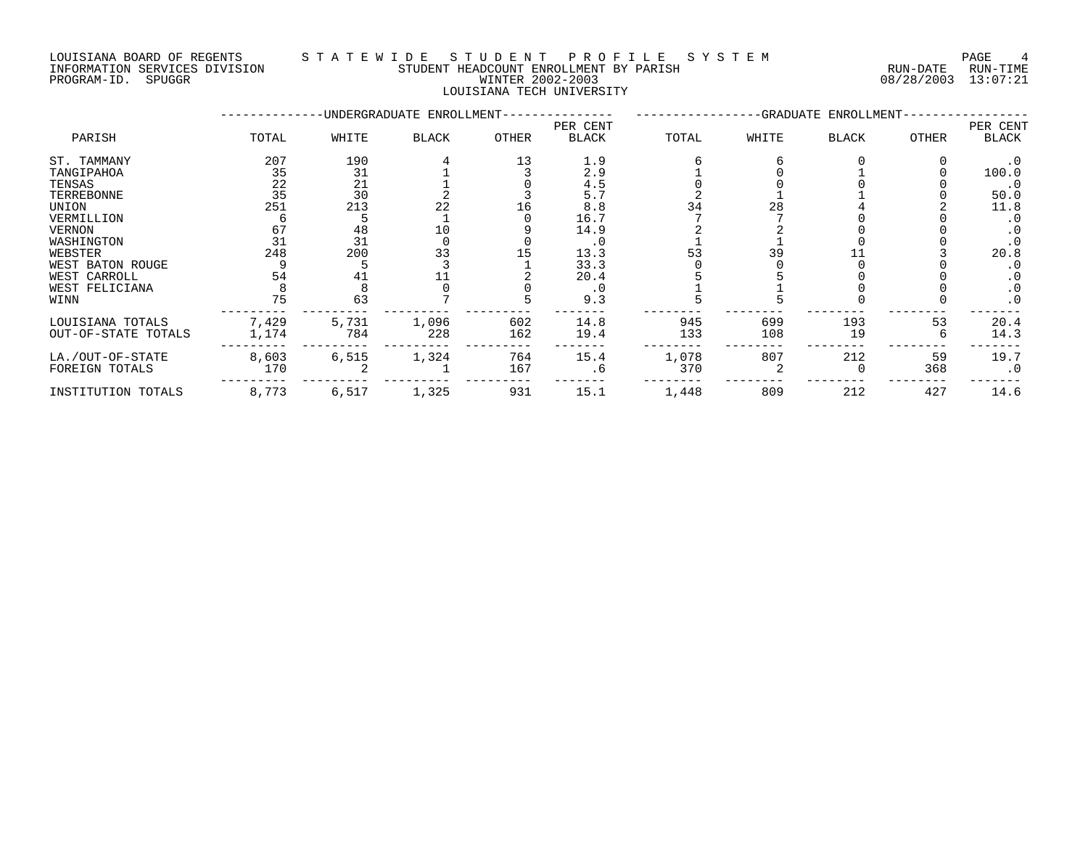# LOUISIANA BOARD OF REGENTS STA TEWIDE STUDENT PROFILE SYSTEM NAGE 4 INFORMATION SERVICES DIVISION STUDENT HEADCOUNT ENROLLMENT BY PARISH RUN-DATE RUN-TIME PROGRAM-ID. SPUGGR WINTER 2002-2003 08/28/2003 13:07:21

LOUISIANA TECH UNIVERSITY

|                     |       |       | -UNDERGRADUATE ENROLLMENT- |       |              |       |       | -GRADUATE ENROLLMENT- |       |           |
|---------------------|-------|-------|----------------------------|-------|--------------|-------|-------|-----------------------|-------|-----------|
|                     |       |       |                            |       | PER CENT     |       |       |                       |       | PER CENT  |
| PARISH              | TOTAL | WHITE | <b>BLACK</b>               | OTHER | <b>BLACK</b> | TOTAL | WHITE | <b>BLACK</b>          | OTHER | BLACK     |
| ST. TAMMANY         | 207   | 190   |                            | 13    | 1.9          |       |       |                       |       | . 0       |
| TANGIPAHOA          | 35    | 31    |                            |       | 2.9          |       |       |                       |       | 100.0     |
| TENSAS              | 22    | 21    |                            |       | 4.5          |       |       |                       |       | $\cdot$ 0 |
| TERREBONNE          | 35    | 30    |                            |       | 5.7          |       |       |                       |       | 50.0      |
| UNION               | 251   | 213   | 22                         | 16    | 8.8          |       |       |                       |       | 11.8      |
| VERMILLION          |       |       |                            |       | 16.7         |       |       |                       |       | . 0       |
| VERNON              | 67    | 48    | 10                         |       | 14.9         |       |       |                       |       | $\cdot$ 0 |
| WASHINGTON          | 31    | 31    |                            |       | . 0          |       |       |                       |       |           |
| WEBSTER             | 248   | 200   | 33                         |       | 13.3         | 53    | 39    |                       |       | 20.8      |
| WEST BATON ROUGE    |       |       |                            |       | 33.3         |       |       |                       |       |           |
| WEST CARROLL        | 54    | 41    |                            |       | 20.4         |       |       |                       |       |           |
| WEST FELICIANA      |       |       |                            |       | $\cdot$ 0    |       |       |                       |       | . 0       |
| WINN                | 75    | 63    |                            |       | 9.3          |       |       |                       |       | $\cdot$ 0 |
| LOUISIANA TOTALS    | 7,429 | 5,731 | 1,096                      | 602   | 14.8         | 945   | 699   | 193                   | 53    | 20.4      |
| OUT-OF-STATE TOTALS | 1,174 | 784   | 228                        | 162   | 19.4         | 133   | 108   | 19                    |       | 14.3      |
| LA./OUT-OF-STATE    | 8,603 | 6,515 | 1,324                      | 764   | 15.4         | 1,078 | 807   | 212                   | 59    | 19.7      |
| FOREIGN TOTALS      | 170   |       |                            | 167   | . 6          | 370   |       |                       | 368   | $\cdot$ 0 |
| INSTITUTION TOTALS  | 8,773 | 6,517 | 1,325                      | 931   | 15.1         | 1,448 | 809   | 212                   | 427   | 14.6      |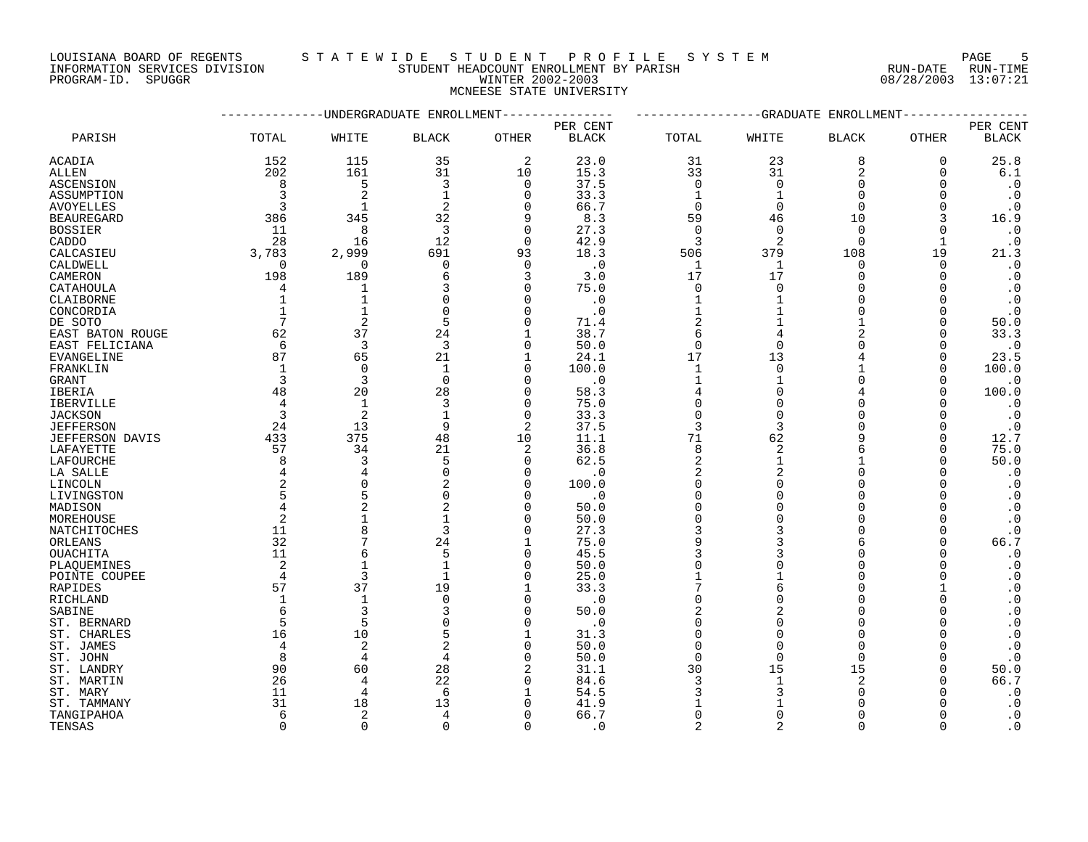LOUISIANA BOARD OF REGENTS S T A T E W I D E S T U D E N T P R O F I L E S Y S T E M PAGE 5 INFORMATION SERVICES DIVISION STUDENT HEADCOUNT ENROLLMENT BY PARISH RUN-DATE RUN-TIME PROGRAM-ID. SPUGGR WINTER 2002-2003 08/28/2003 13:07:21

# MCNEESE STATE UNIVERSITY

|                        |                | ----------UNDERGRADUATE ENROLLMENT |                |             |              |                |                | -------------GRADUATE ENROLLMENT |              |                        |
|------------------------|----------------|------------------------------------|----------------|-------------|--------------|----------------|----------------|----------------------------------|--------------|------------------------|
|                        |                |                                    |                |             | PER CENT     |                |                |                                  |              | PER CENT               |
| PARISH                 | TOTAL          | WHITE                              | <b>BLACK</b>   | OTHER       | <b>BLACK</b> | TOTAL          | WHITE          | <b>BLACK</b>                     | <b>OTHER</b> | <b>BLACK</b>           |
| <b>ACADIA</b>          | 152            | 115                                | 35             | 2           | 23.0         | 31             | 23             | 8                                | $\mathbf 0$  | 25.8                   |
| ALLEN                  | 202            | 161                                | 31             | 10          | 15.3         | 33             | 31             | 2                                | 0            | 6.1                    |
| ASCENSION              | 8              | 5                                  | 3              | $\mathbf 0$ | 37.5         | 0              | $\Omega$       | $\Omega$                         | O            | $\cdot$ 0              |
| ASSUMPTION             |                | $\overline{2}$                     | -1             | 0           | 33.3         | 1              |                | <sup>n</sup>                     |              | $\cdot$ 0              |
| AVOYELLES              | 3              | $\mathbf{1}$                       | 2              | $\Omega$    | 66.7         | $\Omega$       | $\Omega$       | $\Omega$                         | ∩            | $\cdot$ 0              |
| <b>BEAUREGARD</b>      | 386            | 345                                | 32             | 9           | 8.3          | 59             | 46             | 10                               | 3            | 16.9                   |
| <b>BOSSIER</b>         | 11             | 8                                  | 3              | 0           | 27.3         | 0              | $\Omega$       | $\Omega$                         | O            | $\cdot$ 0              |
| CADDO                  | 28             | 16                                 | 12             | $\Omega$    | 42.9         | 3              | 2              | $\Omega$                         | 1            | $\cdot$ 0              |
| CALCASIEU              | 3,783          | 2,999                              | 691            | 93          | 18.3         | 506            | 379            | 108                              | 19           | 21.3                   |
| CALDWELL               | $\Omega$       | $\mathbf 0$                        | $\Omega$       | $\Omega$    | $\cdot$ 0    | $\mathbf 1$    | 1              | $\Omega$                         | $\Omega$     | $\cdot$ 0              |
| CAMERON                | 198            | 189                                | 6              | 3           | 3.0          | 17             | 17             | $\Omega$                         | $\Omega$     | $\cdot$ 0              |
| CATAHOULA              | 4              | 1                                  |                | $\Omega$    | 75.0         | 0              | $\Omega$       | $\Omega$                         |              | $\cdot$ 0              |
| CLAIBORNE              | 1              | $\mathbf{1}$                       |                | 0           | $\cdot$ 0    | 1              |                | $\Omega$                         | O            | $\cdot$ 0              |
| CONCORDIA              | $\mathbf{1}$   | $\mathbf{1}$                       | $\Omega$       | O           | $\cdot$ 0    |                |                | <sup>n</sup>                     | ∩            | $\cdot$ 0              |
| DE SOTO                | 7              | $\overline{2}$                     | 5              | O           | 71.4         | $\overline{2}$ |                | $\mathbf{1}$                     | $\Omega$     | 50.0                   |
| EAST BATON ROUGE       | 62             | 37                                 | 24             | 1           | 38.7         | 6              |                | 2                                | $\Omega$     | 33.3                   |
| EAST FELICIANA         | -6             | 3                                  | 3              | 0           | 50.0         | $\mathbf 0$    | $\Omega$       |                                  | O            | $\cdot$ 0              |
| EVANGELINE             | 87             | 65                                 | 21             | 1           | 24.1         | 17             | 13             |                                  | O            | 23.5                   |
| FRANKLIN               | 1              | $\Omega$                           | $\mathbf{1}$   | $\Omega$    | 100.0        | 1              | $\Omega$       |                                  | $\Omega$     | 100.0                  |
| GRANT                  | 3              | 3                                  | $\Omega$       | $\Omega$    | $\cdot$ 0    | $\mathbf{1}$   |                | $\Omega$                         | $\Omega$     | $\cdot$ 0              |
| IBERIA                 | 48             | 20                                 | 28             | 0           | 58.3         | 4              | $\Omega$       |                                  | $\Omega$     | 100.0                  |
| <b>IBERVILLE</b>       | 4              | 1                                  | 3              | 0           | 75.0         | $\Omega$       |                | <sup>n</sup>                     |              | $\cdot$ 0              |
| <b>JACKSON</b>         | 3              | 2                                  | $\mathbf{1}$   | $\Omega$    | 33.3         | $\Omega$       | $\Omega$       | <sup>n</sup>                     |              | $\cdot$ 0              |
| <b>JEFFERSON</b>       | 24             | 13                                 | 9              | 2           | 37.5         | 3              | 3              | <sup>n</sup>                     | O            | $\cdot$ 0              |
| <b>JEFFERSON DAVIS</b> | 433            | 375                                | 48             | 10          | 11.1         | 71             | 62             | q                                | ∩            | 12.7                   |
| LAFAYETTE              | 57             | 34                                 | 21             | 2           | 36.8         | 8              | $\overline{2}$ | 6                                | $\Omega$     | 75.0                   |
| LAFOURCHE              | 8              | 3                                  | 5              | $\Omega$    | 62.5         | 2              |                |                                  | ∩            | 50.0                   |
| LA SALLE               | 4              | 4                                  | $\Omega$       | $\Omega$    | $\cdot$ 0    | 2              | $\overline{c}$ | $\Omega$                         | O            | $\cdot$ 0              |
| LINCOLN                |                | 0                                  |                | $\Omega$    | 100.0        | $\Omega$       |                | $\Omega$                         |              | $\cdot$ 0              |
| LIVINGSTON             |                | 5                                  |                | U           | $\cdot$ 0    | $\Omega$       |                | $\Omega$                         |              | $\cdot$ 0              |
| MADISON                | 4              | $\overline{a}$                     | $\overline{2}$ | O           | 50.0         | $\Omega$       |                | $\Omega$                         |              | $\cdot$ 0              |
| MOREHOUSE              | 2              | $\mathbf{1}$                       | 1              | O           | 50.0         | $\Omega$       |                | $\Omega$                         | O            | $\cdot$ 0              |
| NATCHITOCHES           | 11             | 8                                  | 3              | O           | 27.3         | 3              |                | $\Omega$                         | $\Omega$     | $\cdot$ 0              |
| ORLEANS                | 32             | 7                                  | 24             | 1           | 75.0         | 9              |                |                                  | ∩            | 66.7                   |
| <b>OUACHITA</b>        | 11             | 6                                  | 5              | 0           | 45.5         |                |                | $\Omega$                         |              | $\cdot$ 0              |
| PLAQUEMINES            | $\overline{2}$ | $\mathbf{1}$                       | $\mathbf{1}$   | $\Omega$    | 50.0         | $\Omega$       |                | $\Omega$                         |              | $\boldsymbol{\cdot}$ 0 |
| POINTE COUPEE          | 4              | 3                                  | 1              | 0           | 25.0         |                |                | $\Omega$                         | ∩            | $\cdot$ 0              |
| RAPIDES                | 57             | 37                                 | 19             | 1           | 33.3         |                |                | $\Omega$                         |              | $\cdot$ 0              |
| RICHLAND               | 1              | $\mathbf{1}$                       | $\Omega$       | O           | $\cdot$ 0    | $\Omega$       |                | $\Omega$                         |              | $\cdot$ 0              |
| SABINE                 | 6              | 3                                  |                | $\Omega$    | 50.0         |                |                | $\Omega$                         |              | $\cdot$ 0              |
| ST. BERNARD            | 5              | 5                                  |                | $\Omega$    | $\cdot$ 0    | $\Omega$       | $\Omega$       | $\Omega$                         |              | $\cdot$ 0              |
| ST. CHARLES            | 16             | 10                                 | 5              | 1           | 31.3         | $\Omega$       | O              | $\Omega$                         |              | $\cdot$ 0              |
| ST. JAMES              | 4              | 2                                  |                | $\Omega$    | 50.0         | $\Omega$       |                | $\Omega$                         |              | $\cdot$ 0              |
| ST. JOHN               | 8              | 4                                  | 4              | 0           | 50.0         | $\mathbf 0$    | $\Omega$       | $\Omega$                         |              | $\cdot$ 0              |
| ST. LANDRY             | 90             | 60                                 | 28             | 2           | 31.1         | 30             | 15             | 15                               | ∩            | 50.0                   |
| ST. MARTIN             | 26             | 4                                  | 22             | 0           | 84.6         | 3              | 1              | 2                                | O            | 66.7                   |
| ST. MARY               | 11             | 4                                  | 6              | 1           | 54.5         | 3              |                | $\Omega$                         |              | $\cdot$ 0              |
| ST. TAMMANY            | 31             | 18                                 | 13             | U           | 41.9         |                |                | <sup>n</sup>                     |              | $\cdot$ 0              |
| TANGIPAHOA             | 6              | 2                                  | 4              | O           | 66.7         | $\Omega$       | ∩              | <sup>n</sup>                     |              | $\boldsymbol{\cdot}$ 0 |
| TENSAS                 | $\Omega$       | $\Omega$                           | $\Omega$       | $\Omega$    | . 0          | $\mathcal{D}$  | っ              | $\cap$                           |              | $\cdot$ 0              |
|                        |                |                                    |                |             |              |                |                |                                  |              |                        |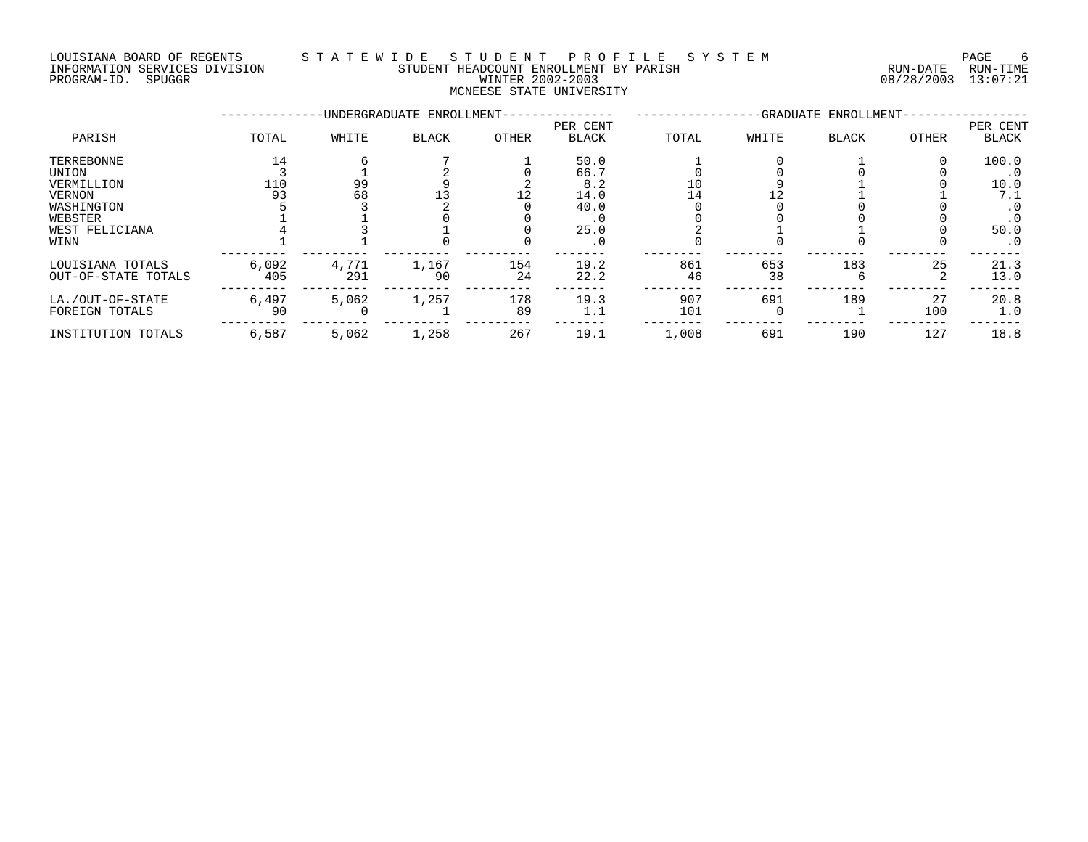# LOUISIANA BOARD OF REGENTS S T A T E W I D E S T U D E N T P R O F I L E S Y S T E M PAGE 6 INFORMATION SERVICES DIVISION STUDENT HEADCOUNT ENROLLMENT BY PARISH RUN-DATE RUN-TIME PROGRAM-ID. SPUGGR WINTER 2002-2003 08/28/2003 13:07:21

# MCNEESE STATE UNIVERSITY

|                                         |              |              | -UNDERGRADUATE ENROLLMENT- |           |                          |            |           | -GRADUATE ENROLLMENT- |           |                          |
|-----------------------------------------|--------------|--------------|----------------------------|-----------|--------------------------|------------|-----------|-----------------------|-----------|--------------------------|
| PARISH                                  | TOTAL        | WHITE        | <b>BLACK</b>               | OTHER     | PER CENT<br><b>BLACK</b> | TOTAL      | WHITE     | <b>BLACK</b>          | OTHER     | PER CENT<br><b>BLACK</b> |
| TERREBONNE                              | 14           |              |                            |           | 50.0                     |            |           |                       |           | 100.0                    |
| UNION                                   |              |              |                            |           | 66.7                     |            |           |                       |           | $\cdot$ 0                |
| VERMILLION                              | 110          | 99           |                            |           | 8.2                      | 10         |           |                       |           | 10.0                     |
| VERNON                                  | 93           | 68           |                            |           | 14.0                     |            |           |                       |           | 7.1                      |
| WASHINGTON                              |              |              |                            |           | 40.0                     |            |           |                       |           |                          |
| WEBSTER                                 |              |              |                            |           |                          |            |           |                       |           |                          |
| WEST FELICIANA                          |              |              |                            |           | 25.0                     |            |           |                       |           | 50.0                     |
| WINN                                    |              |              |                            |           | . 0                      |            |           |                       |           | $\cdot$ 0                |
| LOUISIANA TOTALS<br>OUT-OF-STATE TOTALS | 6,092<br>405 | 4,771<br>291 | 1,167<br>90                | 154<br>24 | 19.2<br>22.2             | 861<br>46  | 653<br>38 | 183                   | 25        | 21.3<br>13.0             |
| LA./OUT-OF-STATE<br>FOREIGN TOTALS      | 6,497<br>90  | 5,062        | 1,257                      | 178<br>89 | 19.3<br>1.1              | 907<br>101 | 691       | 189                   | 27<br>100 | 20.8<br>1.0              |
| INSTITUTION TOTALS                      | 6,587        | 5,062        | 1,258                      | 267       | 19.1                     | 1,008      | 691       | 190                   | 127       | 18.8                     |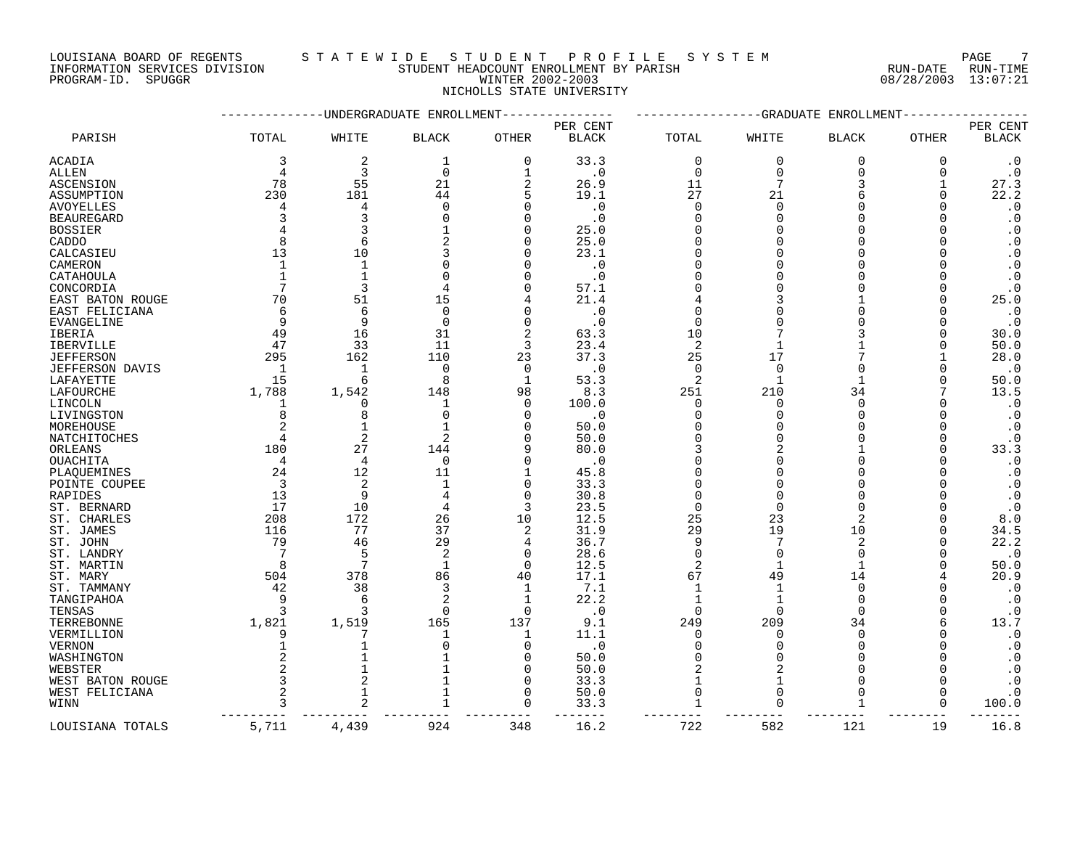LOUISIANA BOARD OF REGENTS STATEWIDE STUDENT PROFILE SYSTEM PAGE 7 INFORMATION SERVICES DIVISION STUDENT HEADCOUNT ENROLLMENT BY PARISH RUN-DATE RUN-TIME

# PROGRAM-ID. SPUGGR WINTER 2002-2003 08/28/2003 13:07:21 NICHOLLS STATE UNIVERSITY

|                        |                | ---------UNDERGRADUATE ENROLLMENT- |                |                |              |                |                | --GRADUATE ENROLLMENT |              |                        |
|------------------------|----------------|------------------------------------|----------------|----------------|--------------|----------------|----------------|-----------------------|--------------|------------------------|
|                        |                |                                    |                |                | PER CENT     |                |                |                       |              | PER CENT               |
| PARISH                 | TOTAL          | WHITE                              | <b>BLACK</b>   | <b>OTHER</b>   | <b>BLACK</b> | TOTAL          | WHITE          | <b>BLACK</b>          | OTHER        | <b>BLACK</b>           |
| ACADIA                 | 3              | $\overline{2}$                     | 1              | 0              | 33.3         | $\mathbf 0$    | $\mathbf 0$    | $\mathbf 0$           | 0            | $\cdot$ 0              |
| ALLEN                  | 4              | 3                                  | $\mathbf 0$    | $\mathbf 1$    | $\cdot$ 0    | $\Omega$       | $\Omega$       | $\Omega$              | $\Omega$     | $\cdot$ 0              |
| <b>ASCENSION</b>       | 78             | 55                                 | 21             | $\overline{2}$ | 26.9         | 11             |                | 3                     |              | 27.3                   |
| ASSUMPTION             | 230            | 181                                | 44             | 5              | 19.1         | 27             | 21             | 6                     | $\Omega$     | 22.2                   |
| <b>AVOYELLES</b>       | 4              | 4                                  | $\Omega$       | ∩              | $\cdot$ 0    | $\Omega$       | $\cap$         | $\Omega$              | $\Omega$     | $\boldsymbol{\cdot}$ 0 |
| <b>BEAUREGARD</b>      | ζ              | 3                                  | $\cap$         | ∩              | $\cdot$ 0    | $\Omega$       | $\cap$         |                       |              | $\boldsymbol{\cdot}$ 0 |
| <b>BOSSIER</b>         | 4              |                                    |                | ∩              | 25.0         | $\Omega$       |                | ∩                     | n            | $\cdot$ 0              |
| CADDO                  | 8              | 6                                  |                | ∩              | 25.0         | $\Omega$       |                |                       |              | $\boldsymbol{\cdot}$ 0 |
| CALCASIEU              | 13             | 10                                 |                | ∩              | 23.1         | $\cap$         |                |                       |              | $\cdot$ 0              |
| CAMERON                | $\mathbf{1}$   | $\mathbf{1}$                       | $\Omega$       |                | $\cdot$ 0    | $\Omega$       |                |                       |              | $\cdot$ 0              |
| CATAHOULA              | $\mathbf{1}$   | $\mathbf{1}$                       | $\Omega$       | ∩              | $\cdot$ 0    |                |                | $\Omega$              | <sup>0</sup> | $\cdot$ 0              |
| CONCORDIA              | 7              | 3                                  | 4              | n              | 57.1         |                |                | $\Omega$              | $\Omega$     | $\cdot$ 0              |
| EAST BATON ROUGE       | 70             | 51                                 | 15             |                | 21.4         |                |                |                       | 0            | 25.0                   |
| EAST FELICIANA         | 6              | 6                                  | $\Omega$       | n              | $\cdot$ 0    | $\cap$         |                |                       | ∩            | $\cdot$ 0              |
| <b>EVANGELINE</b>      | 9              | 9                                  | $\Omega$       | $\Omega$       | $\cdot$ 0    | $\Omega$       |                |                       | $\Omega$     | $\cdot$ 0              |
| <b>IBERIA</b>          | 49             | 16                                 | 31             | 2              | 63.3         | 10             |                |                       | $\Omega$     | 30.0                   |
| <b>IBERVILLE</b>       | 47             | 33                                 | 11             | 3              | 23.4         | 2              |                |                       | <sup>0</sup> | 50.0                   |
| <b>JEFFERSON</b>       | 295            | 162                                | 110            | 23             | 37.3         | 25             | 17             |                       |              | 28.0                   |
| <b>JEFFERSON DAVIS</b> | 1              | $\mathbf{1}$                       | $\Omega$       | $\Omega$       | $\cdot$ 0    | $\Omega$       | $\Omega$       | $\Omega$              |              | $\cdot$ 0              |
| LAFAYETTE              | 15             | 6                                  | 8              | 1              | 53.3         | $\overline{2}$ |                | 1                     | $\Omega$     | 50.0                   |
| LAFOURCHE              | 1,788          | 1,542                              | 148            | 98             | 8.3          | 251            | 210            | 34                    |              | 13.5                   |
| LINCOLN                | 1              | $\Omega$                           |                | $\Omega$       | 100.0        | 0              |                | $\Omega$              |              | $\cdot$ 0              |
| LIVINGSTON             | 8              | $\mathsf{R}$                       | $\Omega$       | $\Omega$       | $\cdot$ 0    | $\Omega$       | $\cap$         | $\cap$                |              | $\boldsymbol{\cdot}$ 0 |
| MOREHOUSE              | $\overline{2}$ |                                    |                | ∩              | 50.0         | $\Omega$       |                | $\Omega$              | O            | $\cdot$ 0              |
| NATCHITOCHES           | 4              | $\overline{2}$                     |                |                | 50.0         |                |                | $\Omega$              | $\Omega$     | $\cdot$ 0              |
| ORLEANS                | 180            | 27                                 | 144            |                | 80.0         |                |                |                       | $\Omega$     | 33.3                   |
| OUACHITA               | $\overline{4}$ | $\overline{4}$                     | $\mathbf 0$    | $\Omega$       | $\cdot$ 0    |                |                | $\Omega$              |              | $\cdot$ 0              |
| PLAQUEMINES            | 24             | 12                                 | 11             |                | 45.8         |                |                | $\Omega$              |              | $\cdot$ 0              |
| POINTE COUPEE          | 3              | $\overline{2}$                     |                | $\Omega$       | 33.3         | $\cap$         |                | $\Omega$              |              | $\boldsymbol{\cdot}$ 0 |
| RAPIDES                | 13             | 9                                  | 4              | $\Omega$       | 30.8         |                |                |                       |              | $\cdot$ 0              |
| ST. BERNARD            | 17             | 10                                 | 4              | 3              | 23.5         | $\mathbf 0$    | $\cap$         | $\Omega$              |              | $\cdot$ 0              |
| ST. CHARLES            | 208            | 172                                | 26             | 10             | 12.5         | 25             | 23             | $\mathfrak{D}$        | O            | 8.0                    |
| ST. JAMES              | 116            | 77                                 | 37             | $\overline{2}$ | 31.9         | 29             | 19             | 10                    | $\Omega$     | 34.5                   |
| ST. JOHN               | 79             | 46                                 | 29             | 4              | 36.7         | 9              |                | 2                     | <sup>0</sup> | 22.2                   |
| ST. LANDRY             | 7              | 5                                  | $\overline{c}$ | $\Omega$       | 28.6         | $\Omega$       | $\cap$         | $\Omega$              | ∩            | $\cdot$ 0              |
| ST. MARTIN             | 8              | 7                                  | $\mathbf{1}$   | $\Omega$       | 12.5         | $\overline{c}$ | $\mathbf{1}$   | $\mathbf{1}$          | $\Omega$     | 50.0                   |
| ST. MARY               | 504            | 378                                | 86             | 40             | 17.1         | 67             | 49             | 14                    |              | 20.9                   |
| ST. TAMMANY            | 42             | 38                                 | 3              | $\mathbf{1}$   | 7.1          | $\mathbf{1}$   |                | $\Omega$              | $\Omega$     | $\cdot$ 0              |
| TANGIPAHOA             | 9              | 6                                  | $\overline{2}$ | 1              | 22.2         | 1              |                | $\Omega$              | $\Omega$     | $\cdot$ 0              |
| TENSAS                 | ζ              | ₹                                  | $\Omega$       | $\Omega$       | $\cdot$ 0    | $\Omega$       | $\cap$         | $\cap$                | $\Omega$     | $\boldsymbol{\cdot}$ 0 |
| TERREBONNE             | 1,821          | 1,519                              | 165            | 137            | 9.1          | 249            | 209            | 34                    | 6            | 13.7                   |
| VERMILLION             | 9              | 7                                  | 1              | 1              | 11.1         | $\Omega$       | $\Omega$       | $\Omega$              | <sup>0</sup> | $\cdot$ 0              |
| <b>VERNON</b>          |                |                                    | $\Omega$       | $\Omega$       | $\cdot$ 0    | $\Omega$       |                | $\Omega$              | $\Omega$     | $\cdot$ 0              |
| WASHINGTON             | 2              |                                    |                | $\Omega$       | 50.0         | $\Omega$       | $\Omega$       | $\Omega$              |              | $\boldsymbol{\cdot}$ 0 |
| WEBSTER                | $\overline{a}$ |                                    |                | $\Omega$       | 50.0         | $\overline{c}$ | $\overline{2}$ | $\Omega$              | $\Omega$     | $\cdot$ 0              |
| WEST BATON ROUGE       | 3              | $\overline{2}$                     |                | $\cap$         | 33.3         | $\mathbf{1}$   | $\mathbf{1}$   | $\Omega$              | $\Omega$     | $\cdot$ 0              |
| WEST FELICIANA         | 2              | $\mathbf{1}$                       |                | $\Omega$       | 50.0         | $\mathbf 0$    | $\Omega$       | $\Omega$              | 0            | $\cdot$ 0              |
| WINN                   | 3              |                                    | $\mathbf{1}$   | $\cap$         | 33.3         |                | ∩              |                       | $\Omega$     | 100.0                  |
|                        |                |                                    |                |                | $- - - -$    |                |                |                       |              |                        |
| LOUISIANA TOTALS       | 5,711          | 4,439                              | 924            | 348            | 16.2         | 722            | 582            | 121                   | 19           | 16.8                   |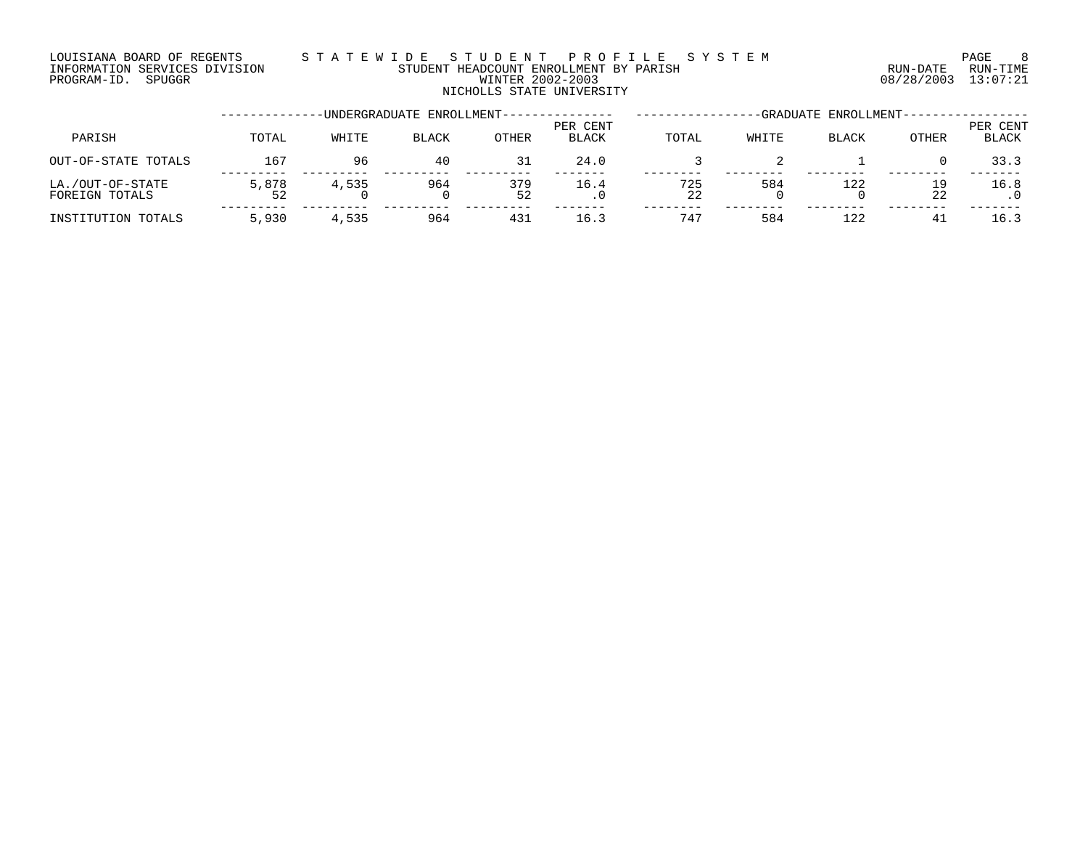# LOUISIANA BOARD OF REGENTS S T A T E W I D E S T U D E N T P R O F I L E S Y S T E M PAGE 8 INFORMATION SERVICES DIVISION STUDENT HEADCOUNT ENROLLMENT BY PARISH RUN-DATE RUN-TIME EN DUISIANA BOARD OF REGENTS STATEWIDE STUDENT PROFILE SYSTEM PAGE REGENTE 8<br>INFORMATION SERVICES DIVISION STUDENT HEADCOUNT ENROLLMENT BY PARISH NUM-DATE RUN-TIME<br>PROGRAM-ID. SPUGGR PROGRAM-ID. SPUGGR NICHOLLS STATE UNIVERSITY

|                                    |       |       | -UNDERGRADUATE ENROLLMENT-- |              |                   |           |       | -GRADUATE ENROLLMENT- |          |                   |
|------------------------------------|-------|-------|-----------------------------|--------------|-------------------|-----------|-------|-----------------------|----------|-------------------|
| PARISH                             | TOTAL | WHITE | <b>BLACK</b>                | <b>OTHER</b> | PER CENT<br>BLACK | TOTAL     | WHITE | <b>BLACK</b>          | OTHER    | PER CENT<br>BLACK |
| OUT-OF-STATE TOTALS                | 167   | 96    | 40                          | 31           | 24.0              |           |       |                       |          | 33.3              |
| LA./OUT-OF-STATE<br>FOREIGN TOTALS | 5,878 | 4,535 | 964                         | 379<br>52    | 16.4              | 725<br>22 | 584   | 122                   | 19<br>22 | 16.8              |
| INSTITUTION TOTALS                 | 5,930 | 4,535 | 964                         | 431          | 16.3              | 747       | 584   | 122                   | 41       | 16.3              |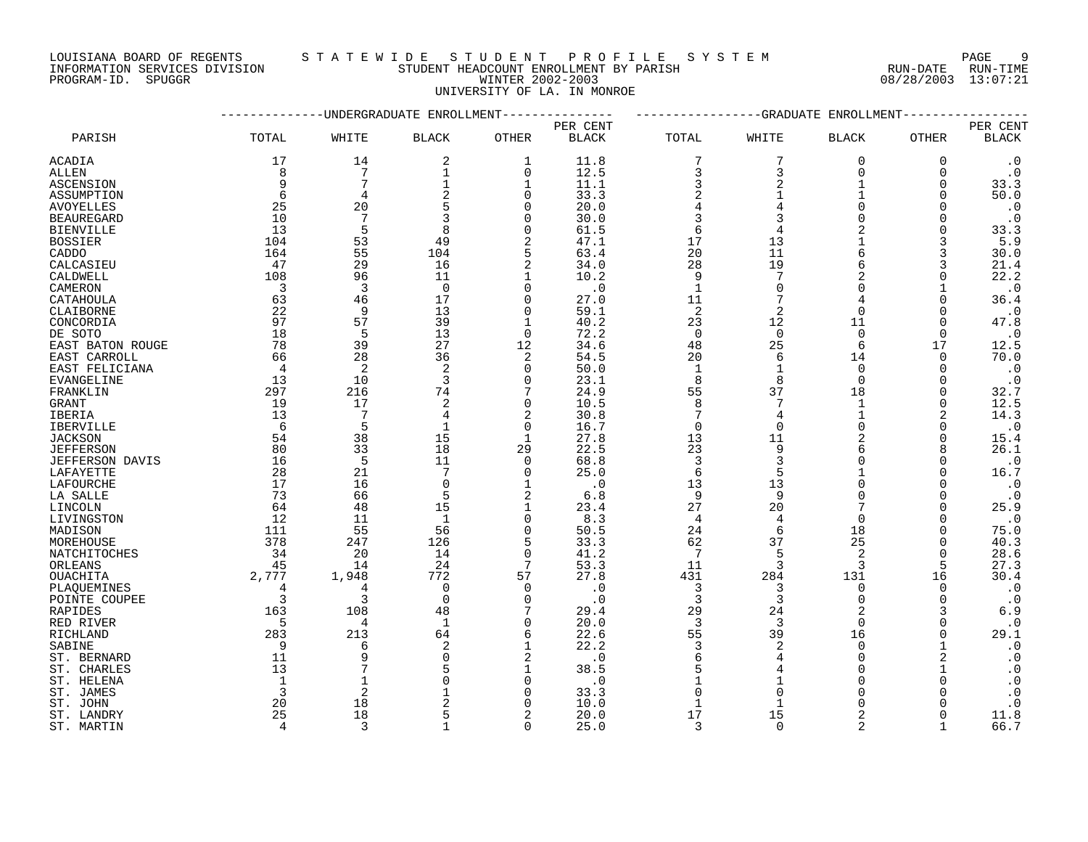INFORMATION SERVICES DIVISION STUDENT HEADCOUNT ENROLLMENT BY PARISH RUN-DATE RUN-TIME PROGRAM-ID. SPUGGR WINTER 2002-2003 08/28/2003 13:07:21

# LOUISIANA BOARD OF REGENTS S T A T E W I D E S T U D E N T P R O F I L E S Y S T E M PAGE 9

UNIVERSITY OF LA. IN MONROE

|                           |                |                | -UNDERGRADUATE ENROLLMENT |                |              |                | -GRADUATE      | ENROLLMENT     |                |                        |
|---------------------------|----------------|----------------|---------------------------|----------------|--------------|----------------|----------------|----------------|----------------|------------------------|
|                           |                |                |                           |                | PER CENT     |                |                |                |                | PER CENT               |
| PARISH                    | TOTAL          | WHITE          | <b>BLACK</b>              | <b>OTHER</b>   | <b>BLACK</b> | TOTAL          | WHITE          | <b>BLACK</b>   | OTHER          | $\operatorname{BLACK}$ |
| ACADIA                    | 17             | 14             | 2                         | 1              | 11.8         | 7              | 7              | $\overline{0}$ | $\Omega$       | $\cdot$ 0              |
| ALLEN                     | 8              | 7              | 1                         | $\mathbf 0$    | 12.5         | 3              | 3              | $\mathbf 0$    | $\mathbf 0$    | $\cdot$ 0              |
| ASCENSION                 | 9              | 7              | $\mathbf{1}$              | 1              | 11.1         | 3              | 2              | $\mathbf{1}$   | 0              | 33.3                   |
| ASSUMPTION                | 6              | 4              | 2                         | $\Omega$       | 33.3         | $\overline{c}$ | $\mathbf{1}$   | 1              | $\Omega$       | 50.0                   |
| AVOYELLES                 | 25             | 20             | 5                         | $\Omega$       | 20.0         | $\overline{4}$ |                | $\Omega$       | $\Omega$       | $\cdot$ 0              |
| <b>BEAUREGARD</b>         | 10             | 7              | 3                         | $\Omega$       | 30.0         | 3              |                | $\Omega$       | $\Omega$       | $\cdot$ 0              |
| <b>BIENVILLE</b>          | 13             | 5              | 8                         | $\Omega$       | 61.5         | 6              |                |                | $\Omega$       | 33.3                   |
| <b>BOSSIER</b>            | 104            | 53             | 49                        | 2              | 47.1         | 17             | 13             |                | 3              | 5.9                    |
| CADDO                     | 164            | 55             | 104                       | 5              | 63.4         | 20             | 11             |                | 3              | 30.0                   |
| CALCASIEU                 | 47             | 29             | 16                        | $\overline{2}$ | 34.0         | 28             | 19             | 6              | 3              | 21.4                   |
| CALDWELL                  | 108            | 96             | 11                        | 1              | 10.2         | 9              |                | 2              | $\Omega$       | 22.2                   |
| CAMERON                   | $\overline{3}$ | $\overline{3}$ | $\Omega$                  | $\Omega$       | $\cdot$ 0    | $\mathbf{1}$   | $\Omega$       | $\Omega$       |                | $\cdot$ 0              |
| CATAHOULA                 | 63             | 46             | 17                        | $\Omega$       | 27.0         | 11             | 7              | 4              | $\Omega$       | 36.4                   |
| CLAIBORNE                 | 22             | 9              | 13                        | $\Omega$       | 59.1         | 2              | 2              | $\Omega$       | $\Omega$       | $\cdot$ 0              |
| CONCORDIA                 | 97             | 57             | 39                        |                | 40.2         | 23             | 12             | 11             | $\Omega$       | 47.8                   |
| DE SOTO                   | 18             | 5              | 13                        | $\Omega$       | 72.2         | $\mathbf 0$    | $\Omega$       | $\Omega$       | $\Omega$       | $\cdot$ 0              |
| EAST BATON ROUGE          | 78             | 39             | 27                        | 12             | 34.6         | 48             | 25             | 6              | 17             | 12.5                   |
| EAST CARROLL              | 66             | 28             | 36                        | $\overline{2}$ | 54.5         | 20             | 6              | 14             | $\mathbf 0$    | 70.0                   |
| EAST FELICIANA            | 4              | $\overline{c}$ | 2                         | $\Omega$       | 50.0         | 1              | 1              | $\Omega$       | 0              | $\cdot$ 0              |
| <b>EVANGELINE</b>         | 13             | 10             | 3                         | $\Omega$       | 23.1         | 8              | 8              | $\Omega$       | $\Omega$       | $\cdot$ 0              |
| FRANKLIN                  | 297            | 216            | 74                        | 7              | 24.9         | 55             | 37             | 18             | $\Omega$       | 32.7                   |
| <b>GRANT</b>              | 19             | 17             | 2                         | $\Omega$       | 10.5         | 8              | 7              | 1              | $\Omega$       | 12.5                   |
| IBERIA                    | 13             | 7              | 4                         | $\overline{2}$ | 30.8         | 7              | 4              |                | $\overline{2}$ | 14.3                   |
| <b>IBERVILLE</b>          | 6              | 5              | 1                         | 0              | 16.7         | $\mathbf 0$    | $\Omega$       | $\Omega$       | 0              | $\cdot$ 0              |
| <b>JACKSON</b>            | 54             | 38             | 15                        | $\mathbf{1}$   | 27.8         | 13             | 11             |                | $\Omega$       | 15.4                   |
| <b>JEFFERSON</b>          | 80             | 33             | 18                        | 29             | 22.5         | 23             | 9              | 6              | 8              | 26.1                   |
| <b>JEFFERSON DAVIS</b>    | 16             | 5              | 11                        | $\Omega$       | 68.8         | 3              | 3              | $\Omega$       | $\Omega$       | $\cdot$ 0              |
| LAFAYETTE                 | 28             | 21             | 7                         | $\Omega$       | 25.0         | 6              |                |                | $\Omega$       | 16.7                   |
| LAFOURCHE                 | 17             | 16             | $\mathbf 0$               | $\mathbf{1}$   | $\cdot$ 0    | 13             | 13             |                | 0              | $\cdot$ 0              |
| LA SALLE                  | 73             | 66             | 5                         | 2              | 6.8          | 9              | 9              |                | $\Omega$       | $\cdot$ 0              |
| LINCOLN                   | 64             | 48             | 15                        | 1<br>$\Omega$  | 23.4         | 27             | 20             | $\Omega$       | $\Omega$       | 25.9                   |
| LIVINGSTON                | 12             | 11<br>55       | $\mathbf{1}$              | $\Omega$       | 8.3          | $\overline{4}$ | 4              |                | $\Omega$       | $\cdot$ 0              |
| MADISON                   | 111<br>378     | 247            | 56                        | 5              | 50.5         | 24             | 6<br>37        | 18<br>25       | $\Omega$       | 75.0                   |
| MOREHOUSE<br>NATCHITOCHES | 34             | 20             | 126<br>14                 | $\Omega$       | 33.3<br>41.2 | 62<br>7        |                | $\mathfrak{D}$ | 0<br>$\Omega$  | 40.3<br>28.6           |
| ORLEANS                   | 45             | 14             | 24                        | 7              | 53.3         | 11             | 3              | 3              | 5              | 27.3                   |
| OUACHITA                  | 2,777          | 1,948          | 772                       | 57             | 27.8         | 431            | 284            | 131            | 16             | 30.4                   |
| PLAOUEMINES               | 4              | 4              | $\mathbf 0$               | $\Omega$       | $\cdot$ 0    | 3              | 3              | $\mathbf 0$    | $\Omega$       | $\cdot$ 0              |
| POINTE COUPEE             | 3              | 3              | $\Omega$                  | $\Omega$       | $\cdot$ 0    | 3              | 3              | $\Omega$       | $\Omega$       | $\cdot$ 0              |
| RAPIDES                   | 163            | 108            | 48                        |                | 29.4         | 29             | 24             | $\overline{2}$ | 3              | 6.9                    |
| RED RIVER                 | 5              | 4              | 1                         | $\Omega$       | 20.0         | 3              | 3              | $\Omega$       | $\Omega$       | $\cdot$ 0              |
| RICHLAND                  | 283            | 213            | 64                        | 6              | 22.6         | 55             | 39             | 16             | 0              | 29.1                   |
| SABINE                    | 9              | 6              | $\overline{2}$            | $\mathbf{1}$   | 22.2         | $\overline{3}$ | $\overline{2}$ | $\Omega$       |                | $\cdot$ 0              |
| ST. BERNARD               | 11             | 9              | $\Omega$                  | $\overline{2}$ | $\cdot$ 0    | 6              | 4              | $\Omega$       | 2              | $\cdot$ 0              |
| ST. CHARLES               | 13             |                |                           | $\mathbf{1}$   | 38.5         | 5              |                | $\Omega$       |                | $\cdot$ 0              |
| ST. HELENA                | 1              | 1              |                           | $\Omega$       | $\cdot$ 0    |                |                |                | $\Omega$       | $\cdot$ 0              |
| ST. JAMES                 | 3              | 2              |                           | $\Omega$       | 33.3         | $\Omega$       |                |                |                | $\cdot$ 0              |
| ST. JOHN                  | 20             | 18             |                           |                | 10.0         |                |                |                |                | $\cdot$ 0              |
| ST. LANDRY                | 25             | 18             |                           | 2              | 20.0         | 17             | 15             | 2              |                | 11.8                   |
| ST. MARTIN                | $\overline{4}$ | 3              |                           | $\Omega$       | 25.0         | $\mathcal{R}$  | $\cap$         | $\mathfrak{D}$ |                | 66.7                   |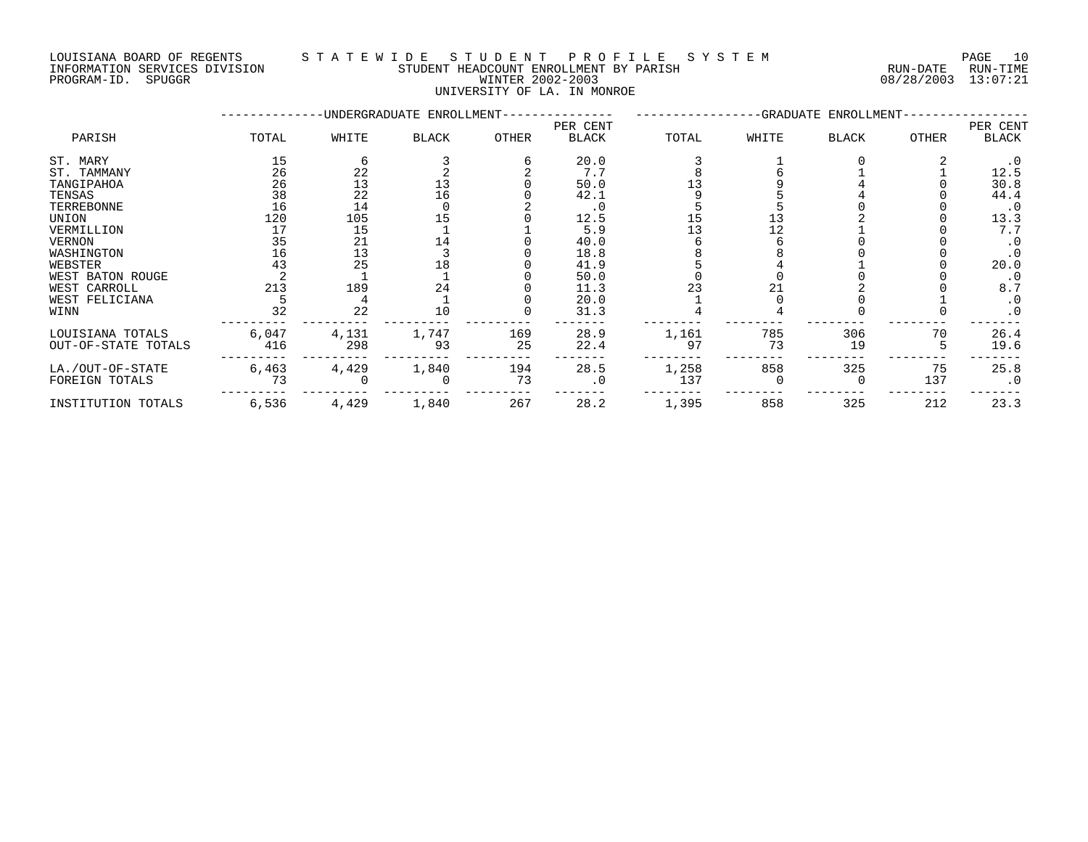### LOUISIANA BOARD OF REGENTS S T A T E W I D E S T U D E N T P R O F I L E S Y S T E M PAGE 10 INFORMATION SERVICES DIVISION STUDENT HEADCOUNT ENROLLMENT BY PARISH RUN-DATE RUN-TIME NOUSLAM DOMESTICES DIVISION CONTRACTORY TRANSPORTED TO THE TRANSPORTED TO THE RUN-DATE RUN-TIME TRANSPORTED TO<br>PROGRAM-ID. SPUGGR DIVISION FOR THE MUNTER 2002-2003 08/28/2003 13:07:21

UNIVERSITY OF LA. IN MONROE

|                     |       |       | -UNDERGRADUATE ENROLLMENT- |              |                          |       |       | -GRADUATE ENROLLMENT- |              |                   |
|---------------------|-------|-------|----------------------------|--------------|--------------------------|-------|-------|-----------------------|--------------|-------------------|
| PARISH              | TOTAL | WHITE | <b>BLACK</b>               | <b>OTHER</b> | PER CENT<br><b>BLACK</b> | TOTAL | WHITE | <b>BLACK</b>          | <b>OTHER</b> | PER CENT<br>BLACK |
| ST. MARY            | 15    |       |                            |              | 20.0                     |       |       |                       |              | . 0               |
| ST. TAMMANY         | 26    | 22    |                            |              | 7.7                      |       |       |                       |              | 12.5              |
| TANGIPAHOA          | 26    | 13    |                            |              | 50.0                     |       |       |                       |              | 30.8              |
| TENSAS              | 38    | 22    | 16                         |              | 42.1                     |       |       |                       |              | 44.4              |
| TERREBONNE          | 16    | 14    |                            |              | $\cdot$ 0                |       |       |                       |              | $\cdot$ 0         |
| UNION               | 120   | 105   | 15                         |              | 12.5                     |       |       |                       |              | 13.3              |
| VERMILLION          |       | 15    |                            |              | 5.9                      |       |       |                       |              | 7.7               |
| <b>VERNON</b>       | 35    | 21    | 14                         |              | 40.0                     |       |       |                       |              | $\cdot$ 0         |
| WASHINGTON          | 16    | 13    |                            |              | 18.8                     |       |       |                       |              |                   |
| WEBSTER             | 43    | 25    | 18                         |              | 41.9                     |       |       |                       |              | 20.0              |
| WEST BATON ROUGE    |       |       |                            |              | 50.0                     |       |       |                       |              | $\cdot$ 0         |
| WEST CARROLL        | 213   | 189   | 24                         |              | 11.3                     |       |       |                       |              | 8.7               |
| WEST FELICIANA      |       |       |                            |              | 20.0                     |       |       |                       |              | $\cdot$ 0         |
| WINN                | 32    | 22    | 10                         |              | 31.3                     |       |       |                       |              | $\cdot$ 0         |
| LOUISIANA TOTALS    | 6,047 | 4,131 | 1,747                      | 169          | 28.9                     | 1,161 | 785   | 306                   | 70           | 26.4              |
| OUT-OF-STATE TOTALS | 416   | 298   | 93                         | 25           | 22.4                     | 97    | 73    | 19                    |              | 19.6              |
| LA./OUT-OF-STATE    | 6,463 | 4,429 | 1,840                      | 194          | 28.5                     | 1,258 | 858   | 325                   | 75           | 25.8              |
| FOREIGN TOTALS      | 73    |       |                            | 73           | . 0                      | 137   |       | $\Omega$              | 137          | $\cdot$ 0         |
| INSTITUTION TOTALS  | 6,536 | 4,429 | 1,840                      | 267          | 28.2                     | 1,395 | 858   | 325                   | 212          | 23.3              |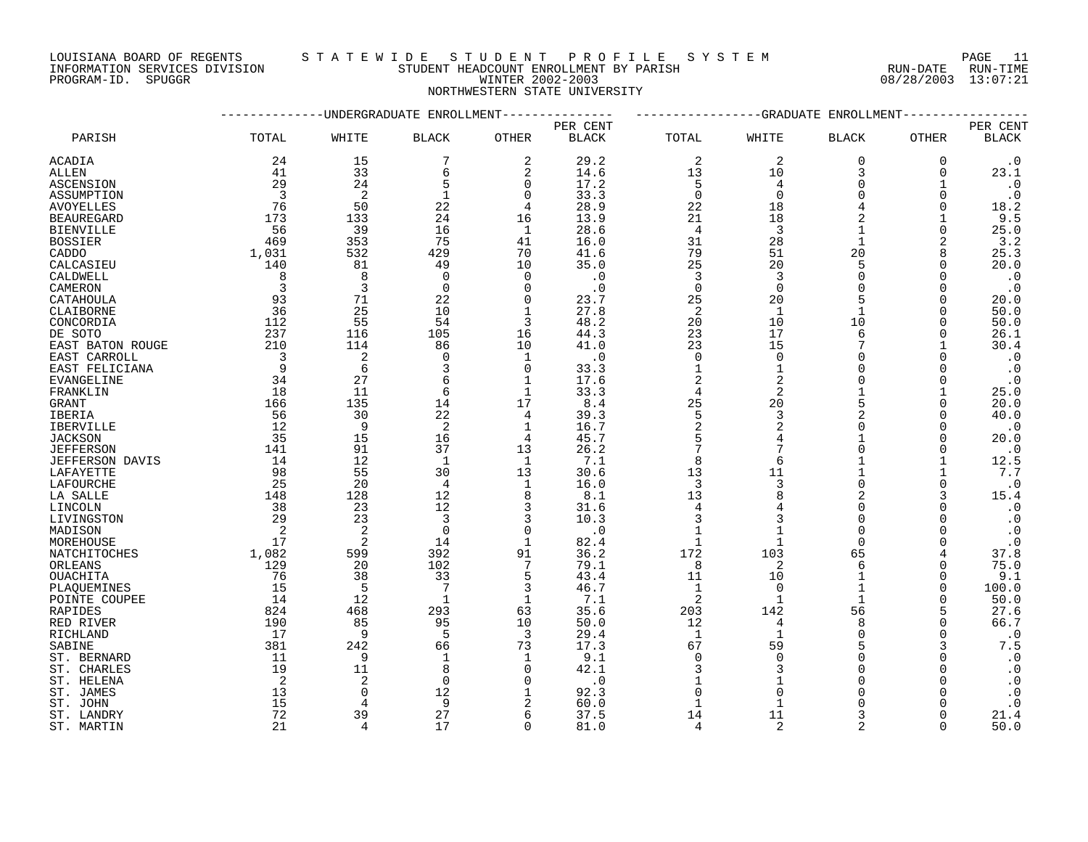LOUISIANA BOARD OF REGENTS S T A T E W I D E S T U D E N T P R O F I L E S Y S T E M PAGE 11

INFORMATION SERVICES DIVISION STUDENT HEADCOUNT ENROLLMENT BY PARISH RUN-DATE RUN-TIME DOUISIANA BOARD OF REGENTS STAILWALLE STOLLARING ENROLLMENT BY PARISH SALE IN THE RUN-DATE RUN-TIME INFORMATION<br>INFORMATION SERVICES DIVISION STUDENT HEADCOUNT ENROLLMENT BY PARISH (RUN-DATE RUN-TIME PROGRAM-ID. SPUGGR (1

# NORTHWESTERN STATE UNIVERSITY

|                        |                | ----------UNDERGRADUATE ENROLLMENT--------------- |                |                |              |                |                | ------------GRADUATE ENROLLMENT |              |                        |
|------------------------|----------------|---------------------------------------------------|----------------|----------------|--------------|----------------|----------------|---------------------------------|--------------|------------------------|
|                        |                |                                                   |                |                | PER CENT     |                |                |                                 |              | PER CENT               |
| PARISH                 | TOTAL          | WHITE                                             | <b>BLACK</b>   | OTHER          | <b>BLACK</b> | TOTAL          | WHITE          | <b>BLACK</b>                    | OTHER        | $\operatorname{BLACK}$ |
| ACADIA                 | 24             | 15                                                | 7              | 2              | 29.2         | 2              | $\overline{2}$ | $\mathbf 0$                     | 0            | $\cdot$ 0              |
| ALLEN                  | 41             | 33                                                | 6              | $\overline{2}$ | 14.6         | 13             | 10             | 3                               | 0            | 23.1                   |
| ASCENSION              | 29             | 24                                                | 5              | $\Omega$       | 17.2         | 5              | 4              | $\Omega$                        | 1            | $\cdot$ 0              |
| ASSUMPTION             | 3              | 2                                                 | $\mathbf 1$    | $\Omega$       | 33.3         | $\mathbf 0$    | $\Omega$       | $\Omega$                        | $\Omega$     | $\cdot$ 0              |
| <b>AVOYELLES</b>       | 76             | 50                                                | 22             | 4              | 28.9         | 22             | 18             |                                 | 0            | 18.2                   |
| <b>BEAUREGARD</b>      | 173            | 133                                               | 24             | 16             | 13.9         | 21             | 18             |                                 | $\mathbf{1}$ | 9.5                    |
| <b>BIENVILLE</b>       | 56             | 39                                                | 16             | 1              | 28.6         | $\overline{4}$ | 3              |                                 | $\Omega$     | 25.0                   |
| <b>BOSSIER</b>         | 469            | 353                                               | 75             | 41             | 16.0         | 31             | 28             |                                 | 2            | 3.2                    |
| CADDO                  | 1,031          | 532                                               | 429            | 70             | 41.6         | 79             | 51             | 20                              | 8            | 25.3                   |
| CALCASIEU              | 140            | 81                                                | 49             | 10             | 35.0         | 25             | 20             | 5                               | $\Omega$     | 20.0                   |
| CALDWELL               | 8              | 8                                                 | $\Omega$       | $\Omega$       | $\cdot$ 0    | 3              | 3              | $\Omega$                        | $\Omega$     | $\cdot$ 0              |
| CAMERON                | 3              | 3                                                 | $\mathbf 0$    | $\Omega$       | $\cdot$ 0    | $\mathbf 0$    | $\Omega$       | $\Omega$                        | $\Omega$     | $\cdot$ 0              |
| CATAHOULA              | 93             | 71                                                | 22             | $\Omega$       | 23.7         | 25             | 20             | 5                               | $\Omega$     | 20.0                   |
| CLAIBORNE              | 36             | 25                                                | 10             | $\mathbf{1}$   | 27.8         | $\overline{c}$ | $\mathbf{1}$   | $\mathbf{1}$                    | $\Omega$     | 50.0                   |
| CONCORDIA              | 112            | 55                                                | 54             | 3              | 48.2         | 20             | 10             | 10                              | $\Omega$     | 50.0                   |
| DE SOTO                | 237            | 116                                               | 105            | 16             | 44.3         | 23             | 17             | 6                               | $\Omega$     | 26.1                   |
| EAST BATON ROUGE       | 210            | 114                                               | 86             | 10             | 41.0         | 23             | 15             |                                 |              | 30.4                   |
| EAST CARROLL           | $\overline{3}$ | $\overline{c}$                                    | $\mathbf 0$    | 1              | . 0          | 0              | $\Omega$       |                                 | $\Omega$     | $\cdot$ 0              |
| EAST FELICIANA         | 9              | 6                                                 | 3              | $\Omega$       | 33.3         | $\mathbf{1}$   | 1              | $\Omega$                        | $\Omega$     | $\cdot$ 0              |
| EVANGELINE             | 34             | 27                                                | 6              | $\mathbf{1}$   | 17.6         | $\overline{2}$ | $\overline{a}$ | $\Omega$                        | $\Omega$     | $\cdot$ 0              |
| FRANKLIN               | 18             | 11                                                | 6              | 1              | 33.3         | $\overline{4}$ | 2              |                                 |              | 25.0                   |
| GRANT                  | 166            | 135                                               | 14             | 17             | 8.4          | 25             | 20             | 5                               | $\Omega$     | 20.0                   |
| <b>IBERIA</b>          | 56             | 30                                                | 22             | 4              | 39.3         | 5              | 3              | $\mathcal{D}$                   | $\Omega$     | 40.0                   |
| IBERVILLE              | 12             | 9                                                 | 2              | 1              | 16.7         | $\overline{2}$ | $\overline{2}$ | $\Omega$                        | 0            | $\cdot$ 0              |
| <b>JACKSON</b>         | 35             | 15                                                | 16             | $\overline{4}$ | 45.7         | 5              |                |                                 | $\Omega$     | 20.0                   |
| <b>JEFFERSON</b>       | 141            | 91                                                | 37             | 13             | 26.2         | 7              |                | $\cap$                          | $\Omega$     | $\cdot$ 0              |
| <b>JEFFERSON DAVIS</b> | 14             | 12                                                | 1              | 1              | 7.1          | 8              | 6              |                                 |              | 12.5                   |
| LAFAYETTE              | 98             | 55                                                | 30             | 13             | 30.6         | 13             | 11             |                                 |              | 7.7                    |
| LAFOURCHE              | 25             | 20                                                | $\overline{4}$ | $\mathbf 1$    | 16.0         | $\overline{3}$ | 3              | $\Omega$                        | $\Omega$     | $\cdot$ 0              |
| LA SALLE               | 148            | 128                                               | 12             | 8              | 8.1          | 13             |                | 2                               | 3            | 15.4                   |
| LINCOLN                | 38             | 23                                                | 12             | 3              | 31.6         | 4              | 4              | $\Omega$                        |              | $\cdot$ 0              |
| LIVINGSTON             | 29             | 23                                                | 3              | 3              | 10.3         | 3              |                | $\Omega$                        | $\Omega$     | $\cdot$ 0              |
| MADISON                | 2              | $\overline{c}$                                    | $\Omega$       | $\Omega$       | $\cdot$ 0    |                |                | $\Omega$                        | $\Omega$     | $\cdot$ 0              |
| MOREHOUSE              | 17             | $\overline{2}$                                    | 14             | $\mathbf{1}$   | 82.4         | 1              |                | $\Omega$                        | $\Omega$     | $\cdot$ 0              |
| NATCHITOCHES           | 1,082          | 599                                               | 392            | 91             | 36.2         | 172            | 103            | 65                              | 4            | 37.8                   |
| ORLEANS                | 129            | 20                                                | 102            | 7              | 79.1         | 8              | 2              | 6                               | 0            | 75.0                   |
| OUACHITA               | 76             | 38                                                | 33             | 5              | 43.4         | 11             | 10             |                                 | $\Omega$     | 9.1                    |
| PLAOUEMINES            | 15             | 5                                                 | 7              | 3              | 46.7         | $\mathbf{1}$   | $\Omega$       |                                 | $\Omega$     | 100.0                  |
| POINTE COUPEE          | 14             | 12                                                | 1              | 1              | 7.1          | 2              | 1              | $\mathbf{1}$                    | $\Omega$     | 50.0                   |
| <b>RAPIDES</b>         | 824            | 468                                               | 293            | 63             | 35.6         | 203            | 142            | 56                              | 5            | 27.6                   |
| RED RIVER              | 190            | 85                                                | 95             | 10             | 50.0         | 12             | 4              | $\mathsf{R}$                    | $\Omega$     | 66.7                   |
| RICHLAND               | 17             | 9                                                 | 5              | 3              | 29.4         | 1              | $\mathbf{1}$   | $\Omega$                        | 0            | $\cdot$ 0              |
| SABINE                 | 381            | 242                                               | 66             | 73             | 17.3         | 67             | 59             |                                 | 3            | 7.5                    |
| ST. BERNARD            | 11             | 9                                                 | 1              | 1              | 9.1          | $\Omega$       | $\Omega$       | $\Omega$                        | $\Omega$     | $\cdot$ 0              |
| ST. CHARLES            | 19             | 11                                                | 8              | $\Omega$       | 42.1         | 3              | 3              | $\Omega$                        | $\Omega$     | $\cdot$ 0              |
| ST. HELENA             | 2              | $\overline{2}$                                    | $\Omega$       | ∩              | $\cdot$ 0    |                |                | $\Omega$                        | $\Omega$     | $\cdot$ 0              |
| ST. JAMES              | 13             | $\Omega$                                          | 12             | $\mathbf{1}$   | 92.3         | $\Omega$       | $\Omega$       | $\cap$                          | $\Omega$     | $\boldsymbol{\cdot}$ 0 |
| ST. JOHN               | 15             | $\overline{4}$                                    | 9              | $\overline{2}$ | 60.0         | $\mathbf{1}$   | 1              | $\Omega$                        |              | $\cdot$ 0              |
| ST. LANDRY             | 72             | 39                                                | 27             | 6              | 37.5         | 14             | 11             | 3                               | $\Omega$     | 21.4                   |
| ST. MARTIN             | 21             | $\overline{4}$                                    | 17             | $\Omega$       | 81.0         | $\overline{4}$ | $\overline{2}$ | 2                               | $\Omega$     | 50.0                   |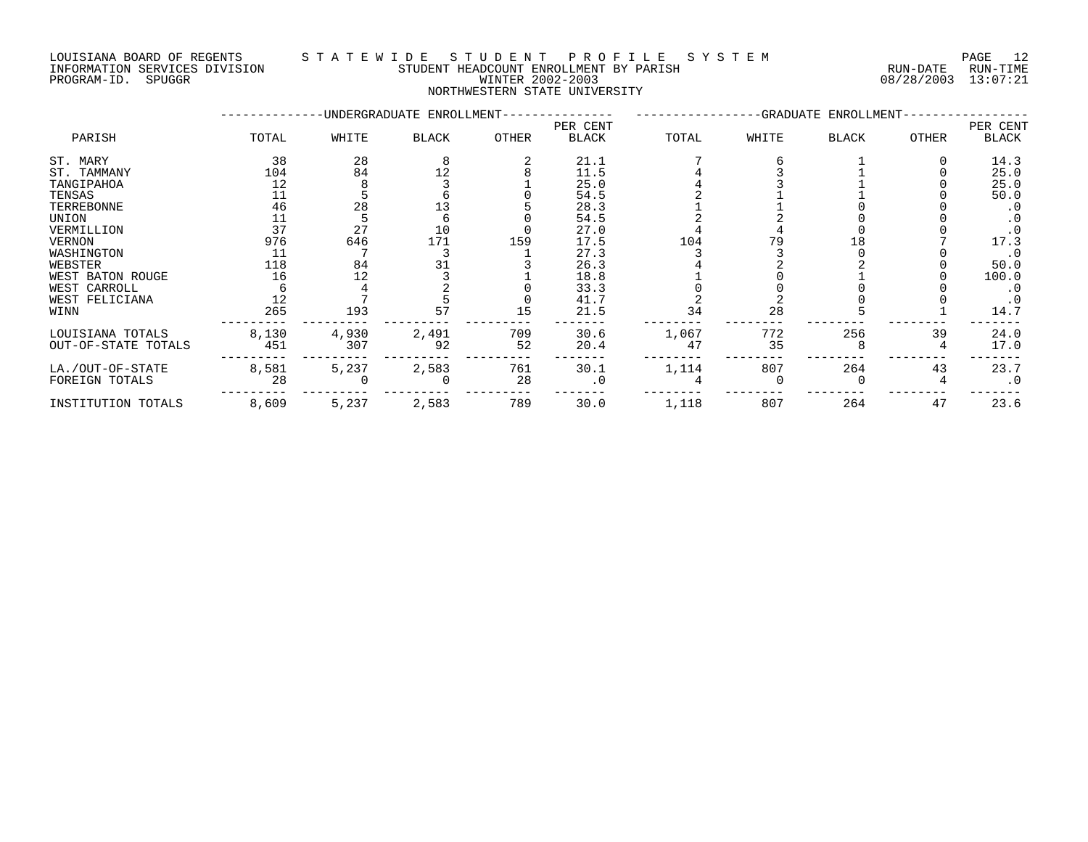PROGRAM-ID. SPUGGR WINTER 2002-2003 08/28/2003 13:07:21

### LOUISIANA BOARD OF REGENTS S T A T E W I D E S T U D E N T P R O F I L E S Y S T E M PAGE 12 INFORMATION SERVICES DIVISION STUDENT HEADCOUNT ENROLLMENT BY PARISH RUN-DATE RUN-TIME

NORTHWESTERN STATE UNIVERSITY

|                     |       |       | -UNDERGRADUATE ENROLLMENT- |       |                          |       |       | -GRADUATE ENROLLMENT- |              |                   |
|---------------------|-------|-------|----------------------------|-------|--------------------------|-------|-------|-----------------------|--------------|-------------------|
| PARISH              | TOTAL | WHITE | <b>BLACK</b>               | OTHER | PER CENT<br><b>BLACK</b> | TOTAL | WHITE | <b>BLACK</b>          | <b>OTHER</b> | PER CENT<br>BLACK |
| ST. MARY            | 38    | 28    |                            |       | 21.1                     |       |       |                       |              | 14.3              |
| ST. TAMMANY         | 104   | 84    | 12                         |       | 11.5                     |       |       |                       |              | 25.0              |
| TANGIPAHOA          | 12    |       |                            |       | 25.0                     |       |       |                       |              | 25.0              |
| TENSAS              |       |       |                            |       | 54.5                     |       |       |                       |              | 50.0              |
| TERREBONNE          | 46    | 28    |                            |       | 28.3                     |       |       |                       |              | $\cdot$ 0         |
| UNION               |       |       |                            |       | 54.5                     |       |       |                       |              |                   |
| VERMILLION          | 37    | 27    | 10                         |       | 27.0                     |       |       |                       |              |                   |
| VERNON              | 976   | 646   | 171                        | 159   | 17.5                     | 104   | 79    |                       |              | 17.3              |
| WASHINGTON          | 11    |       |                            |       | 27.3                     |       |       |                       |              | $\cdot$ 0         |
| WEBSTER             | 118   | 84    |                            |       | 26.3                     |       |       |                       |              | 50.0              |
| WEST BATON ROUGE    | 16    | 12    |                            |       | 18.8                     |       |       |                       |              | 100.0             |
| WEST CARROLL        |       |       |                            |       | 33.3                     |       |       |                       |              | $\cdot$ 0         |
| WEST FELICIANA      |       |       |                            |       | 41.7                     |       |       |                       |              | $\cdot$ 0         |
| WINN                | 265   | 193   | 57                         | 15    | 21.5                     | 34    | 28    |                       |              | 14.7              |
| LOUISIANA TOTALS    | 8,130 | 4,930 | 2,491                      | 709   | 30.6                     | 1,067 | 772   | 256                   | 39           | 24.0              |
| OUT-OF-STATE TOTALS | 451   | 307   | 92                         | 52    | 20.4                     | 47    | 35    |                       |              | 17.0              |
| LA./OUT-OF-STATE    | 8,581 | 5,237 | 2,583                      | 761   | 30.1                     | 1,114 | 807   | 264                   | 43           | 23.7              |
| FOREIGN TOTALS      | 28    |       |                            | 28    | . 0                      |       |       |                       |              | $\cdot$ 0         |
| INSTITUTION TOTALS  | 8,609 | 5,237 | 2,583                      | 789   | 30.0                     | 1,118 | 807   | 264                   | 47           | 23.6              |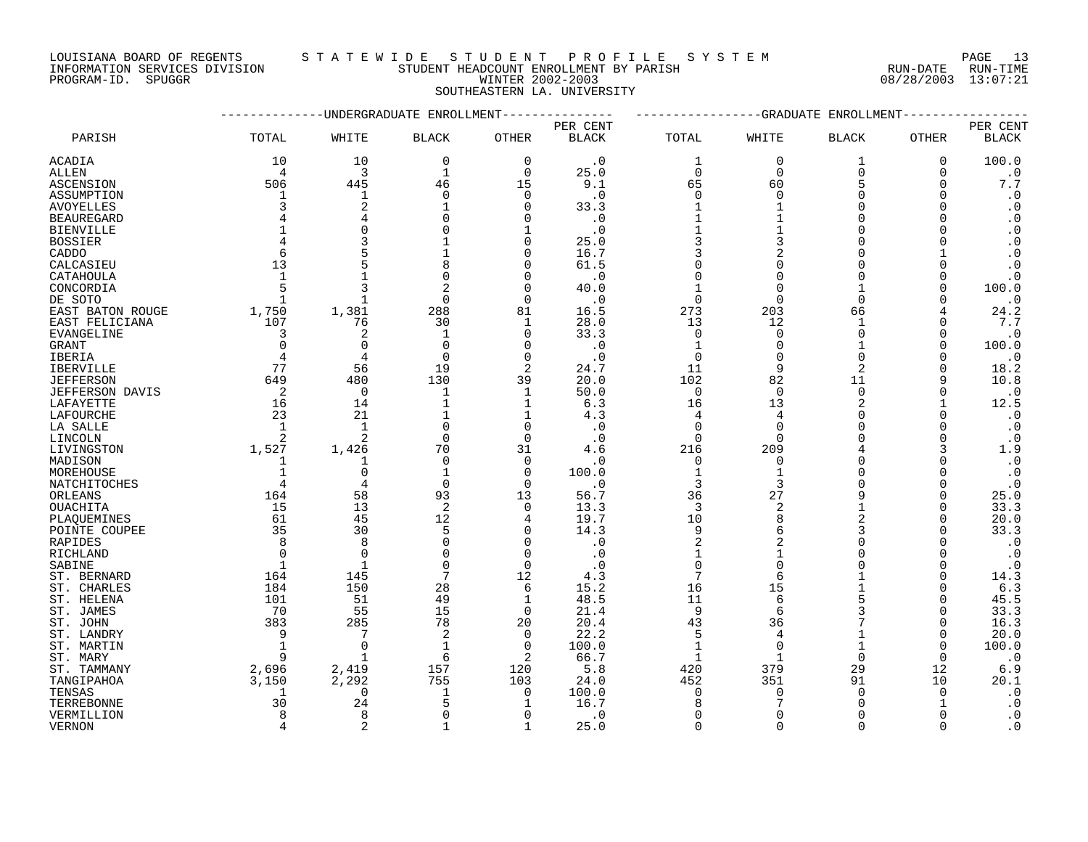INFORMATION SERVICES DIVISION STUDENT HEADCOUNT ENROLLMENT BY PARISH RUN-DATE RUN-TIME DOUISIANA BOARD OF REGENTS STAILWALLE STOLLARING ENROLLMENT BY PARISH SALE IN THE RUN-DATE RUN-TIME INFORMATION<br>INFORMATION SERVICES DIVISION STUDENT HEADCOUNT ENROLLMENT BY PARISH (RUN-DATE RUN-TIME PROGRAM-ID. SPUGGR (1

# LOUISIANA BOARD OF REGENTS S T A T E W I D E S T U D E N T P R O F I L E S Y S T E M PAGE 13

SOUTHEASTERN LA. UNIVERSITY

|                          |                |                | -UNDERGRADUATE ENROLLMENT |                  | -GRADUATE<br>ENROLLMENT |                     |                   |                |                      |                        |
|--------------------------|----------------|----------------|---------------------------|------------------|-------------------------|---------------------|-------------------|----------------|----------------------|------------------------|
|                          |                |                |                           |                  | PER CENT                |                     |                   |                |                      | PER CENT               |
| PARISH                   | TOTAL          | WHITE          | <b>BLACK</b>              | <b>OTHER</b>     | <b>BLACK</b>            | TOTAL               | WHITE             | <b>BLACK</b>   | <b>OTHER</b>         | <b>BLACK</b>           |
| ACADIA                   | 10             | 10             | $\mathbf 0$               | $\mathbf 0$      | $\cdot$ 0               | 1                   | $\Omega$          | 1              | $\mathbf 0$          | 100.0                  |
| ALLEN                    | $\overline{4}$ | 3              | $\mathbf{1}$              | $\Omega$         | 25.0                    | $\Omega$            | $\Omega$          | $\Omega$       | $\Omega$             | $\cdot$ 0              |
| ASCENSION                | 506            | 445            | 46                        | 15               | 9.1                     | 65                  | 60                | 5              | $\Omega$             | $7\,.7$                |
| ASSUMPTION               |                | 1              | $\Omega$                  | 0                | $\cdot$ 0               | 0                   | $\Omega$          | $\Omega$       | $\Omega$             | $\cdot$ 0              |
| <b>AVOYELLES</b>         | 3              | 2              |                           | $\Omega$         | 33.3                    | $\mathbf{1}$        |                   | $\Omega$       |                      | $\cdot$ 0              |
| <b>BEAUREGARD</b>        |                |                |                           | $\Omega$         | $\cdot$ 0               | $\mathbf{1}$        |                   | $\Omega$       |                      | $\cdot$ 0              |
| <b>BIENVILLE</b>         |                | $\Omega$       |                           | $\mathbf{1}$     | $\cdot$ 0               |                     |                   | $\cap$         |                      | $\cdot$ 0              |
| <b>BOSSIER</b>           |                |                |                           | $\Omega$         | 25.0                    | 3                   | 3                 | $\Omega$       |                      | $\cdot$ 0              |
| CADDO                    |                |                |                           | 0                | 16.7                    | 3                   | 2                 | $\Omega$       |                      | $\cdot$ 0              |
| CALCASIEU                | 13             |                |                           | $\Omega$         | 61.5                    |                     |                   | $\Omega$       |                      | $\boldsymbol{\cdot}$ 0 |
| CATAHOULA                |                |                | $\Omega$                  | 0                | $\cdot$ 0               | $\Omega$            | $\Omega$          | ∩              | $\Omega$             | $\cdot$ 0              |
| CONCORDIA                |                |                |                           | $\Omega$         | 40.0                    |                     |                   |                | 0                    | 100.0                  |
| DE SOTO                  | $\overline{1}$ | $\mathbf{1}$   | $\Omega$                  | $\Omega$         | $\cdot$ 0               | $\Omega$            | $\Omega$          | $\Omega$       |                      | $\cdot$ 0              |
| EAST BATON ROUGE         | 1,750          | 1,381          | 288                       | 81               | 16.5                    | 273                 | 203               | 66             |                      | 24.2                   |
| EAST FELICIANA           | 107            | 76             | 30                        | 1                | 28.0                    | 13                  | 12                | 1              |                      | 7.7                    |
| EVANGELINE               | $\overline{3}$ | 2              | 1                         | 0                | 33.3                    | 0                   | $\Omega$          | $\Omega$       | $\Omega$             | $\cdot$ 0              |
| GRANT                    | $\Omega$       | $\Omega$       | $\Omega$                  | $\Omega$         | $\cdot$ 0               | $\mathbf{1}$        | $\Omega$          | 1              | $\Omega$             | 100.0                  |
| IBERIA                   |                | 4              | $\Omega$                  | $\mathbf 0$      | $\cdot$ 0               | $\mathbf 0$         | $\Omega$          | $\Omega$       |                      | $\cdot$ 0              |
| <b>IBERVILLE</b>         | 77             | 56             | 19                        | 2                | 24.7                    | 11                  | 9                 | $\overline{2}$ | ∩                    | 18.2                   |
| <b>JEFFERSON</b>         | 649            | 480            | 130                       | 39               | 20.0                    | 102                 | 82                | 11             | 9                    | 10.8                   |
| JEFFERSON DAVIS          | $\overline{a}$ | $\mathbf 0$    | 1                         | $\mathbf 1$      | 50.0                    | 0                   | $\Omega$          | $\Omega$       | O                    | $\cdot$ 0              |
| LAFAYETTE                | 16             | 14             |                           | 1                | 6.3                     | 16                  | 13                | $\overline{2}$ |                      | 12.5                   |
| LAFOURCHE                | 23             | 21             |                           | $\mathbf 1$      | 4.3                     | 4                   | 4                 | $\Omega$       |                      | $\cdot$ 0              |
| LA SALLE                 | $\mathbf{1}$   | $\mathbf{1}$   | $\Omega$                  | 0                | $\cdot$ 0               | $\Omega$            | $\Omega$          | $\Omega$       | ∩                    | $\cdot$ 0              |
| LINCOLN                  | 2              | $\overline{c}$ | $\Omega$                  | $\Omega$         | $\cdot$ 0               | $\Omega$            | $\Omega$          |                |                      | $\cdot$ 0              |
| LIVINGSTON               | 1,527          | 1,426          | 70                        | 31               | 4.6                     | 216                 | 209               |                | 3                    | 1.9                    |
| MADISON                  |                | 1              | $\Omega$                  | 0                | . 0                     | 0                   | $\Omega$          | $\Omega$       | O                    | $\cdot$ 0              |
| MOREHOUSE                |                | $\Omega$       |                           | $\Omega$         | 100.0                   | $\mathbf{1}$        |                   | $\Omega$       |                      | $\cdot$ 0              |
| NATCHITOCHES             |                | 4              | $\Omega$                  | 0                | $\cdot$ 0               | 3                   | 3                 | ∩              | $\Omega$             | $\cdot$ 0              |
| ORLEANS                  | 164            | 58             | 93                        | 13               | 56.7                    | 36                  | 27                | q<br>1         | 0                    | 25.0                   |
| <b>OUACHITA</b>          | 15<br>61       | 13<br>45       | 2<br>12                   | $\Omega$         | 13.3                    | 3<br>10             | 2<br>$\mathsf{R}$ | $\overline{2}$ | $\Omega$<br>$\Omega$ | 33.3<br>20.0           |
| PLAOUEMINES              | 35             |                | 5                         | 4<br>$\mathbf 0$ | 19.7                    |                     |                   |                | $\Omega$             |                        |
| POINTE COUPEE<br>RAPIDES | 8              | 30<br>8        | $\Omega$                  | $\mathbf 0$      | 14.3<br>$\cdot$ 0       | 9<br>$\overline{2}$ | 2                 | ∩              |                      | 33.3<br>$\cdot$ 0      |
| RICHLAND                 |                | $\Omega$       |                           | $\Omega$         | $\cdot$ 0               |                     |                   |                | ∩                    | $\cdot$ 0              |
| SABINE                   | 1              | $\mathbf{1}$   | $\Omega$                  | $\mathbf 0$      | $\cdot$ 0               | 0                   | $\Omega$          |                | $\Omega$             | $\cdot$ 0              |
| ST. BERNARD              | 164            | 145            | 7                         | 12               | 4.3                     | 7                   |                   |                | 0                    | 14.3                   |
| ST. CHARLES              | 184            | 150            | 28                        | 6                | 15.2                    | 16                  | 15                |                | ∩                    | 6.3                    |
| ST. HELENA               | 101            | 51             | 49                        | $\mathbf 1$      | 48.5                    | 11                  | 6                 | 5              | O                    | 45.5                   |
| ST. JAMES                | 70             | 55             | 15                        | $\mathbf 0$      | 21.4                    | 9                   | 6                 |                | $\Omega$             | 33.3                   |
| ST. JOHN                 | 383            | 285            | 78                        | 20               | 20.4                    | 43                  | 36                |                | $\Omega$             | 16.3                   |
| ST. LANDRY               | 9              | 7              | 2                         | $\mathbf 0$      | 22.2                    | 5                   | 4                 | 1              | $\Omega$             | 20.0                   |
| ST. MARTIN               |                | $\Omega$       |                           | $\Omega$         | 100.0                   | $\mathbf{1}$        | $\Omega$          |                | $\Omega$             | 100.0                  |
| ST. MARY                 | 9              | $\mathbf{1}$   | 6                         | $\overline{2}$   | 66.7                    | $\mathbf{1}$        | $\mathbf{1}$      | $\Omega$       | $\Omega$             | $\cdot$ 0              |
| ST. TAMMANY              | 2,696          | 2,419          | 157                       | 120              | 5.8                     | 420                 | 379               | 29             | 12                   | 6.9                    |
| TANGIPAHOA               | 3,150          | 2,292          | 755                       | 103              | 24.0                    | 452                 | 351               | 91             | 10                   | 20.1                   |
| TENSAS                   | 1              | 0              | $\mathbf{1}$              | 0                | 100.0                   | 0                   | $\Omega$          | $\Omega$       | $\Omega$             | $\cdot$ 0              |
| TERREBONNE               | 30             | 24             |                           | 1                | 16.7                    | 8                   |                   | ∩              |                      | $\cdot$ 0              |
| VERMILLION               | 8              | 8              | ∩                         | $\Omega$         | $\cdot$ 0               | $\Omega$            | $\Omega$          | $\Omega$       |                      | $\cdot$ 0              |
| <b>VERNON</b>            |                | $\overline{a}$ |                           | $\mathbf{1}$     | 25.0                    | $\Omega$            | $\Omega$          | $\cap$         | $\Omega$             | $\cdot$ 0              |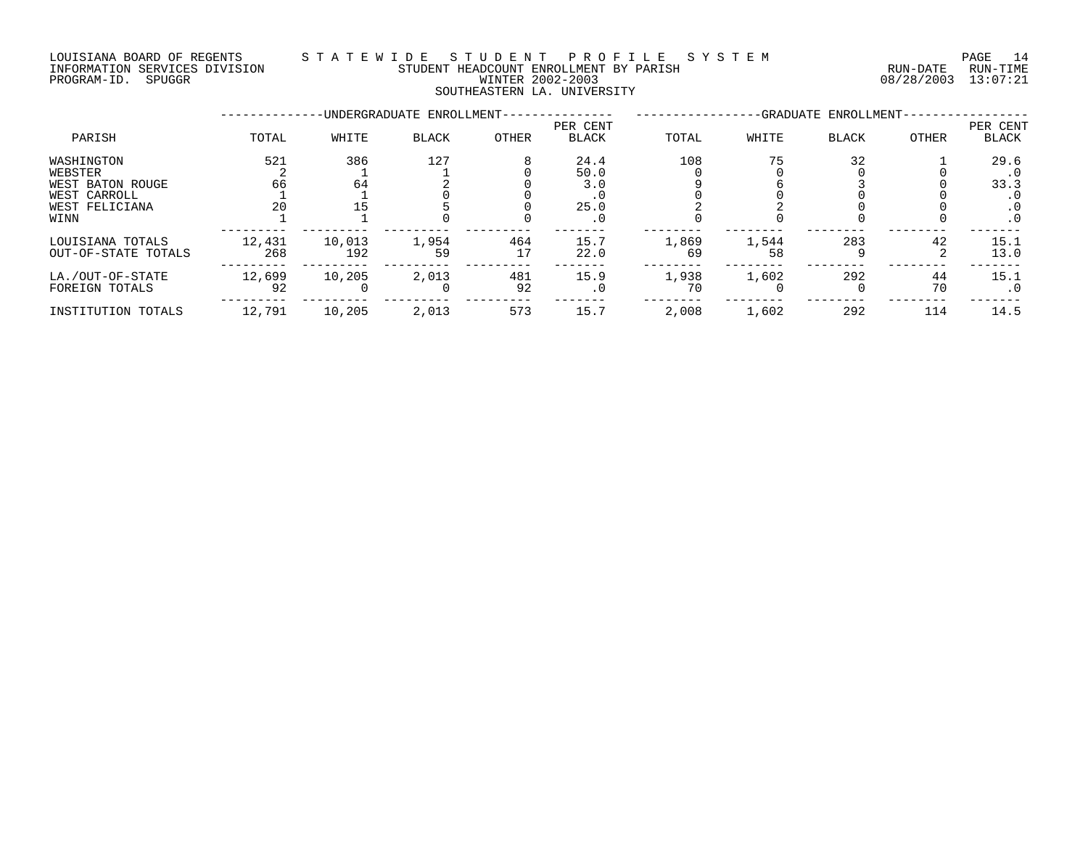## LOUISIANA BOARD OF REGENTS S T A T E W I D E S T U D E N T P R O F I L E S Y S T E M PAGE 14 INFORMATION SERVICES DIVISION STUDENT HEADCOUNT ENROLLMENT BY PARISH RUN-DATE RUN-TIME PROGRAM-ID. SPUGGR WINTER 2002-2003 08/28/2003 13:07:21 SOUTHEASTERN LA. UNIVERSITY

|                                                                                     |                 |               | -UNDERGRADUATE ENROLLMENT- |           |                                          |             |             | -GRADUATE ENROLLMENT- |          |                                                      |
|-------------------------------------------------------------------------------------|-----------------|---------------|----------------------------|-----------|------------------------------------------|-------------|-------------|-----------------------|----------|------------------------------------------------------|
| PARISH                                                                              | TOTAL           | WHITE         | <b>BLACK</b>               | OTHER     | PER CENT<br><b>BLACK</b>                 | TOTAL       | WHITE       | <b>BLACK</b>          | OTHER    | PER CENT<br>BLACK                                    |
| WASHINGTON<br>WEBSTER<br>WEST BATON ROUGE<br>WEST CARROLL<br>WEST FELICIANA<br>WINN | 521<br>66<br>20 | 386<br>64     | 127                        |           | 24.4<br>50.0<br>3.0<br>25.0<br>$\cdot$ 0 | 108         | 75          | 32                    |          | 29.6<br>. 0<br>33.3<br>. 0<br>$\cdot$ 0<br>$\cdot$ 0 |
| LOUISIANA TOTALS<br>OUT-OF-STATE TOTALS                                             | 12,431<br>268   | 10,013<br>192 | 1,954<br>59                | 464<br>17 | 15.7<br>22.0                             | 1,869<br>69 | 1,544<br>58 | 283                   | 42       | 15.1<br>13.0                                         |
| LA./OUT-OF-STATE<br>FOREIGN TOTALS                                                  | 12,699<br>92    | 10,205        | 2,013                      | 481<br>92 | 15.9<br>$\cdot$ 0                        | 1,938<br>70 | 1,602       | 292                   | 44<br>70 | 15.1<br>. 0                                          |
| INSTITUTION TOTALS                                                                  | 12,791          | 10,205        | 2,013                      | 573       | 15.7                                     | 2,008       | 1,602       | 292                   | 114      | 14.5                                                 |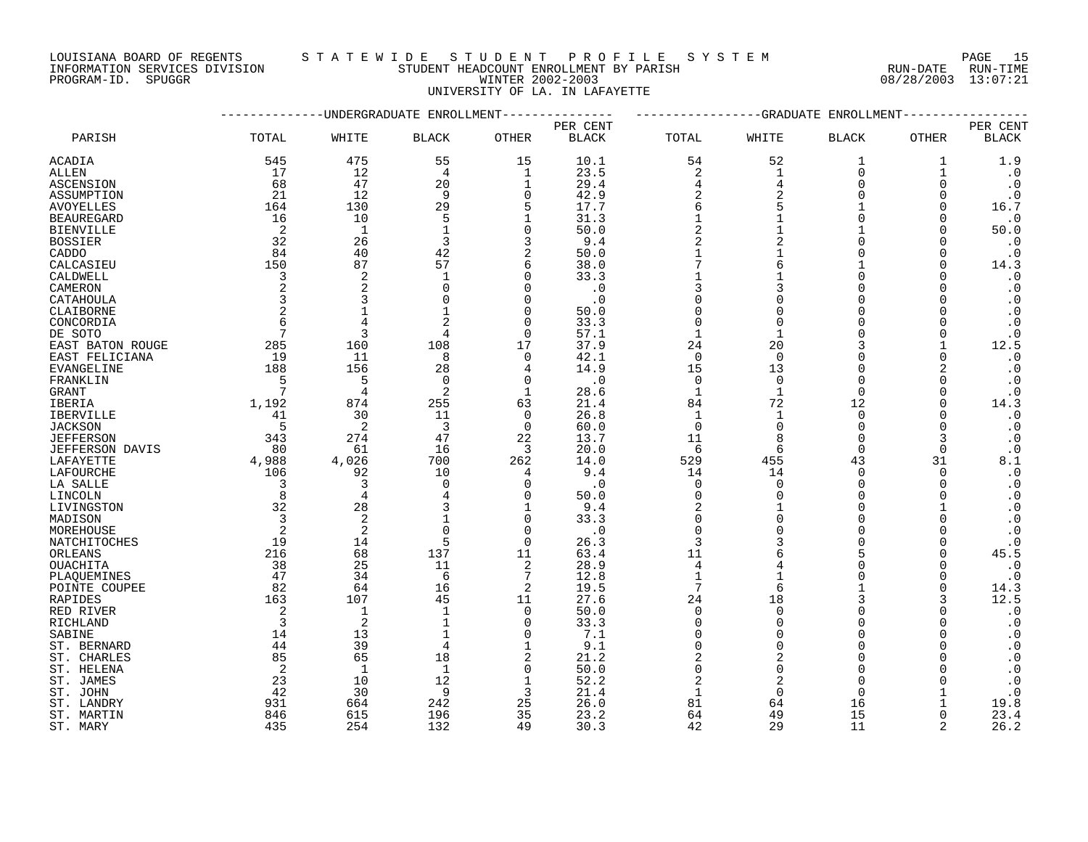INFORMATION SERVICES DIVISION STUDENT HEADCOUNT ENROLLMENT BY PARISH PROGRAM-ID. SPUGGR WINTER 2002-2003 08/28/2003 13:07:21

# LOUISIANA BOARD OF REGENTS STATEWIDE STUDENT PROFILE SYSTEM PAGE 15<br>INFORMATION SERVICES DIVISION STUDENT HEADCOUNT ENROLLMENT BY PARISH STUDENT HEADCOUNT ENROLLMENT BY PARISH

UNIVERSITY OF LA. IN LAFAYETTE

|                         |                 |                | -UNDERGRADUATE ENROLLMENT |                |              |                | -GRADUATE      | ENROLLMENT         |                      |                        |
|-------------------------|-----------------|----------------|---------------------------|----------------|--------------|----------------|----------------|--------------------|----------------------|------------------------|
|                         |                 |                |                           |                | PER CENT     |                |                |                    |                      | PER CENT               |
| PARISH                  | TOTAL           | WHITE          | <b>BLACK</b>              | <b>OTHER</b>   | <b>BLACK</b> | TOTAL          | WHITE          | <b>BLACK</b>       | OTHER                | $\operatorname{BLACK}$ |
| ACADIA                  | 545             | 475            | 55                        | 15             | 10.1         | 54             | 52             | 1                  | 1                    | 1.9                    |
| ALLEN                   | 17              | 12             | 4                         | $\mathbf 1$    | 23.5         | $\sqrt{2}$     | 1              | $\overline{0}$     | 1                    | $\cdot$ 0              |
| ASCENSION               | 68              | 47             | 20                        | 1              | 29.4         | $\overline{4}$ | $\overline{4}$ | $\Omega$           | $\Omega$             | $\cdot$ 0              |
| ASSUMPTION              | 21              | 12             | 9                         | $\Omega$       | 42.9         | $\overline{2}$ | $\overline{2}$ | $\Omega$           | $\Omega$             | $\cdot$ 0              |
| <b>AVOYELLES</b>        | 164             | 130            | 29                        | 5              | 17.7         | 6              |                |                    | $\Omega$             | 16.7                   |
| <b>BEAUREGARD</b>       | 16              | 10             | 5                         | 1              | 31.3         | $\mathbf{1}$   |                | $\Omega$           | $\Omega$             | $\cdot$ 0              |
| <b>BIENVILLE</b>        | -2              | $\mathbf{1}$   |                           | $\Omega$       | 50.0         | $\overline{2}$ |                |                    | $\cap$               | 50.0                   |
| <b>BOSSIER</b>          | 32              | 26             | 3                         | 3              | 9.4          |                |                | $\Omega$           | $\Omega$             | $\cdot$ 0              |
| CADDO                   | 84              | 40             | 42                        | 2              | 50.0         |                |                | $\Omega$           | 0                    | $\cdot$ 0              |
| CALCASIEU               | 150             | 87             | 57                        | 6              | 38.0         |                |                |                    | $\Omega$             | 14.3                   |
| CALDWELL                | 3               | 2              | $\mathbf{1}$              | $\Omega$       | 33.3         |                |                | $\Omega$           | $\Omega$             | $\cdot$ 0              |
| CAMERON                 | 2               | 2              | $\Omega$                  | $\Omega$       | $\cdot$ 0    | 3              | ς              | $\Omega$           |                      | $\cdot$ 0              |
| CATAHOULA               | $\overline{3}$  | 3              |                           | $\Omega$       | $\cdot$ 0    | $\Omega$       |                | $\Omega$           |                      | $\cdot$ 0              |
| CLAIBORNE               | 2               | $\mathbf{1}$   |                           | $\Omega$       | 50.0         | $\Omega$       |                | $\Omega$           | $\Omega$             | $\cdot$ 0              |
| CONCORDIA               | 6               | 4              |                           | $\Omega$       | 33.3         | $\Omega$       |                |                    | $\Omega$             | $\cdot$ 0              |
| DE SOTO                 | $7\phantom{.0}$ | $\overline{3}$ | 4                         | $\Omega$       | 57.1         | $\mathbf{1}$   |                | $\cap$             | $\Omega$             | $\cdot$ 0              |
| EAST BATON ROUGE        | 285             | 160            | 108                       | 17             | 37.9         | 24             | 20             | 3                  |                      | 12.5                   |
| EAST FELICIANA          | 19              | 11             | 8                         | $\overline{0}$ | 42.1         | $\mathbf 0$    | $\Omega$       | $\Omega$           | 0                    | $\cdot$ 0              |
| EVANGELINE              | 188             | 156            | 28                        | 4              | 14.9         | 15             | 13             | $\Omega$           | 2                    | $\cdot$ 0              |
| FRANKLIN                | 5               | 5              | $\Omega$                  | $\Omega$       | $\cdot$ 0    | $\mathbf 0$    | $\Omega$       | $\Omega$           | $\Omega$             | $\cdot$ 0              |
| GRANT                   | 7               | $\overline{4}$ | 2                         | 1              | 28.6         | $\mathbf{1}$   | $\mathbf{1}$   | $\Omega$           | $\Omega$             | $\boldsymbol{\cdot}$ 0 |
| IBERIA                  | 1,192           | 874            | 255                       | 63             | 21.4         | 84             | 72             | 12                 | $\Omega$             | 14.3                   |
| IBERVILLE               | 41              | 30             | 11                        | $\Omega$       | 26.8         | $\mathbf{1}$   | $\mathbf{1}$   | $\Omega$           | $\Omega$             | $\cdot$ 0              |
| <b>JACKSON</b>          | 5               | 2              | 3                         | $\mathbf 0$    | 60.0         | $\mathbf 0$    | $\Omega$       | $\Omega$           | $\Omega$             | $\cdot$ 0              |
| <b>JEFFERSON</b>        | 343             | 274            | 47                        | 22             | 13.7         | 11             |                | $\Omega$           | 3                    | $\cdot$ 0              |
| JEFFERSON DAVIS         | 80              | 61             | 16                        | 3              | 20.0         | 6              | 6              | $\Omega$           | $\Omega$             | $\cdot$ 0              |
| LAFAYETTE               | 4,988           | 4,026          | 700                       | 262            | 14.0         | 529            | 455            | 43                 | 31                   | 8.1                    |
| LAFOURCHE               | 106             | 92             | 10                        | $\overline{4}$ | 9.4          | 14             | 14             | $\Omega$           | $\Omega$             | $\cdot$ 0              |
| LA SALLE                | 3               | $\overline{3}$ | $\mathbf 0$               | $\mathbf 0$    | $\cdot$ 0    | 0              | $\Omega$       | $\Omega$           | $\Omega$             | $\boldsymbol{\cdot}$ 0 |
| LINCOLN                 | 8               | $\overline{4}$ |                           | $\Omega$       | 50.0         | $\Omega$       |                | $\Omega$           |                      | $\cdot$ 0              |
| LIVINGSTON              | 32              | 28             | 3                         | 1              | 9.4          | $\overline{2}$ |                | $\Omega$           |                      | $\boldsymbol{\cdot}$ 0 |
| MADISON                 | $\overline{3}$  | $\overline{2}$ |                           | $\Omega$       | 33.3         | $\mathbf 0$    |                | $\Omega$           | $\Omega$             | $\boldsymbol{\cdot}$ 0 |
| MOREHOUSE               | 2               | 2              | $\Omega$                  | $\Omega$       | $\cdot$ 0    | $\Omega$       |                | $\Omega$<br>$\cap$ | $\Omega$             | $\cdot$ 0              |
| NATCHITOCHES            | 19              | 14<br>68       | 5                         | $\mathbf 0$    | 26.3         | 3<br>11        |                |                    | $\Omega$             | $\cdot$ 0              |
| ORLEANS                 | 216<br>38       | 25             | 137<br>11                 | 11<br>2        | 63.4<br>28.9 | 4              |                | $\Omega$           | $\Omega$<br>$\Omega$ | 45.5<br>$\cdot$ 0      |
| OUACHITA<br>PLAQUEMINES | 47              | 34             | 6                         | 7              | 12.8         | $\mathbf{1}$   |                | $\Omega$           | $\Omega$             | $\cdot$ 0              |
| POINTE COUPEE           | 82              | 64             | 16                        | 2              | 19.5         | 7              |                |                    | $\Omega$             | 14.3                   |
| RAPIDES                 | 163             | 107            | 45                        | 11             | 27.6         | 24             | 18             | ς                  | 3                    | 12.5                   |
| RED RIVER               | 2               | $\mathbf{1}$   | $\mathbf{1}$              | $\overline{0}$ | 50.0         | $\mathbf 0$    | $\Omega$       | $\Omega$           | $\Omega$             | $\boldsymbol{\cdot}$ 0 |
| RICHLAND                | $\overline{3}$  | $\overline{c}$ |                           | $\Omega$       | 33.3         | $\mathbf 0$    |                | $\Omega$           |                      | $\cdot$ 0              |
| SABINE                  | 14              | 13             |                           | $\Omega$       | 7.1          | $\Omega$       | ∩              | $\Omega$           | $\Omega$             | $\cdot$ 0              |
| ST. BERNARD             | 44              | 39             | 4                         | $\mathbf{1}$   | 9.1          | $\Omega$       | $\cap$         | $\cap$             |                      | $\cdot$ 0              |
| ST. CHARLES             | 85              | 65             | 18                        | $\overline{2}$ | 21.2         | $\overline{c}$ | $\mathcal{D}$  | $\Omega$           |                      | $\cdot$ 0              |
| ST. HELENA              | 2               | $\mathbf{1}$   | $\mathbf{1}$              | $\mathbf 0$    | 50.0         | $\Omega$       | $\Omega$       | $\Omega$           |                      | $\boldsymbol{\cdot}$ 0 |
| ST. JAMES               | 23              | 10             | 12                        | $\mathbf 1$    | 52.2         | 2              |                | $\Omega$           |                      | $\cdot$ 0              |
| ST. JOHN                | 42              | 30             | 9                         | 3              | 21.4         | 1              | $\Omega$       | $\Omega$           |                      | $\cdot$ 0              |
| ST. LANDRY              | 931             | 664            | 242                       | 25             | 26.0         | 81             | 64             | 16                 |                      | 19.8                   |
| ST. MARTIN              | 846             | 615            | 196                       | 35             | 23.2         | 64             | 49             | 15                 | $\Omega$             | 23.4                   |
| ST. MARY                | 435             | 254            | 132                       | 49             | 30.3         | 42             | 29             | 11                 | $\mathfrak{D}$       | 26.2                   |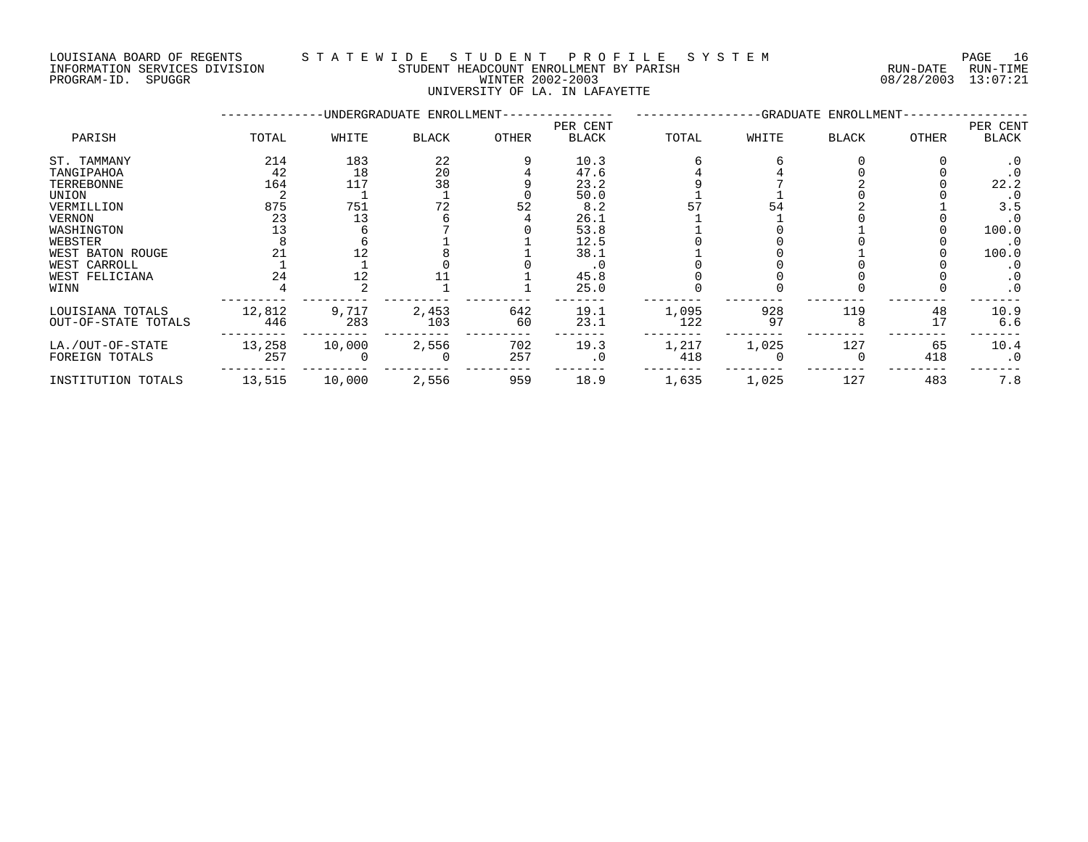PROGRAM-ID. SPUGGR WINTER 2002-2003 08/28/2003 13:07:21

### LOUISIANA BOARD OF REGENTS S T A T E W I D E S T U D E N T P R O F I L E S Y S T E M PAGE 16 INFORMATION SERVICES DIVISION STUDENT HEADCOUNT ENROLLMENT BY PARISH RUN-DATE RUN-TIME

UNIVERSITY OF LA. IN LAFAYETTE

|                     |        |        | -UNDERGRADUATE ENROLLMENT- |       |              |       |       | -GRADUATE ENROLLMENT- |       |              |
|---------------------|--------|--------|----------------------------|-------|--------------|-------|-------|-----------------------|-------|--------------|
|                     |        |        |                            |       | PER CENT     |       |       |                       |       | PER CENT     |
| PARISH              | TOTAL  | WHITE  | <b>BLACK</b>               | OTHER | <b>BLACK</b> | TOTAL | WHITE | <b>BLACK</b>          | OTHER | <b>BLACK</b> |
| ST. TAMMANY         | 214    | 183    | 22                         |       | 10.3         |       |       |                       |       | $\cdot$ 0    |
| TANGIPAHOA          | 42     | 18     | 20                         |       | 47.6         |       |       |                       |       |              |
| TERREBONNE          | 164    | 117    | 38                         |       | 23.2         |       |       |                       |       | 22.2         |
| UNION               |        |        |                            |       | 50.0         |       |       |                       |       |              |
| VERMILLION          | 875    | 751    |                            | 52    | 8.2          |       | 54    |                       |       | 3.5          |
| VERNON              | 23     | 13     |                            |       | 26.1         |       |       |                       |       | $\cdot$ 0    |
| WASHINGTON          | 13     |        |                            |       | 53.8         |       |       |                       |       | 100.0        |
| WEBSTER             |        |        |                            |       | 12.5         |       |       |                       |       | $\cdot$ 0    |
| WEST BATON ROUGE    |        |        |                            |       | 38.1         |       |       |                       |       | 100.0        |
| WEST CARROLL        |        |        |                            |       | . 0          |       |       |                       |       | . 0          |
| WEST FELICIANA      | 24     | 12     |                            |       | 45.8         |       |       |                       |       | . 0          |
| WINN                |        |        |                            |       | 25.0         |       |       |                       |       | $\cdot$ 0    |
| LOUISIANA TOTALS    | 12,812 | 9,717  | 2,453                      | 642   | 19.1         | 1,095 | 928   | 119                   | 48    | 10.9         |
| OUT-OF-STATE TOTALS | 446    | 283    | 103                        | 60    | 23.1         | 122   | 97    |                       | 17    | 6.6          |
| LA./OUT-OF-STATE    | 13,258 | 10,000 | 2,556                      | 702   | 19.3         | 1,217 | 1,025 | 127                   | 65    | 10.4         |
| FOREIGN TOTALS      | 257    |        |                            | 257   | . 0          | 418   |       |                       | 418   | $\cdot$ 0    |
| INSTITUTION TOTALS  | 13,515 | 10,000 | 2,556                      | 959   | 18.9         | 1,635 | 1,025 | 127                   | 483   | 7.8          |
|                     |        |        |                            |       |              |       |       |                       |       |              |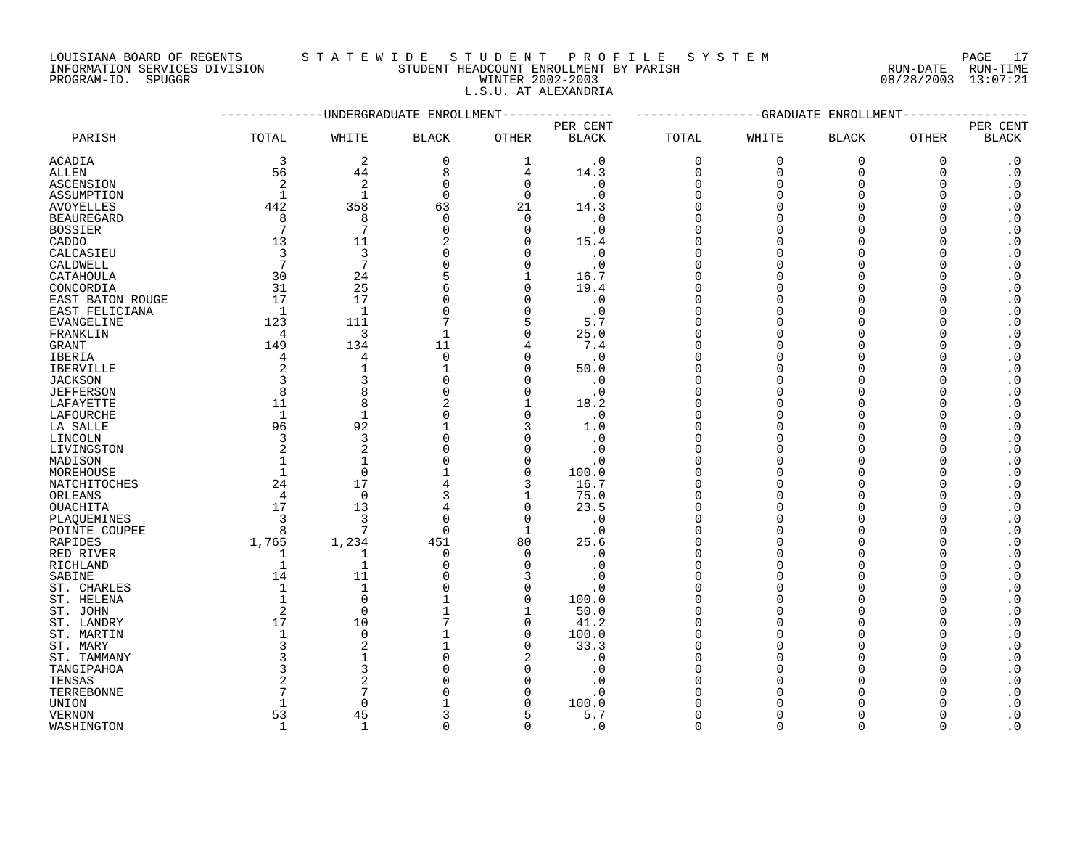LOUISIANA BOARD OF REGENTS S T A T E W I D E S T U D E N T P R O F I L E S Y S T E M PAGE 17 INFORMATION SERVICES DIVISION STUDENT HEADCOUNT ENROLLMENT BY PARISH RUN-DATE RUN-TIME

L.S.U. AT ALEXANDRIA

PROGRAM-ID. SPUGGR WINTER 2002-2003 08/28/2003 13:07:21

|                   |                |                 | ----------UNDERGRADUATE ENROLLMENT |                | -------------GRADUATE<br>ENROLLMENT |          |             |              |              |                        |
|-------------------|----------------|-----------------|------------------------------------|----------------|-------------------------------------|----------|-------------|--------------|--------------|------------------------|
|                   |                |                 |                                    |                | PER CENT                            |          |             |              |              | PER CENT               |
| PARISH            | TOTAL          | WHITE           | <b>BLACK</b>                       | <b>OTHER</b>   | <b>BLACK</b>                        | TOTAL    | WHITE       | <b>BLACK</b> | <b>OTHER</b> | <b>BLACK</b>           |
| ACADIA            | 3              | 2               | $\mathbf 0$                        | $\mathbf{1}$   | $\cdot$ 0                           | 0        | $\mathbf 0$ | $\mathbf 0$  | $\mathbf 0$  | $\cdot$ 0              |
| ALLEN             | 56             | 44              | 8                                  | 4              | 14.3                                | 0        | 0           | $\mathbf 0$  | 0            | $\boldsymbol{\cdot}$ 0 |
| ASCENSION         | 2              | $\overline{2}$  | $\Omega$                           | $\mathbf 0$    | . 0                                 | $\Omega$ | $\Omega$    | $\Omega$     | ∩            | $\cdot$ 0              |
| ASSUMPTION        |                | $\mathbf{1}$    | $\Omega$                           | $\Omega$       | $\cdot$ 0                           | $\Omega$ |             | $\Omega$     |              | $\cdot$ 0              |
| <b>AVOYELLES</b>  | 442            | 358             | 63                                 | 21             | 14.3                                | $\Omega$ |             | $\Omega$     |              | $\boldsymbol{\cdot}$ 0 |
| <b>BEAUREGARD</b> | 8              | 8               | $\Omega$                           | $\Omega$       | $\cdot$ 0                           | $\Omega$ |             | ∩            |              | $\boldsymbol{\cdot}$ 0 |
| <b>BOSSIER</b>    | 7              | 7               | $\Omega$                           | $\mathbf 0$    | $\cdot$ 0                           | $\Omega$ |             | $\Omega$     |              | $\boldsymbol{\cdot}$ 0 |
| CADDO             | 13             | 11              |                                    | 0              | 15.4                                | $\Omega$ |             | $\Omega$     |              | $\boldsymbol{\cdot}$ 0 |
| CALCASIEU         | 3              | 3               | $\Omega$                           | $\mathbf 0$    | $\cdot$ 0                           | $\Omega$ |             | $\Omega$     |              | $\boldsymbol{\cdot}$ 0 |
| CALDWELL          | 7              | $7\phantom{.0}$ | O                                  | $\Omega$       | . 0                                 | $\Omega$ |             | ∩            |              | $\cdot$ 0              |
| CATAHOULA         | 30             | 24              |                                    | 1              | 16.7                                | ∩        |             | $\Omega$     |              | $\cdot$ 0              |
| CONCORDIA         | 31             | 25              | 6                                  | $\mathbf 0$    | 19.4                                | $\Omega$ |             | $\Omega$     |              | $\boldsymbol{\cdot}$ 0 |
| EAST BATON ROUGE  | 17             | 17              | $\Omega$                           | $\mathbf 0$    | $\cdot$ 0                           | $\Omega$ |             | $\Omega$     |              | $\cdot$ 0              |
| EAST FELICIANA    | $\overline{1}$ | $\mathbf{1}$    |                                    | $\mathbf 0$    | $\cdot$ 0                           | $\Omega$ |             | $\Omega$     |              | $\boldsymbol{\cdot}$ 0 |
| EVANGELINE        | 123            | 111             |                                    | 5              | 5.7                                 | $\Omega$ |             | $\Omega$     |              | $\boldsymbol{\cdot}$ 0 |
| FRANKLIN          | 4              | 3               | -1                                 | $\mathbf 0$    | 25.0                                | $\Omega$ |             | $\Omega$     |              | $\cdot$ 0              |
| GRANT             | 149            | 134             | 11                                 | 4              | 7.4                                 | $\Omega$ |             | $\Omega$     |              | $\boldsymbol{\cdot}$ 0 |
| <b>IBERIA</b>     | 4              | 4               | $\Omega$                           | $\Omega$       | $\cdot$ 0                           | $\Omega$ |             | $\Omega$     |              | $\boldsymbol{\cdot}$ 0 |
| <b>IBERVILLE</b>  |                | $\mathbf{1}$    | $\mathbf{1}$                       | $\mathbf 0$    | 50.0                                | $\Omega$ |             | $\Omega$     |              | $\boldsymbol{\cdot}$ 0 |
| <b>JACKSON</b>    |                | 3               |                                    | $\mathbf 0$    | $\cdot$ 0                           | $\Omega$ |             | $\Omega$     |              | $\boldsymbol{\cdot}$ 0 |
| <b>JEFFERSON</b>  | 8              | 8               | $\Omega$                           | $\mathbf 0$    | $\cdot$ 0                           | $\Omega$ |             | $\Omega$     |              | $\cdot$ 0              |
| LAFAYETTE         | 11             | 8               | 2                                  | 1              | 18.2                                | $\Omega$ |             | ∩            |              | $\boldsymbol{\cdot}$ 0 |
| LAFOURCHE         | $\mathbf 1$    | $\mathbf{1}$    | <sup>0</sup>                       | $\Omega$       | $\cdot$ 0                           | ∩        |             | ∩            |              | $\boldsymbol{\cdot}$ 0 |
| LA SALLE          | 96             | 92              | $\mathbf{1}$                       | 3              | 1.0                                 | $\Omega$ |             | $\Omega$     |              | $\cdot$ 0              |
| LINCOLN           | 3              | 3               | $\Omega$                           | $\mathbf 0$    | $\cdot$ 0                           | $\Omega$ |             | $\Omega$     |              | $\boldsymbol{\cdot}$ 0 |
| LIVINGSTON        |                | $\overline{2}$  |                                    | $\Omega$       | . 0                                 | $\Omega$ |             | $\Omega$     |              | $\boldsymbol{\cdot}$ 0 |
| MADISON           |                | $\mathbf{1}$    |                                    | 0              | . 0                                 | $\Omega$ |             | $\Omega$     |              | $\boldsymbol{\cdot}$ 0 |
| MOREHOUSE         |                | $\Omega$        |                                    | $\overline{0}$ | 100.0                               |          |             | ∩            |              | $\boldsymbol{\cdot}$ 0 |
| NATCHITOCHES      | 24             | 17              | 4                                  | 3              | 16.7                                | $\Omega$ |             | $\Omega$     |              | $\boldsymbol{\cdot}$ 0 |
| ORLEANS           | $\overline{4}$ | $\Omega$        | 3                                  | 1              | 75.0                                | $\Omega$ |             | $\Omega$     |              | $\cdot$ 0              |
| <b>OUACHITA</b>   | 17             | 13              |                                    | $\overline{0}$ | 23.5                                | $\Omega$ |             | $\Omega$     |              | $\boldsymbol{\cdot}$ 0 |
| PLAQUEMINES       | 3              | 3               | $\Omega$                           | $\mathbf 0$    | $\cdot$ 0                           | $\Omega$ |             | $\Omega$     |              | $\boldsymbol{\cdot}$ 0 |
| POINTE COUPEE     | 8              | 7               | $\Omega$                           | $\mathbf{1}$   | . 0                                 | $\Omega$ |             | ∩            |              | $\cdot$ 0              |
| RAPIDES           | 1,765          | 1,234           | 451                                | 80             | 25.6                                | $\Omega$ |             | $\Omega$     |              | $\boldsymbol{\cdot}$ 0 |
| RED RIVER         | 1              | 1               | $\Omega$                           | 0              | . 0                                 | $\Omega$ |             | $\Omega$     |              | $\boldsymbol{\cdot}$ 0 |
| RICHLAND          | 1              | $\mathbf{1}$    |                                    | $\mathbf 0$    | . 0                                 | $\Omega$ |             | $\Omega$     |              | $\cdot$ 0              |
| SABINE            | 14             | 11              |                                    | 3              | . 0                                 | $\Omega$ |             | $\Omega$     |              | $\boldsymbol{\cdot}$ 0 |
| ST. CHARLES       |                | $\mathbf{1}$    |                                    | $\mathbf 0$    | . 0                                 | $\Omega$ |             | $\Omega$     |              | $\boldsymbol{\cdot}$ 0 |
| ST. HELENA        | $\mathbf{1}$   | $\Omega$        |                                    | $\overline{0}$ | 100.0                               | $\Omega$ |             | ∩            |              | $\boldsymbol{\cdot}$ 0 |
| ST. JOHN          | $\overline{2}$ | $\Omega$        |                                    | 1              | 50.0                                | $\Omega$ |             | $\Omega$     |              | $\boldsymbol{\cdot}$ 0 |
| ST. LANDRY        | 17             | 10              |                                    | $\mathbf 0$    | 41.2                                | $\Omega$ |             | $\Omega$     |              | $\cdot$ 0              |
| ST. MARTIN        |                | $\mathbf 0$     |                                    | 0              | 100.0                               | $\Omega$ |             | $\Omega$     |              | $\boldsymbol{\cdot}$ 0 |
| ST. MARY          |                | 2               |                                    | $\Omega$       | 33.3                                | $\Omega$ |             | ∩            |              | $\cdot$ 0              |
| ST. TAMMANY       |                | $\mathbf{1}$    |                                    | $\overline{2}$ | $\cdot$ 0                           | $\Omega$ |             | $\Omega$     |              | $\boldsymbol{\cdot}$ 0 |
| TANGIPAHOA        |                | 3               |                                    | $\Omega$       | . 0                                 | $\Omega$ |             | $\cap$       |              | $\boldsymbol{\cdot}$ 0 |
| TENSAS            |                | $\overline{2}$  |                                    | $\Omega$       | . 0                                 | $\Omega$ |             | $\Omega$     |              | $\boldsymbol{\cdot}$ 0 |
| TERREBONNE        |                | 7               |                                    | 0              | . 0                                 | $\Omega$ |             | ∩            |              | $\boldsymbol{\cdot}$ 0 |
| UNION             |                | $\Omega$        |                                    | 0              | 100.0                               | $\Omega$ |             | $\Omega$     |              | $\boldsymbol{\cdot}$ 0 |
| <b>VERNON</b>     | 53             | 45              | 3                                  | 5              | 5.7                                 | 0        | $\Omega$    | $\Omega$     | $\Omega$     | $\cdot$ 0              |

WASHINGTON 1 1 0 0 .0 0 0 0 0 .0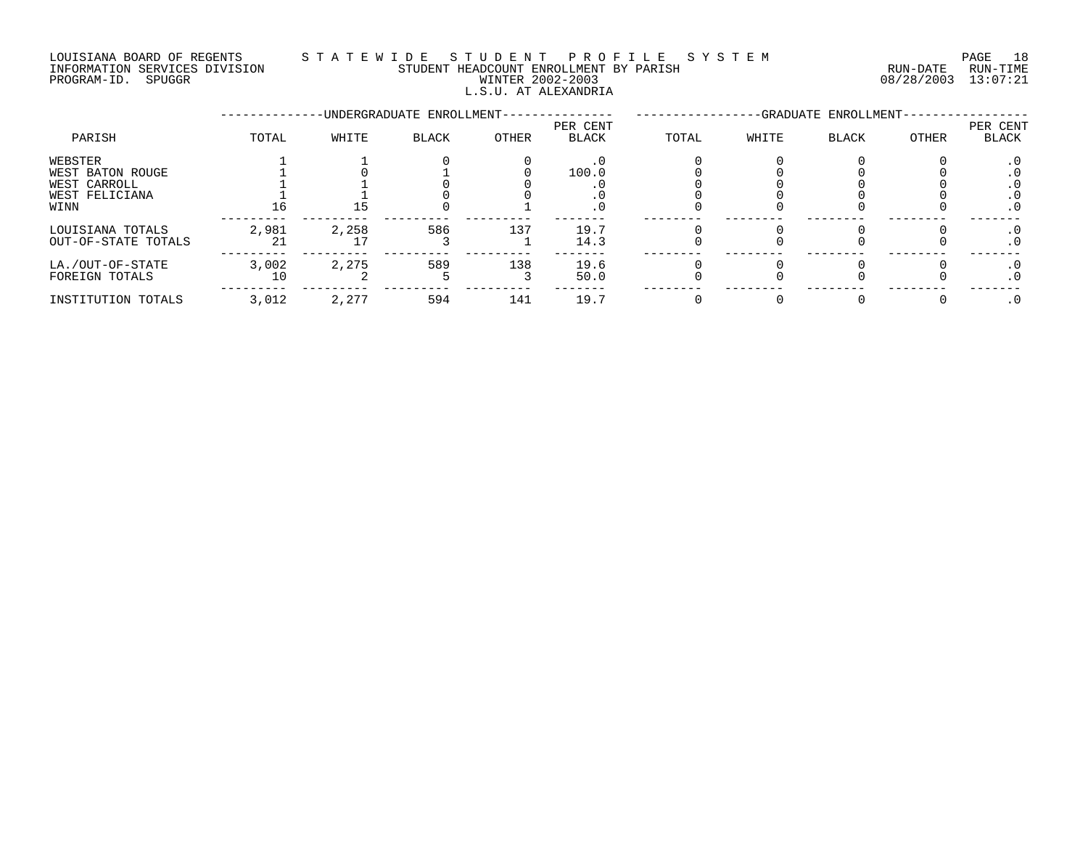## LOUISIANA BOARD OF REGENTS S T A T E W I D E S T U D E N T P R O F I L E S Y S T E M PAGE 18 INFORMATION SERVICES DIVISION STUDENT HEADCOUNT ENROLLMENT BY PARISH RUN-DATE RUN-TIME INFORMATION SERVICES DIVISION CONSUMENT HEADCOUNT ENROLLMENT BY PARISH THE SUN-DATE RUN-DATE RUN-TIME<br>PROGRAM-ID. SPUGGR COLLECTION CONSUMER 2002-2003 08/28/2003 13:07:21 L.S.U. AT ALEXANDRIA

# --------------UNDERGRADUATE ENROLLMENT--------------- -----------------GRADUATE ENROLLMENT----------------- PER CENT PER CENT PARISH TOTAL WHITE BLACK OTHER BLACK TOTAL WHITE BLACK OTHER BLACK WEBSTER 1 1 0 0 .0 0 0 0 0 .0 WEST BATON ROUGE 1 0 1 0 100.0 0 0 0 0 .0 WEST CARROLL 1 1 0 0 .0 0 0 0 0 .0 WEST FELICIANA 1 1 0 0 .0 0 0 0 0 .0 WINN 16 15 0 1 .0 0 0 0 0 .0 --------- --------- --------- --------- ------- -------- -------- -------- -------- ------- LOUISIANA TOTALS 2,981 2,258 586 137 19.7 0 0 0 0 .0 OUT-OF-STATE TOTALS 21 17 3 1 14.3 0 0 0 0 .0 --------- --------- --------- --------- ------- -------- -------- -------- -------- ------- LA./OUT-OF-STATE 3,002 2,275 589 138 19.6 0 0 0 0 .0 FOREIGN TOTALS 10 2 5 3 50.0 0 0 0 0 .0 --------- --------- --------- --------- ------- -------- -------- -------- -------- ------- INSTITUTION TOTALS 3,012 2,277 594 141 19.7 0 0 0 0 .0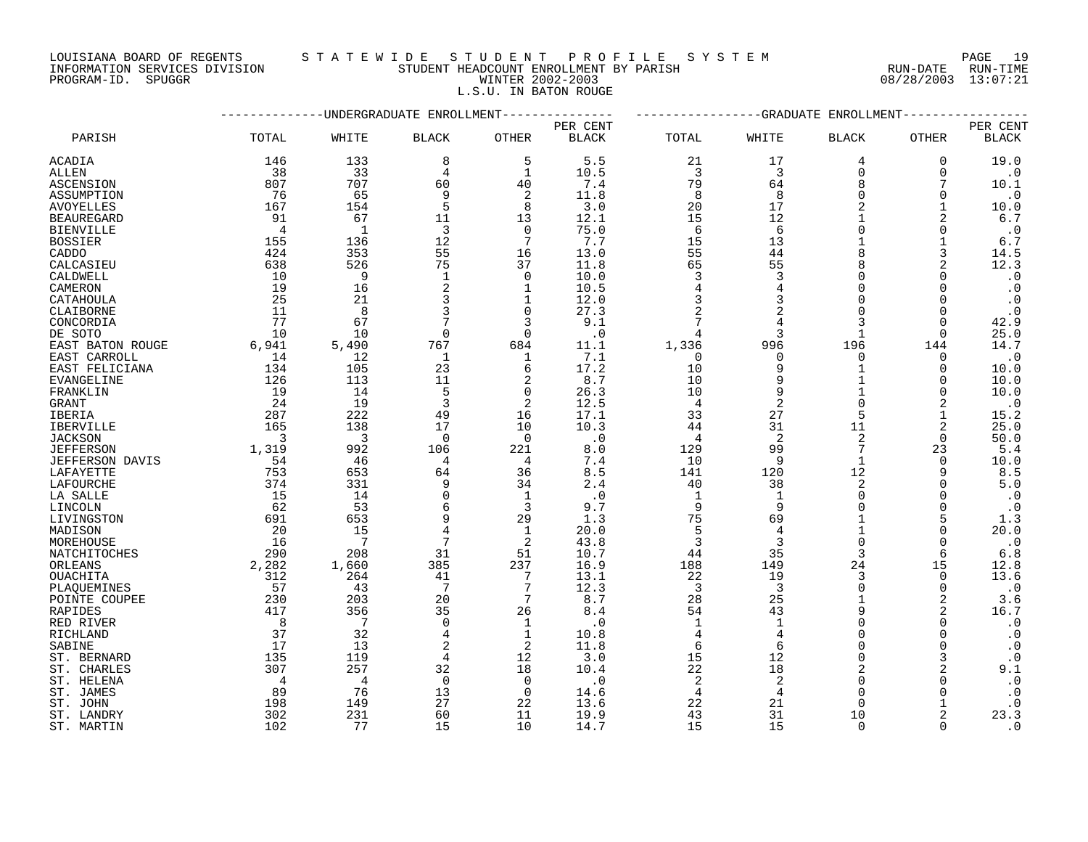LOUISIANA BOARD OF REGENTS STATEWIDE STUDENT PROFILE SYSTEM NAGE 19

INFORMATION SERVICES DIVISION STUDENT HEADCOUNT ENROLLMENT BY PARISH RUN-DATE RUN-TIME

|            | PAGE |  |
|------------|------|--|
| RUN-DATE   | RUN- |  |
| 00/20/2002 | 12.0 |  |

# PROGRAM-ID. SPUGGR WINTER 2002-2003 WINTER 2002-2003 L.S.U. IN BATON ROUGE

|                        |                | ---------UNDERGRADUATE ENROLLMENT |                |                | ------------GRADUATE<br>ENROLLMENT |                |                |              |              |              |
|------------------------|----------------|-----------------------------------|----------------|----------------|------------------------------------|----------------|----------------|--------------|--------------|--------------|
|                        |                |                                   |                |                | PER CENT                           |                |                |              |              | PER CENT     |
| PARISH                 | TOTAL          | WHITE                             | <b>BLACK</b>   | <b>OTHER</b>   | <b>BLACK</b>                       | TOTAL          | WHITE          | <b>BLACK</b> | <b>OTHER</b> | <b>BLACK</b> |
| ACADIA                 | 146            | 133                               | 8              | 5              | 5.5                                | 21             | 17             | 4            | 0            | 19.0         |
| ALLEN                  | 38             | 33                                | 4              | 1              | 10.5                               | 3              | 3              | 0            | $\Omega$     | $\cdot$ 0    |
| ASCENSION              | 807            | 707                               | 60             | 40             | 7.4                                | 79             | 64             | $\mathsf{R}$ | 7            | 10.1         |
| ASSUMPTION             | 76             | 65                                | q              | 2              | 11.8                               | 8              | 8              | $\cap$       | $\Omega$     | $\cdot$ 0    |
| <b>AVOYELLES</b>       | 167            | 154                               | 5              | 8              | 3.0                                | 20             | 17             |              |              | 10.0         |
| <b>BEAUREGARD</b>      | 91             | 67                                | 11             | 13             | 12.1                               | 15             | 12             |              |              | 6.7          |
| <b>BIENVILLE</b>       | $\overline{4}$ | $\mathbf{1}$                      | 3              | $\Omega$       | 75.0                               | 6              | 6              | $\Omega$     | $\Omega$     | $\cdot$ 0    |
| <b>BOSSIER</b>         | 155            | 136                               | 12             | 7              | 7.7                                | 15             | 13             |              |              | 6.7          |
| <b>CADDO</b>           | 424            | 353                               | 55             | 16             | 13.0                               | 55             | 44             | $\mathsf{R}$ | 3            | 14.5         |
| CALCASIEU              | 638            | 526                               | 75             | 37             | 11.8                               | 65             | 55             | 8            | 2            | 12.3         |
| CALDWELL               | 10             | 9                                 | $\overline{1}$ | $\overline{0}$ | 10.0                               | 3              | 3              | $\Omega$     | $\Omega$     | $\cdot$ 0    |
| CAMERON                | 19             | 16                                | 2              | 1              | 10.5                               | 4              |                | $\Omega$     | $\Omega$     | $\cdot$ 0    |
| CATAHOULA              | 25             | 21                                | 3              | 1              | 12.0                               | 3              | 3              | $\Omega$     | $\Omega$     | $\cdot$ 0    |
| CLAIBORNE              | 11             | 8                                 | 3              | 0              | 27.3                               |                |                | ∩            | $\Omega$     | $\cdot$ 0    |
| CONCORDIA              | 77             | 67                                |                | 3              | 9.1                                | 7              |                | 3            | $\Omega$     | 42.9         |
| DE SOTO                | 10             | 10                                | $\Omega$       | $\Omega$       | $\cdot$ 0                          | $\overline{4}$ | 3              | $\mathbf{1}$ | $\Omega$     | 25.0         |
| EAST BATON ROUGE       | 6,941          | 5,490                             | 767            | 684            | 11.1                               | 1,336          | 996            | 196          | 144          | 14.7         |
| EAST CARROLL           | 14             | 12                                | 1              | 1              | 7.1                                | $\Omega$       | $\Omega$       | $\Omega$     | 0            | $\cdot$ 0    |
| EAST FELICIANA         | 134            | 105                               | 23             | 6              | 17.2                               | 10             | 9              | 1            | 0            | 10.0         |
| EVANGELINE             | 126            | 113                               | 11             | 2              | 8.7                                | 10             |                |              | $\Omega$     | 10.0         |
| FRANKLIN               | 19             | 14                                | 5              | $\mathbf 0$    | 26.3                               | 10             | 9              |              | $\Omega$     | 10.0         |
| GRANT                  | 24             | 19                                | 3              | 2              | 12.5                               | 4              | 2              | $\Omega$     | 2            | $\cdot$ 0    |
| IBERIA                 | 287            | 222                               | 49             | 16             | 17.1                               | 33             | 27             | 5            |              | 15.2         |
| <b>IBERVILLE</b>       | 165            | 138                               | 17             | 10             | 10.3                               | 44             | 31             | 11           | 2            | 25.0         |
| <b>JACKSON</b>         | 3              | $\overline{3}$                    | $\Omega$       | $\Omega$       | .0                                 | $\overline{4}$ | $\overline{2}$ | 2            | $\Omega$     | 50.0         |
| <b>JEFFERSON</b>       | 1,319          | 992                               | 106            | 221            | 8.0                                | 129            | 99             | 7            | 23           | 5.4          |
| <b>JEFFERSON DAVIS</b> | 54             | 46                                | 4              | $\overline{4}$ | 7.4                                | 10             | 9              | $\mathbf{1}$ | 0            | 10.0         |
| LAFAYETTE              | 753            | 653                               | 64             | 36             | 8.5                                | 141            | 120            | 12           |              | 8.5          |
| LAFOURCHE              | 374            | 331                               |                | 34             | 2.4                                | 40             | 38             | 2            | $\Omega$     | 5.0          |
| LA SALLE               | 15             | 14                                |                | $\mathbf{1}$   | $\cdot$ 0                          | $\mathbf{1}$   |                | $\Omega$     | $\Omega$     | $\cdot$ 0    |
| LINCOLN                | 62             | 53                                | 6              | 3              | 9.7                                | 9              | 9              | ∩            | $\Omega$     | $\cdot$ 0    |
| LIVINGSTON             | 691            | 653                               |                | 29             | 1.3                                | 75             | 69             |              | 5            | 1.3          |
| MADISON                | 20             | 15                                |                | 1              | 20.0                               | 5              | 4              |              | $\Omega$     | 20.0         |
| MOREHOUSE              | 16             | 7                                 | 7              | 2              | 43.8                               | 3              | 3              | $\Omega$     | 0            | $\cdot$ 0    |
| NATCHITOCHES           | 290            | 208                               | 31             | 51             | 10.7                               | 44             | 35             | 3            | 6            | $6.8$        |
| ORLEANS                | 2,282          | 1,660                             | 385            | 237            | 16.9                               | 188            | 149            | 24           | 15           | 12.8         |
| OUACHITA               | 312            | 264                               | 41             | 7              | 13.1                               | 22             | 19             | 3            | 0            | 13.6         |
| PLAQUEMINES            | 57             | 43                                | 7              | 7              | 12.3                               | $\overline{3}$ | 3              | $\Omega$     | $\mathbf 0$  | $\cdot$ 0    |
| POINTE COUPEE          | 230            | 203                               | 20             | 7              | 8.7                                | 28             | 25             | 1            | 2            | 3.6          |
| <b>RAPIDES</b>         | 417            | 356                               | 35             | 26             | 8.4                                | 54             | 43             | 9            | 2            | 16.7         |
| RED RIVER              | 8              | 7                                 | $\Omega$       | 1              | $\cdot$ 0                          | 1              | $\mathbf{1}$   | $\Omega$     | $\Omega$     | $\cdot$ 0    |
| RICHLAND               | 37             | 32                                |                | 1              | 10.8                               | $\overline{4}$ | $\overline{4}$ | $\Omega$     | 0            | $\cdot$ 0    |
| SABINE                 | 17             | 13                                |                | 2              | 11.8                               | 6              | 6              | $\Omega$     | $\Omega$     | $\cdot$ 0    |
| ST. BERNARD            | 135            | 119                               | 4              | 12             | 3.0                                | 15             | 12             | $\Omega$     | 3            | $\cdot$ 0    |
| ST. CHARLES            | 307            | 257                               | 32             | 18             | 10.4                               | 22             | 18             |              | 2            | 9.1          |
| ST. HELENA             | $\overline{4}$ | $\overline{4}$                    | $\Omega$       | $\Omega$       | $\cdot$ 0                          | $\overline{2}$ | 2              | $\Omega$     | $\Omega$     | $\cdot$ 0    |
| ST. JAMES              | 89             | 76                                | 13             | 0              | 14.6                               | 4              |                | $\Omega$     | $\Omega$     | $\cdot$ 0    |
| ST. JOHN               | 198            | 149                               | 27             | 22             | 13.6                               | 22             | 21             | ∩            |              | $\cdot$ 0    |
| ST. LANDRY             | 302            | 231                               | 60             | 11             | 19.9                               | 43             | 31             | 10           | 2            | 23.3         |
| ST. MARTIN             | 102            | 77                                | 15             | 10             | 14.7                               | 15             | 15             | $\Omega$     | $\cap$       | $\cdot$ 0    |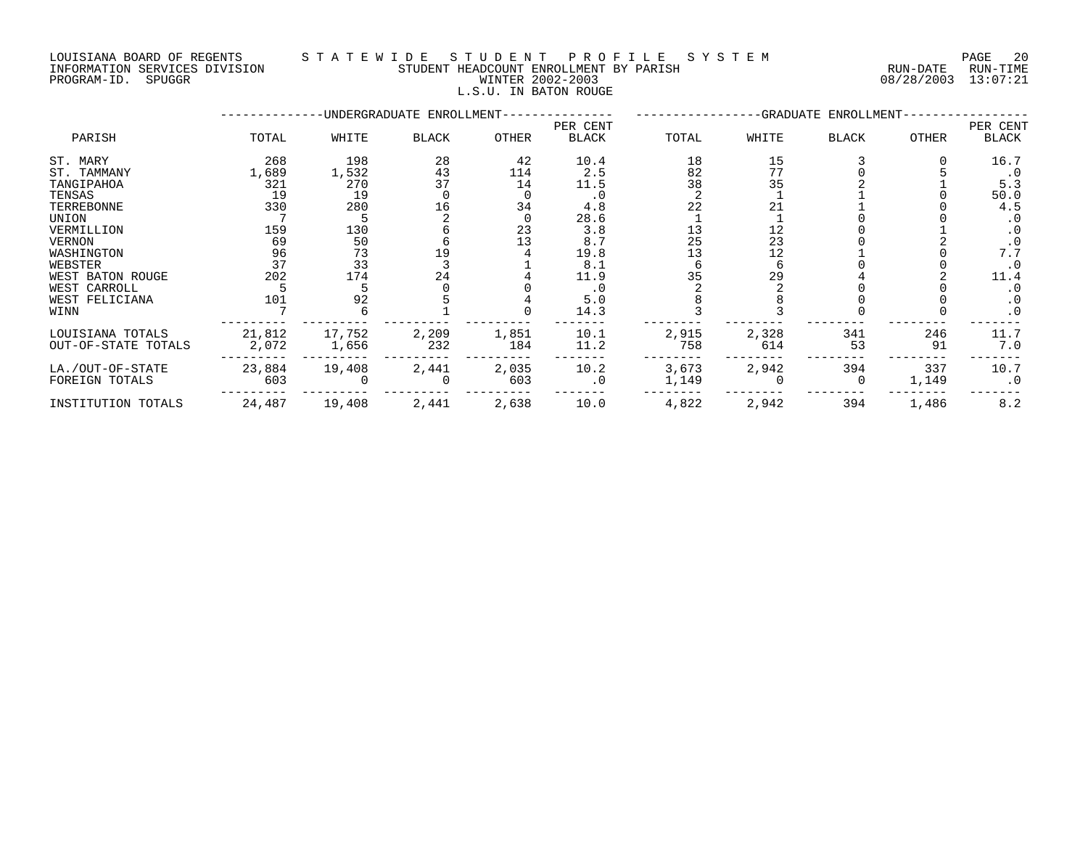LOUISIANA BOARD OF REGENTS S T A T E W I D E S T U D E N T P R O F I L E S Y S T E M PAGE 20 INFORMATION SERVICES DIVISION STUDENT HEADCOUNT ENROLLMENT BY PARISH RUN-DATE RUN-TIME

|             | INFORMATION SERVICES DIVISION | STUDENT HEADCOUNT ENROLLMENT BY PARISH | RUN-DATE            | RUN-TIME |
|-------------|-------------------------------|----------------------------------------|---------------------|----------|
| PROGRAM-ID. | SPUGGR                        | WINTER 2002-2003                       | 08/28/2003 13:07:21 |          |
|             |                               | L.S.U. IN BATON ROUGE                  |                     |          |
|             |                               |                                        |                     |          |

|                     |        |        | -UNDERGRADUATE ENROLLMENT- |       | PER CENT     |       |       | -GRADUATE ENROLLMENT- |       | PER CENT  |
|---------------------|--------|--------|----------------------------|-------|--------------|-------|-------|-----------------------|-------|-----------|
| PARISH              | TOTAL  | WHITE  | <b>BLACK</b>               | OTHER | <b>BLACK</b> | TOTAL | WHITE | <b>BLACK</b>          | OTHER | BLACK     |
| ST. MARY            | 268    | 198    | 28                         | 42    | 10.4         | 18    | 15    |                       |       | 16.7      |
| ST. TAMMANY         | 1,689  | 1,532  | 43                         | 114   | 2.5          | 82    | 77    |                       |       | $\cdot$ 0 |
| TANGIPAHOA          | 321    | 270    | 37                         | 14    | 11.5         | 38    | 35    |                       |       | 5.3       |
| TENSAS              | 19     | 19     |                            |       | $\cdot$ 0    |       |       |                       |       | 50.0      |
| TERREBONNE          | 330    | 280    | 16                         | 34    | 4.8          | 22    |       |                       |       | 4.5       |
| UNION               |        |        |                            |       | 28.6         |       |       |                       |       |           |
| VERMILLION          | 159    | 130    |                            | 23    | 3.8          | 13    | 12    |                       |       | $\cdot$ 0 |
| VERNON              | 69     | 50     |                            | 13    | 8.7          | 25    | 23    |                       |       |           |
| WASHINGTON          | 96     | 73     |                            |       | 19.8         | 13    | 12    |                       |       | 7.7       |
| WEBSTER             | 37     | 33     |                            |       | 8.1          |       |       |                       |       | $\cdot$ 0 |
| WEST BATON ROUGE    | 202    | 174    | 24                         |       | 11.9         | 35    | 29    |                       |       | 11.4      |
| WEST CARROLL        |        |        |                            |       | . 0          |       |       |                       |       |           |
| WEST FELICIANA      | 101    | 92     |                            |       | 5.0          |       |       |                       |       | . 0       |
| WINN                |        |        |                            |       | 14.3         |       |       |                       |       | $\cdot$ 0 |
| LOUISIANA TOTALS    | 21,812 | 17,752 | 2,209                      | 1,851 | 10.1         | 2,915 | 2,328 | 341                   | 246   | 11.7      |
| OUT-OF-STATE TOTALS | 2,072  | 1,656  | 232                        | 184   | 11.2         | 758   | 614   | 53                    | 91    | 7.0       |
| LA./OUT-OF-STATE    | 23,884 | 19,408 | 2,441                      | 2,035 | 10.2         | 3,673 | 2,942 | 394                   | 337   | 10.7      |
| FOREIGN TOTALS      | 603    |        |                            | 603   | $\cdot$ 0    | 1,149 |       |                       | 1,149 | $\cdot$ 0 |
| INSTITUTION TOTALS  | 24,487 | 19,408 | 2,441                      | 2,638 | 10.0         | 4,822 | 2,942 | 394                   | 1,486 | 8.2       |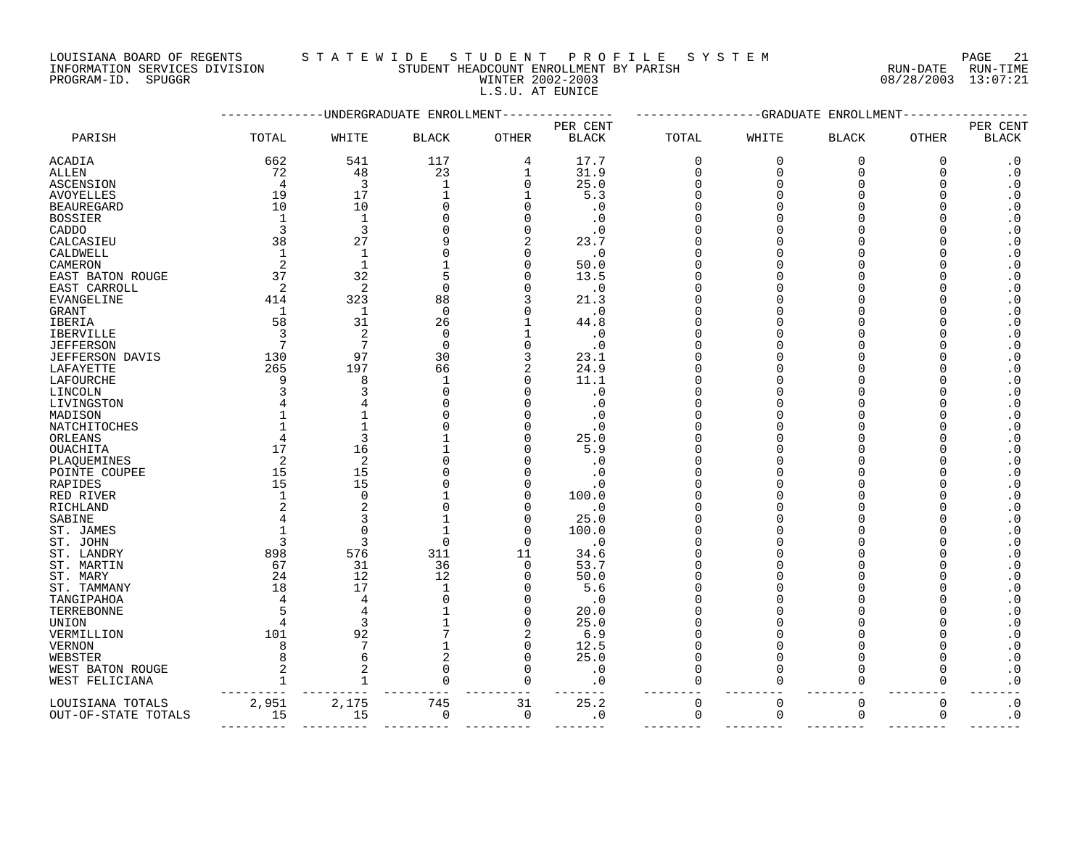# LOUISIANA BOARD OF REGENTS S T A T E W I D E S T U D E N T P R O F I L E S Y S T E M PAGE 21

INFORMATION SERVICES DIVISION STUDENT HEADCOUNT ENROLLMENT BY PARISH RUN-DATE RUN-TIME PROGRAM-ID. SPUGGR WINTER 2002-2003 08/28/2003 13:07:21 L.S.U. AT EUNICE

|                     |                |                 | -UNDERGRADUATE ENROLLMENT |              |              |                   |             | --------------GRADUATE ENROLLMENT |             |              |
|---------------------|----------------|-----------------|---------------------------|--------------|--------------|-------------------|-------------|-----------------------------------|-------------|--------------|
|                     |                |                 |                           |              | PER CENT     |                   |             |                                   |             | PER CENT     |
| PARISH              | TOTAL          | WHITE           | <b>BLACK</b>              | <b>OTHER</b> | <b>BLACK</b> | TOTAL             | WHITE       | <b>BLACK</b>                      | OTHER       | <b>BLACK</b> |
| ACADIA              | 662            | 541             | 117                       | 4            | 17.7         | 0                 | 0           | 0                                 | 0           | $\cdot$ 0    |
| ALLEN               | 72             | 48              | 23                        | 1            | 31.9         | 0                 | 0           | 0                                 | $\Omega$    | $\cdot$ 0    |
| ASCENSION           | $\overline{4}$ | 3               | 1                         | 0            | 25.0         | 0                 | $\Omega$    | $\Omega$                          | $\Omega$    | $\cdot$ 0    |
| AVOYELLES           | 19             | 17              | 1                         | 1            | 5.3          | 0                 | O           | <sup>0</sup>                      | U           | $\cdot$ 0    |
| BEAUREGARD          | 10             | 10              | $\Omega$                  | $\Omega$     | . 0          | 0                 |             | O                                 | U           | $\cdot$ 0    |
| BOSSIER             | $\mathbf{1}$   | $\mathbf{1}$    |                           | $\Omega$     | $\cdot$ 0    | <sup>0</sup>      |             | O                                 |             | $\cdot$ 0    |
| CADDO               | 3              | 3               |                           | $\Omega$     | $\cdot$ 0    | ∩                 |             | U                                 |             | $\cdot$ 0    |
| CALCASIEU           | 38             | 27              | q                         | 2            | 23.7         | O                 |             | U                                 |             | $\cdot$ 0    |
| CALDWELL            |                | $\mathbf{1}$    | $\Omega$                  | $\Omega$     | $\cdot$ 0    | <sup>0</sup>      |             | O                                 |             | $\cdot$ 0    |
| CAMERON             | 2              | $\mathbf{1}$    |                           | $\Omega$     | 50.0         | <sup>0</sup>      |             | $\Omega$                          |             | $\cdot$ 0    |
| EAST BATON ROUGE    | 37             | 32              | 5                         | $\Omega$     | 13.5         | <sup>0</sup>      |             | $\Omega$                          |             | $\cdot$ 0    |
| EAST CARROLL        | 2              | 2               | $\Omega$                  | U            | $\cdot$ 0    | <sup>0</sup>      |             | U                                 |             | $\cdot$ 0    |
| EVANGELINE          | 414            | 323             | 88                        | 3            | 21.3         | <sup>0</sup>      |             | $\Omega$                          |             | $\cdot$ 0    |
| GRANT               | -1             | 1               | $\Omega$                  | U            | $\cdot$ 0    | <sup>0</sup>      |             | O                                 |             | $\cdot$ 0    |
|                     |                |                 |                           |              |              |                   |             | 0                                 |             |              |
| IBERIA              | 58<br>3        | 31<br>2         | 26<br>$\mathbf 0$         |              | 44.8         | 0                 |             | O                                 |             | $\cdot$ 0    |
| IBERVILLE           | 7              | 7               | $\Omega$                  |              | $\cdot$ 0    | 0<br><sup>0</sup> |             | U                                 |             | $\cdot$ 0    |
| JEFFERSON           |                |                 |                           | 0            | $\cdot$ 0    |                   |             |                                   |             | $\cdot$ 0    |
| JEFFERSON DAVIS     | 130            | 97              | 30                        | 3            | 23.1         | O                 |             | O                                 |             | $\cdot$ 0    |
| LAFAYETTE           | 265            | 197             | 66                        | 2            | 24.9         | 0                 |             | O                                 |             | $\cdot$ 0    |
| LAFOURCHE           | 9              | 8               | $\mathbf 1$               | 0            | 11.1         | 0                 |             | O                                 |             | $\cdot$ 0    |
| LINCOLN             |                |                 | $\Omega$                  | $\Omega$     | $\cdot$ 0    | 0                 |             | O                                 | U           | $\cdot$ 0    |
| LIVINGSTON          |                |                 | $\Omega$                  | $\Omega$     | . 0          | <sup>0</sup>      |             | U                                 |             | $\cdot$ 0    |
| MADISON             |                |                 | C                         |              | $\cdot$ 0    | O                 |             | O                                 |             | $\cdot$ 0    |
| NATCHITOCHES        |                |                 | C                         | $\Omega$     | $\cdot$ 0    | <sup>0</sup>      |             | O                                 |             | $\cdot$ 0    |
| ORLEANS             |                | 3               |                           |              | 25.0         | <sup>0</sup>      |             | $\Omega$                          |             | $\cdot$ 0    |
| OUACHITA            | 17             | 16              |                           | $\Omega$     | 5.9          | 0                 |             | O                                 | U           | $\cdot$ 0    |
| PLAQUEMINES         | 2              | 2               | $\Omega$                  | $\Omega$     | $\cdot$ 0    | <sup>0</sup>      |             | U                                 |             | $\cdot$ 0    |
| POINTE COUPEE       | 15             | 15              |                           | $\Omega$     | $\cdot$ 0    | O                 |             | $\Omega$                          |             | $\cdot$ 0    |
| RAPIDES             | 15             | 15              | C                         | $\Omega$     | $\cdot$ 0    | <sup>0</sup>      |             | <sup>0</sup>                      |             | $\cdot$ 0    |
| RED RIVER           |                | $\Omega$        |                           | $\Omega$     | 100.0        | <sup>0</sup>      |             | $\Omega$                          |             | $\cdot$ 0    |
| RICHLAND            |                | 2               | $\Omega$                  | $\Omega$     | $\cdot$ 0    | <sup>0</sup>      |             | U                                 | U           | $\cdot$ 0    |
| SABINE              |                | 3               |                           | $\Omega$     | 25.0         | <sup>0</sup>      |             | $\Omega$                          |             | $\cdot$ 0    |
| ST. JAMES           |                | $\Omega$        | 1                         | 0            | 100.0        | 0                 |             | O                                 |             | $\cdot$ 0    |
| ST. JOHN            | 3              | 3               | $\Omega$                  | 0            | $\cdot$ 0    | 0                 |             | <sup>0</sup>                      |             | $\cdot$ 0    |
| ST. LANDRY          | 898            | 576             | 311                       | 11           | 34.6         | <sup>0</sup>      |             | O                                 |             | $\cdot$ 0    |
| ST. MARTIN          | 67             | 31              | 36                        | 0            | 53.7         | 0                 |             | O                                 | U           | $\cdot$ 0    |
| ST. MARY            | 24             | 12              | 12                        | $\Omega$     | 50.0         | O                 |             | O                                 |             | $\cdot$ 0    |
| ST. TAMMANY         | 18             | 17              | $\mathbf{1}$              | $\Omega$     | 5.6          | 0                 |             | O                                 |             | $\cdot$ 0    |
| TANGIPAHOA          |                | 4               | $\Omega$                  | 0            | . 0          | 0                 |             | <sup>0</sup>                      |             | $\cdot$ 0    |
| TERREBONNE          |                | $\overline{4}$  |                           | $\Omega$     | 20.0         | O                 |             | $\Omega$                          |             | $\cdot$ 0    |
| UNION               |                | 3               |                           | 0            | 25.0         | 0                 |             | O                                 | U           | $\cdot$ 0    |
| VERMILLION          | 101            | 92              |                           | 2            | 6.9          | O                 |             | U                                 |             | $\cdot$ 0    |
| VERNON              | 8              | $7\phantom{.0}$ | $\mathbf{1}$              | $\Omega$     | 12.5         | 0                 | ∩           | O                                 | U           | $\cdot$ 0    |
| WEBSTER             |                | 6               | $\overline{c}$            | $\Omega$     | 25.0         | 0                 | $\Omega$    | $\Omega$                          | $\Omega$    | $\cdot$ 0    |
| WEST BATON ROUGE    |                | 2               | $\Omega$                  | $\Omega$     | $\cdot$ 0    | $\Omega$          | $\Omega$    | $\Omega$                          | $\cap$      | $\cdot$ 0    |
| WEST FELICIANA      |                |                 | $\Omega$                  | 0            | . 0          | 0                 | $\Omega$    | $\Omega$                          | 0           | $\cdot$ 0    |
| LOUISIANA TOTALS    | 2,951          | 2,175           | 745                       | 31           | 25.2         | $\mathbf 0$       | $\mathbf 0$ | $\mathbf 0$                       | $\mathbf 0$ | $\cdot$ 0    |
| OUT-OF-STATE TOTALS | 15             | 15              | 0                         | 0            | $\cdot$ 0    | 0                 | $\mathbf 0$ | 0                                 | 0           | $\cdot$ 0    |
|                     |                |                 |                           |              |              |                   |             |                                   |             |              |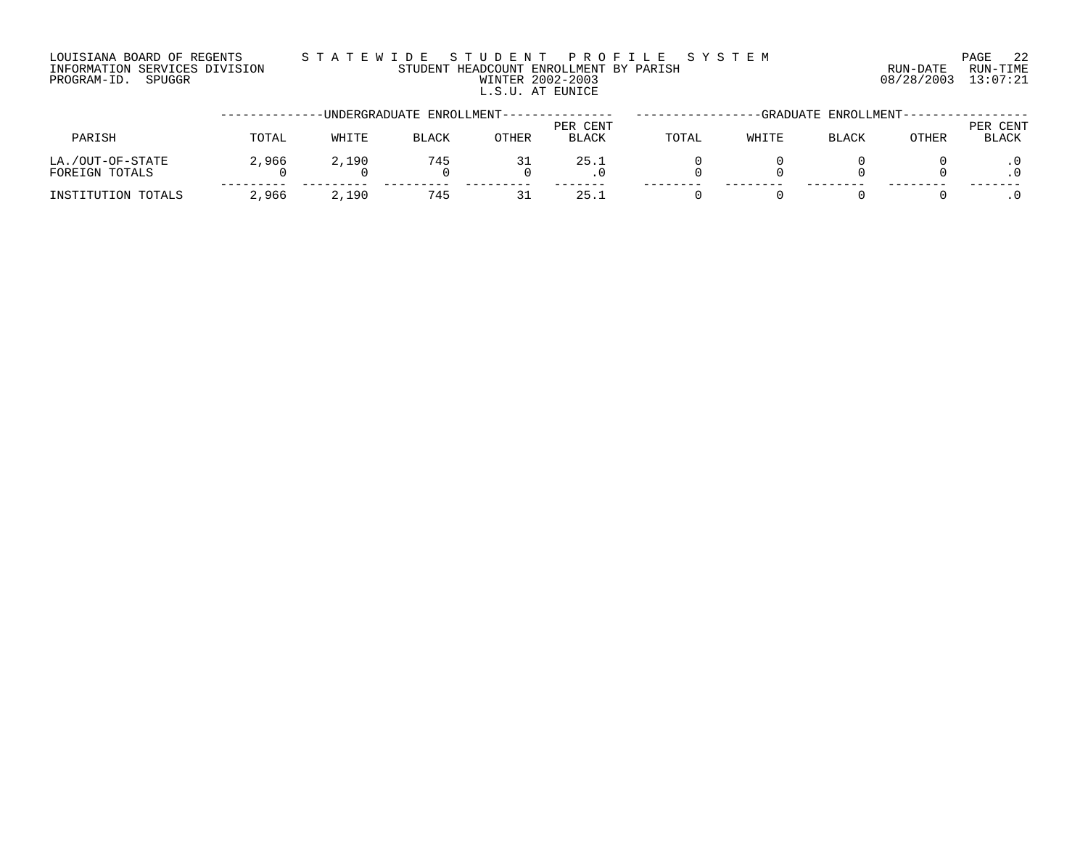## LOUISIANA BOARD OF REGENTS S T A T E W I D E S T U D E N T P R O F I L E S Y S T E M PAGE 22 INFORMATION SERVICES DIVISION STUDENT HEADCOUNT ENROLLMENT BY PARISH RUN-DATE RUN-TIME PROGRAM-ID. SPUGGR WINTER 2002-2003 08/28/2003 13:07:21 L.S.U. AT EUNICE

|                                    |       |       | -UNDERGRADUATE ENROLLMENT--- |       |                          |       | -GRADUATE | ENROLLMENT-- |       |                   |
|------------------------------------|-------|-------|------------------------------|-------|--------------------------|-------|-----------|--------------|-------|-------------------|
| PARISH                             | TOTAL | WHITE | <b>BLACK</b>                 | OTHER | PER CENT<br><b>BLACK</b> | TOTAL | WHITE     | BLACK        | OTHER | PER CENT<br>BLACK |
| LA./OUT-OF-STATE<br>FOREIGN TOTALS | 2,966 | 2,190 | 745                          |       | 25.1                     |       |           |              |       |                   |
| INSTITUTION TOTALS                 | 2,966 | 2,190 | 745                          | ٦1    | 25.1                     |       |           |              |       |                   |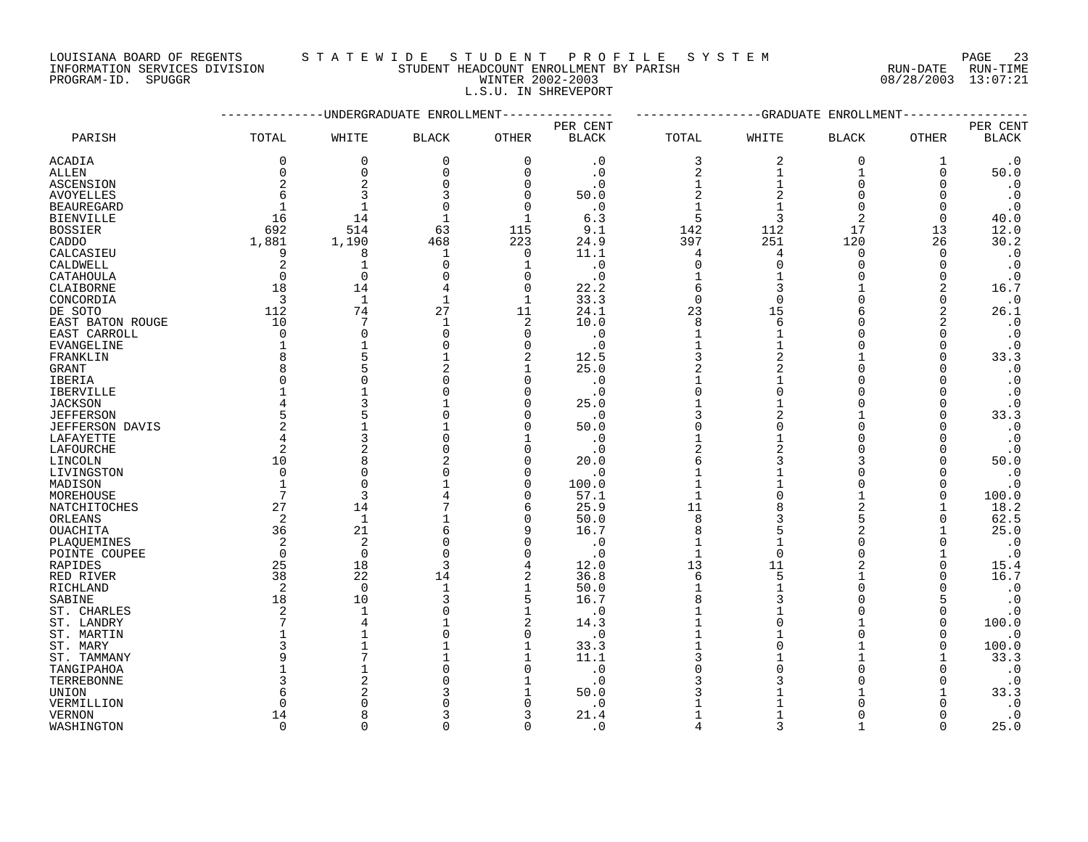LOUISIANA BOARD OF REGENTS STATEWIDE STUDENT PROFILE SYSTEM PAGE 23 INFORMATION SERVICES DIVISION SANDONI STUDENT HEADCOUNT ENROLLMENT BY PARISH RUN-DATE RUN-TIME

# PROGRAM-ID. SPUGGR WINTER 2002-2003 08/28/2003 13:07:21 L.S.U. IN SHREVEPORT

|                        |                |                | -UNDERGRADUATE ENROLLMENT |                |              |                | --GRADUATE     | ENROLLMENT     |              |                        |
|------------------------|----------------|----------------|---------------------------|----------------|--------------|----------------|----------------|----------------|--------------|------------------------|
|                        |                |                |                           |                | PER CENT     |                |                |                |              | PER CENT               |
| PARISH                 | TOTAL          | WHITE          | <b>BLACK</b>              | <b>OTHER</b>   | <b>BLACK</b> | TOTAL          | WHITE          | <b>BLACK</b>   | OTHER        | $\operatorname{BLACK}$ |
| ACADIA                 | 0              | $\mathbf 0$    | $\mathbf 0$               | $\mathbf 0$    | $\cdot$ 0    | 3              | 2              | $\overline{0}$ | 1            | $\cdot$ 0              |
| ALLEN                  | 0              | $\mathbf 0$    | $\mathbf 0$               | $\mathbf 0$    | $\cdot$ 0    | $\overline{2}$ | 1              | $\mathbf{1}$   | $\mathbf 0$  | 50.0                   |
| ASCENSION              | 2              | $\overline{2}$ | $\Omega$                  | $\Omega$       | $\cdot$ 0    | $\mathbf{1}$   | $\mathbf{1}$   | $\Omega$       | $\Omega$     | $\cdot$ 0              |
| <b>AVOYELLES</b>       | 6              | 3              | 3                         | $\Omega$       | 50.0         | $\overline{c}$ | 2              | $\Omega$       | $\Omega$     | $\cdot$ 0              |
| <b>BEAUREGARD</b>      | 1              | $\mathbf{1}$   | $\Omega$                  | $\Omega$       | $\cdot$ 0    | $\mathbf{1}$   |                | $\Omega$       | $\Omega$     | $\cdot$ 0              |
| <b>BIENVILLE</b>       | 16             | 14             | $\mathbf{1}$              | $\mathbf{1}$   | 6.3          | 5              | 3              | 2              | $\Omega$     | 40.0                   |
| <b>BOSSIER</b>         | 692            | 514            | 63                        | 115            | 9.1          | 142            | 112            | 17             | 13           | 12.0                   |
| CADDO                  | 1,881          | 1,190          | 468                       | 223            | 24.9         | 397            | 251            | 120            | 26           | 30.2                   |
| CALCASIEU              | 9              | 8              | 1                         | 0              | 11.1         | 4              | 4              | 0              | 0            | $\cdot$ 0              |
| CALDWELL               | 2              | $\mathbf{1}$   | $\Omega$                  | 1              | $\cdot$ 0    | $\mathbf 0$    | $\Omega$       | $\Omega$       | $\Omega$     | $\cdot$ 0              |
| CATAHOULA              | $\Omega$       | $\Omega$       | $\Omega$                  | $\Omega$       | $\cdot$ 0    | $\mathbf{1}$   |                | $\Omega$       | $\Omega$     | $\cdot$ 0              |
| CLAIBORNE              | 18             | 14             | 4                         | $\Omega$       | 22.2         | 6              | $\mathbf{3}$   |                | 2            | 16.7                   |
| CONCORDIA              | $\overline{3}$ | $\mathbf{1}$   | $\mathbf 1$               | $\mathbf 1$    | 33.3         | $\mathbf 0$    | $\Omega$       | $\Omega$       | $\mathbf 0$  | $\cdot$ 0              |
| DE SOTO                | 112            | 74             | 27                        | 11             | 24.1         | 23             | 15             | 6              | 2            | 26.1                   |
| EAST BATON ROUGE       | 10             | 7              | $\mathbf{1}$              | $\overline{2}$ | 10.0         | 8              | 6              | $\Omega$       | 2            | $\cdot$ 0              |
| EAST CARROLL           | $\Omega$       | $\Omega$       | $\Omega$                  | $\Omega$       | $\cdot$ 0    | $\mathbf{1}$   |                | $\cap$         | $\Omega$     | $\cdot$ 0              |
| <b>EVANGELINE</b>      | $\mathbf{1}$   |                | U                         | $\Omega$       | $\cdot$ 0    | $\mathbf{1}$   |                | $\Omega$       | $\Omega$     | $\cdot$ 0              |
| FRANKLIN               | 8              | 5              |                           | $\overline{2}$ | 12.5         | 3              | $\overline{2}$ |                | $\mathbf 0$  | 33.3                   |
| GRANT                  | 8              | 5              |                           | -1             | 25.0         | $\overline{2}$ | 2              | $\Omega$       | $\Omega$     | $\cdot$ 0              |
| <b>IBERIA</b>          | $\Omega$       | $\Omega$       |                           | n              | $\cdot$ 0    |                |                | $\Omega$       | $\Omega$     | $\cdot$ 0              |
| <b>IBERVILLE</b>       | 1              |                |                           | ∩              | . 0          | $\Omega$       | $\cap$         | $\Omega$       | $\Omega$     | $\cdot$ 0              |
| <b>JACKSON</b>         | 4              |                |                           | ∩              | 25.0         |                |                | $\Omega$       | $\Omega$     | $\cdot$ 0              |
| <b>JEFFERSON</b>       | 5              |                |                           | ∩              | $\cdot$ 0    |                |                |                | $\Omega$     | 33.3                   |
| <b>JEFFERSON DAVIS</b> | $\overline{2}$ |                |                           | $\Omega$       | 50.0         | $\Omega$       | U              | $\Omega$       | $\Omega$     | $\cdot$ 0              |
| LAFAYETTE              | 4              |                |                           |                | $\cdot$ 0    |                |                |                | <sup>0</sup> | $\cdot$ 0              |
| LAFOURCHE              | 2              | $\overline{2}$ |                           | n              | $\cdot$ 0    | 2              |                | $\Omega$       | $\Omega$     | $\cdot$ 0              |
| LINCOLN                | 10             | 8              |                           | $\Omega$       | 20.0         | 6              |                | 3              | $\Omega$     | 50.0                   |
| LIVINGSTON             | $\Omega$       | $\Omega$       |                           | $\Omega$       | $\cdot$ 0    |                |                |                | $\Omega$     | $\cdot$ 0              |
| MADISON                | $\mathbf 1$    | $\Omega$       |                           | $\Omega$       | 100.0        |                |                | $\Omega$       | 0            | $\cdot$ 0              |
| MOREHOUSE              | 7              | 3              |                           | $\Omega$       | 57.1         | $\mathbf{1}$   |                |                | $\Omega$     | 100.0                  |
| NATCHITOCHES           | 27             | 14             |                           | 6              | 25.9         | 11             |                | 2              |              | 18.2                   |
| ORLEANS                | 2              | $\mathbf{1}$   |                           | $\Omega$       | 50.0         | 8              |                | 5              | $\Omega$     | 62.5                   |
| OUACHITA               | 36             | 21             | б                         |                | 16.7         | 8              |                | 2              |              | 25.0                   |
| PLAQUEMINES            | 2              | $\overline{2}$ | $\Omega$                  | $\Omega$       | $\cdot$ 0    | $\mathbf{1}$   |                |                | $\Omega$     | $\cdot$ 0              |
| POINTE COUPEE          | $\Omega$       | $\Omega$       | $\Omega$                  | $\Omega$       | $\cdot$ 0    | $\mathbf{1}$   | $\Omega$       | $\Omega$       |              | $\cdot$ 0              |
| RAPIDES                | 25             | 18             | 3                         | 4              | 12.0         | 13             | 11             | 2              | $\Omega$     | 15.4                   |
| RED RIVER              | 38             | 22             | 14                        | 2              | 36.8         | 6              | 5              |                | $\Omega$     | 16.7                   |
| RICHLAND               | 2              | $\Omega$       |                           | $\mathbf{1}$   | 50.0         | $\mathbf{1}$   |                | $\Omega$       | $\Omega$     | $\cdot$ 0              |
| SABINE                 | 18             | 10             | ς                         | 5              | 16.7         | 8              | ς              | $\cap$         | 5            | $\cdot$ 0              |
| ST. CHARLES            | 2              | $\mathbf{1}$   |                           | $\mathbf{1}$   | $\cdot$ 0    |                |                | $\Omega$       | $\Omega$     | $\cdot$ 0              |
| ST. LANDRY             | 7              | 4              |                           | $\overline{2}$ | 14.3         |                | $\Omega$       |                | $\Omega$     | 100.0                  |
| ST. MARTIN             |                |                |                           | $\Omega$       | $\cdot$ 0    |                |                | $\Omega$       | 0            | $\cdot$ 0              |
| ST. MARY               | 3              |                |                           |                | 33.3         |                |                |                | $\Omega$     | 100.0                  |
| ST. TAMMANY            | 9              |                |                           |                | 11.1         | 3              |                |                |              | 33.3                   |
| TANGIPAHOA             |                |                |                           | $\Omega$       | $\cdot$ 0    |                |                | $\Omega$       | $\Omega$     | $\cdot$ 0              |
| TERREBONNE             | ζ              |                |                           |                | $\cdot$ 0    |                |                |                | O            | $\cdot$ 0              |
| UNION                  | 6              |                |                           |                | 50.0         |                |                |                |              | 33.3                   |
| VERMILLION             | $\Omega$       |                |                           |                | . 0          |                |                |                |              | $\cdot$ 0              |
| <b>VERNON</b>          | 14             | Я              |                           | 3              | 21.4         |                |                | $\Omega$       | ∩            | $\cdot$ 0              |
| WASHINGTON             | $\Omega$       | $\cap$         | $\Omega$                  | $\Omega$       | $\cdot$ 0    | $\Delta$       | $\mathbf{z}$   |                | $\Omega$     | 25.0                   |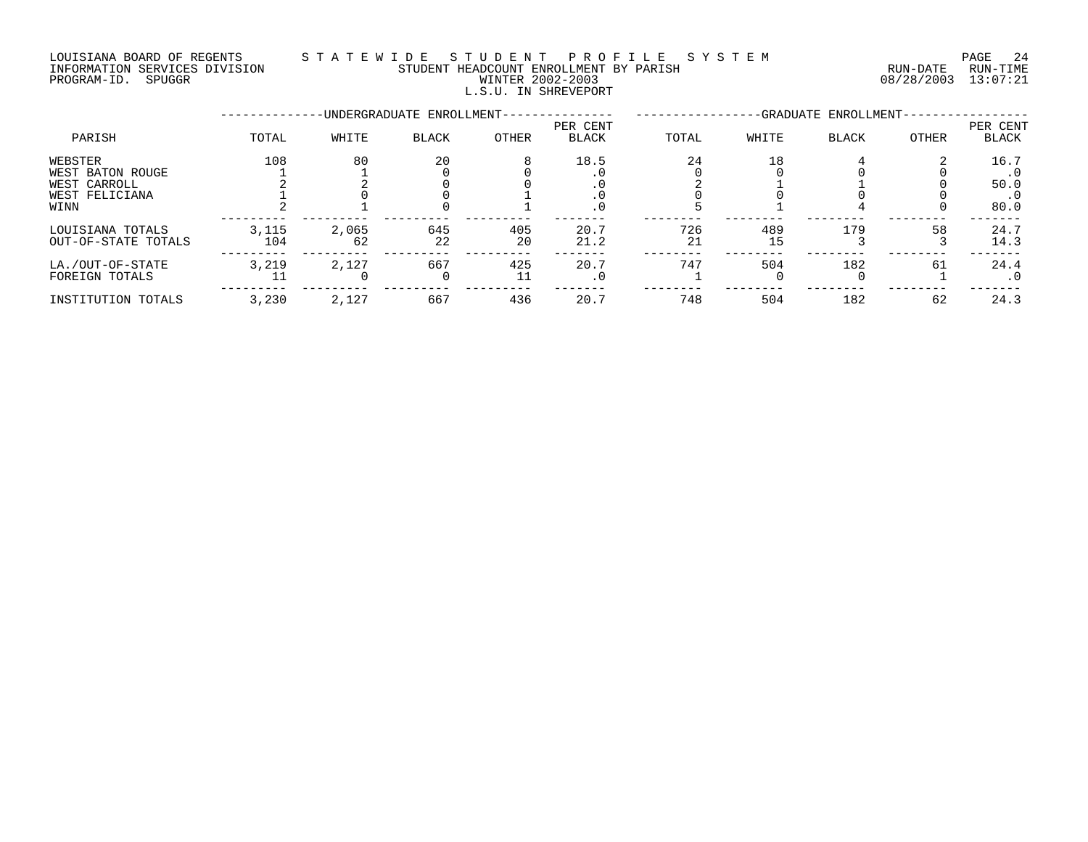## LOUISIANA BOARD OF REGENTS S T A T E W I D E S T U D E N T P R O F I L E S Y S T E M PAGE 24 INFORMATION SERVICES DIVISION STUDENT HEADCOUNT ENROLLMENT BY PARISH RUN-DATE RUN-TIME PROGRAM-ID. SPUGGR WINTER 2002-2003 08/28/2003 13:07:21

# L.S.U. IN SHREVEPORT

|                                                                       |              |             | -UNDERGRADUATE ENROLLMENT- |           | -GRADUATE ENROLLMENT-    |           |           |              |       |                             |
|-----------------------------------------------------------------------|--------------|-------------|----------------------------|-----------|--------------------------|-----------|-----------|--------------|-------|-----------------------------|
| PARISH                                                                | TOTAL        | WHITE       | BLACK                      | OTHER     | PER CENT<br><b>BLACK</b> | TOTAL     | WHITE     | <b>BLACK</b> | OTHER | PER CENT<br><b>BLACK</b>    |
| WEBSTER<br>WEST BATON ROUGE<br>WEST CARROLL<br>WEST FELICIANA<br>WINN | 108          | 80          | 20                         | 8         | 18.5                     | 24        | 18        |              |       | 16.7<br>50.0<br>. U<br>80.0 |
| LOUISIANA TOTALS<br>OUT-OF-STATE TOTALS                               | 3,115<br>104 | 2,065<br>62 | 645<br>22                  | 405<br>20 | 20.7<br>21.2             | 726<br>21 | 489<br>15 | 179          | 58    | 24.7<br>14.3                |
| LA./OUT-OF-STATE<br>FOREIGN TOTALS                                    | 3,219        | 2,127       | 667                        | 425<br>11 | 20.7<br>. 0              | 747       | 504       | 182          | 61    | 24.4<br>. 0                 |
| INSTITUTION TOTALS                                                    | 3,230        | 2,127       | 667                        | 436       | 20.7                     | 748       | 504       | 182          | 62    | 24.3                        |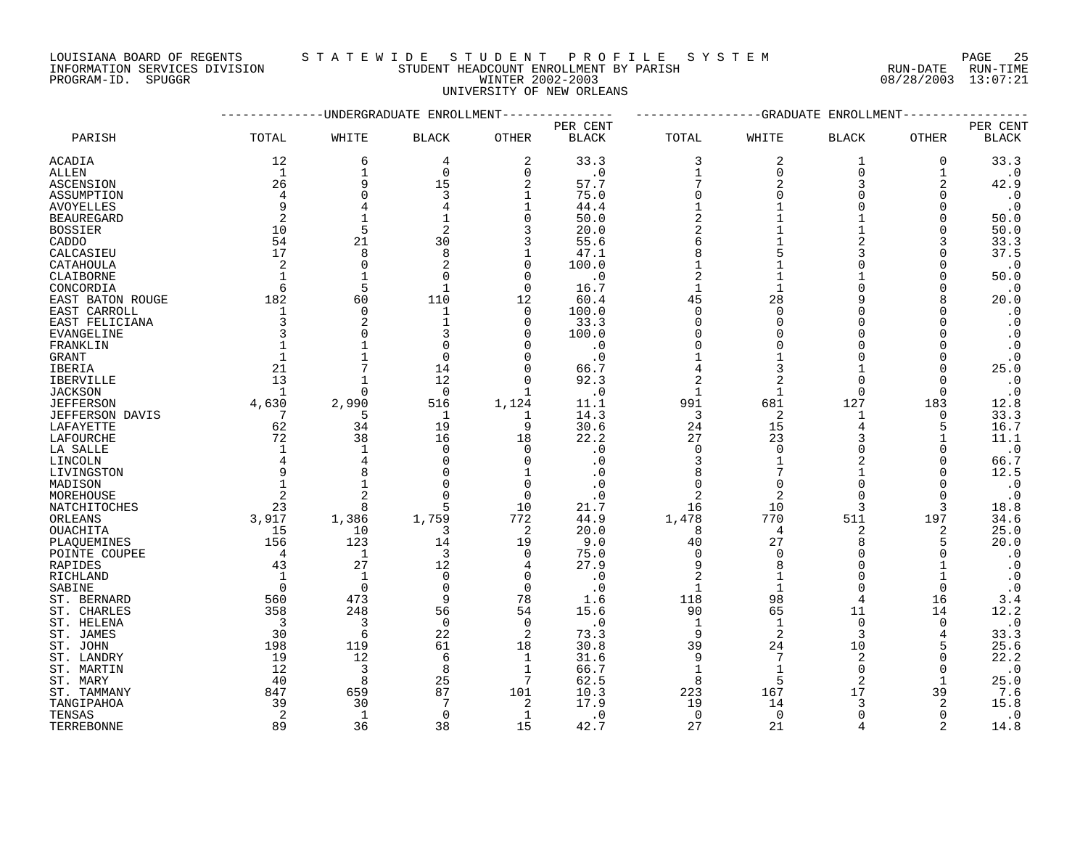LOUISIANA BOARD OF REGENTS STATEWIDE STUDE NT PROFILE SYSTEM PAGE 25<br>INFORMATION SERVICES DIVISION STUDENT HEADCOUNT ENROLLMENT BY PARISH NUN-DATE RUN-TIME NILIT SERVICES DIVISION STUDENT HEADCOUNT ENROLLMENT BY PARISH

|                        |                | ---------UNDERGRADUATE ENROLLMENT |              |                | -------------GRADUATE<br>ENROLLMENT |                |             |                |                |              |
|------------------------|----------------|-----------------------------------|--------------|----------------|-------------------------------------|----------------|-------------|----------------|----------------|--------------|
|                        |                |                                   |              |                | PER CENT                            |                |             |                |                | PER CENT     |
| PARISH                 | TOTAL          | WHITE                             | <b>BLACK</b> | OTHER          | <b>BLACK</b>                        | TOTAL          | WHITE       | <b>BLACK</b>   | <b>OTHER</b>   | <b>BLACK</b> |
| <b>ACADIA</b>          | 12             | 6                                 | 4            | 2              | 33.3                                | 3              | 2           | 1              | 0              | 33.3         |
| ALLEN                  | 1              | $\mathbf 1$                       | $\mathbf 0$  | 0              | $\cdot$ 0                           | $\mathbf{1}$   | $\mathbf 0$ | $\Omega$       | 1              | $\cdot$ 0    |
| ASCENSION              | 26             | 9                                 | 15           | 2              | 57.7                                | 7              | 2           | 3              | 2              | 42.9         |
| ASSUMPTION             | 4              | $\cap$                            | 3            | $\mathbf{1}$   | 75.0                                | $\Omega$       |             |                | ∩              | $\cdot$ 0    |
| <b>AVOYELLES</b>       | 9              | 4                                 |              | $\mathbf 1$    | 44.4                                |                |             |                | ∩              | $\cdot$ 0    |
| <b>BEAUREGARD</b>      | 2              |                                   |              | 0              | 50.0                                | $\overline{2}$ |             |                | O              | 50.0         |
| <b>BOSSIER</b>         | 10             | 5                                 |              | 3              | 20.0                                | 2              |             |                | $\Omega$       | 50.0         |
| CADDO                  | 54             | 21                                | 30           | 3              | 55.6                                | 6              |             |                | 3              | 33.3         |
| CALCASIEU              | 17             | 8                                 | 8            | 1              | 47.1                                | 8              |             | 3              | $\Omega$       | 37.5         |
| CATAHOULA              | 2              | $\mathbf 0$                       |              | $\mathbf 0$    | 100.0                               | $\mathbf{1}$   |             | $\Omega$       | $\Omega$       | $\cdot$ 0    |
| CLAIBORNE              |                | $\mathbf{1}$                      | $\Omega$     | $\Omega$       | . 0                                 | $\overline{2}$ |             |                | ∩              | 50.0         |
| CONCORDIA              | 6              | 5                                 |              | $\Omega$       | 16.7                                | $\mathbf{1}$   |             | $\cap$         | ∩              | $\cdot$ 0    |
| EAST BATON ROUGE       | 182            | 60                                | 110          | 12             | 60.4                                | 45             | 28          | 9              | 8              | 20.0         |
| EAST CARROLL           |                | $\Omega$                          | 1            | $\mathbf 0$    | 100.0                               | $\Omega$       | $\Omega$    | $\Omega$       | O              | $\cdot$ 0    |
| EAST FELICIANA         | 3              | $\overline{c}$                    | $\mathbf{1}$ | $\mathbf 0$    | 33.3                                | $\Omega$       |             | ∩              |                | $\cdot$ 0    |
| EVANGELINE             |                | $\Omega$                          |              | $\Omega$       | 100.0                               | $\Omega$       |             | $\cap$         |                | $\cdot$ 0    |
| FRANKLIN               |                |                                   |              | O              | $\cdot$ 0                           | $\Omega$       |             |                |                | $\cdot$ 0    |
| GRANT                  |                | $\mathbf{1}$                      | ∩            | $\Omega$       | $\cdot$ 0                           |                |             | ∩              | O              | $\cdot$ 0    |
| IBERIA                 | 21             | 7                                 | 14           | 0              | 66.7                                |                |             |                | $\Omega$       | 25.0         |
| <b>IBERVILLE</b>       | 13             | 1                                 | 12           | $\Omega$       | 92.3                                | 2              |             | $\Omega$       |                | $\cdot$ 0    |
| <b>JACKSON</b>         | $\mathbf{1}$   | $\Omega$                          | $\Omega$     | $\mathbf{1}$   | $\cdot$ 0                           | $\mathbf{1}$   |             | $\Omega$       | $\Omega$       | $\cdot$ 0    |
| <b>JEFFERSON</b>       | 4,630          | 2,990                             | 516          | 1,124          | 11.1                                | 991            | 681         | 127            | 183            | 12.8         |
| <b>JEFFERSON DAVIS</b> | 7              | 5                                 | 1            | 1              | 14.3                                | 3              | 2           | 1              | 0              | 33.3         |
| LAFAYETTE              | 62             | 34                                | 19           | 9              | 30.6                                | 24             | 15          | 4              | 5              | 16.7         |
| LAFOURCHE              | 72             | 38                                | 16           | 18             | 22.2                                | 27             | 23          | 3              |                | 11.1         |
| LA SALLE               |                | 1                                 | $\Omega$     | 0              | . 0                                 | $\mathbf 0$    | $\Omega$    | ∩              | O              | $\cdot$ 0    |
| LINCOLN                |                |                                   |              | $\Omega$       | . 0                                 | 3              |             |                | $\Omega$       | 66.7         |
| LIVINGSTON             |                | 8                                 |              | 1              | . 0                                 |                |             |                | ∩              | 12.5         |
| MADISON                |                | $\mathbf{1}$                      |              | $\Omega$       | $\cdot$ 0                           | $\Omega$       |             | $\Omega$       | ∩              | $\cdot$ 0    |
| MOREHOUSE              |                | $\overline{c}$                    |              | $\Omega$       | . 0                                 |                |             | $\Omega$       | $\Omega$       | $\cdot$ 0    |
| NATCHITOCHES           | 23             | 8                                 | 5            | 10             | 21.7                                | 16             | 10          | 3              | 3              | 18.8         |
| ORLEANS                | 3,917          | 1,386                             | 1,759        | 772            | 44.9                                | 1,478          | 770         | 511            | 197            | 34.6         |
| <b>OUACHITA</b>        | 15             | 10                                | 3            | $\overline{2}$ | 20.0                                | 8              | 4           | 2              | 2              | 25.0         |
| PLAQUEMINES            | 156            | 123                               | 14           | 19             | 9.0                                 | 40             | 27          | 8              | 5              | 20.0         |
| POINTE COUPEE          | 4              | $\mathbf{1}$                      | 3            | $\Omega$       | 75.0                                | $\Omega$       | $\Omega$    | $\Omega$       |                | $\cdot$ 0    |
| RAPIDES                | 43             | 27                                | 12           | 4              | 27.9                                | 9              | 8           | $\Omega$       |                | $\cdot$ 0    |
| RICHLAND               | $\overline{1}$ | $\mathbf{1}$                      | $\Omega$     | $\mathbf 0$    | $\cdot$ 0                           | 2              |             | $\Omega$       |                | $\cdot$ 0    |
| SABINE                 | $\Omega$       | $\mathbf 0$                       | $\Omega$     | $\mathbf 0$    | $\cdot$ 0                           | $\mathbf 1$    |             | $\Omega$       | 0              | $\cdot$ 0    |
| ST. BERNARD            | 560            | 473                               | 9            | 78             | 1.6                                 | 118            | 98          | 4              | 16             | 3.4          |
| ST. CHARLES            | 358            | 248                               | 56           | 54             | 15.6                                | 90             | 65          | 11             | 14             | 12.2         |
| ST. HELENA             | 3              | 3                                 | $\Omega$     | $\mathbf 0$    | $\cdot$ 0                           | -1             | 1           | $\Omega$       | $\Omega$       | $\cdot$ 0    |
| ST. JAMES              | 30             | 6                                 | 22           | $\overline{2}$ | 73.3                                | 9              | 2           | 3              | 4              | 33.3         |
| ST. JOHN               | 198            | 119                               | 61           | 18             | 30.8                                | 39             | 24          | 10             | 5              | 25.6         |
| ST. LANDRY             | 19             | 12                                | 6            | 1              | 31.6                                | 9              |             | $\overline{2}$ | O              | 22.2         |
| ST. MARTIN             | 12             | 3                                 | 8            | 1              | 66.7                                | $\mathbf{1}$   |             | $\Omega$       | $\Omega$       | $\cdot$ 0    |
| ST. MARY               | 40             | 8                                 | 25           | 7              | 62.5                                | 8              | 5           | $\overline{2}$ |                | 25.0         |
| ST. TAMMANY            | 847            | 659                               | 87           | 101            | 10.3                                | 223            | 167         | 17             | 39             | 7.6          |
| TANGIPAHOA             | 39             | 30                                |              | 2              | 17.9                                | 19             | 14          | 3              | 2              | 15.8         |
| TENSAS                 | 2              | 1                                 | $\Omega$     | $\mathbf 1$    | $\cdot$ 0                           | $\overline{0}$ | $\mathbf 0$ | $\Omega$       | $\Omega$       | $\cdot$ 0    |
| TERREBONNE             | 89             | 36                                | 38           | 15             | 42.7                                | 27             | 21          |                | $\mathfrak{D}$ | 14.8         |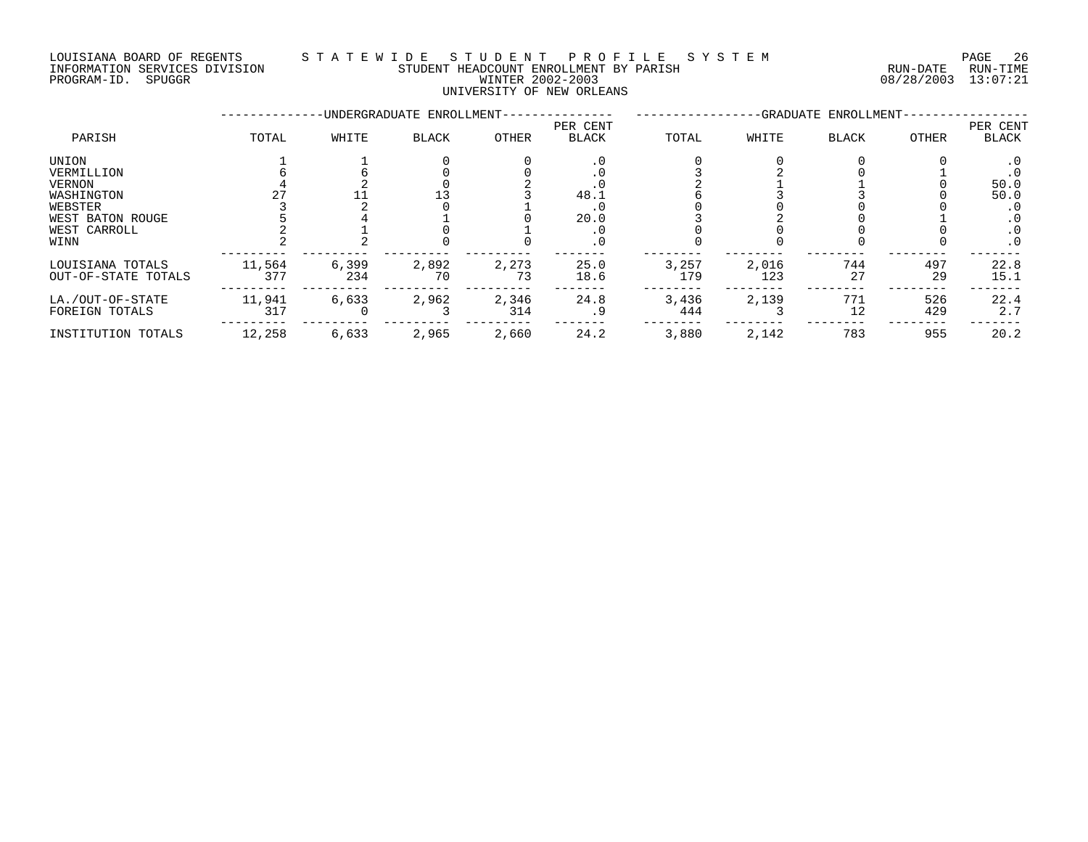## LOUISIANA BOARD OF REGENTS S T A T E W I D E S T U D E N T P R O F I L E S Y S T E M PAGE 26 INFORMATION SERVICES DIVISION STUDENT HEADCOUNT ENROLLMENT BY PARISH RUN-DATE RUN-TIME PROGRAM-ID. SPUGGR WINTER 2002-2003 08/28/2003 13:07:21

# UNIVERSITY OF NEW ORLEANS

|                     |        |       | -UNDERGRADUATE ENROLLMENT- |              | -GRADUATE ENROLLMENT- |       |       |              |              |           |
|---------------------|--------|-------|----------------------------|--------------|-----------------------|-------|-------|--------------|--------------|-----------|
|                     |        |       |                            |              | PER CENT              |       |       |              |              | PER CENT  |
| PARISH              | TOTAL  | WHITE | <b>BLACK</b>               | <b>OTHER</b> | <b>BLACK</b>          | TOTAL | WHITE | <b>BLACK</b> | <b>OTHER</b> | BLACK     |
| UNION               |        |       |                            |              | . 0                   |       |       |              |              | $\cdot$ 0 |
| VERMILLION          |        |       |                            |              |                       |       |       |              |              | . 0       |
| VERNON              |        |       |                            |              |                       |       |       |              |              | 50.0      |
| WASHINGTON          |        |       |                            |              | 48.1                  |       |       |              |              | 50.0      |
| WEBSTER             |        |       |                            |              |                       |       |       |              |              |           |
| WEST BATON ROUGE    |        |       |                            |              | 20.0                  |       |       |              |              |           |
| WEST CARROLL        |        |       |                            |              |                       |       |       |              |              | . 0       |
| WINN                |        |       |                            |              | . 0                   |       |       |              |              | $\cdot$ 0 |
| LOUISIANA TOTALS    | 11,564 | 6,399 | 2,892                      | 2,273        | 25.0                  | 3,257 | 2,016 | 744          | 497          | 22.8      |
| OUT-OF-STATE TOTALS | 377    | 234   | 70                         | 73           | 18.6                  | 179   | 123   | 27           | 29           | 15.1      |
| LA./OUT-OF-STATE    | 11,941 | 6,633 | 2,962                      | 2,346        | 24.8                  | 3,436 | 2,139 | 771          | 526          | 22.4      |
| FOREIGN TOTALS      | 317    |       |                            | 314          | . 9                   | 444   |       | 12           | 429          | 2.7       |
| INSTITUTION TOTALS  | 12,258 | 6,633 | 2,965                      | 2,660        | 24.2                  | 3,880 | 2,142 | 783          | 955          | 20.2      |
|                     |        |       |                            |              |                       |       |       |              |              |           |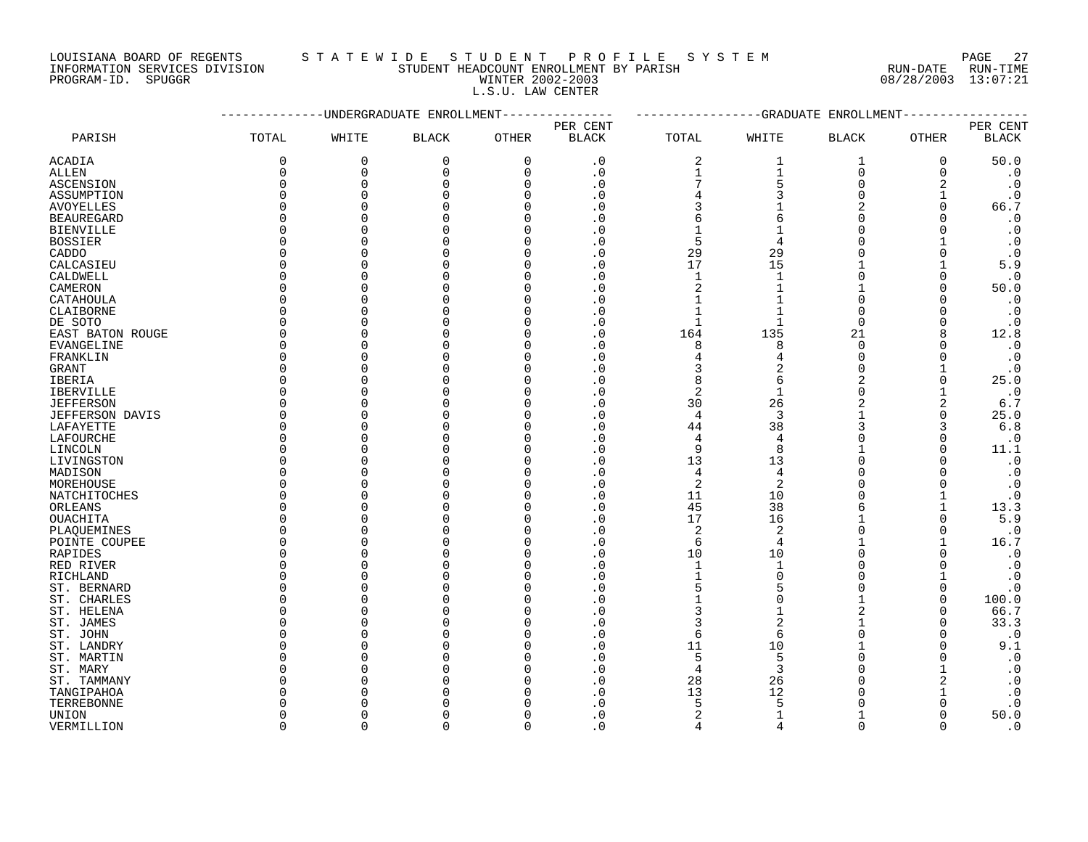LOUISIANA BOARD OF REGENTS STATEWIDE STUDENT PROFILE SYSTEM PAGE 27

|                  | PAGE  |
|------------------|-------|
| RUN-DATE         | RUN-T |
| 08/28/2003 13:07 |       |

# INFORMATION SERVICES DIVISION STUDENT HEADCOUNT ENROLLMENT BY PARISH RUN-DATE RUN-TIME PROGRAM-ID. SPUGGR WINTER 2002-2003 WINTER 2002-2003 L.S.U. LAW CENTER

|                  |              | ----------UNDERGRADUATE ENROLLMENT |              |              | ------------GRADUATE ENROLLMENT |              |                |              |          |                        |
|------------------|--------------|------------------------------------|--------------|--------------|---------------------------------|--------------|----------------|--------------|----------|------------------------|
|                  |              |                                    |              |              | PER CENT                        |              |                |              |          | PER CENT               |
| PARISH           | TOTAL        | WHITE                              | <b>BLACK</b> | <b>OTHER</b> | <b>BLACK</b>                    | TOTAL        | WHITE          | <b>BLACK</b> | OTHER    | <b>BLACK</b>           |
| ACADIA           | 0            | 0                                  | 0            | 0            | $\cdot$ 0                       | 2            | 1              | 1            | 0        | 50.0                   |
| ALLEN            | 0            | 0                                  | 0            | 0            | $\cdot$ 0                       | 1            | $\mathbf{1}$   | $\mathbf 0$  | $\Omega$ | $\cdot$ 0              |
| ASCENSION        | 0            | 0                                  | $\Omega$     | $\mathbf 0$  | $\cdot$ 0                       | 7            | 5              | $\Omega$     |          | $\boldsymbol{\cdot}$ 0 |
| ASSUMPTION       | <sup>0</sup> | 0                                  | <sup>0</sup> | 0            | $\cdot$ 0                       | 4            |                | $\Omega$     |          | $\cdot$ 0              |
| AVOYELLES        | n            | 0                                  | O            | O            | $\cdot$ 0                       | 3            |                | 2            | ∩        | 66.7                   |
| BEAUREGARD       | $\Omega$     | $\Omega$                           | $\cap$       | O            | $\cdot$ 0                       | 6            | 6              | $\Omega$     |          | $\cdot$ 0              |
| BIENVILLE        |              | $\Omega$                           | <sup>0</sup> | O            | . 0                             | $\mathbf 1$  |                | U            |          | $\cdot$ 0              |
| BOSSIER          | n            | 0                                  | O            | O            | . 0                             | 5            | 4              | O            |          | $\cdot$ 0              |
| CADDO            |              | 0                                  | ∩            | O            | $\cdot$ 0                       | 29           | 29             | U            |          | $\cdot$ 0              |
| CALCASIEU        | $\Omega$     | 0                                  | O            | O            | . 0                             | 17           | 15             |              |          | 5.9                    |
| CALDWELL         | ∩            | 0                                  | O            | O            | . 0                             | 1            | $\mathbf{1}$   | $\Omega$     | ∩        | $\cdot$ 0              |
| CAMERON          | ∩            | $\Omega$                           | O            | O            | . 0                             | 2            |                | 1            | O        | 50.0                   |
| CATAHOULA        | U            | $\Omega$                           | ∩            | O            | $\cdot$ 0                       | $\mathbf{1}$ |                | $\Omega$     |          | $\cdot$ 0              |
| CLAIBORNE        |              | 0                                  | O            | O            | $\cdot$ 0                       | 1            |                | $\Omega$     |          | $\cdot$ 0              |
|                  |              | $\Omega$                           | U            | O            |                                 | 1            |                | $\Omega$     |          | $\cdot$ 0              |
| DE SOTO          | n            | $\Omega$                           | ∩            | O            | $\cdot$ 0<br>. 0                | 164          |                |              | 8        |                        |
| EAST BATON ROUGE |              |                                    |              |              |                                 |              | 135            | 21           |          | 12.8                   |
| EVANGELINE       | n            | 0                                  | U            | 0            | . 0                             | 8            | 8              | 0            |          | $\cdot$ 0              |
| FRANKLIN         |              | $\Omega$                           |              | O            | . 0                             | 4            |                | $\Omega$     |          | $\cdot$ 0              |
| GRANT            | ∩            | $\Omega$                           | U            | O            | $\cdot$ 0                       | 3            |                | $\Omega$     |          | $\cdot$ 0              |
| IBERIA           |              | $\Omega$                           | O            | O            | . 0                             | 8            | 6              |              | 0        | 25.0                   |
| IBERVILLE        | $\Omega$     | 0                                  | O            | O            | $\cdot$ 0                       | 2            | 1              | 0            |          | $\cdot$ 0              |
| JEFFERSON        |              | $\Omega$                           |              | O            | . 0                             | 30           | 26             |              | 2        | 6.7                    |
| JEFFERSON DAVIS  | ∩            | $\Omega$                           | $\cap$       | O            | $\cdot$ 0                       | 4            | 3              |              | $\Omega$ | 25.0                   |
| LAFAYETTE        | <sup>0</sup> | 0                                  | O            | O            | . 0                             | 44           | 38             | 3            | 3        | $6.8$                  |
| LAFOURCHE        | <sup>0</sup> | $\Omega$                           | O            | O            | $\cdot$ 0                       | 4            | $\overline{4}$ | U            | O        | $\cdot$ 0              |
| LINCOLN          | $\Omega$     | $\Omega$                           | ∩            | U            | . 0                             | 9            | 8              |              | ∩        | 11.1                   |
| LIVINGSTON       | <sup>0</sup> | 0                                  | $\Omega$     | 0            | $\cdot$ 0                       | 13           | 13             | $\Omega$     |          | $\cdot$ 0              |
| MADISON          | ∩            | $\Omega$                           | ∩            | O            | . 0                             | 4            | 4              | U            |          | $\cdot$ 0              |
| MOREHOUSE        | ∩            | $\Omega$                           | O            | O            | $\cdot$ 0                       | 2            | 2              | U            |          | $\cdot$ 0              |
| NATCHITOCHES     | U            | $\Omega$                           | U            | O            | $\cdot$ 0                       | 11           | 10             | U            |          | $\cdot$ 0              |
| ORLEANS          |              | 0                                  | O            | O            | $\cdot$ 0                       | 45           | 38             | 6            |          | 13.3                   |
| OUACHITA         | ∩            | $\Omega$                           | O            | O            | . 0                             | 17           | 16             | 1            | ∩        | 5.9                    |
| PLAQUEMINES      | n            | $\Omega$                           | ∩            | U            | . 0                             | 2            | 2              | U            | ∩        | $\cdot$ 0              |
| POINTE COUPEE    | C            | 0                                  | $\Omega$     | O            | $\cdot$ 0                       | 6            | 4              | 1            |          | 16.7                   |
| RAPIDES          |              | 0                                  | O            | O            | . 0                             | 10           | 10             | U            |          | $\cdot$ 0              |
| RED RIVER        | ∩            | $\Omega$                           | U            | U            | . 0                             | 1            | 1              | U            |          | $\cdot$ 0              |
| RICHLAND         | n            | 0                                  | O            | O            | . 0                             | $\mathbf 1$  | $\Omega$       | $\Omega$     |          | $\boldsymbol{\cdot}$ 0 |
| ST. BERNARD      | O            | 0                                  | O            | O            | $\cdot$ 0                       | 5            |                | O            | O        | $\cdot$ 0              |
| ST. CHARLES      |              | $\Omega$                           | U            | O            | . 0                             | 1            | 0              |              | ∩        | 100.0                  |
| ST. HELENA       |              | $\Omega$                           | U            | O            | $\cdot$ 0                       | 3            | 1              |              |          | 66.7                   |
| ST. JAMES        |              | $\Omega$                           | O            | O            | . 0                             | 3            |                |              |          | 33.3                   |
| ST. JOHN         | U            | 0                                  | O            | O            | $\cdot$ 0                       | 6            | 6              | O            | O        | $\cdot$ 0              |
| ST. LANDRY       | n            | 0                                  | $\cap$       | O            | $\cdot$ 0                       | 11           | 10             | 1            |          | 9.1                    |
| ST. MARTIN       | <sup>0</sup> | 0                                  | O            | O            | $\cdot$ 0                       | 5            | 5              | O            |          | $\cdot$ 0              |
| ST. MARY         | <sup>0</sup> | $\Omega$                           | O            | O            | $\cdot$ 0                       | 4            | 3              | U            |          | $\cdot$ 0              |
| ST. TAMMANY      | <sup>0</sup> | $\Omega$                           | O            | O            | $\cdot$ 0                       | 28           | 26             | U            | 2        | $\cdot$ 0              |
| TANGIPAHOA       |              | $\Omega$                           | U            | U            | . 0                             | 13           | 12             | U            |          | $\boldsymbol{\cdot}$ 0 |
| TERREBONNE       |              | 0                                  |              | 0            | $\cdot$ 0                       | 5            |                | U            |          | $\cdot$ 0              |
| UNION            | n            | $\Omega$                           | U            | O            | . 0                             |              |                |              |          | 50.0                   |
| VERMILLION       | $\Omega$     | $\Omega$                           | $\Omega$     | $\Omega$     | . 0                             | 4            | 4              | $\Omega$     | ∩        | $\cdot$ 0              |
|                  |              |                                    |              |              |                                 |              |                |              |          |                        |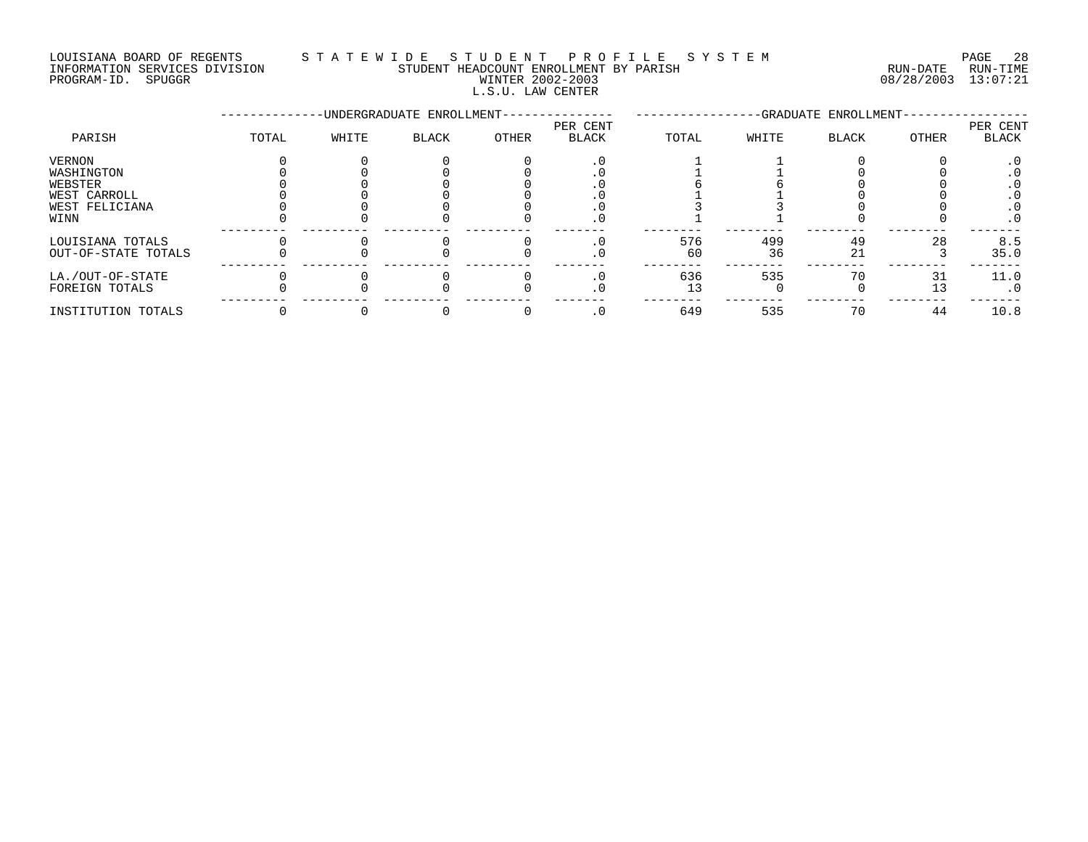LOUISIANA BOARD OF REGENTS S T A T E W I D E S T U D E N T P R O F I L E S Y S T E M PAGE 28 INFORMATION SERVICES DIVISION STUDENT HEADCOUNT ENROLLMENT BY PARISH RUN-DATE RUN-TIME PROGRAM-ID. SPUGGR WINTER 2002-2003 08/28/2003 13:07:21

# L.S.U. LAW CENTER

|                     |       |       | -UNDERGRADUATE ENROLLMENT- |       | -GRADUATE ENROLLMENT- |       |       |       |       |           |
|---------------------|-------|-------|----------------------------|-------|-----------------------|-------|-------|-------|-------|-----------|
|                     |       |       |                            |       | PER CENT              |       |       |       |       | PER CENT  |
| PARISH              | TOTAL | WHITE | <b>BLACK</b>               | OTHER | BLACK                 | TOTAL | WHITE | BLACK | OTHER | BLACK     |
| VERNON              |       |       |                            |       | . 0                   |       |       |       |       |           |
| WASHINGTON          |       |       |                            |       |                       |       |       |       |       |           |
| WEBSTER             |       |       |                            |       |                       |       |       |       |       |           |
| WEST CARROLL        |       |       |                            |       |                       |       |       |       |       |           |
| WEST FELICIANA      |       |       |                            |       |                       |       |       |       |       | . ∪       |
| WINN                |       |       |                            |       | $\cdot$ 0             |       |       |       |       | $\cdot$ 0 |
| LOUISIANA TOTALS    |       |       |                            |       | $\cdot$ 0             | 576   | 499   | 49    | 28    | 8.5       |
| OUT-OF-STATE TOTALS |       |       |                            |       | . 0                   | 60    | 36    | 21    |       | 35.0      |
| LA./OUT-OF-STATE    |       |       |                            |       |                       | 636   | 535   | 70    | 31    | 11.0      |
| FOREIGN TOTALS      |       |       |                            |       |                       | 13    |       |       | 13    | $\cdot$ 0 |
| INSTITUTION TOTALS  |       |       |                            |       | $\cdot$ 0             | 649   | 535   | 70    | 44    | 10.8      |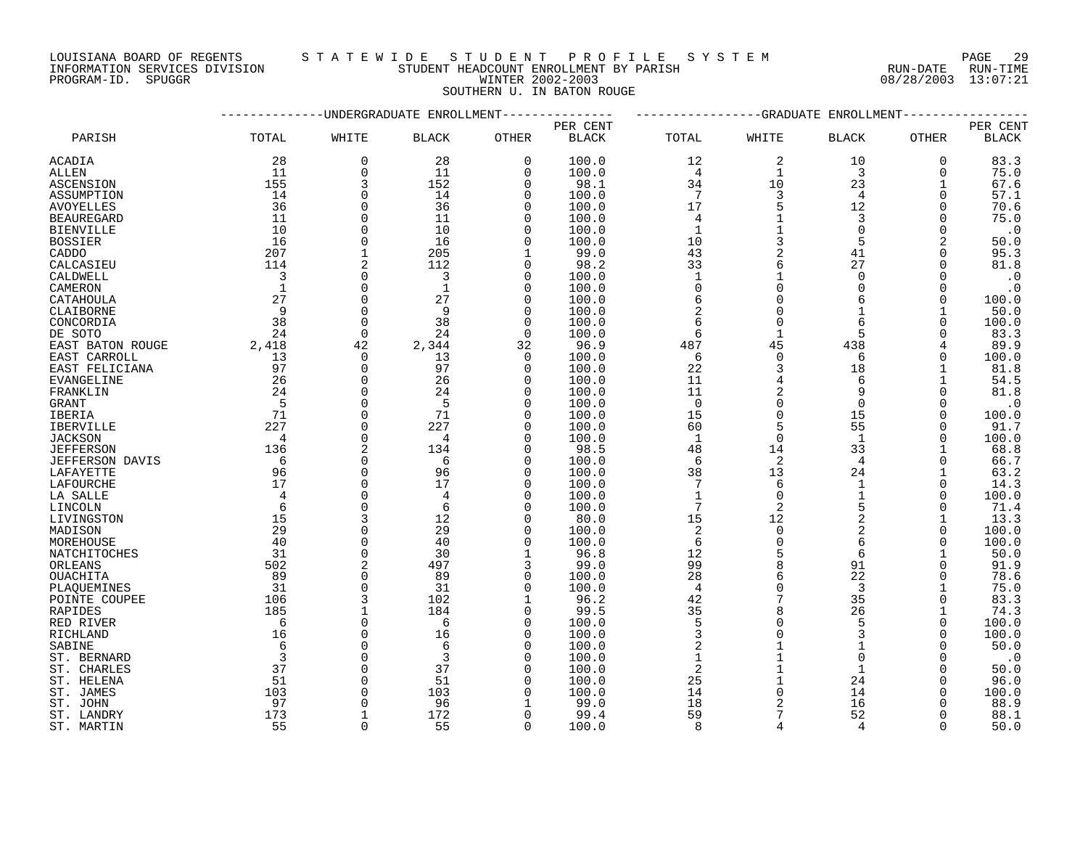LOUISIANA BOARD OF REGENTS S T A T E W I D E S T U D E N T P R O F I L E S Y S T E M PAGE 29

INFORMATION SERVICES DIVISION STUDENT HEADCOUNT ENROLLMENT BY PARISH RUN-DATE RUN-TIME

PROGRAM-ID. SPUGGR WINTER 2002-2003 08/28/2003 13:07:21 SOUTHERN U. IN BATON ROUGE

|                        |                |              | UNDERGRADUATE ENROLLMEN |              | GRADUATE<br>ENROLLMENT |                 |                |                |              |              |
|------------------------|----------------|--------------|-------------------------|--------------|------------------------|-----------------|----------------|----------------|--------------|--------------|
|                        |                |              |                         |              | PER CENT               |                 |                |                |              | PER CENT     |
| PARISH                 | TOTAL          | WHITE        | <b>BLACK</b>            | OTHER        | <b>BLACK</b>           | TOTAL           | WHITE          | BLACK          | OTHER        | <b>BLACK</b> |
| ACADIA                 | 28             | $\mathbf 0$  | 28                      | $\mathbf 0$  | 100.0                  | 12              | 2              | 10             | $\mathbf 0$  | 83.3         |
| ALLEN                  | 11             | $\Omega$     | 11                      | $\mathbf 0$  | 100.0                  | $\overline{4}$  | $\mathbf{1}$   | 3              | $\Omega$     | 75.0         |
| ASCENSION              | 155            | 3            | 152                     | $\mathbf 0$  | 98.1                   | 34              | 10             | 23             | $\mathbf{1}$ | 67.6         |
| ASSUMPTION             | 14             | 0            | 14                      | $\mathbf 0$  | 100.0                  | 7               | 3              | $\overline{4}$ | $\Omega$     | 57.1         |
| <b>AVOYELLES</b>       | 36             | $\Omega$     | 36                      | $\Omega$     | 100.0                  | 17              | 5              | 12             | $\Omega$     | 70.6         |
| <b>BEAUREGARD</b>      | 11             | $\Omega$     | 11                      | $\mathbf 0$  | 100.0                  | $\overline{4}$  | $\mathbf{1}$   | 3              | $\Omega$     | 75.0         |
| <b>BIENVILLE</b>       | 10             | $\Omega$     | 10                      | 0            | 100.0                  | $\mathbf{1}$    | $\mathbf{1}$   | $\Omega$       | 0            | $\cdot$ 0    |
|                        | 16             | $\Omega$     | 16                      | $\mathbf 0$  | 100.0                  | 10              | 3              | 5              | 2            | 50.0         |
| <b>BOSSIER</b>         | 207            | $\mathbf{1}$ | 205                     |              |                        | 43              | 2              | 41             |              | 95.3         |
| CADDO                  |                |              |                         | 1            | 99.0                   |                 |                |                | 0            |              |
| CALCASIEU              | 114            | 2            | 112                     | 0            | 98.2                   | 33              | 6              | 27             | $\Omega$     | 81.8         |
| CALDWELL               | $\overline{3}$ | $\Omega$     | 3                       | $\Omega$     | 100.0                  | $\mathbf{1}$    | $\mathbf{1}$   | $\Omega$       | $\Omega$     | $\cdot$ 0    |
| CAMERON                | $\overline{1}$ | $\Omega$     | $\mathbf{1}$            | 0            | 100.0                  | $\overline{0}$  | $\Omega$       | $\Omega$       | $\Omega$     | $\cdot$ 0    |
| CATAHOULA              | 27             | $\Omega$     | 27                      | $\Omega$     | 100.0                  | 6               | $\Omega$       |                | $\Omega$     | 100.0        |
| CLAIBORNE              | 9              | $\Omega$     | 9                       | $\Omega$     | 100.0                  | $\overline{2}$  | $\Omega$       |                |              | 50.0         |
| CONCORDIA              | 38             | $\Omega$     | 38                      | $\mathbf 0$  | 100.0                  | 6               | $\Omega$       |                | $\Omega$     | 100.0        |
| DE SOTO                | 24             | $\mathbf 0$  | 24                      | $\mathbf 0$  | 100.0                  | 6               | $\mathbf{1}$   | 5              |              | 83.3         |
| EAST BATON ROUGE       | 2,418          | 42           | 2,344                   | 32           | 96.9                   | 487             | 45             | 438            | 4            | 89.9         |
| EAST CARROLL           | 13             | $\Omega$     | 13                      | $\mathbf 0$  | 100.0                  | 6               | $\Omega$       | 6              | $\Omega$     | 100.0        |
| EAST FELICIANA         | 97             | $\Omega$     | 97                      | 0            | 100.0                  | 22              | 3              | 18             |              | 81.8         |
| <b>EVANGELINE</b>      | 26             | $\Omega$     | 26                      | $\Omega$     | 100.0                  | 11              | 4              | $\epsilon$     |              | 54.5         |
| FRANKLIN               | 24             | $\Omega$     | 24                      | $\Omega$     | 100.0                  | 11              | $\overline{2}$ | 9              | $\Omega$     | 81.8         |
| <b>GRANT</b>           | $-5$           | $\Omega$     | 5                       | $\Omega$     | 100.0                  | $\mathbf 0$     | $\Omega$       | $\Omega$       | $\Omega$     | $\cdot$ 0    |
| <b>IBERIA</b>          | 71             | $\Omega$     | 71                      | $\Omega$     | 100.0                  | 15              | $\Omega$       | 15             | $\Omega$     | 100.0        |
| IBERVILLE              | 227            | $\Omega$     | 227                     | 0            | 100.0                  | 60              | 5              | 55             | 0            | 91.7         |
| <b>JACKSON</b>         | $\overline{4}$ | $\Omega$     | 4                       | $\Omega$     | 100.0                  | $\mathbf{1}$    | $\Omega$       | $\mathbf{1}$   | $\Omega$     | 100.0        |
| <b>JEFFERSON</b>       | 136            | 2            | 134                     | 0            | 98.5                   | 48              | 14             | 33             |              | 68.8         |
| <b>JEFFERSON DAVIS</b> | 6              | $\Omega$     | 6                       | $\mathbf 0$  | 100.0                  | 6               | 2              | $\overline{4}$ | $\Omega$     | 66.7         |
| LAFAYETTE              | 96             | $\Omega$     | 96                      | 0            | 100.0                  | 38              | 13             | 24             |              | 63.2         |
| LAFOURCHE              | 17             | $\Omega$     | 17                      | $\mathbf 0$  | 100.0                  | $7\phantom{.0}$ | 6              | $\mathbf{1}$   | $\Omega$     | 14.3         |
| LA SALLE               | $\overline{4}$ | $\Omega$     | $\overline{4}$          | $\Omega$     | 100.0                  | $\mathbf{1}$    | $\Omega$       | $\mathbf{1}$   | $\Omega$     | 100.0        |
|                        | 6              | $\Omega$     | 6                       | $\Omega$     | 100.0                  | 7               | 2              | 5              | $\Omega$     | 71.4         |
| LINCOLN                | 15             | 3            | 12                      | $\mathbf 0$  | 80.0                   | 15              | 12             | $\overline{a}$ |              | 13.3         |
| LIVINGSTON             |                |              |                         |              |                        |                 |                |                |              |              |
| MADISON                | 29             | $\Omega$     | 29                      | 0            | 100.0                  | $\overline{c}$  | $\mathbf 0$    | $\overline{a}$ | 0            | 100.0        |
| MOREHOUSE              | 40             | $\Omega$     | 40                      | $\mathbf 0$  | 100.0                  | 6               | $\Omega$       | 6              | $\Omega$     | 100.0        |
| NATCHITOCHES           | 31             | $\Omega$     | 30                      | $\mathbf{1}$ | 96.8                   | 12              | 5              | 6              |              | 50.0         |
| ORLEANS                | 502            | 2            | 497                     | 3            | 99.0                   | 99              | 8              | 91             | $\Omega$     | 91.9         |
| OUACHITA               | 89             | $\Omega$     | 89                      | $\mathbf 0$  | 100.0                  | 28              | 6              | 22             | 0            | 78.6         |
| PLAOUEMINES            | 31             | $\Omega$     | 31                      | $\Omega$     | 100.0                  | $\overline{4}$  | $\Omega$       | 3              |              | 75.0         |
| POINTE COUPEE          | 106            | 3            | 102                     | $\mathbf{1}$ | 96.2                   | 42              | 7              | 35             | $\Omega$     | 83.3         |
| <b>RAPIDES</b>         | 185            | $\mathbf{1}$ | 184                     | $\Omega$     | 99.5                   | 35              | 8              | 26             |              | 74.3         |
| RED RIVER              | 6              | $\Omega$     | 6                       | $\Omega$     | 100.0                  | $\overline{5}$  | $\Omega$       | 5              | $\Omega$     | 100.0        |
| RICHLAND               | 16             | $\Omega$     | 16                      | 0            | 100.0                  | $\overline{3}$  | $\Omega$       | $\overline{3}$ | 0            | 100.0        |
| SABINE                 | 6              | $\Omega$     | 6                       | $\mathbf 0$  | 100.0                  | $\sqrt{2}$      |                |                | $\Omega$     | 50.0         |
| ST. BERNARD            | $\overline{3}$ | $\Omega$     | 3                       | $\mathbf 0$  | 100.0                  | $\mathbf{1}$    | $\mathbf{1}$   | $\Omega$       | $\Omega$     | $\cdot$ 0    |
| ST. CHARLES            | 37             | $\Omega$     | 37                      | 0            | 100.0                  | $\overline{2}$  |                |                | $\Omega$     | 50.0         |
| ST. HELENA             | 51             | $\Omega$     | 51                      | $\Omega$     | 100.0                  | 25              |                | 24             | $\Omega$     | 96.0         |
| ST. JAMES              | 103            | $\Omega$     | 103                     | $\mathbf 0$  | 100.0                  | 14              | $\Omega$       | 14             | O            | 100.0        |
| ST. JOHN               | 97             |              | 96                      |              | 99.0                   | 18              | $\overline{2}$ | 16             |              | 88.9         |
| ST. LANDRY             | 173            | $\mathbf{1}$ | 172                     | $\Omega$     | 99.4                   | 59              | 7              | 52             | $\Omega$     | 88.1         |
| ST. MARTIN             | 55             | $\cap$       | 55                      | $\Omega$     | 100.0                  | 8               | 4              | $\overline{a}$ | $\Omega$     | 50.0         |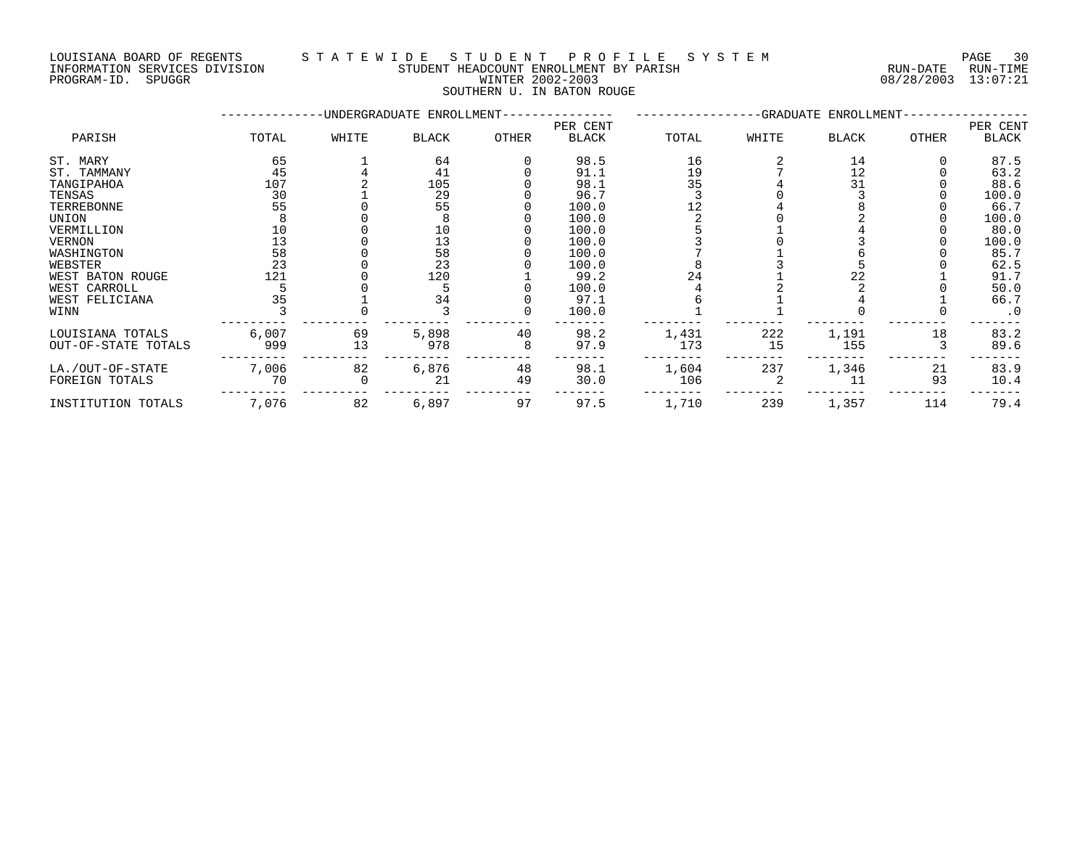### LOUISIANA BOARD OF REGENTS S T A T E W I D E S T U D E N T P R O F I L E S Y S T E M PAGE 30 INFORMATION SERVICES DIVISION STUDENT HEADCOUNT ENROLLMENT BY PARISH RUN-DATE RUN-TIME DOULSTANA BOARD OF REGENTS<br>INFORMATION SERVICES DIVISION TRANSMITICATION STUDENT HEADCOUNT ENROLLMENT BY PARISH THE CONFORMATION SERVICES<br>PROGRAM-ID. SPUGGR PROGRAM-ID. SPUGGR

SOUTHERN U. IN BATON ROUGE

|                     |       |       | -UNDERGRADUATE ENROLLMENT- |       | -GRADUATE ENROLLMENT-    |       |       |              |       |                   |
|---------------------|-------|-------|----------------------------|-------|--------------------------|-------|-------|--------------|-------|-------------------|
| PARISH              | TOTAL | WHITE | <b>BLACK</b>               | OTHER | PER CENT<br><b>BLACK</b> | TOTAL | WHITE | <b>BLACK</b> | OTHER | PER CENT<br>BLACK |
|                     |       |       |                            |       |                          |       |       |              |       |                   |
| ST. MARY            | 65    |       | 64                         |       | 98.5                     | 16    |       | 14           |       | 87.5              |
| ST. TAMMANY         | 45    |       | 41                         |       | 91.1                     | 19    |       | 12           |       | 63.2              |
| TANGIPAHOA          | 107   |       | 105                        |       | 98.1                     | 35    |       | 31           |       | 88.6              |
| TENSAS              | 30    |       | 29                         |       | 96.7                     |       |       |              |       | 100.0             |
| TERREBONNE          | 55    |       | 55                         |       | 100.0                    |       |       |              |       | 66.7              |
| UNION               |       |       |                            |       | 100.0                    |       |       |              |       | 100.0             |
| VERMILLION          | 10    |       | 10                         |       | 100.0                    |       |       |              |       | 80.0              |
| <b>VERNON</b>       | 13    |       | 13                         |       | 100.0                    |       |       |              |       | 100.0             |
| WASHINGTON          | 58    |       | 58                         |       | 100.0                    |       |       |              |       | 85.7              |
| WEBSTER             | 23    |       | 23                         |       | 100.0                    |       |       |              |       | 62.5              |
| WEST BATON ROUGE    | 121   |       | 120                        |       | 99.2                     | 24    |       | 22           |       | 91.7              |
| WEST CARROLL        |       |       |                            |       | 100.0                    |       |       |              |       | 50.0              |
| WEST FELICIANA      | 35    |       | 34                         |       | 97.1                     |       |       |              |       | 66.7              |
| WINN                |       |       |                            |       | 100.0                    |       |       |              |       | $\cdot$ 0         |
| LOUISIANA TOTALS    | 6,007 | 69    | 5,898                      | 40    | 98.2                     | 1,431 | 222   | 1,191        | 18    | 83.2              |
| OUT-OF-STATE TOTALS | 999   | 13    | 978                        | 8     | 97.9                     | 173   | 15    | 155          |       | 89.6              |
| LA./OUT-OF-STATE    | 7,006 | 82    | 6,876                      | 48    | 98.1                     | 1,604 | 237   | 1,346        | 21    | 83.9              |
| FOREIGN TOTALS      | 70    |       | 21                         | 49    | 30.0                     | 106   |       | 11           | 93    | 10.4              |
| INSTITUTION TOTALS  | 7,076 | 82    | 6,897                      | 97    | 97.5                     | 1,710 | 239   | 1,357        | 114   | 79.4              |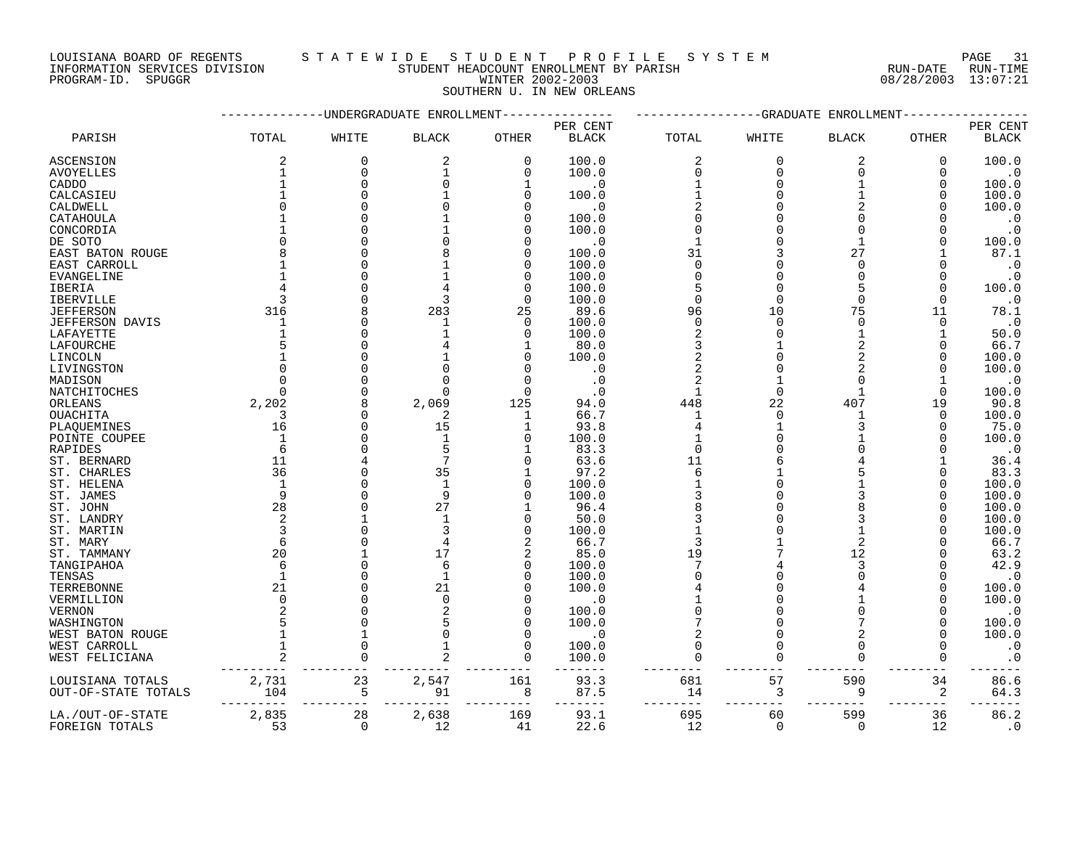### LOUISIANA BOARD OF REGENTS S T A T E W I D E S T U D E N T P R O F I L E S Y S T E M PAGE 31 INFORMATION SERVICES DIVISION STUDENT HEADCOUNT ENROLLMENT BY PARISH RUN-DATE RUN-TIME

PROGRAM-ID. SPUGGR WINTER 2002-2003 08/28/2003 13:07:21 SOUTHERN U. IN NEW ORLEANS

|                        |                |          | -UNDERGRADUATE ENROLLMENT |              | --GRADUATE<br>ENROLLMENT |                |          |                          |              |                        |
|------------------------|----------------|----------|---------------------------|--------------|--------------------------|----------------|----------|--------------------------|--------------|------------------------|
|                        |                |          |                           |              | PER CENT                 |                |          |                          |              | PER CENT               |
| PARISH                 | TOTAL          | WHITE    | <b>BLACK</b>              | OTHER        | <b>BLACK</b>             | TOTAL          | WHITE    | <b>BLACK</b>             | OTHER        | $\operatorname{BLACK}$ |
| <b>ASCENSION</b>       | 2              | $\Omega$ | 2                         | $\mathbf 0$  | 100.0                    | 2              | $\Omega$ | $\overline{2}$           | 0            | 100.0                  |
| AVOYELLES              | $\mathbf{1}$   | $\Omega$ | $\mathbf{1}$              | $\Omega$     | 100.0                    | $\Omega$       | $\Omega$ | $\Omega$                 | $\Omega$     | $\cdot$ 0              |
| CADDO                  | $\mathbf{1}$   | $\Omega$ | U                         | $\mathbf{1}$ | $\cdot$ 0                |                | $\Omega$ | $\mathbf{1}$             | 0            | 100.0                  |
| CALCASIEU              |                |          |                           | $\mathbf 0$  | 100.0                    |                | $\Omega$ |                          | 0            | 100.0                  |
| CALDWELL               | U              |          |                           | $\Omega$     | $\cdot$ 0                |                | $\Omega$ |                          |              | 100.0                  |
| CATAHOULA              |                |          |                           | 0            | 100.0                    | $\Omega$       |          |                          |              | $\cdot$ 0              |
| CONCORDIA              |                |          |                           | $\Omega$     | 100.0                    | $\cap$         |          | n                        |              | $\cdot$ 0              |
| DE SOTO                | $\Omega$       |          |                           | $\Omega$     | $\cdot$ 0                |                |          |                          |              | 100.0                  |
| EAST BATON ROUGE       |                |          |                           | $\Omega$     | 100.0                    | 31             |          | 27                       |              | 87.1                   |
| EAST CARROLL           |                |          |                           | $\mathbf 0$  | 100.0                    | $\Omega$       |          | $\Omega$                 |              | $\cdot$ 0              |
| EVANGELINE             | 1              |          |                           | 0            | 100.0                    | $\Omega$       | $\Omega$ | $\Omega$                 | $\Omega$     | $\cdot$ 0              |
| IBERIA                 |                |          |                           | $\Omega$     | 100.0                    |                | $\Omega$ | 5                        | $\Omega$     | 100.0                  |
|                        | 3              |          | 3                         | $\mathbf 0$  | 100.0                    | $\mathbf 0$    | $\Omega$ | $\Omega$                 | $\Omega$     | $\cdot$ 0              |
| <b>IBERVILLE</b>       | 316            |          | 283                       |              |                          | 96             | 10       | 75                       | 11           |                        |
| <b>JEFFERSON</b>       |                |          |                           | 25           | 89.6                     |                | $\Omega$ |                          |              | 78.1                   |
| <b>JEFFERSON DAVIS</b> | 1              |          |                           | $\Omega$     | 100.0                    | $\Omega$       | $\cap$   | $\Omega$<br>$\mathbf{1}$ | $\Omega$     | $\cdot$ 0              |
| LAFAYETTE              | $\mathbf{1}$   |          |                           | $\Omega$     | 100.0                    | $\overline{2}$ |          |                          | 1            | 50.0                   |
| LAFOURCHE              | 5              |          |                           |              | 80.0                     | 3              |          | $\overline{2}$           | 0            | 66.7                   |
| LINCOLN                |                |          |                           | $\Omega$     | 100.0                    | $\overline{c}$ |          | $\overline{2}$           | $\Omega$     | 100.0                  |
| LIVINGSTON             | $\Omega$       |          | O                         | $\Omega$     | . 0                      | $\overline{2}$ | $\Omega$ | 2                        | $\Omega$     | 100.0                  |
| MADISON                | $\Omega$       |          | U                         | $\Omega$     | $\cdot$ 0                |                |          |                          |              | $\cdot$ 0              |
| NATCHITOCHES           | $\Omega$       |          | U                         | $\Omega$     | . 0                      | $\mathbf{1}$   | $\Omega$ | 1                        |              | 100.0                  |
| ORLEANS                | 2,202          |          | 2,069                     | 125          | 94.0                     | 448            | 22       | 407                      | 19           | 90.8                   |
| <b>OUACHITA</b>        | 3              |          | 2                         | 1            | 66.7                     | $\mathbf{1}$   | $\Omega$ |                          | $\Omega$     | 100.0                  |
| PLAQUEMINES            | 16             |          | 15                        | 1            | 93.8                     |                |          |                          | 0            | 75.0                   |
| POINTE COUPEE          | $\mathbf 1$    |          |                           | $\Omega$     | 100.0                    |                |          |                          |              | 100.0                  |
| RAPIDES                | 6              |          | 5                         | 1            | 83.3                     | $\mathbf 0$    |          |                          |              | $\cdot$ 0              |
| ST. BERNARD            | 11             |          | 7                         | $\Omega$     | 63.6                     | 11             |          |                          |              | 36.4                   |
| ST. CHARLES            | 36             |          | 35                        |              | 97.2                     | 6              |          |                          |              | 83.3                   |
| ST. HELENA             | $\mathbf{1}$   |          | $\mathbf{1}$              | $\mathbf 0$  | 100.0                    |                |          |                          | O            | 100.0                  |
| ST. JAMES              | 9              |          | 9                         | $\Omega$     | 100.0                    |                |          |                          |              | 100.0                  |
| ST. JOHN               | 28             |          | 27                        | 1            | 96.4                     | 8              | $\Omega$ |                          | <sup>0</sup> | 100.0                  |
| ST. LANDRY             | 2              |          | 1                         | 0            | 50.0                     | 3              |          | 3                        |              | 100.0                  |
| ST. MARTIN             | 3              |          | 3                         | $\mathbf 0$  | 100.0                    |                |          |                          | O            | 100.0                  |
| ST. MARY               | 6              |          | 4                         | 2            | 66.7                     | 3              |          | $\overline{2}$           |              | 66.7                   |
| ST. TAMMANY            | 20             |          | 17                        | 2            | 85.0                     | 19             |          | 12                       |              | 63.2                   |
| TANGIPAHOA             | 6              |          | 6                         | $\mathbf 0$  | 100.0                    | 7              |          | 3                        |              | 42.9                   |
| TENSAS                 | $\mathbf{1}$   |          | $\mathbf{1}$              | $\mathbf 0$  | 100.0                    | $\Omega$       | $\Omega$ |                          |              | $\cdot$ 0              |
| TERREBONNE             | 21             |          | 21                        | 0            | 100.0                    |                |          |                          | O            | 100.0                  |
| VERMILLION             | $\Omega$       |          | $\Omega$                  | $\Omega$     | . 0                      |                |          |                          |              | 100.0                  |
| <b>VERNON</b>          |                |          | $\overline{a}$            | $\Omega$     | 100.0                    | $\Omega$       |          |                          |              | $\cdot$ 0              |
| WASHINGTON             |                |          |                           | $\Omega$     | 100.0                    |                |          |                          | $\Omega$     | 100.0                  |
| WEST BATON ROUGE       | $\mathbf{1}$   |          | 0                         | $\Omega$     | . 0                      |                | $\Omega$ |                          | $\Omega$     | 100.0                  |
| WEST CARROLL           | $\mathbf{1}$   |          |                           | $\Omega$     | 100.0                    | $\Omega$       | $\Omega$ | $\cap$                   |              | $\cdot$ 0              |
| WEST FELICIANA         | $\overline{2}$ |          |                           | $\Omega$     | 100.0                    |                | $\Omega$ | $\Omega$                 |              | $\cdot$ 0              |
|                        |                |          |                           |              |                          |                |          |                          |              |                        |
|                        | 2,731          | 23       | 2,547                     | 161          | 93.3                     | 681            | 57       | 590                      | 34           | 86.6                   |
| LOUISIANA TOTALS       | 104            |          | 91                        |              | 87.5                     | 14             |          | 9                        |              | 64.3                   |
| OUT-OF-STATE TOTALS    |                | 5        |                           | 8            |                          |                | 3        |                          | 2            |                        |
|                        | 2,835          | 28       |                           |              | 93.1                     | 695            | 60       | 599                      | 36           | 86.2                   |
| LA./OUT-OF-STATE       | 53             |          | 2,638                     | 169          |                          |                | $\Omega$ | $\Omega$                 |              |                        |
| FOREIGN TOTALS         |                | $\Omega$ | 12                        | 41           | 22.6                     | 12             |          |                          | 12           | $\cdot$ 0              |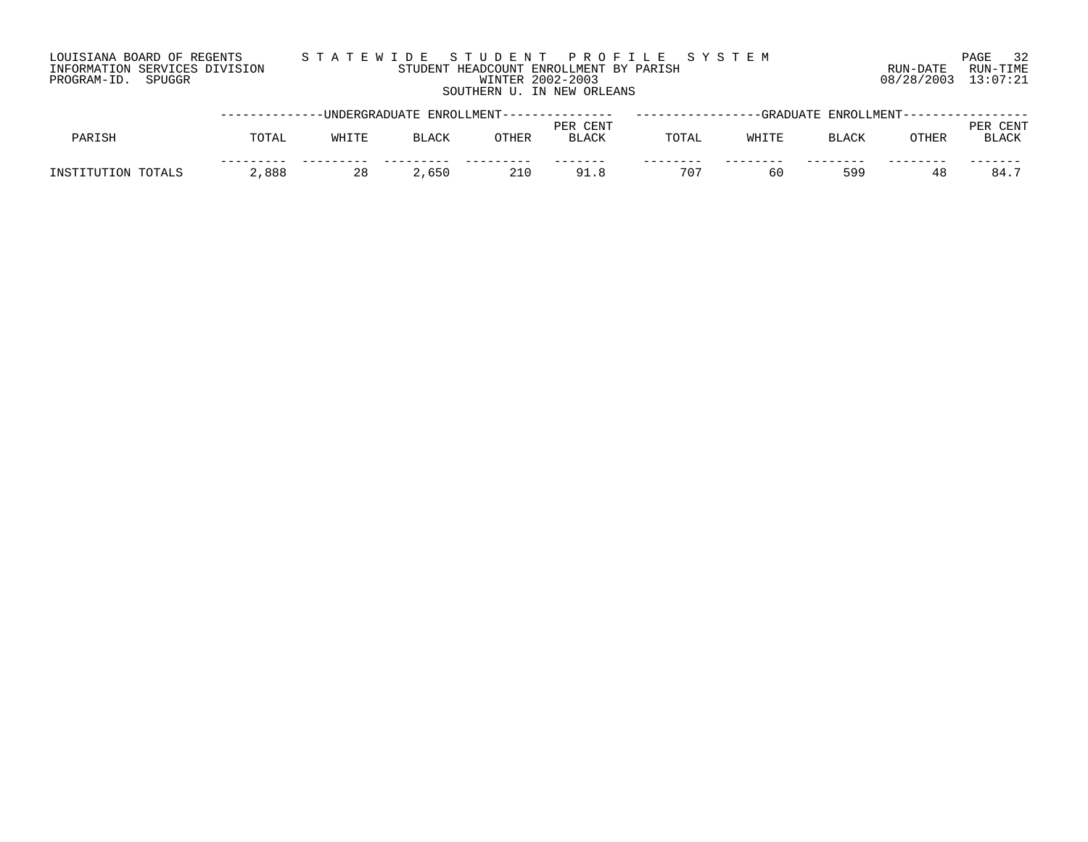## LOUISIANA BOARD OF REGENTS S T A T E W I D E S T U D E N T P R O F I L E S Y S T E M PAGE 32 INFORMATION SERVICES DIVISION STUDENT HEADCOUNT ENROLLMENT BY PARISH RUN-DATE RUN-TIME PROGRAM-ID. SPUGGR WINTER 2002-2003 08/28/2003 13:07:21 SOUTHERN U. IN NEW ORLEANS

|                    |       | -----------DNDERGRADUATE ENROLLMENT-------------- |              |       | -GRADUATE ENROLLMENT--   |              |       |              |       |                      |
|--------------------|-------|---------------------------------------------------|--------------|-------|--------------------------|--------------|-------|--------------|-------|----------------------|
| PARISH             | TOTAL | WHITE                                             | <b>BLACK</b> | OTHER | PER CENT<br><b>BLACK</b> | TOTAL        | WHITF | <b>BLACK</b> | OTHER | CENT<br><b>BLACK</b> |
| INSTITUTION TOTALS | ,888  | 28                                                | 2,650        | 210   | 91.8                     | $70^{\circ}$ | 60    | 599          |       | 84.                  |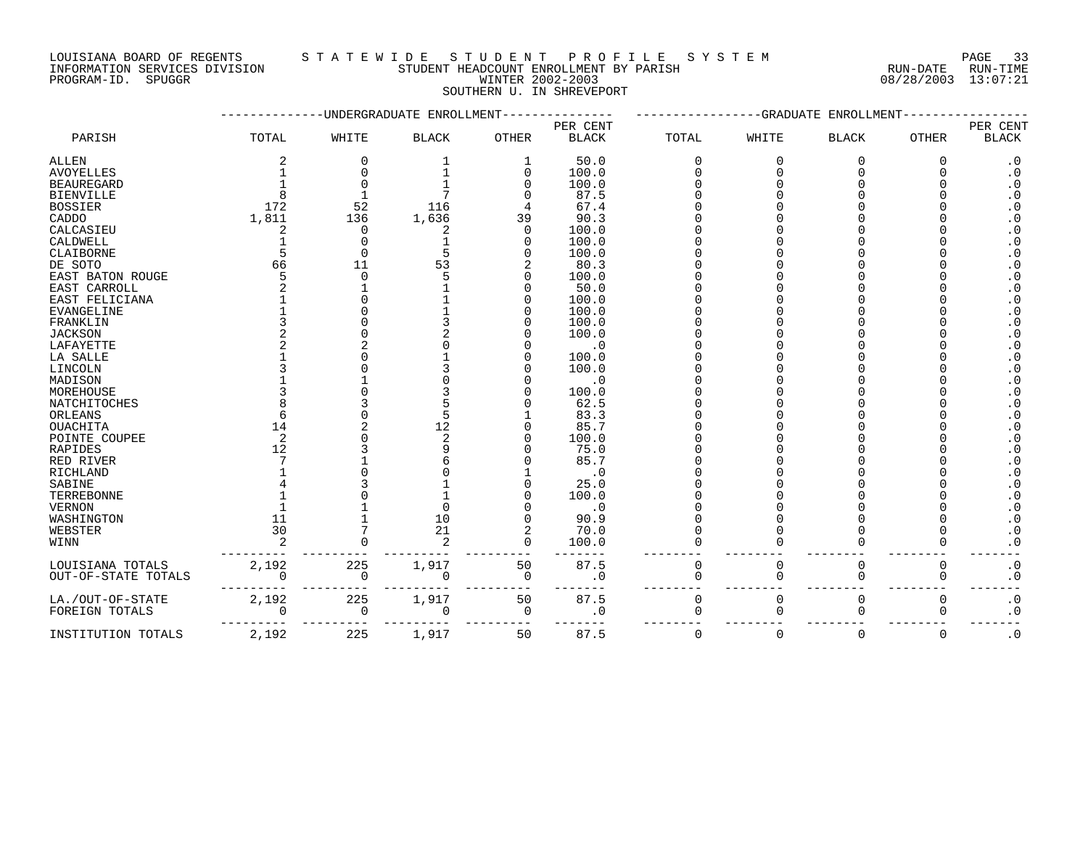## LOUISIANA BOARD OF REGENTS STA TEWIDE STUDENT PROFILE SYSTEM NATIONAL PAGE 33 INFORMATION SERVICES DIVISION STUDENT HEADCOUNT ENROLLMENT BY PARISH RUN-DATE RUN-TIME PROGRAM-ID. SPUGGR WINTER 2002-2003 08/28/2003 13:07:21

SOUTHERN U. IN SHREVEPORT

|                     |             |              | -UNDERGRADUATE ENROLLMENT |              | --GRADUATE ENROLLMENT |             |          |              |              |                        |
|---------------------|-------------|--------------|---------------------------|--------------|-----------------------|-------------|----------|--------------|--------------|------------------------|
|                     |             |              |                           |              | PER CENT              |             |          |              |              | PER CENT               |
| PARISH              | TOTAL       | WHITE        | <b>BLACK</b>              | <b>OTHER</b> | <b>BLACK</b>          | TOTAL       | WHITE    | <b>BLACK</b> | <b>OTHER</b> | <b>BLACK</b>           |
| ALLEN               |             | 0            |                           | 1            | 50.0                  | $\Omega$    | 0        | O            | O            | $\cdot$ 0              |
| <b>AVOYELLES</b>    |             | <sup>0</sup> |                           | 0            | 100.0                 |             |          | $\cap$       |              | $\cdot$ 0              |
| <b>BEAUREGARD</b>   |             | $\Omega$     |                           |              | 100.0                 |             |          |              |              | $\cdot$ 0              |
| BIENVILLE           |             |              |                           |              | 87.5                  |             |          |              |              | $\boldsymbol{\cdot}$ 0 |
| <b>BOSSIER</b>      | 172         | 52           | 116                       |              | 67.4                  |             |          |              |              | $\cdot$ 0              |
| CADDO               | 1,811       | 136          | 1,636                     | 39           | 90.3                  |             |          |              |              | $\cdot$ 0              |
| CALCASIEU           |             | 0            |                           | $\Omega$     | 100.0                 |             |          |              |              | $\boldsymbol{\cdot}$ 0 |
| CALDWELL            |             | O            |                           | O            | 100.0                 |             |          |              |              | $\boldsymbol{\cdot}$ 0 |
| CLAIBORNE           |             | $\Omega$     | 5                         |              | 100.0                 |             |          |              |              | $\cdot$ 0              |
| DE SOTO             | 66          | 11           | 53                        |              | 80.3                  |             |          |              |              | $\boldsymbol{\cdot}$ 0 |
| EAST BATON ROUGE    |             | ∩            |                           |              | 100.0                 |             |          |              |              | $\cdot$ 0              |
| EAST CARROLL        |             |              |                           |              | 50.0                  |             |          |              |              | $\boldsymbol{\cdot}$ 0 |
| EAST FELICIANA      |             |              |                           |              | 100.0                 |             |          |              |              | $\cdot$ 0              |
| EVANGELINE          |             | <sup>0</sup> |                           |              | 100.0                 |             |          |              |              | $\cdot$ 0              |
| FRANKLIN            |             |              |                           |              | 100.0                 |             |          |              |              | $\boldsymbol{\cdot}$ 0 |
| <b>JACKSON</b>      |             |              |                           |              | 100.0                 |             |          |              |              | $\boldsymbol{\cdot}$ 0 |
| LAFAYETTE           |             |              |                           |              | $\cdot$ 0             |             |          |              |              | $\boldsymbol{\cdot}$ 0 |
| LA SALLE            |             |              |                           |              | 100.0                 |             |          |              |              | $\boldsymbol{\cdot}$ 0 |
| LINCOLN             |             |              |                           |              | 100.0                 |             |          |              |              | $\boldsymbol{\cdot}$ 0 |
| MADISON             |             |              |                           |              | $\cdot$ 0             |             |          |              |              | $\cdot$ 0              |
| MOREHOUSE           |             |              |                           |              | 100.0                 |             |          |              |              | $\cdot$ 0              |
| NATCHITOCHES        |             | 3            |                           |              | 62.5                  |             |          |              |              | $\cdot$ 0              |
| ORLEANS             |             |              |                           |              | 83.3                  |             |          |              |              | $\boldsymbol{\cdot}$ 0 |
| <b>OUACHITA</b>     | 14          | 2            | 12                        |              | 85.7                  |             |          |              |              | $\boldsymbol{\cdot}$ 0 |
| POINTE COUPEE       | 2           |              | 2                         |              | 100.0                 |             |          |              |              | $\cdot$ 0              |
| RAPIDES             | 12          |              |                           |              | 75.0                  |             |          |              |              | $\cdot$ 0              |
| RED RIVER           |             |              |                           |              | 85.7                  |             |          |              |              | $\boldsymbol{\cdot}$ 0 |
| RICHLAND            |             |              |                           |              | $\cdot$ 0             |             |          |              |              | $\cdot$ 0              |
| SABINE              |             |              |                           |              | 25.0                  |             |          |              |              | $\cdot$ 0              |
| TERREBONNE          |             |              |                           |              | 100.0                 |             |          |              |              | $\cdot$ 0              |
| VERNON              |             |              |                           |              | $\cdot$ 0             |             |          |              |              | $\boldsymbol{\cdot}$ 0 |
| WASHINGTON          | 11          |              | 10                        |              | 90.9                  |             |          |              |              | $\boldsymbol{\cdot}$ 0 |
| WEBSTER             | 30          |              | 21                        | 2            | 70.0                  |             |          |              |              | $\cdot$ 0              |
| WINN                |             |              | 2                         | $\Omega$     | 100.0                 |             |          |              |              | $\cdot$ 0              |
| LOUISIANA TOTALS    | 2,192       | 225          | 1,917                     | 50           | 87.5                  | $\mathbf 0$ | 0        | 0            | 0            | $\cdot$ 0              |
| OUT-OF-STATE TOTALS |             | 0            | $\Omega$                  | $\mathbf 0$  | $\cdot$ 0             | $\Omega$    | $\Omega$ | $\mathbf 0$  | $\mathbf 0$  | $\cdot$ 0              |
| LA./OUT-OF-STATE    | 2,192       | 225          | 1,917                     | 50           | 87.5                  | $\mathbf 0$ | 0        | $\mathbf 0$  | $\mathbf 0$  | $\boldsymbol{\cdot}$ 0 |
| FOREIGN TOTALS      | $\mathbf 0$ | 0            | 0                         | 0            | $\cdot$ 0             | $\Omega$    | $\cap$   | $\Omega$     | ∩            | $\cdot$ 0              |
| INSTITUTION TOTALS  | 2,192       | 225          | 1,917                     | 50           | 87.5                  | $\Omega$    | $\Omega$ | $\Omega$     | $\Omega$     | $\cdot$ 0              |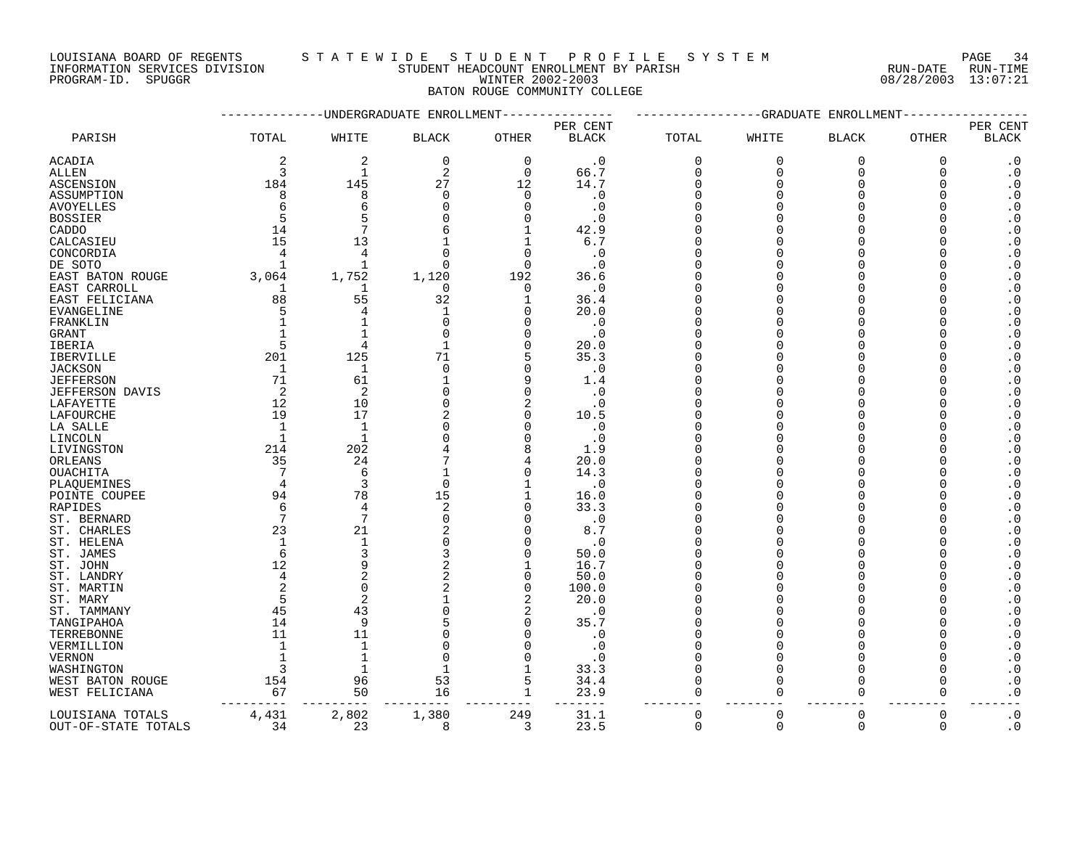LOUISIANA BOARD OF REGENTS S T A T E W I D E S T U D E N T P R O F I L E S Y S T E M PAGE 34

INFORMATION SERVICES DIVISION STUDENT HEADCOUNT ENROLLMENT BY PARISH RUN-DATE RUN-TIME

# PROGRAM-ID. SPUGGR WINTER 2002-2003 08/28/2003 13:07:21 BATON ROUGE COMMUNITY COLLEGE

|                          |                | -------UNDERGRADUATE ENROLLMENT |              |                  | --GRADUATE<br>ENROLLMENT<br>---------- |             |             |              |             |                                                  |
|--------------------------|----------------|---------------------------------|--------------|------------------|----------------------------------------|-------------|-------------|--------------|-------------|--------------------------------------------------|
|                          |                |                                 |              |                  | PER CENT                               |             |             |              |             | PER CENT                                         |
| PARISH                   | TOTAL          | WHITE                           | <b>BLACK</b> | OTHER            | <b>BLACK</b>                           | TOTAL       | WHITE       | <b>BLACK</b> | OTHER       | <b>BLACK</b>                                     |
| ACADIA                   | 2              | 2                               | $\mathbf 0$  | $\mathbf 0$      | $\cdot$ 0                              | $\mathbf 0$ | $\mathbf 0$ | $\mathbf 0$  | $\mathbf 0$ | $\cdot$ 0                                        |
| ALLEN                    | 3              | $\mathbf{1}$                    | 2            | $\Omega$         | 66.7                                   | $\Omega$    | $\Omega$    | $\Omega$     | $\Omega$    | $\cdot$ 0                                        |
| ASCENSION                | 184            | 145                             | 27           | 12               | 14.7                                   | $\Omega$    | $\Omega$    | $\Omega$     | $\Omega$    | $\boldsymbol{\cdot}$ 0                           |
| ASSUMPTION               | 8              | 8                               | 0            | 0                | $\cdot$ 0                              | $\Omega$    | U           |              | O           | $\boldsymbol{\cdot}$ 0                           |
| <b>AVOYELLES</b>         | 6              | 6                               | 0            | $\Omega$         | $\cdot$ 0                              | C           |             |              |             | $\boldsymbol{\cdot}$ 0                           |
| <b>BOSSIER</b>           | 5              | 5                               | U            | 0                | . 0                                    | C           |             |              |             | $\cdot$ 0                                        |
| CADDO                    | 14             | 7                               | 6            | $\mathbf{1}$     | 42.9                                   |             |             |              |             | $\boldsymbol{\cdot}$ 0                           |
| CALCASIEU                | 15             | 13                              |              | $\mathbf{1}$     | 6.7                                    |             |             |              |             | $\cdot$ 0                                        |
| CONCORDIA                | 4              | 4                               | $\Omega$     | $\Omega$         | . 0                                    |             |             |              |             | $\boldsymbol{\cdot}$ 0                           |
| DE SOTO                  | $\mathbf{1}$   | $\mathbf 1$                     | $\Omega$     | $\Omega$         | $\cdot$ 0                              |             |             |              |             | $\boldsymbol{\cdot}$ 0                           |
| EAST BATON ROUGE         | 3,064          | 1,752                           | 1,120        | 192              | 36.6                                   |             | ∩           |              |             | $\boldsymbol{\cdot}$ 0                           |
| EAST CARROLL             | 1              | 1                               | 0            | 0                | $\cdot$ 0                              | $\cap$      | U           |              |             | $\cdot$ 0                                        |
| EAST FELICIANA           | 88             | 55                              | 32           | 1                | 36.4                                   |             |             |              |             | $\cdot$ 0                                        |
| EVANGELINE               | 5              | 4                               | 1            | 0                | 20.0                                   | U           | U           |              |             | $\boldsymbol{\cdot}$ 0                           |
| FRANKLIN                 | $\mathbf{1}$   |                                 | $\Omega$     | $\Omega$         | $\cdot$ 0                              | C           |             |              |             | $\boldsymbol{\cdot}$ 0                           |
| <b>GRANT</b>             | $\mathbf{1}$   | $\mathbf{1}$                    | U            | $\Omega$         | $\cdot$ 0                              | C           |             |              |             | $\boldsymbol{\cdot}$ 0                           |
| IBERIA                   | 5              | $\overline{4}$                  |              | $\mathbf 0$      | 20.0                                   | C           | U           |              |             | $\boldsymbol{\cdot}$ 0                           |
| <b>IBERVILLE</b>         | 201            | 125                             | 71           | 5                | 35.3                                   |             |             |              |             | $\boldsymbol{\cdot}$ 0                           |
| <b>JACKSON</b>           | 1              | $\mathbf{1}$                    | $\mathbf 0$  | 0                | $\cdot$ 0                              | C           |             |              |             | $\cdot$ 0                                        |
| <b>JEFFERSON</b>         | 71             | 61                              |              | 9                | 1.4                                    |             |             |              |             | $\boldsymbol{\cdot}$ 0                           |
| <b>JEFFERSON DAVIS</b>   | 2              | 2                               | U            | $\Omega$         | $\cdot$ 0                              |             |             |              |             | $\cdot$ 0                                        |
| LAFAYETTE                | 12             | 10                              | $\Omega$     | 2                | $\cdot$ 0                              |             |             |              |             | $\boldsymbol{\cdot}$ 0                           |
| LAFOURCHE                | 19             | 17                              |              | $\Omega$         | 10.5                                   |             |             |              |             | $\boldsymbol{\cdot}$ 0                           |
| LA SALLE                 | $\mathbf{1}$   | 1                               | 0            | 0                | $\cdot$ 0                              | C           |             |              |             | $\cdot$ 0                                        |
| LINCOLN                  | $\mathbf{1}$   | $\mathbf{1}$                    | $\Omega$     | $\Omega$         | . 0                                    |             |             |              |             | $\boldsymbol{\cdot}$ 0                           |
| LIVINGSTON               | 214            | 202                             |              | 8                | 1.9                                    |             |             |              |             | $\boldsymbol{\cdot}$ 0                           |
| ORLEANS                  | 35             | 24                              |              | 4                | 20.0                                   |             |             |              |             | $\boldsymbol{\cdot}$ 0                           |
| OUACHITA                 | 7              | 6                               |              | $\Omega$         | 14.3                                   |             |             |              |             | $\boldsymbol{\cdot}$ 0                           |
| PLAOUEMINES              | 4              | 3                               | $\Omega$     | $\mathbf{1}$     | $\cdot$ 0                              | $\cap$      |             |              |             | $\boldsymbol{\cdot}$ 0                           |
| POINTE COUPEE            | 94             | 78                              | 15           | $\mathbf{1}$     | 16.0                                   | $\cap$      |             |              |             | $\cdot$ 0                                        |
| RAPIDES                  | 6              | 4                               | 2            | 0                | 33.3                                   |             |             |              |             | $\cdot$ 0                                        |
| ST. BERNARD              | 7              | 7                               | 0            | 0                | $\cdot$ 0                              |             |             |              |             | $\boldsymbol{\cdot}$ 0                           |
| ST. CHARLES              | 23             | 21                              | 2            | $\Omega$         | 8.7                                    |             | U           |              |             | $\cdot$ 0                                        |
| ST. HELENA               | 1              | $\mathbf{1}$                    | 0            | $\Omega$         | . 0                                    |             | ∩           |              |             | $\cdot$ 0                                        |
| ST. JAMES                | 6              | 3                               | 3            | $\Omega$         | 50.0                                   |             | $\cap$      |              |             | $\boldsymbol{\cdot}$ 0                           |
| ST. JOHN                 | 12             | 9                               | 2            | 1                | 16.7                                   |             | ∩           |              |             | $\boldsymbol{\cdot}$ 0                           |
| ST. LANDRY               | $\overline{4}$ | $\overline{2}$                  | 2            | $\mathbf 0$      | 50.0                                   | $\cap$      | $\cap$      |              |             | $\boldsymbol{\cdot}$ 0                           |
| ST. MARTIN               | 2              | $\Omega$                        |              | $\mathbf 0$      | 100.0                                  | C<br>C      |             |              |             | $\boldsymbol{\cdot}$ 0                           |
| ST. MARY                 | 5              | 2                               | 0            | 2                | 20.0                                   |             |             |              |             | $\boldsymbol{\cdot}$ 0                           |
| ST. TAMMANY              | 45             | 43<br>9                         | 5            | 2<br>$\mathbf 0$ | $\cdot$ 0<br>35.7                      |             |             |              |             | $\cdot$ 0                                        |
| TANGIPAHOA<br>TERREBONNE | 14<br>11       | 11                              | 0            | $\Omega$         | . 0                                    | C           |             |              | $\Omega$    | $\boldsymbol{\cdot}$ 0<br>$\boldsymbol{\cdot}$ 0 |
| VERMILLION               | $\mathbf{1}$   | $\mathbf{1}$                    | $\cap$       | $\Omega$         | $\cdot$ 0                              |             | $\cap$      |              |             | $\boldsymbol{\cdot}$ 0                           |
| VERNON                   | $\mathbf{1}$   | $\mathbf{1}$                    | $\Omega$     | $\mathbf 0$      | $\cdot$ 0                              | $\cap$      | $\cap$      |              |             | $\boldsymbol{\cdot}$ 0                           |
| WASHINGTON               | 3              | $\mathbf{1}$                    |              | 1                | 33.3                                   | $\Omega$    | $\Omega$    | ∩            | ∩           | $\cdot$ 0                                        |
| WEST BATON ROUGE         | 154            | 96                              | 53           | 5                | 34.4                                   | $\Omega$    | $\Omega$    | $\Omega$     | $\Omega$    | $\boldsymbol{\cdot}$ 0                           |
| WEST FELICIANA           | 67             | 50                              | 16           | 1                | 23.9                                   | $\mathbf 0$ | $\mathbf 0$ | $\mathbf 0$  | 0           | $\boldsymbol{\cdot}$ 0                           |
|                          |                |                                 |              |                  |                                        |             |             |              |             |                                                  |
| LOUISIANA TOTALS         | 4,431          | 2,802                           | 1,380        | 249              | 31.1                                   | $\mathbf 0$ | $\mathbf 0$ | $\mathbf 0$  | $\mathbf 0$ | $\cdot$ 0                                        |
| OUT-OF-STATE TOTALS      | 34             | 23                              | 8            | 3                | 23.5                                   | $\Omega$    | $\Omega$    | $\Omega$     | $\Omega$    | $\boldsymbol{\cdot}$ 0                           |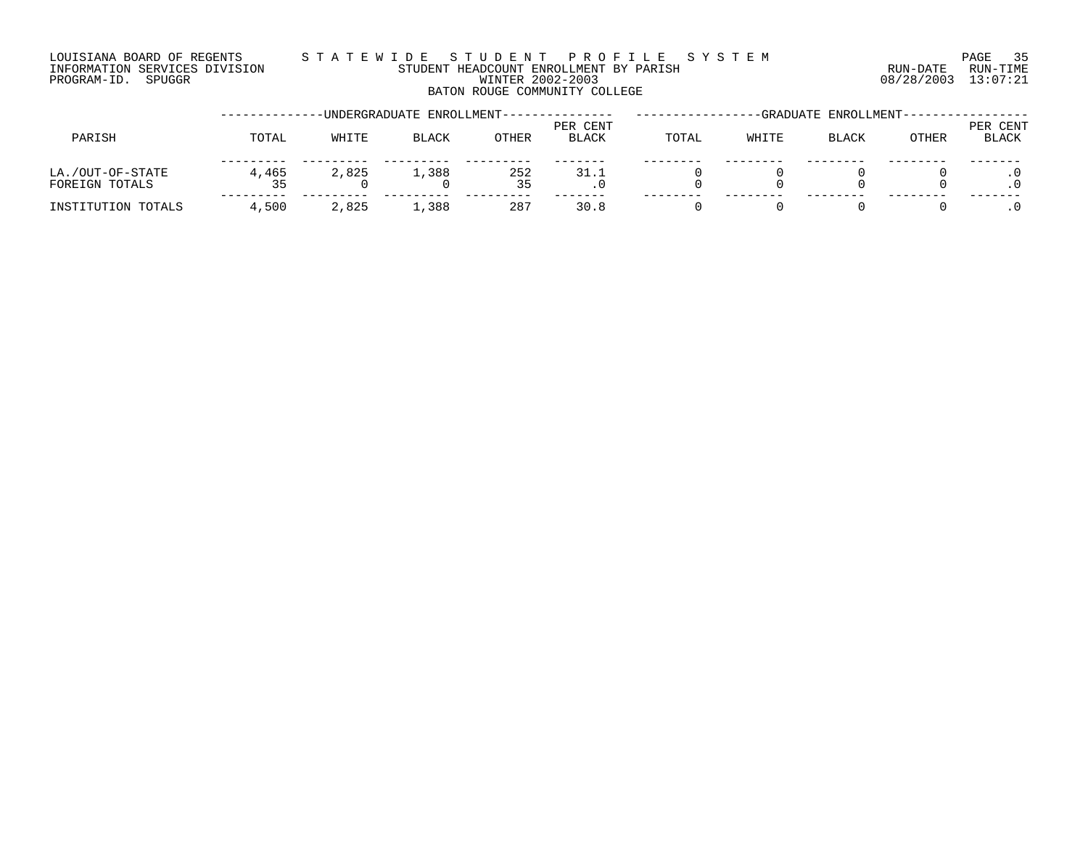## LOUISIANA BOARD OF REGENTS S T A T E W I D E S T U D E N T P R O F I L E S Y S T E M PAGE 35 INFORMATION SERVICES DIVISION STUDENT HEADCOUNT ENROLLMENT BY PARISH RUN-DATE RUN-TIME DOUISIANA BOARD OF REGENTS STAILWALD ENGLINENT BY PARISH SAND ENGLINENT SERVICES DIVISION STUDENT HEADCOUNT ENROLLMENT BY PARISH (RUN-DATE RUN-TIME RUN-TIME STUDENT HEADCOUNT ENROLLMENT BY PARISH (RUN-DATE RUN-TIME STUDEN BATON ROUGE COMMUNITY COLLEGE

|                                    |       |       | -UNDERGRADUATE ENROLLMENT- |           | -GRADUATE ENROLLMENT-    |       |       |              |       |                          |
|------------------------------------|-------|-------|----------------------------|-----------|--------------------------|-------|-------|--------------|-------|--------------------------|
| PARISH                             | TOTAL | WHITE | <b>BLACK</b>               | OTHER     | PER CENT<br><b>BLACK</b> | TOTAL | WHITE | <b>BLACK</b> | OTHER | PER CENT<br><b>BLACK</b> |
| LA./OUT-OF-STATE<br>FOREIGN TOTALS | 4,465 | 2,825 | 1,388                      | 252<br>35 | 31.1                     |       |       |              |       |                          |
| INSTITUTION TOTALS                 | 4,500 | 2,825 | 1,388                      | 287       | 30.8                     |       |       |              |       |                          |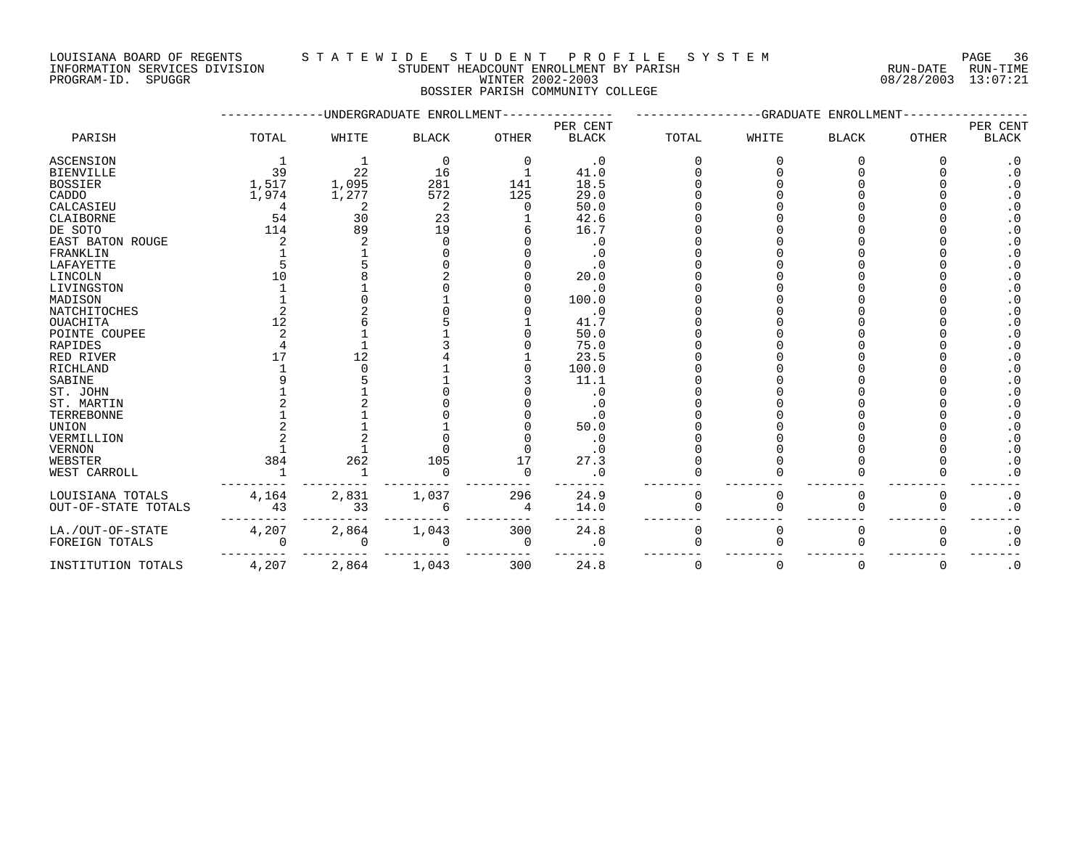LOUISIANA BOARD OF REGENTS S T A T E W I D E S T U D E N T P R O F I L E S Y S T E M PAGE 36

INFORMATION SERVICES DIVISION STUDENT HEADCOUNT ENROLLMENT BY PARISH RUN-DATE RUN-TIME

PROGRAM-ID. SPUGGR WINTER 2002-2003 08/28/2003 13:07:21 BOSSIER PARISH COMMUNITY COLLEGE

|                     | -UNDERGRADUATE ENROLLMENT- |       |              |          |              |          | -GRADUATE<br>ENROLLMENT |              |              |           |  |  |
|---------------------|----------------------------|-------|--------------|----------|--------------|----------|-------------------------|--------------|--------------|-----------|--|--|
|                     |                            |       |              |          | PER CENT     |          | PER CENT                |              |              |           |  |  |
| PARISH              | TOTAL                      | WHITE | <b>BLACK</b> | OTHER    | <b>BLACK</b> | TOTAL    | WHITE                   | <b>BLACK</b> | <b>OTHER</b> | BLACK     |  |  |
| <b>ASCENSION</b>    |                            |       | 0            | $\Omega$ | $\cdot$ 0    |          |                         |              |              | $\cdot$ 0 |  |  |
| <b>BIENVILLE</b>    | 39                         | 22    | 16           |          | 41.0         |          |                         |              |              | $\cdot$ 0 |  |  |
| <b>BOSSIER</b>      | 1,517                      | 1,095 | 281          | 141      | 18.5         |          |                         |              |              | $\cdot$ 0 |  |  |
| CADDO               | 1,974                      | 1,277 | 572          | 125      | 29.0         |          |                         |              |              | $\cdot$ 0 |  |  |
| CALCASIEU           |                            |       | 2            |          | 50.0         |          |                         |              |              | $\cdot$ 0 |  |  |
| CLAIBORNE           | 54                         | 30    | 23           |          | 42.6         |          |                         |              |              | . 0       |  |  |
| DE SOTO             | 114                        | 89    | 19           |          | 16.7         |          |                         |              |              | $\cdot$ 0 |  |  |
| EAST BATON ROUGE    |                            |       |              |          | $\cdot$ 0    |          |                         |              |              | $\cdot$ 0 |  |  |
| FRANKLIN            |                            |       |              |          | . 0          |          |                         |              |              | . 0       |  |  |
| LAFAYETTE           |                            |       |              |          | . 0          |          |                         |              |              |           |  |  |
| LINCOLN             |                            |       |              |          | 20.0         |          |                         |              |              | $\cdot$ 0 |  |  |
| LIVINGSTON          |                            |       |              |          | $\cdot$ 0    |          |                         |              |              | $\cdot$ 0 |  |  |
| MADISON             |                            |       |              |          | 100.0        |          |                         |              |              | $\cdot$ 0 |  |  |
| NATCHITOCHES        |                            |       |              |          | $\cdot$ 0    |          |                         |              |              | . 0       |  |  |
| <b>OUACHITA</b>     | 12                         |       |              |          | 41.7         |          |                         |              |              | $\cdot$ 0 |  |  |
| POINTE COUPEE       |                            |       |              |          | 50.0         |          |                         |              |              | . 0       |  |  |
| RAPIDES             |                            |       |              |          | 75.0         |          |                         |              |              | . 0       |  |  |
| RED RIVER           | 17                         | 12    |              |          | 23.5         |          |                         |              |              | . 0       |  |  |
| RICHLAND            |                            |       |              |          | 100.0        |          |                         |              |              | $\cdot$ 0 |  |  |
| SABINE              |                            |       |              |          | 11.1         |          |                         |              |              | $\cdot$ 0 |  |  |
| ST. JOHN            |                            |       |              |          | $\cdot$ 0    |          |                         |              |              | $\cdot$ 0 |  |  |
| ST. MARTIN          |                            |       |              |          | . 0          |          |                         |              |              | $\cdot$ 0 |  |  |
| TERREBONNE          |                            |       |              |          | . 0          |          |                         |              |              | . 0       |  |  |
| UNION               |                            |       |              |          | 50.0         |          |                         |              |              | . 0       |  |  |
| VERMILLION          |                            |       |              |          | $\cdot$ 0    |          |                         |              |              | $\cdot$ 0 |  |  |
| VERNON              |                            |       |              |          | $\cdot$ 0    |          |                         |              |              | . 0       |  |  |
| WEBSTER             | 384                        | 262   | 105          | 17       | 27.3         |          |                         |              |              | $\cdot$ 0 |  |  |
|                     |                            |       |              | $\Omega$ |              |          |                         |              |              | . 0       |  |  |
| WEST CARROLL        |                            |       |              |          | . 0          |          |                         |              |              |           |  |  |
| LOUISIANA TOTALS    | 4,164                      | 2,831 | 1,037        | 296      | 24.9         | 0        |                         | O            | $\Omega$     | $\cdot$ 0 |  |  |
| OUT-OF-STATE TOTALS | 43                         | 33    | 6            | 4        | 14.0         | O        |                         |              |              | $\cdot$ 0 |  |  |
| LA./OUT-OF-STATE    | 4,207                      | 2,864 | 1,043        | 300      | 24.8         | $\Omega$ | $\Omega$                | $\Omega$     | O            | $\cdot$ 0 |  |  |
| FOREIGN TOTALS      |                            | 0     |              | 0        | . 0          |          |                         |              |              | $\cdot$ 0 |  |  |
| INSTITUTION TOTALS  | 4,207                      | 2,864 | 1,043        | 300      | 24.8         | $\Omega$ | $\Omega$                | $\Omega$     | $\Omega$     | $\cdot$ 0 |  |  |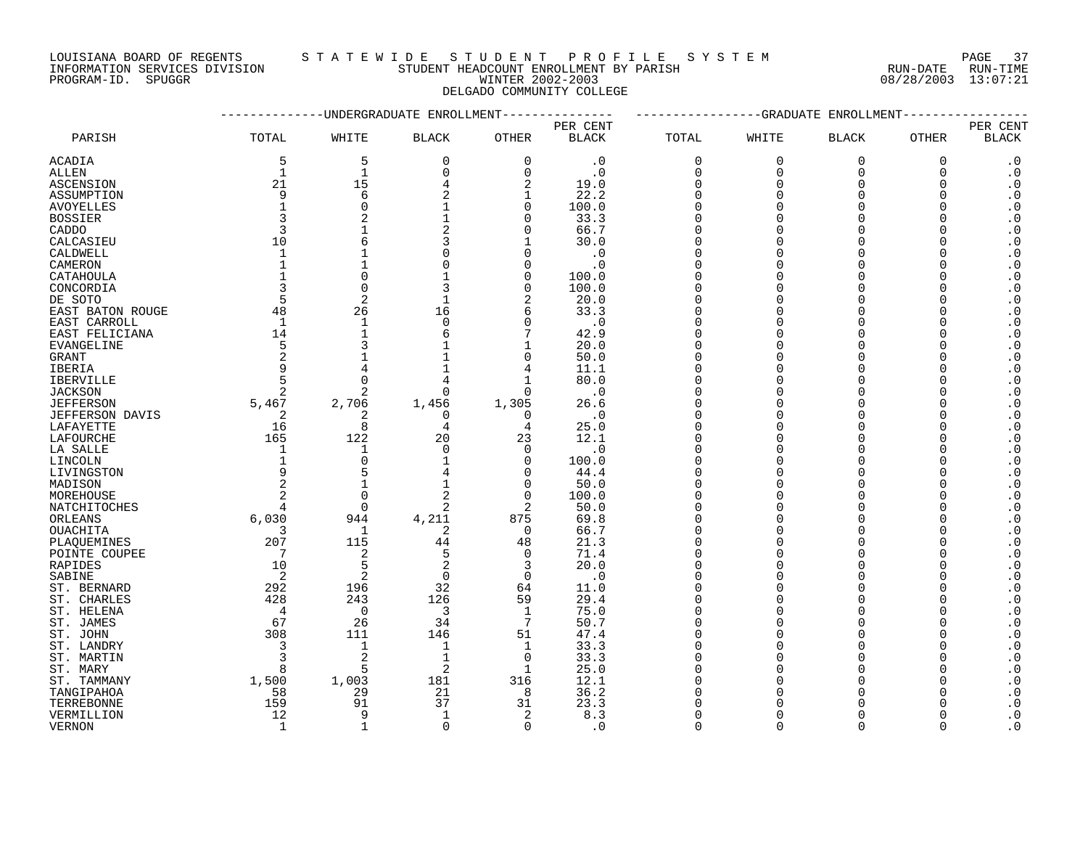LOUISIANA BOARD OF REGENTS S T A T E W I D E S T U D E N T P R O F I L E S Y S T E M PAGE 37 INFORMATION SERVICES DIVISION STUDENT HEADCOUNT ENROLLMENT BY PARISH RUN-DATE RUN-TIME

DELGADO COMMUNITY COLLEGE

PROGRAM-ID. SPUGGR WINTER 2002-2003 08/28/2003 13:07:21

|                  | ---------UNDERGRADUATE ENROLLMENT----------- |                |                |                   | -----------GRADUATE ENROLLMENT |             |             |              |          |                                     |
|------------------|----------------------------------------------|----------------|----------------|-------------------|--------------------------------|-------------|-------------|--------------|----------|-------------------------------------|
|                  |                                              |                |                |                   | PER CENT                       |             |             |              |          | PER CENT                            |
| PARISH           | TOTAL                                        | WHITE          | <b>BLACK</b>   | <b>OTHER</b>      | <b>BLACK</b>                   | TOTAL       | WHITE       | <b>BLACK</b> | OTHER    | <b>BLACK</b>                        |
| ACADIA           | 5                                            | 5              | 0              | $\mathbf 0$       | $\cdot$ 0                      | $\mathbf 0$ | $\mathbf 0$ | $\mathbf 0$  | 0        | $\cdot$ 0                           |
| ALLEN            | $\mathbf 1$                                  | $\mathbf{1}$   | $\mathbf 0$    | $\Omega$          | $\cdot$ 0                      | $\mathbf 0$ | $\Omega$    | $\Omega$     | $\Omega$ | $\cdot$ 0                           |
| <b>ASCENSION</b> | 21                                           | 15             | 4              | $\overline{2}$    | 19.0                           | $\mathbf 0$ | $\Omega$    | $\Omega$     | $\Omega$ | $\cdot$ 0                           |
| ASSUMPTION       | 9                                            | 6              | 2              | 1                 | 22.2                           | $\Omega$    | O           | $\Omega$     | $\Omega$ | $\cdot$ 0                           |
| <b>AVOYELLES</b> | $\mathbf{1}$                                 | $\Omega$       |                | $\Omega$          | 100.0                          | $\Omega$    |             | $\Omega$     | $\Omega$ | $\cdot$ 0                           |
| <b>BOSSIER</b>   | 3                                            | 2              |                | $\Omega$          | 33.3                           | $\Omega$    | $\cap$      | $\Omega$     |          | $\boldsymbol{\cdot}$ 0              |
| CADDO            | 3                                            |                | 2              | $\Omega$          | 66.7                           | $\Omega$    |             | $\Omega$     | O        | $\cdot$ 0                           |
| CALCASIEU        | 10                                           | 6              | 3              | -1                | 30.0                           | $\Omega$    |             | $\Omega$     |          | $\boldsymbol{\cdot}$ 0              |
| CALDWELL         | $\mathbf{1}$                                 |                | $\Omega$       | $\Omega$          | $\cdot$ 0                      | $\Omega$    |             | $\Omega$     | $\Omega$ | $\boldsymbol{\cdot}$ 0              |
| CAMERON          | $\mathbf{1}$                                 |                | $\Omega$       | $\Omega$          | $\cdot$ 0                      | $\Omega$    |             | $\Omega$     | $\Omega$ | $\cdot$ 0                           |
| CATAHOULA        |                                              | $\Omega$       |                | $\mathbf 0$       | 100.0                          | $\Omega$    | ∩           | $\Omega$     | $\Omega$ | $\cdot$ 0                           |
| CONCORDIA        | 3                                            | $\overline{0}$ | 3              | $\Omega$          | 100.0                          | $\Omega$    |             | $\Omega$     | $\Omega$ | $\boldsymbol{\cdot}$ 0              |
| DE SOTO          | 5                                            | $\overline{2}$ | $\mathbf 1$    | $\overline{2}$    | 20.0                           | $\Omega$    |             | $\Omega$     | $\Omega$ | $\boldsymbol{\cdot}$ 0              |
| EAST BATON ROUGE | 48                                           | 26             | 16             | 6                 | 33.3                           | $\Omega$    | ∩           | $\Omega$     | ∩        | $\boldsymbol{\cdot}$ 0              |
| EAST CARROLL     | 1                                            | $\mathbf{1}$   | $\Omega$       | $\Omega$          | $\cdot$ 0                      | $\Omega$    |             | $\Omega$     |          | $\boldsymbol{\cdot}$ 0              |
| EAST FELICIANA   | 14                                           |                | 6              | 7                 | 42.9                           | $\Omega$    | ∩           | $\Omega$     | ∩        | $\boldsymbol{\cdot}$ 0              |
| EVANGELINE       | 5                                            |                |                | $\mathbf 1$       | 20.0                           | $\Omega$    |             | $\Omega$     | O        | $\boldsymbol{\cdot}$ 0              |
| GRANT            | 2                                            |                |                | 0                 | 50.0                           | $\Omega$    |             | $\Omega$     | ∩        | $\cdot$ 0                           |
| <b>IBERIA</b>    | 9                                            | 4              |                | 4                 | 11.1                           | $\Omega$    | ∩           | $\Omega$     |          | $\boldsymbol{\cdot}$ 0              |
|                  | 5                                            | $\Omega$       | 4              | $\mathbf{1}$      | 80.0                           | $\Omega$    |             | $\Omega$     | $\Omega$ | $\boldsymbol{\cdot}$ 0              |
| <b>IBERVILLE</b> | 2                                            | 2              | $\Omega$       | $\Omega$          |                                | $\Omega$    |             | $\Omega$     |          |                                     |
| <b>JACKSON</b>   | 5,467                                        |                |                |                   | . 0                            | $\Omega$    | ∩           | $\Omega$     |          | $\boldsymbol{\cdot}$ 0              |
| <b>JEFFERSON</b> |                                              | 2,706          | 1,456          | 1,305<br>$\Omega$ | 26.6                           | $\Omega$    |             | $\Omega$     |          | $\boldsymbol{\cdot}$ 0<br>$\cdot$ 0 |
| JEFFERSON DAVIS  | 2                                            | 2              | $\Omega$       |                   | $\cdot$ 0                      | $\Omega$    | ∩           | $\Omega$     |          | $\cdot$ 0                           |
| LAFAYETTE        | 16                                           | 8              | 4              | 4                 | 25.0                           |             |             |              | O        |                                     |
| LAFOURCHE        | 165                                          | 122            | 20             | 23                | 12.1                           | $\Omega$    |             | $\Omega$     |          | $\boldsymbol{\cdot}$ 0              |
| LA SALLE         | 1                                            | $\mathbf{1}$   | $\Omega$       | $\Omega$          | $\cdot$ 0                      | $\Omega$    | $\Omega$    | $\Omega$     | $\Omega$ | $\cdot$ 0                           |
| LINCOLN          | $\mathbf 1$                                  | $\overline{0}$ |                | $\Omega$          | 100.0                          | $\Omega$    |             | $\Omega$     |          | $\cdot$ 0                           |
| LIVINGSTON       | 9                                            | 5              |                | $\Omega$          | 44.4                           | $\Omega$    |             | $\Omega$     | ∩        | $\cdot$ 0                           |
| MADISON          | 2                                            | $\mathbf{1}$   |                | $\Omega$          | 50.0                           | $\Omega$    |             | $\Omega$     | $\Omega$ | $\boldsymbol{\cdot}$ 0              |
| MOREHOUSE        | $\overline{2}$                               | $\overline{0}$ | 2              | $\Omega$          | 100.0                          | $\Omega$    |             | $\Omega$     | $\Omega$ | $\boldsymbol{\cdot}$ 0              |
| NATCHITOCHES     | 4                                            | $\mathbf 0$    | 2              | $\overline{2}$    | 50.0                           | $\Omega$    | ∩           | $\Omega$     | ∩        | $\boldsymbol{\cdot}$ 0              |
| ORLEANS          | 6,030                                        | 944            | 4,211          | 875               | 69.8                           | $\Omega$    | ∩           | $\Omega$     | ∩        | $\cdot$ 0                           |
| <b>OUACHITA</b>  | 3                                            | 1              | 2              | $\Omega$          | 66.7                           | $\Omega$    |             | $\Omega$     |          | $\boldsymbol{\cdot}$ 0              |
| PLAQUEMINES      | 207                                          | 115            | 44             | 48                | 21.3                           | $\Omega$    |             | $\Omega$     | O        | $\boldsymbol{\cdot}$ 0              |
| POINTE COUPEE    | 7                                            | $\sqrt{2}$     | 5              | $\Omega$          | 71.4                           | $\Omega$    |             | $\Omega$     | U        | $\boldsymbol{\cdot}$ 0              |
| RAPIDES          | 10                                           | 5              | $\overline{2}$ | 3                 | 20.0                           | $\Omega$    |             | $\Omega$     |          | $\cdot$ 0                           |
| SABINE           | 2                                            | $\overline{2}$ | $\mathbf 0$    | $\overline{0}$    | $\cdot$ 0                      | $\Omega$    |             | $\Omega$     | $\Omega$ | $\cdot$ 0                           |
| ST. BERNARD      | 292                                          | 196            | 32             | 64                | 11.0                           | $\Omega$    |             | $\Omega$     |          | $\boldsymbol{\cdot}$ 0              |
| ST. CHARLES      | 428                                          | 243            | 126            | 59                | 29.4                           | $\Omega$    |             | $\Omega$     | ∩        | $\cdot$ 0                           |
| ST. HELENA       | $\overline{4}$                               | $\mathbf 0$    | 3              | $\mathbf 1$       | 75.0                           | $\Omega$    | $\cap$      | $\Omega$     |          | $\boldsymbol{\cdot}$ 0              |
| ST. JAMES        | 67                                           | 26             | 34             | 7                 | 50.7                           | $\Omega$    |             | $\Omega$     | O        | $\cdot$ 0                           |
| ST. JOHN         | 308                                          | 111            | 146            | 51                | 47.4                           | $\Omega$    |             | $\Omega$     | ∩        | $\cdot$ 0                           |
| ST. LANDRY       | 3                                            | $\mathbf{1}$   | $\mathbf 1$    | 1                 | 33.3                           | $\Omega$    |             | $\Omega$     | $\Omega$ | $\cdot$ 0                           |
| ST. MARTIN       | 3                                            | $\overline{c}$ | $\mathbf{1}$   | $\overline{0}$    | 33.3                           | $\Omega$    |             | $\Omega$     |          | $\cdot$ 0                           |
| ST. MARY         | 8                                            | 5              | 2              | 1                 | 25.0                           | $\Omega$    | U           | $\Omega$     | O        | $\cdot$ 0                           |
| ST. TAMMANY      | 1,500                                        | 1,003          | 181            | 316               | 12.1                           | ∩           |             | $\Omega$     | $\Omega$ | $\boldsymbol{\cdot}$ 0              |
| TANGIPAHOA       | 58                                           | 29             | 21             | 8                 | 36.2                           |             |             | $\Omega$     | $\Omega$ | $\boldsymbol{\cdot}$ 0              |
| TERREBONNE       | 159                                          | 91             | 37             | 31                | 23.3                           |             |             |              |          | $\boldsymbol{\cdot}$ 0              |
| VERMILLION       | 12                                           | 9              | 1              | 2                 | 8.3                            | $\Omega$    |             | $\Omega$     |          | $\cdot$ 0                           |
| <b>VERNON</b>    | $\mathbf{1}$                                 | $\mathbf{1}$   | $\Omega$       | $\Omega$          | . 0                            | $\Omega$    | $\cap$      | $\cap$       | $\Omega$ | $\cdot$ 0                           |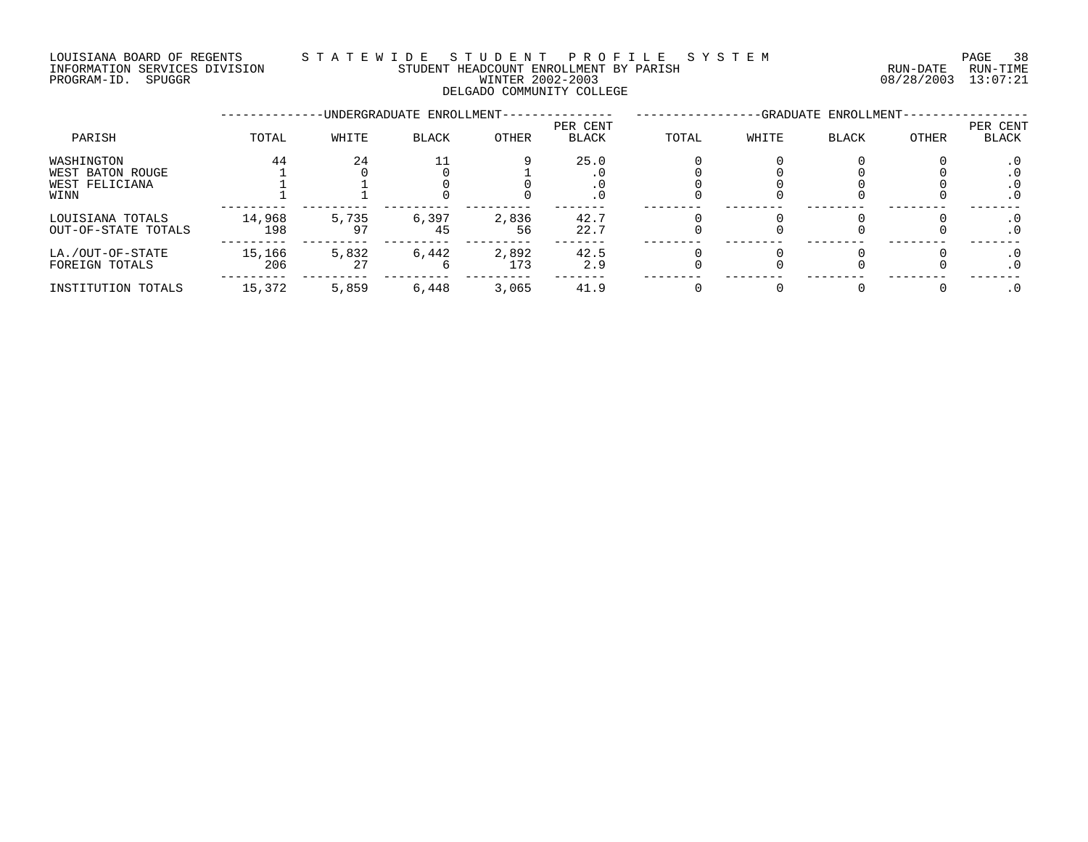## LOUISIANA BOARD OF REGENTS S T A T E W I D E S T U D E N T P R O F I L E S Y S T E M PAGE 38 INFORMATION SERVICES DIVISION STUDENT HEADCOUNT ENROLLMENT BY PARISH RUN-DATE RUN-TIME DOUISIANA BOARD OF REGENTS STAILWALD ENGLINENT BY PARISH SAND ENGLINENT SERVICES DIVISION STUDENT HEADCOUNT ENROLLMENT BY PARISH (RUN-DATE RUN-TIME RUN-TIME STUDENT HEADCOUNT ENROLLMENT BY PARISH (RUN-DATE RUN-TIME STUDEN DELGADO COMMUNITY COLLEGE

|                                            |               |             | -UNDERGRADUATE ENROLLMENT- |              |                   |       |       |              |       |                   |
|--------------------------------------------|---------------|-------------|----------------------------|--------------|-------------------|-------|-------|--------------|-------|-------------------|
| PARISH                                     | TOTAL         | WHITE       | BLACK                      | OTHER        | PER CENT<br>BLACK | TOTAL | WHITE | <b>BLACK</b> | OTHER | PER CENT<br>BLACK |
| WASHINGTON                                 | 44            | 24          |                            |              | 25.0              |       |       |              |       |                   |
| WEST BATON ROUGE<br>WEST FELICIANA<br>WINN |               |             |                            |              |                   |       |       |              |       | . 0<br>$\cdot$ 0  |
| LOUISIANA TOTALS<br>OUT-OF-STATE TOTALS    | 14,968<br>198 | 5,735       | 6,397<br>45                | 2,836<br>56  | 42.7<br>22.7      |       |       |              |       | . 0<br>$\cdot$ 0  |
| LA./OUT-OF-STATE<br>FOREIGN TOTALS         | 15,166<br>206 | 5,832<br>27 | 6,442<br>b                 | 2,892<br>173 | 42.5<br>2.9       |       |       |              |       | . 0<br>. 0        |
| INSTITUTION TOTALS                         | 15,372        | 5,859       | 6,448                      | 3,065        | 41.9              |       |       |              |       |                   |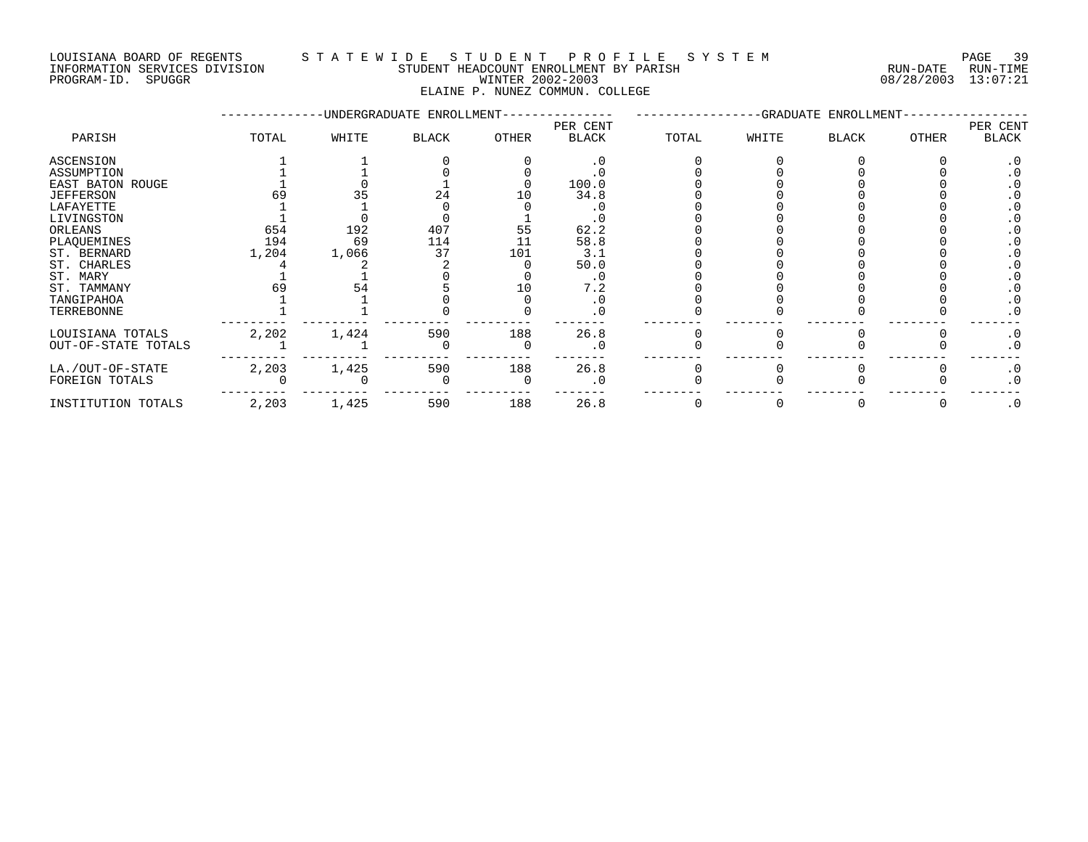INFORMATION SERVICES DIVISION STUDENT HEADCOUNT ENROLLMENT BY PARISH RUN-DATE RUN-TIME NEOLIMENT DO SERVICES DIVISION CONTRACTORY TRADEMITY EXPLOSIVE THE RESERVED BY PARISH THE RUN-DATE RUN-TIME RUN<br>PROGRAM-ID. SPUGGR DIVISION CONTRACTORY WINTER 2002-2003 08/28/2003 13:07:21

# LOUISIANA BOARD OF REGENTS S T A T E W I D E S T U D E N T P R O F I L E S Y S T E M PAGE 39

ELAINE P. NUNEZ COMMUN. COLLEGE

|                     |       |       | -UNDERGRADUATE ENROLLMENT- |       |              |       |       |       |              |           |
|---------------------|-------|-------|----------------------------|-------|--------------|-------|-------|-------|--------------|-----------|
|                     |       |       |                            |       | PER CENT     |       |       |       |              | PER CENT  |
| PARISH              | TOTAL | WHITE | <b>BLACK</b>               | OTHER | <b>BLACK</b> | TOTAL | WHITE | BLACK | <b>OTHER</b> | BLACK     |
| ASCENSION           |       |       |                            |       | . 0          |       |       |       |              |           |
| ASSUMPTION          |       |       |                            |       |              |       |       |       |              |           |
| EAST BATON ROUGE    |       |       |                            |       | 100.0        |       |       |       |              |           |
| <b>JEFFERSON</b>    |       |       | 24                         |       | 34.8         |       |       |       |              |           |
| LAFAYETTE           |       |       |                            |       |              |       |       |       |              |           |
| LIVINGSTON          |       |       |                            |       |              |       |       |       |              |           |
| ORLEANS             | 654   | 192   | 407                        | 55    | 62.2         |       |       |       |              |           |
| PLAQUEMINES         | 194   | 69    | 114                        | 11    | 58.8         |       |       |       |              |           |
| ST. BERNARD         | 1,204 | 1,066 | 37                         | 101   | 3.1          |       |       |       |              |           |
| ST. CHARLES         |       |       |                            |       | 50.0         |       |       |       |              |           |
| ST. MARY            |       |       |                            |       | . 0          |       |       |       |              |           |
| ST. TAMMANY         |       | 54    |                            | 10    | 7.2          |       |       |       |              |           |
| TANGIPAHOA          |       |       |                            |       | . 0          |       |       |       |              |           |
| TERREBONNE          |       |       |                            |       | . 0          |       |       |       |              | $\cdot$ 0 |
| LOUISIANA TOTALS    | 2,202 | 1,424 | 590                        | 188   | 26.8         |       |       |       |              | $\cdot$ 0 |
| OUT-OF-STATE TOTALS |       |       |                            |       | $\Omega$     |       |       |       |              | $\cdot$ 0 |
| LA./OUT-OF-STATE    | 2,203 | 1,425 | 590                        | 188   | 26.8         |       |       |       |              | $\cdot$ 0 |
| FOREIGN TOTALS      |       |       |                            |       |              |       |       |       |              | $\cdot$ 0 |
| INSTITUTION TOTALS  | 2,203 | 1,425 | 590                        | 188   | 26.8         |       |       |       |              | $\cdot$ 0 |
|                     |       |       |                            |       |              |       |       |       |              |           |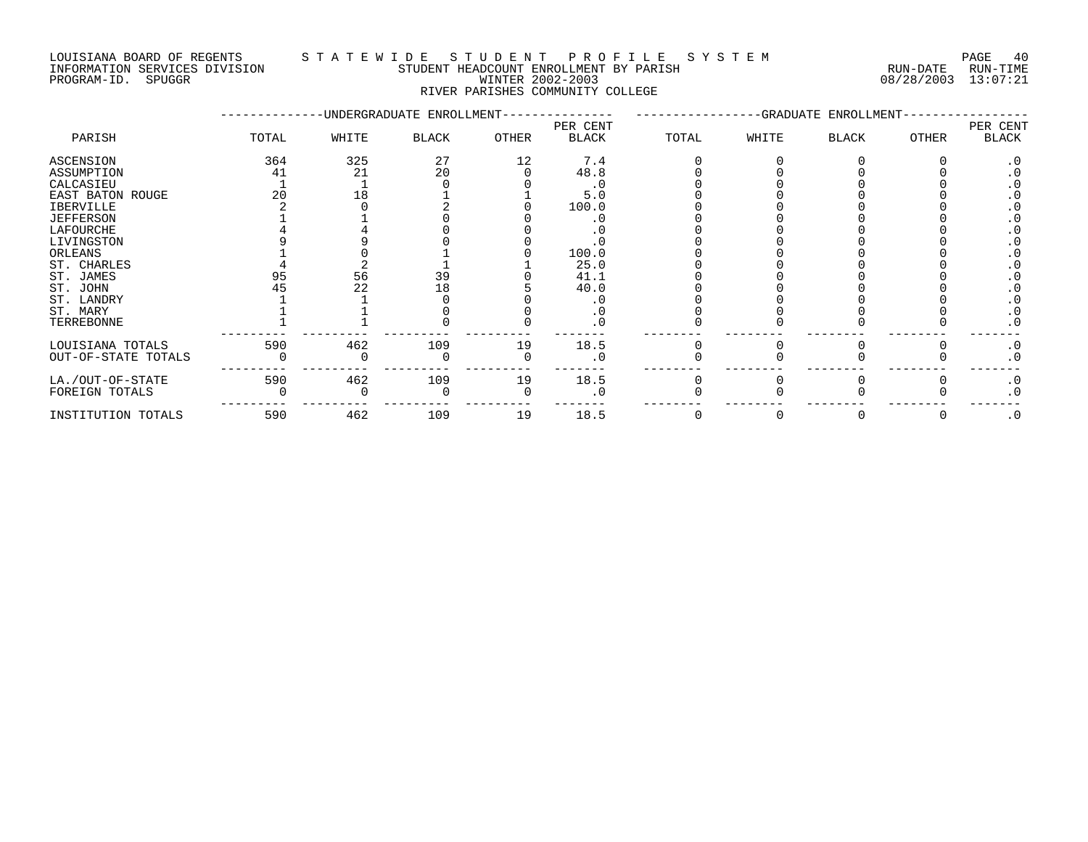INFORMATION SERVICES DIVISION STUDENT HEADCOUNT ENROLLMENT BY PARISH RUN-DATE RUN-TIME DOULSIANA BOARD OF REGENIS<br>INFORMATION SERVICES DIVISION CONTRESTING THEADCOUNT ENROLLMENT BY PARISH TWO CONTRESTING THE RUN-TIME<br>PROGRAM-ID. SPUGGR DIVISION WINTER 2002-2003

# LOUISIANA BOARD OF REGENTS S T A T E W I D E S T U D E N T P R O F I L E S Y S T E M PAGE 40

RIVER PARISHES COMMUNITY COLLEGE

|                     |       |       | -UNDERGRADUATE ENROLLMENT- |              |                          | -GRADUATE ENROLLMENT- |       |              |              |                          |
|---------------------|-------|-------|----------------------------|--------------|--------------------------|-----------------------|-------|--------------|--------------|--------------------------|
| PARISH              | TOTAL | WHITE | <b>BLACK</b>               | <b>OTHER</b> | PER CENT<br><b>BLACK</b> | TOTAL                 | WHITE | <b>BLACK</b> | <b>OTHER</b> | PER CENT<br><b>BLACK</b> |
| ASCENSION           | 364   | 325   | 27                         | 12           | 7.4                      |                       |       |              |              | . 0                      |
| ASSUMPTION          | 41    | 21    | 20                         |              | 48.8                     |                       |       |              |              |                          |
| CALCASIEU           |       |       |                            |              | . 0                      |                       |       |              |              |                          |
| EAST BATON ROUGE    | 20    | 18    |                            |              | 5.0                      |                       |       |              |              |                          |
| IBERVILLE           |       |       |                            |              | 100.0                    |                       |       |              |              |                          |
| <b>JEFFERSON</b>    |       |       |                            |              |                          |                       |       |              |              |                          |
| LAFOURCHE           |       |       |                            |              |                          |                       |       |              |              |                          |
| LIVINGSTON          |       |       |                            |              |                          |                       |       |              |              |                          |
| ORLEANS             |       |       |                            |              | 100.0                    |                       |       |              |              |                          |
| ST. CHARLES         |       |       |                            |              | 25.0                     |                       |       |              |              |                          |
| ST. JAMES           | 95    | 56    | 39                         |              | 41.1                     |                       |       |              |              |                          |
| ST. JOHN            |       | 22    | 18                         |              | 40.0                     |                       |       |              |              |                          |
| ST. LANDRY          |       |       |                            |              |                          |                       |       |              |              |                          |
| ST. MARY            |       |       |                            |              |                          |                       |       |              |              |                          |
| TERREBONNE          |       |       |                            |              |                          |                       |       |              |              | $\cdot$ 0                |
| LOUISIANA TOTALS    | 590   | 462   | 109                        | 19           | 18.5                     |                       |       |              |              | $\cdot$ 0                |
| OUT-OF-STATE TOTALS |       |       |                            |              | $\cdot$ 0                |                       |       |              |              | $\cdot$ 0                |
| LA./OUT-OF-STATE    | 590   | 462   | 109                        | 19           | 18.5                     |                       |       |              |              | $\cdot$ 0                |
| FOREIGN TOTALS      |       |       |                            |              | . 0                      |                       |       |              |              | $\cdot$ 0                |
| INSTITUTION TOTALS  | 590   | 462   | 109                        | 19           | 18.5                     |                       |       |              |              | $\cdot$ 0                |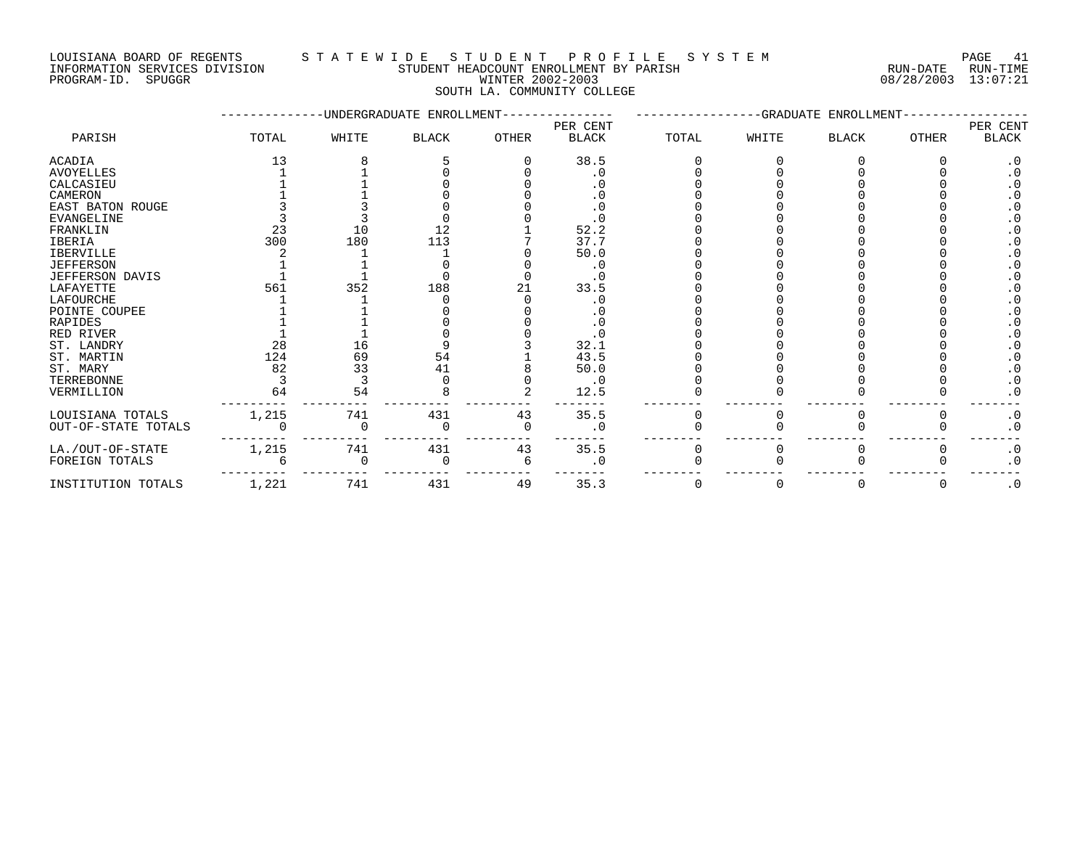### LOUISIANA BOARD OF REGENTS S T A T E W I D E S T U D E N T P R O F I L E S Y S T E M PAGE 41 INFORMATION SERVICES DIVISION STUDENT HEADCOUNT ENROLLMENT BY PARISH RUN-DATE RUN-TIME PROGRAM-ID. SPUGGR WINTER 2002-2003 08/28/2003 13:07:21

SOUTH LA. COMMUNITY COLLEGE

|                        |       |       | -UNDERGRADUATE ENROLLMENT |              | -GRADUATE ENROLLMENT |              |       |              |              |           |
|------------------------|-------|-------|---------------------------|--------------|----------------------|--------------|-------|--------------|--------------|-----------|
|                        |       |       |                           |              | PER CENT             |              |       |              |              | PER CENT  |
| PARISH                 | TOTAL | WHITE | <b>BLACK</b>              | <b>OTHER</b> | <b>BLACK</b>         | TOTAL        | WHITE | <b>BLACK</b> | <b>OTHER</b> | BLACK     |
| ACADIA                 | 13    |       |                           |              | 38.5                 |              |       |              |              | $\cdot$ 0 |
| <b>AVOYELLES</b>       |       |       |                           |              | . 0                  |              |       |              |              |           |
| CALCASIEU              |       |       |                           |              |                      |              |       |              |              |           |
| CAMERON                |       |       |                           |              |                      |              |       |              |              |           |
| EAST BATON ROUGE       |       |       |                           |              |                      |              |       |              |              |           |
| <b>EVANGELINE</b>      |       |       |                           |              |                      |              |       |              |              |           |
| FRANKLIN               | 23    | 10    | 12                        |              | 52.2                 |              |       |              |              |           |
| IBERIA                 | 300   | 180   | 113                       |              | 37.7                 |              |       |              |              |           |
| <b>IBERVILLE</b>       |       |       |                           |              | 50.0                 |              |       |              |              |           |
| <b>JEFFERSON</b>       |       |       |                           |              |                      |              |       |              |              |           |
| <b>JEFFERSON DAVIS</b> |       |       |                           |              |                      |              |       |              |              |           |
| LAFAYETTE              | 561   | 352   | 188                       |              | 33.5                 |              |       |              |              |           |
| LAFOURCHE              |       |       |                           |              |                      |              |       |              |              |           |
| POINTE COUPEE          |       |       |                           |              |                      |              |       |              |              |           |
| <b>RAPIDES</b>         |       |       |                           |              | . 0                  |              |       |              |              |           |
| RED RIVER              |       |       |                           |              | . 0                  |              |       |              |              | $\cdot$ 0 |
| ST. LANDRY             | 28    | 16    |                           |              | 32.1                 |              |       |              |              |           |
| ST. MARTIN             | 124   | 69    | 54                        |              | 43.5                 |              |       |              |              |           |
| ST. MARY               | 82    | 33    | 41                        |              | 50.0                 |              |       |              |              | $\cdot$ 0 |
| TERREBONNE             |       |       |                           |              | . 0                  |              |       |              |              | . 0       |
| VERMILLION             | 64    | 54    |                           |              | 12.5                 |              |       |              |              | . 0       |
| LOUISIANA TOTALS       | 1,215 | 741   | 431                       | 43           | 35.5                 | <sup>0</sup> |       |              |              | $\cdot$ 0 |
| OUT-OF-STATE TOTALS    |       |       |                           |              | . 0                  |              |       |              |              | $\cdot$ 0 |
| LA./OUT-OF-STATE       | 1,215 | 741   | 431                       | 43           | 35.5                 |              |       |              |              | $\cdot$ 0 |
| FOREIGN TOTALS         |       |       |                           | 6            | . 0                  |              |       |              |              | $\cdot$ 0 |
| INSTITUTION TOTALS     | 1,221 | 741   | 431                       | 49           | 35.3                 | O            |       | 0            | O            | $\cdot$ 0 |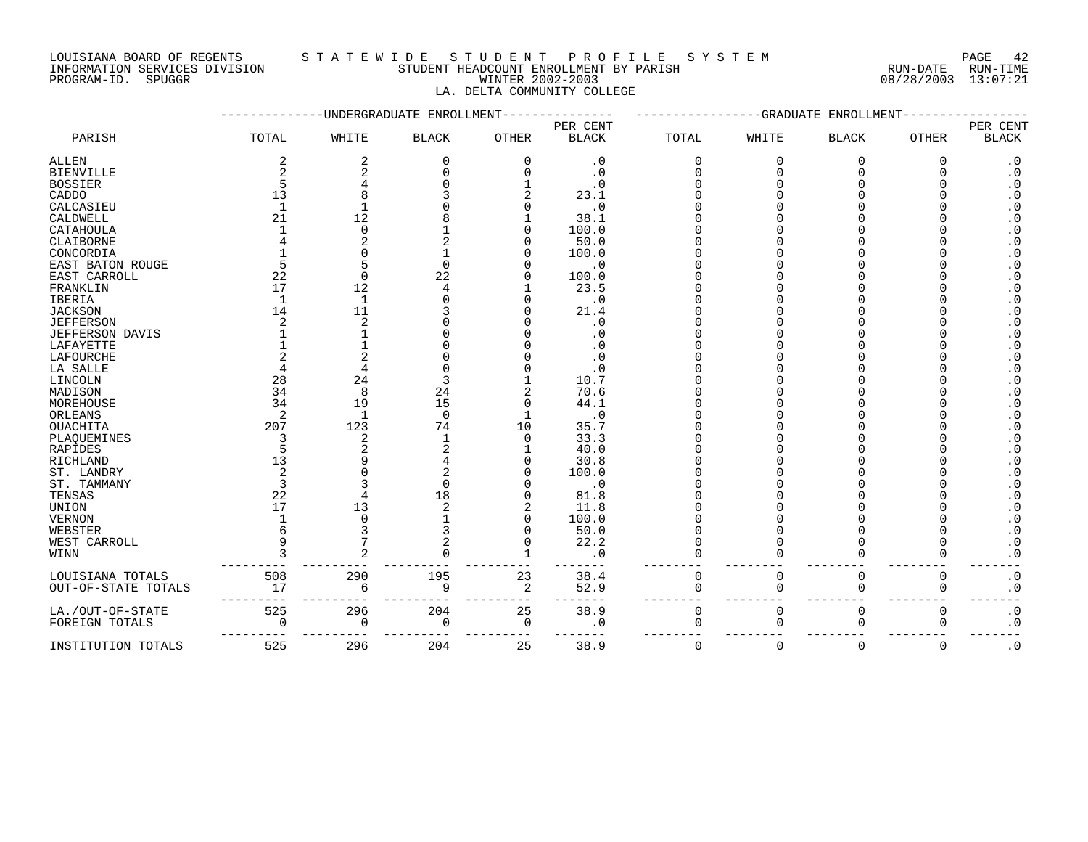LOUISIANA BOARD OF REGENTS STATEWIDE STUDE STUDENT PROFILE SYSTEM PAGE 42<br>INFORMATION SERVICES DIVISION STUDENT HEADCOUNT ENROLLMENT BY PARISH STORMATION SERVICES DIVISION STUDENT HEADCOUNT ENROLLMENT BY PARISH **ENROLLMENT BY PARISH BY PARISH RUN-DATE** RUN-TIME

PROGRAM-ID. SPUGGR WINTER 2002-2003 08/28/2003 13:07:21 LA. DELTA COMMUNITY COLLEGE

|                        |                | -UNDERGRADUATE | ENROLLMEN <sup>®</sup> |                | -GRADUATE<br>ENROLLMENT |              |          |              |              |                        |
|------------------------|----------------|----------------|------------------------|----------------|-------------------------|--------------|----------|--------------|--------------|------------------------|
|                        |                |                |                        | PER CENT       |                         |              |          |              |              | PER CENT               |
| PARISH                 | TOTAL          | WHITE          | <b>BLACK</b>           | <b>OTHER</b>   | <b>BLACK</b>            | <b>TOTAL</b> | WHITE    | <b>BLACK</b> | <b>OTHER</b> | <b>BLACK</b>           |
| <b>ALLEN</b>           | 2              | $\overline{2}$ | $\Omega$               | $\mathbf 0$    | $\boldsymbol{\cdot}$ 0  | $\Omega$     | $\Omega$ | $\Omega$     | $\Omega$     | $\cdot$ 0              |
| <b>BIENVILLE</b>       | $\overline{2}$ | $\overline{c}$ |                        | ∩              | $\cdot$ 0               |              | ∩        | ∩            |              | $\boldsymbol{\cdot}$ 0 |
| <b>BOSSIER</b>         |                |                |                        |                | $\cdot$ 0               |              |          |              |              | $\boldsymbol{\cdot}$ 0 |
| CADDO                  | 13             |                |                        |                | 23.1                    |              |          |              |              | $\boldsymbol{\cdot}$ 0 |
| CALCASIEU              |                |                |                        |                | . 0                     |              |          |              |              | $\cdot$ 0              |
| CALDWELL               | 21             | 12             |                        |                | 38.1                    |              |          |              |              | $\cdot$ 0              |
| CATAHOULA              |                | $\Omega$       |                        | O              | 100.0                   |              |          |              |              | $\boldsymbol{\cdot}$ 0 |
| CLAIBORNE              |                | $\overline{c}$ |                        |                | 50.0                    |              |          |              |              | $\cdot$ 0              |
| CONCORDIA              |                | $\Omega$       |                        |                | 100.0                   |              |          |              |              | $\boldsymbol{\cdot}$ 0 |
| EAST BATON ROUGE       |                | 5              | ∩                      |                | . 0                     |              |          |              |              | $\boldsymbol{\cdot}$ 0 |
| EAST CARROLL           | 22             | $\Omega$       | 22                     |                | 100.0                   |              |          |              |              | $\cdot$ 0              |
| FRANKLIN               | 17             | 12             |                        |                | 23.5                    |              |          |              |              | $\boldsymbol{\cdot}$ 0 |
| <b>IBERIA</b>          |                | $\mathbf{1}$   |                        |                | $\cdot$ 0               |              |          |              |              | $\cdot$ 0              |
| <b>JACKSON</b>         | 14             | 11             |                        |                | 21.4                    |              |          |              |              | $\boldsymbol{\cdot}$ 0 |
| <b>JEFFERSON</b>       |                | $\mathcal{D}$  |                        |                | . 0                     |              |          |              |              | $\boldsymbol{\cdot}$ 0 |
| <b>JEFFERSON DAVIS</b> |                |                |                        |                | . 0                     |              |          |              |              | $\boldsymbol{\cdot}$ 0 |
| LAFAYETTE              |                |                |                        |                | . 0                     |              |          |              |              | $\boldsymbol{\cdot}$ 0 |
| LAFOURCHE              |                |                |                        |                | . 0                     |              |          |              |              | $\cdot$ 0              |
| LA SALLE               |                |                |                        |                | . 0                     |              |          |              |              | $\boldsymbol{\cdot}$ 0 |
| LINCOLN                | 28             | 24             |                        |                | 10.7                    |              |          |              |              | $\boldsymbol{\cdot}$ 0 |
| MADISON                | 34             | 8              | 24                     |                | 70.6                    |              |          |              |              | $\boldsymbol{\cdot}$ 0 |
| MOREHOUSE              | 34             | 19             | 15                     | $\Omega$       | 44.1                    |              |          |              |              | $\boldsymbol{\cdot}$ 0 |
| ORLEANS                | 2              | $\mathbf{1}$   | $\Omega$               |                | . 0                     |              |          |              |              | $\cdot$ 0              |
| <b>OUACHITA</b>        | 207            | 123            | 74                     | 10             | 35.7                    |              |          |              |              | $\boldsymbol{\cdot}$ 0 |
| PLAQUEMINES            |                | $\overline{c}$ |                        | $\Omega$       | 33.3                    |              |          |              |              | $\boldsymbol{\cdot}$ 0 |
| <b>RAPIDES</b>         |                | $\overline{c}$ |                        |                | 40.0                    |              |          |              |              | $\boldsymbol{\cdot}$ 0 |
| RICHLAND               | 13             | q              |                        |                | 30.8                    |              |          |              |              | $\boldsymbol{\cdot}$ 0 |
| ST. LANDRY             | 2              |                |                        |                | 100.0                   |              |          |              |              | $\cdot$ 0              |
| ST. TAMMANY            |                |                |                        |                | $\cdot$ 0               |              |          |              |              | $\cdot$ 0              |
| TENSAS                 | 22             |                | 18                     |                | 81.8                    |              |          |              |              | $\cdot$ 0              |
| <b>UNION</b>           | 17             | 13             |                        |                | 11.8                    |              |          |              |              | $\cdot$ 0              |
| <b>VERNON</b>          |                | ∩              |                        | $\Omega$       | 100.0                   |              |          |              |              | $\boldsymbol{\cdot}$ 0 |
| WEBSTER                |                | 3              |                        | O              | 50.0                    |              |          |              |              | $\boldsymbol{\cdot}$ 0 |
| WEST CARROLL           |                |                |                        | O              | 22.2                    |              |          |              |              | $\boldsymbol{\cdot}$ 0 |
| WINN                   |                |                |                        |                | . 0                     |              |          | ∩            |              | $\cdot$ 0              |
| LOUISIANA TOTALS       | 508            | 290            | 195                    | 23             | 38.4                    | $\Omega$     | $\Omega$ | $\Omega$     | $\Omega$     | $\boldsymbol{\cdot}$ 0 |
| OUT-OF-STATE TOTALS    | 17             | 6              | 9                      | $\overline{2}$ | 52.9                    |              |          | $\Omega$     | 0            | $\boldsymbol{\cdot}$ 0 |
| LA./OUT-OF-STATE       | 525            | 296            | 204                    | 25             | 38.9                    | 0            | $\Omega$ | $\mathbf 0$  | 0            | $\cdot$ 0              |
| FOREIGN TOTALS         | $\Omega$       | 0              | 0                      | 0              | . 0                     | $\Omega$     |          | $\Omega$     | 0            | $\boldsymbol{\cdot}$ 0 |
| INSTITUTION TOTALS     | 525            | 296            | 204                    | 25             | 38.9                    | 0            | $\Omega$ | 0            | 0            | $\cdot$ 0              |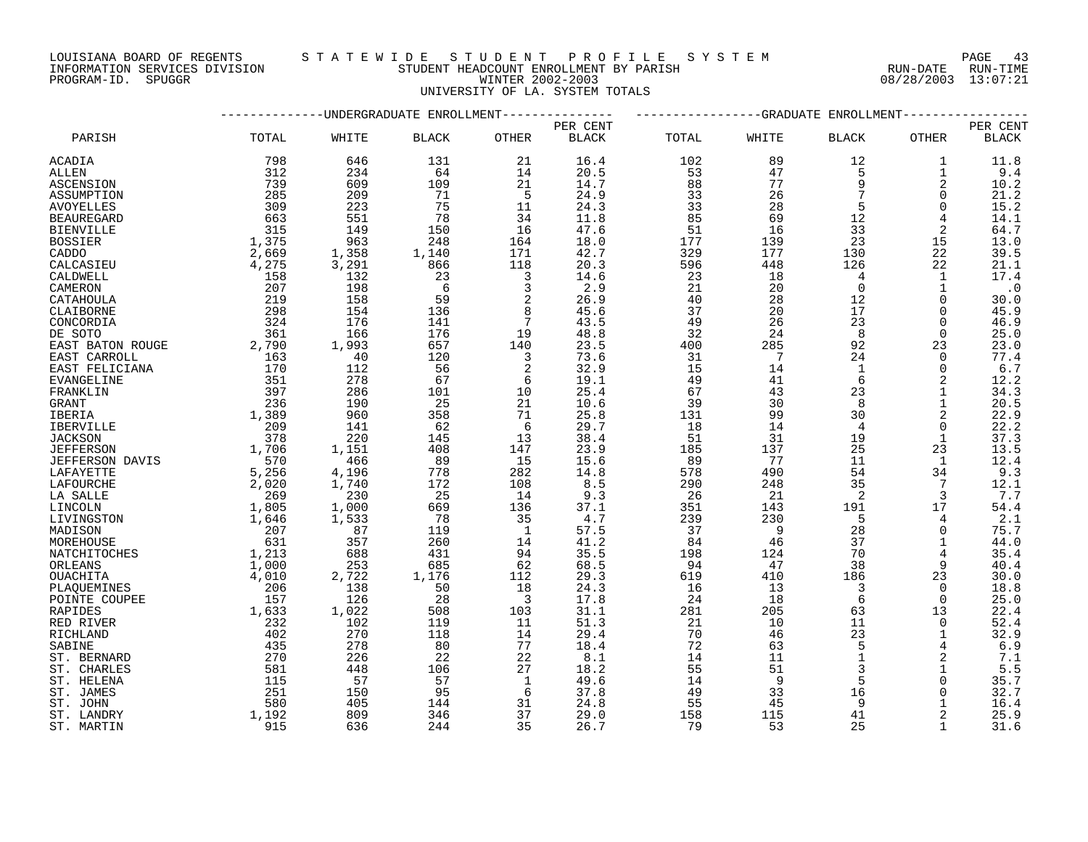LOUISIANA BOARD OF REGENTS S T A T E W I D E S T U D E N T P R O F I L E S Y S T E M PAGE 43

# PROGRAM-ID. SPUGGR WINTER 2002-2003 08/28/2003 13:07:21 UNIVERSITY OF LA. SYSTEM TOTALS

|                         |                | -GRADUATE<br>ENROLLMENT   |              |                         |              |           |                 |              |                |              |
|-------------------------|----------------|---------------------------|--------------|-------------------------|--------------|-----------|-----------------|--------------|----------------|--------------|
|                         |                | -UNDERGRADUATE ENROLLMENT |              |                         | PER CENT     |           |                 |              |                | PER CENT     |
| PARISH                  | TOTAL          | WHITE                     | <b>BLACK</b> | <b>OTHER</b>            | <b>BLACK</b> | TOTAL     | WHITE           | <b>BLACK</b> | OTHER          | <b>BLACK</b> |
| <b>ACADIA</b>           | 798            | 646                       | 131          | 21                      | 16.4         | 102       | 89              | 12           | 1              | 11.8         |
| ALLEN                   | 312            | 234                       | 64           | 14                      | 20.5         | 53        | 47              | 5            | 1              | 9.4          |
| ASCENSION               | 739            | 609                       | 109          | 21                      | 14.7         | 88        | 77              | 9            | 2              | 10.2         |
| ASSUMPTION              | 285            | 209                       | 71           | - 5                     | 24.9         | 33        | 26              |              | 0              | 21.2         |
| <b>AVOYELLES</b>        | 309            | 223                       | 75           | 11                      | 24.3         | 33        | 28              | 5            | $\Omega$       | 15.2         |
| <b>BEAUREGARD</b>       | 663            | 551                       | 78           | 34                      | 11.8         | 85        | 69              | 12           | 4              | 14.1         |
| <b>BIENVILLE</b>        | 315            | 149                       | 150          | 16                      | 47.6         | 51        | 16              | 33           | 2              | 64.7         |
| <b>BOSSIER</b>          | 1,375          | 963                       | 248          | 164                     | 18.0         | 177       | 139             | 23           | 15             | 13.0         |
| CADDO                   | 2,669          | 1,358                     | 1,140        | 171                     | 42.7         | 329       | 177             | 130          | 22             | 39.5         |
| CALCASIEU               | 4,275          | 3,291                     | 866          | 118                     | 20.3         | 596       | 448             | 126          | 22             | 21.1         |
| CALDWELL                | 158            | 132                       | 23           | 3                       | 14.6         | 23        | 18              | 4            | 1              | 17.4         |
| CAMERON                 | 207            | 198                       | - 6          | 3                       | 2.9          | 21        | 20              | $\Omega$     |                | $\cdot$ 0    |
| CATAHOULA               | 219            | 158                       | 59           | $\sqrt{2}$              | 26.9         | 40        | 28              | 12           | $\Omega$       | 30.0         |
| CLAIBORNE               | 298            | 154                       | 136          | 8                       | 45.6         | 37        | 20              | 17           | 0              | 45.9         |
| CONCORDIA               | 324            | 176                       | 141          | $7\phantom{.0}$         | 43.5         | 49        | 26              | 23           | $\Omega$       | 46.9         |
| DE SOTO                 | 361            | 166                       | 176          | 19                      | 48.8         | 32        | 24              | 8            | $\Omega$       | 25.0         |
| EAST BATON ROUGE        | 2,790          | 1,993                     | 657          | 140                     | 23.5         | 400       | 285             | 92           | 23             | 23.0         |
| EAST CARROLL            | 163            | 40                        | 120          | $\overline{3}$          | 73.6         | 31        | $7\overline{ }$ | 24           | $\mathbf 0$    | 77.4         |
| EAST FELICIANA          | 170            | 112                       | -56          | 2                       | 32.9         | 15        | 14              | 1            | 0              | 6.7          |
| EVANGELINE              | 351            | 278                       | 67           | 6                       | 19.1         | 49        | 41              | 6            | 2              | 12.2         |
| FRANKLIN                | 397            | 286                       | 101          | 10                      | 25.4         | 67        | 43              | 23           |                | 34.3         |
| GRANT                   | 236            | 190                       | - 25         | 21                      | 10.6         | 39        | 30              | 8            |                | 20.5         |
| IBERIA                  | 1,389          | 960                       | 358          | 71                      | 25.8         | 131       | 99              | 30           | $\overline{2}$ | 22.9         |
| <b>IBERVILLE</b>        | 209            | 141                       | 62           | 6                       | 29.7         | 18        | 14              | 4            | 0              | 22.2         |
| <b>JACKSON</b>          | 378            | 220                       | 145          | 13                      | 38.4         | 51        | 31              | 19           |                | 37.3         |
| <b>JEFFERSON</b>        | 1,706          | 1,151                     | 408          | 147                     | 23.9         | 185       | 137             | 25           | 23             | 13.5         |
| JEFFERSON DAVIS         | 570            | 466                       | - 89         | 15                      | 15.6         | 89        | 77              | 11           | 1              | 12.4         |
| LAFAYETTE               | 5,256          | 4,196                     | 778          | 282                     | 14.8         | 578       | 490             | 54           | 34             | 9.3          |
| LAFOURCHE               | 2,020          | 1,740                     | 172          | 108                     | 8.5          | 290       | 248             | 35           | 7              | 12.1         |
| LA SALLE                | 269            | 230                       | 25           | 14                      | 9.3          | 26        | 21              | 2            | 3              | 7.7          |
| LINCOLN                 | 1,805          | 1,000                     | 669          | 136                     | 37.1         | 351       | 143             | 191          | 17             | 54.4         |
| LIVINGSTON              | 1,646          | 1,533                     | 78           | 35<br>$\mathbf{1}$      | 4.7          | 239       | 230<br>- 9      | 5            | 4              | 2.1          |
| MADISON                 | 207<br>631     | 87                        | 119<br>260   |                         | 57.5<br>41.2 | 37        |                 | 28<br>37     | $\Omega$       | 75.7         |
| MOREHOUSE               |                | 357                       |              | 14<br>94                | 35.5         | 84        | 46              | 70           | 1              | 44.0         |
| NATCHITOCHES<br>ORLEANS | 1,213<br>1,000 | 688<br>253                | 431<br>685   | 62                      | 68.5         | 198<br>94 | 124<br>47       | 38           |                | 35.4<br>40.4 |
| OUACHITA                | 4,010          | 2,722                     | 1,176        | 112                     | 29.3         | 619       | 410             | 186          | 23             | 30.0         |
| PLAOUEMINES             | 206            | 138                       | 50           | 18                      | 24.3         | 16        | 13              | 3            | $\Omega$       | 18.8         |
| POINTE COUPEE           | 157            | 126                       | 28           | $\overline{\mathbf{3}}$ | 17.8         | 24        | 18              | 6            | $\Omega$       | 25.0         |
| <b>RAPIDES</b>          | 1,633          | 1,022                     | 508          | 103                     | 31.1         | 281       | 205             | 63           | 13             | 22.4         |
| RED RIVER               | 232            | 102                       | 119          | 11                      | 51.3         | 21        | 10              | 11           | $\Omega$       | 52.4         |
| RICHLAND                | 402            | 270                       | 118          | 14                      | 29.4         | 70        | 46              | 23           | 1              | 32.9         |
| SABINE                  | 435            | 278                       | 80           | 77                      | 18.4         | 72        | 63              | 5            |                | 6.9          |
| ST. BERNARD             | 270            | 226                       | 22           | 22                      | 8.1          | 14        | 11              | $\mathbf{1}$ | 2              | 7.1          |
| ST. CHARLES             | 581            | 448                       | 106          | 27                      | 18.2         | 55        | 51              |              |                | 5.5          |
| ST. HELENA              | 115            | 57                        | 57           | 1                       | 49.6         | 14        | - 9             | 5            | 0              | 35.7         |
| ST. JAMES               | 251            | 150                       | 95           | 6                       | 37.8         | 49        | 33              | 16           | 0              | 32.7         |
| ST. JOHN                | 580            | 405                       | 144          | 31                      | 24.8         | 55        | 45              | 9            |                | 16.4         |
| ST. LANDRY              | 1,192          | 809                       | 346          | 37                      | 29.0         | 158       | 115             | 41           |                | 25.9         |
| ST. MARTIN              | 915            | 636                       | 244          | 35                      | 26.7         | 79        | 53              | 25           |                | 31.6         |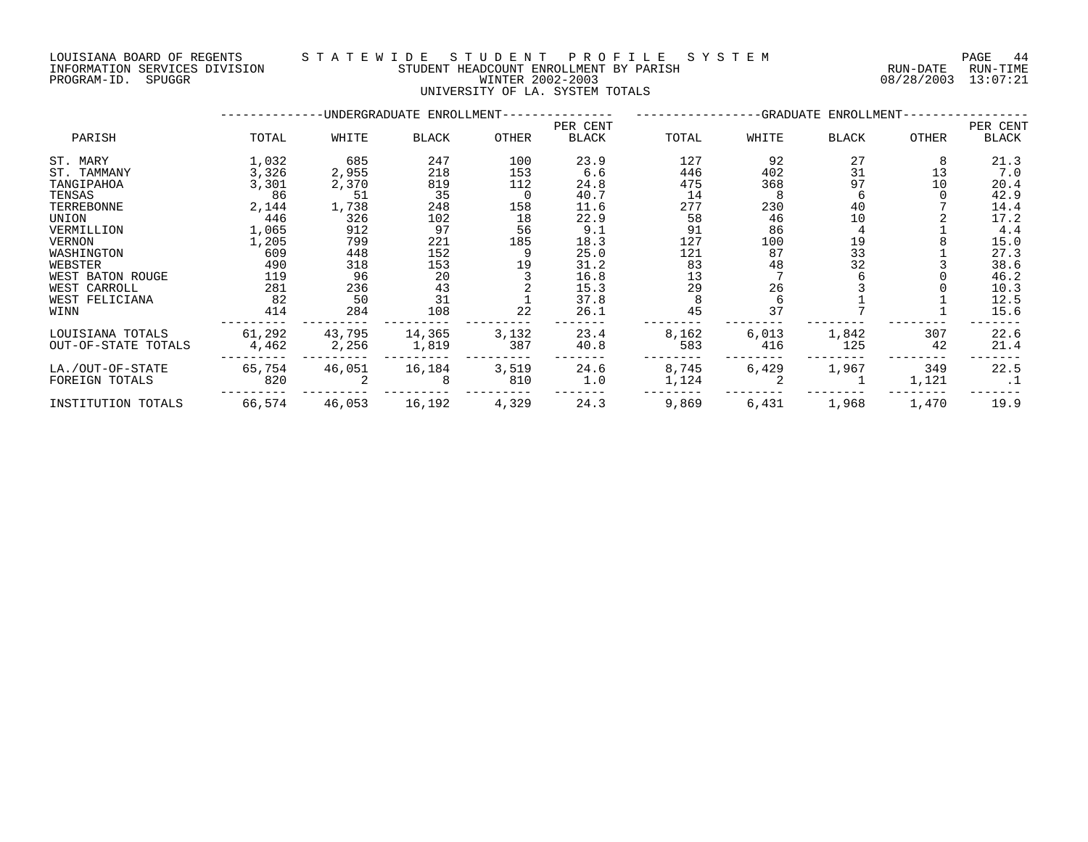PROGRAM-ID. SPUGGR WINTER 2002-2003 08/28/2003 13:07:21

## LOUISIANA BOARD OF REGENTS S T A T E W I D E S T U D E N T P R O F I L E S Y S T E M PAGE 44 INFORMATION SERVICES DIVISION STUDENT HEADCOUNT ENROLLMENT BY PARISH RUN-DATE RUN-TIME

UNIVERSITY OF LA. SYSTEM TOTALS

|                     |        |        | -UNDERGRADUATE ENROLLMENT- |              | -GRADUATE ENROLLMENT- |       |       |              |       |              |
|---------------------|--------|--------|----------------------------|--------------|-----------------------|-------|-------|--------------|-------|--------------|
|                     |        |        |                            |              | PER CENT              |       |       |              |       | PER CENT     |
| PARISH              | TOTAL  | WHITE  | BLACK                      | <b>OTHER</b> | <b>BLACK</b>          | TOTAL | WHITE | <b>BLACK</b> | OTHER | <b>BLACK</b> |
| ST. MARY            | 1,032  | 685    | 247                        | 100          | 23.9                  | 127   | 92    | 27           |       | 21.3         |
| ST. TAMMANY         | 3,326  | 2,955  | 218                        | 153          | 6.6                   | 446   | 402   | 31           | 13    | 7.0          |
| TANGIPAHOA          | 3,301  | 2,370  | 819                        | 112          | 24.8                  | 475   | 368   | 97           | 10    | 20.4         |
| TENSAS              | 86     | 51     | 35                         | 0            | 40.7                  | 14    |       | h            |       | 42.9         |
| TERREBONNE          | 2,144  | 1,738  | 248                        | 158          | 11.6                  | 277   | 230   | 40           |       | 14.4         |
| UNION               | 446    | 326    | 102                        | 18           | 22.9                  | 58    | 46    | 10           |       | 17.2         |
| VERMILLION          | 1,065  | 912    | 97                         | 56           | 9.1                   | 91    | 86    |              |       | 4.4          |
| VERNON              | 1,205  | 799    | 221                        | 185          | 18.3                  | 127   | 100   | 19           |       | 15.0         |
| WASHINGTON          | 609    | 448    | 152                        |              | 25.0                  | 121   | 87    | 33           |       | 27.3         |
| WEBSTER             | 490    | 318    | 153                        | 19           | 31.2                  | 83    | 48    | 32           |       | 38.6         |
| WEST BATON ROUGE    | 119    | 96     | 20                         |              | 16.8                  | 13    |       |              |       | 46.2         |
| WEST CARROLL        | 281    | 236    | 43                         |              | 15.3                  | 29    | 26    |              |       | 10.3         |
| WEST FELICIANA      | 82     | 50     | 31                         |              | 37.8                  |       |       |              |       | 12.5         |
| WINN                | 414    | 284    | 108                        | 22           | 26.1                  | 45    | 37    |              |       | 15.6         |
| LOUISIANA TOTALS    | 61,292 | 43,795 | 14,365                     | 3,132        | 23.4                  | 8,162 | 6,013 | 1,842        | 307   | 22.6         |
| OUT-OF-STATE TOTALS | 4,462  | 2,256  | 1,819                      | 387          | 40.8                  | 583   | 416   | 125          | 42    | 21.4         |
| LA./OUT-OF-STATE    | 65,754 | 46,051 | 16,184                     | 3,519        | 24.6                  | 8,745 | 6,429 | 1,967        | 349   | 22.5         |
| FOREIGN TOTALS      | 820    |        | 8                          | 810          | 1.0                   | 1,124 |       |              | 1,121 | .1           |
| INSTITUTION TOTALS  | 66,574 | 46,053 | 16,192                     | 4,329        | 24.3                  | 9,869 | 6,431 | 1,968        | 1,470 | 19.9         |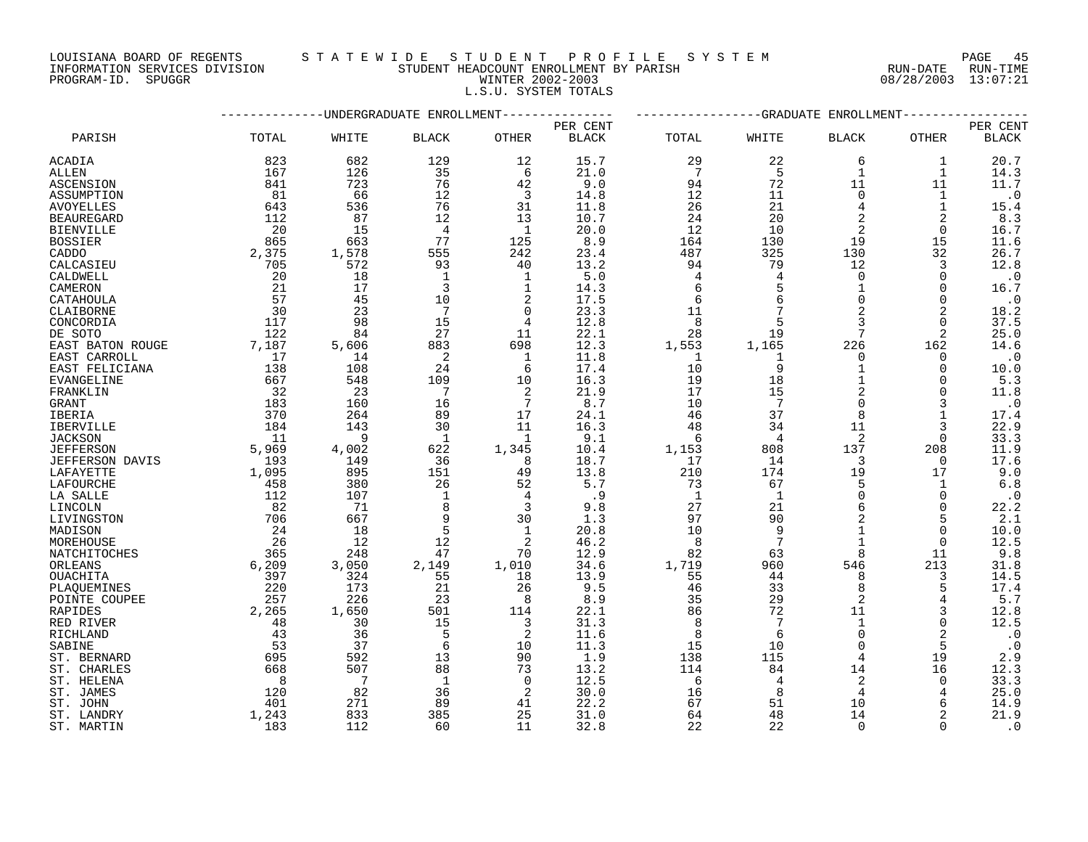LOUISIANA BOARD OF REGENTS S T A T E W I D E S T U D E N T P R O F I L E S Y S T E M PAGE 45

# INFORMATION SERVICES DIVISION STUDENT HEADCOUNT ENROLLMENT BY PARISH RUN-DATE RUN-TIME PROGRAM-ID. SPUGGR WINTER 2002-2003 08/28/2003 13:07:21 L.S.U. SYSTEM TOTALS

|                        |       |                | ---------UNDERGRADUATE ENROLLMENT- |                | ------------GRADUATE<br>ENROLLMENT |                |                |                |              |              |  |
|------------------------|-------|----------------|------------------------------------|----------------|------------------------------------|----------------|----------------|----------------|--------------|--------------|--|
|                        |       |                |                                    |                | PER CENT                           |                |                |                |              | PER CENT     |  |
| PARISH                 | TOTAL | WHITE          | <b>BLACK</b>                       | OTHER          | <b>BLACK</b>                       | TOTAL          | WHITE          | <b>BLACK</b>   | OTHER        | <b>BLACK</b> |  |
| ACADIA                 | 823   | 682            | 129                                | 12             | 15.7                               | 29             | 22             | 6              | 1            | 20.7         |  |
| ALLEN                  | 167   | 126            | 35                                 | 6              | 21.0                               | 7              | 5              | 1              | $\mathbf{1}$ | 14.3         |  |
| <b>ASCENSION</b>       | 841   | 723            | 76                                 | 42             | 9.0                                | 94             | 72             | 11             | 11           | 11.7         |  |
| ASSUMPTION             | 81    | 66             | 12                                 | 3              | 14.8                               | 12             | 11             | $\Omega$       | $\mathbf 1$  | $\cdot$ 0    |  |
| <b>AVOYELLES</b>       | 643   | 536            | 76                                 | 31             | 11.8                               | 26             | 21             | $\overline{4}$ | $\mathbf 1$  | 15.4         |  |
| <b>BEAUREGARD</b>      | 112   | 87             | 12                                 | 13             | 10.7                               | 24             | 20             | 2              | 2            | 8.3          |  |
| <b>BIENVILLE</b>       | 20    | 15             | 4                                  | $\mathbf{1}$   | 20.0                               | 12             | 10             | 2              | $\Omega$     | 16.7         |  |
| <b>BOSSIER</b>         | 865   | 663            | 77                                 | 125            | 8.9                                | 164            | 130            | 19             | 15           | 11.6         |  |
| CADDO                  | 2,375 | 1,578          | 555                                | 242            | 23.4                               | 487            | 325            | 130            | 32           | 26.7         |  |
| CALCASIEU              | 705   | 572            | 93                                 | 40             | 13.2                               | 94             | 79             | 12             | 3            | 12.8         |  |
| CALDWELL               | 20    | 18             | 1                                  | 1              | 5.0                                | $\overline{4}$ | $\overline{4}$ | $\Omega$       | 0            | $\cdot$ 0    |  |
| CAMERON                | 21    | 17             | $\overline{3}$                     | $\mathbf 1$    | 14.3                               | 6              |                | $\mathbf{1}$   | $\Omega$     | 16.7         |  |
| CATAHOULA              | 57    | 45             | 10                                 | 2              | 17.5                               | 6              | 6              | $\Omega$       | $\Omega$     | $\cdot$ 0    |  |
| CLAIBORNE              | 30    | 23             | 7                                  | $\mathbf 0$    | 23.3                               | 11             |                | $\overline{2}$ | 2            | 18.2         |  |
| CONCORDIA              | 117   | 98             | 15                                 | 4              | 12.8                               | 8              |                | 3              | $\Omega$     | 37.5         |  |
| DE SOTO                | 122   | 84             | 27                                 | 11             | 22.1                               | 28             | 19             | 7              | 2            | 25.0         |  |
| EAST BATON ROUGE       | 7,187 | 5,606          | 883                                | 698            | 12.3                               | 1,553          | 1,165          | 226            | 162          | 14.6         |  |
| EAST CARROLL           | 17    | 14             | 2                                  | 1              | 11.8                               | 1              | 1              | $\Omega$       | 0            | $\cdot$ 0    |  |
| EAST FELICIANA         | 138   | 108            | 24                                 | 6              | 17.4                               | 10             | 9              | $\mathbf{1}$   | 0            | 10.0         |  |
| EVANGELINE             | 667   | 548            | 109                                | 10             | 16.3                               | 19             | 18             |                | $\Omega$     | 5.3          |  |
| FRANKLIN               | 32    | 23             | $7\phantom{.0}$                    | 2              | 21.9                               | 17             | 15             | $\overline{2}$ | $\Omega$     | 11.8         |  |
| GRANT                  | 183   | 160            | 16                                 | 7              | 8.7                                | 10             | 7              | $\Omega$       | 3            | $\cdot$ 0    |  |
| <b>IBERIA</b>          | 370   | 264            | 89                                 | 17             | 24.1                               | 46             | 37             | 8              | $\mathbf{1}$ | 17.4         |  |
| IBERVILLE              | 184   | 143            | 30                                 | 11             | 16.3                               | 48             | 34             | 11             | 3            | 22.9         |  |
| <b>JACKSON</b>         | 11    | 9              | $\mathbf{1}$                       | 1              | 9.1                                | 6              | $\overline{4}$ | 2              | $\Omega$     | 33.3         |  |
| <b>JEFFERSON</b>       | 5,969 | 4,002          | 622                                | 1,345          | 10.4                               | 1,153          | 808            | 137            | 208          | 11.9         |  |
| <b>JEFFERSON DAVIS</b> | 193   | 149            | 36                                 | 8              | 18.7                               | 17             | 14             | 3              | 0            | 17.6         |  |
| LAFAYETTE              | 1,095 | 895            | 151                                | 49             | 13.8                               | 210            | 174            | 19             | 17           | 9.0          |  |
| LAFOURCHE              | 458   | 380            | 26                                 | 52             | 5.7                                | 73             | 67             | 5              | 1            | 6.8          |  |
| LA SALLE               | 112   | 107            | $\mathbf{1}$                       | $\overline{4}$ | .9                                 | $\mathbf{1}$   | 1              | $\overline{0}$ | $\mathbf 0$  | $\cdot$ 0    |  |
| LINCOLN                | 82    | 71             | 8                                  | 3              | 9.8                                | 27             | 21             | 6              | $\Omega$     | 22.2         |  |
| LIVINGSTON             | 706   | 667            | 9                                  | 30             | 1.3                                | 97             | 90             |                | 5            | 2.1          |  |
| MADISON                | 24    | 18             | 5                                  | 1              | 20.8                               | 10             | q              |                | $\Omega$     | 10.0         |  |
| MOREHOUSE              | 26    | 12             | 12                                 | 2              | 46.2                               | 8              | 7              |                | $\mathbf 0$  | 12.5         |  |
| NATCHITOCHES           | 365   | 248            | 47                                 | 70             | 12.9                               | 82             | 63             | $\mathsf{R}$   | 11           | 9.8          |  |
| ORLEANS                | 6,209 | 3,050          | 2,149                              | 1,010          | 34.6                               | 1,719          | 960            | 546            | 213          | 31.8         |  |
| OUACHITA               | 397   | 324            | 55                                 | 18             | 13.9                               | 55             | 44             | 8              | 3            | 14.5         |  |
| PLAQUEMINES            | 220   | 173            | 21                                 | 26             | 9.5                                | 46             | 33             |                | 5            | 17.4         |  |
| POINTE COUPEE          | 257   | 226            | 23                                 | 8              | 8.9                                | 35             | 29             | 2              | 4            | 5.7          |  |
| RAPIDES                | 2,265 | 1,650          | 501                                | 114            | 22.1                               | 86             | 72             | 11             | 3            | 12.8         |  |
| RED RIVER              | 48    | 30             | 15                                 | 3              | 31.3                               | 8              | 7              | $\mathbf{1}$   | $\Omega$     | 12.5         |  |
| RICHLAND               | 43    | 36             | 5                                  | 2              | 11.6                               | 8              | 6              | $\Omega$       | 2            | $\cdot$ 0    |  |
| SABINE                 | 53    | 37             | 6                                  | 10             | 11.3                               | 15             | 10             | $\Omega$       | 5            | $\cdot$ 0    |  |
| ST. BERNARD            | 695   | 592            | 13                                 | 90             | 1.9                                | 138            | 115            | 4              | 19           | 2.9          |  |
| ST. CHARLES            | 668   | 507            | 88                                 | 73             | 13.2                               | 114            | 84             | 14             | 16           | 12.3         |  |
| ST. HELENA             | 8     | $\overline{7}$ | 1                                  | $\Omega$       | 12.5                               | 6              | $\overline{4}$ | 2              | $\Omega$     | 33.3         |  |
| ST. JAMES              | 120   | 82             | 36                                 | 2              | 30.0                               | 16             | 8              | 4              | 4            | 25.0         |  |
| ST. JOHN               | 401   | 271            | 89                                 | 41             | 22.2                               | 67             | 51             | 10             | 6            | 14.9         |  |
| ST. LANDRY             | 1,243 | 833            | 385                                | 25             | 31.0                               | 64             | 48             | 14             |              | 21.9         |  |
| ST. MARTIN             | 183   | 112            | 60                                 | 11             | 32.8                               | 22             | 22             | $\Omega$       | $\Omega$     | $\cdot$ 0    |  |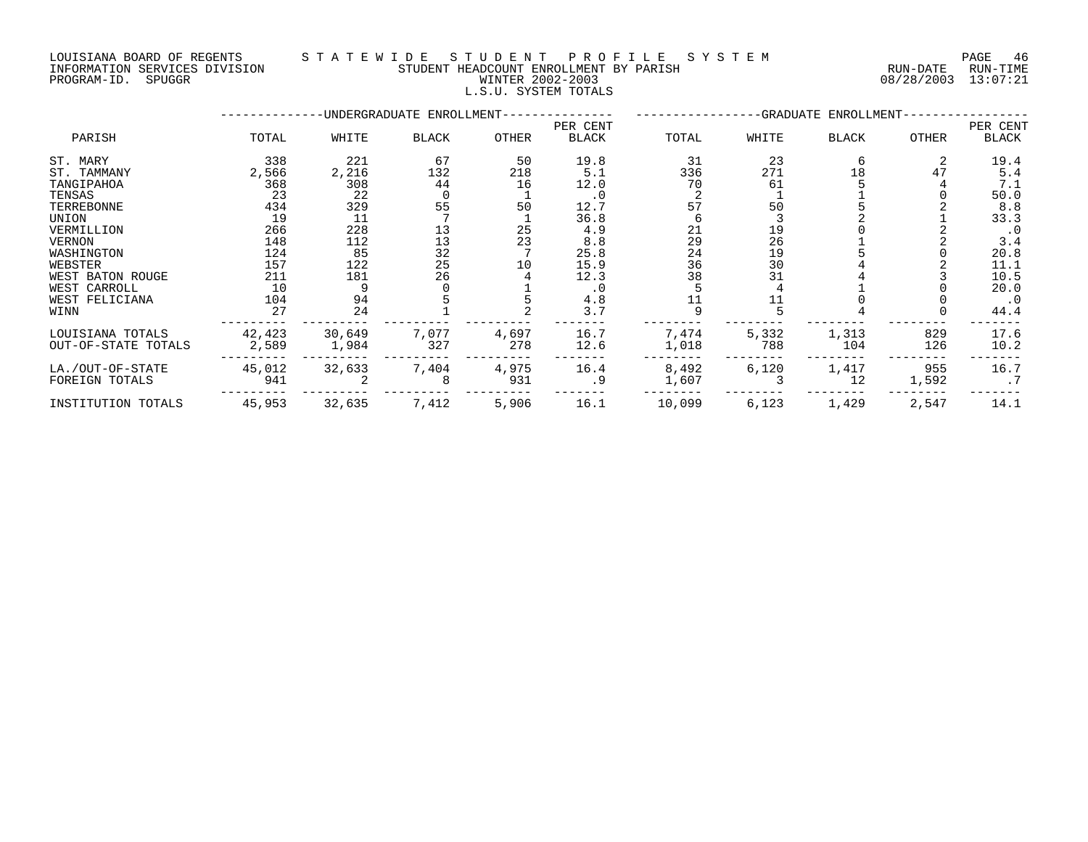LOUISIANA BOARD OF REGENTS STATEWIDE STUDENT PROFILE SYSTEM NAGE 46

| INFORMATION SERVICES DIVISION | STUDENT HEADCOUNT ENROLLMENT BY PARISH | RUN-DATE RUN-TIME   |
|-------------------------------|----------------------------------------|---------------------|
| PROGRAM-ID. SPUGGR            | WINTER 2002-2003                       | 08/28/2003 13:07:21 |
|                               | L.S.U. SYSTEM TOTALS                   |                     |

|                     |        |        | -UNDERGRADUATE ENROLLMENT-              |              | -GRADUATE ENROLLMENT- |        |       |       |       |           |
|---------------------|--------|--------|-----------------------------------------|--------------|-----------------------|--------|-------|-------|-------|-----------|
| PARISH              |        |        |                                         |              | PER CENT              |        |       |       |       | PER CENT  |
|                     | TOTAL  | WHITE  | BLACK                                   | <b>OTHER</b> | <b>BLACK</b>          | TOTAL  | WHITE | BLACK | OTHER | BLACK     |
| ST. MARY            | 338    | 221    | 67                                      | 50           | 19.8                  | 31     | 23    |       |       | 19.4      |
| ST. TAMMANY         | 2,566  | 2,216  | 132                                     | 218          | 5.1                   | 336    | 271   | 18    | 47    | 5.4       |
| TANGIPAHOA          | 368    | 308    | 44                                      | 16           | 12.0                  | 70     | 61    |       |       | 7.1       |
| TENSAS              | 23     | 22     |                                         |              | $\cdot$ 0             |        |       |       |       | 50.0      |
| TERREBONNE          | 434    | 329    | 55                                      | 50           | 12.7                  | 57     | 50    |       |       | 8.8       |
| UNION               | 19     | 11     |                                         |              | 36.8                  |        |       |       |       | 33.3      |
| VERMILLION          | 266    | 228    | 13                                      | 25           | 4.9                   | 21     | 19    |       |       | $\cdot$ 0 |
| VERNON              | 148    | 112    | $\begin{array}{c} 13 \\ 32 \end{array}$ | 23           | 8.8                   | 29     | 26    |       |       | 3.4       |
| WASHINGTON          | 124    | 85     |                                         |              | 25.8                  | 24     | 19    |       |       | 20.8      |
| WEBSTER             | 157    | 122    | 25                                      | 10           | 15.9                  | 36     | 30    |       |       | 11.1      |
| WEST BATON ROUGE    | 211    | 181    | 26                                      |              | 12.3                  | 38     | 31    |       |       | 10.5      |
| WEST CARROLL        | 10     |        |                                         |              | $\cdot$ 0             |        |       |       |       | 20.0      |
| WEST FELICIANA      | 104    | 94     |                                         |              | $4.8\,$               |        |       |       |       | $\cdot$ 0 |
| WINN                | 27     | 24     |                                         |              | 3.7                   | q      |       |       |       | 44.4      |
| LOUISIANA TOTALS    | 42,423 | 30,649 | 7,077                                   | 4,697        | 16.7                  | 7,474  | 5,332 | 1,313 | 829   | 17.6      |
| OUT-OF-STATE TOTALS | 2,589  | 1,984  | 327                                     | 278          | 12.6                  | 1,018  | 788   | 104   | 126   | 10.2      |
| LA./OUT-OF-STATE    | 45,012 | 32,633 | 7,404                                   | 4,975        | 16.4                  | 8,492  | 6,120 | 1,417 | 955   | 16.7      |
| FOREIGN TOTALS      | 941    |        | 8                                       | 931          | .9                    | 1,607  |       | 12    | 1,592 | .7        |
| INSTITUTION TOTALS  | 45,953 | 32,635 | 7,412                                   | 5,906        | 16.1                  | 10,099 | 6,123 | 1,429 | 2,547 | 14.1      |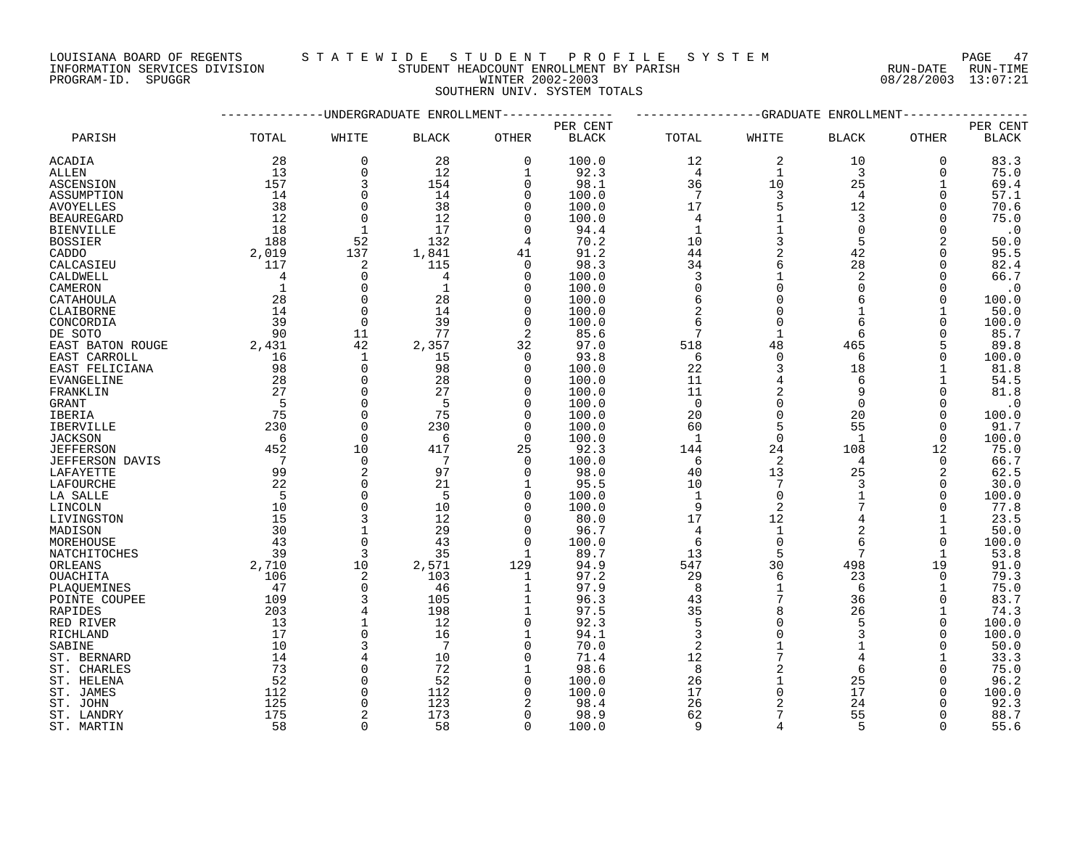LOUISIANA BOARD OF REGENTS S T A T E W I D E S T U D E N T P R O F I L E S Y S T E M PAGE 47

# INFORMATION SERVICES DIVISION STUDENT HEADCOUNT ENROLLMENT BY PARISH RUN-DATE RUN-TIME DOUISIANA BOARD OF REGENTS STATE WILL BIOLOGINI ENOTIFICATION COULSIANA BOARD OF REGENTS STATE WILL BIOLOGINI<br>INFORMATION SERVICES DIVISION STUDENT HEADCOUNT ENROLLMENT BY PARISH (RUN-DATE RUN-TIME PROGRAM-ID. SPUGGR 08/2 SOUTHERN UNIV. SYSTEM TOTALS

|                        |              | -----------GRADUATE<br>ENROLLMENT |                            |                |              |                 |                |                |              |                        |
|------------------------|--------------|-----------------------------------|----------------------------|----------------|--------------|-----------------|----------------|----------------|--------------|------------------------|
|                        |              |                                   | --UNDERGRADUATE ENROLLMENT |                | PER CENT     |                 |                |                |              | PER CENT               |
| PARISH                 | TOTAL        | WHITE                             | <b>BLACK</b>               | OTHER          | <b>BLACK</b> | TOTAL           | WHITE          | <b>BLACK</b>   | OTHER        | $\operatorname{BLACK}$ |
| ACADIA                 | 28           | $\mathbf 0$                       | 28                         | 0              | 100.0        | 12              | 2              | 10             | $\mathbf 0$  | 83.3                   |
| ALLEN                  | 13           | $\Omega$                          | 12                         | $\mathbf{1}$   | 92.3         | $\overline{4}$  | 1              | 3              | $\Omega$     | 75.0                   |
| <b>ASCENSION</b>       | 157          | 3                                 | 154                        | $\overline{0}$ | 98.1         | 36              | 10             | 25             | $\mathbf 1$  | 69.4                   |
| ASSUMPTION             | 14           | $\mathbf 0$                       | 14                         | $\Omega$       | 100.0        | $7\phantom{.0}$ | 3              | 4              | 0            | 57.1                   |
| <b>AVOYELLES</b>       | 38           | $\Omega$                          | 38                         | $\Omega$       | 100.0        | 17              |                | 12             | $\Omega$     | 70.6                   |
| <b>BEAUREGARD</b>      | 12           | $\Omega$                          | 12                         | $\Omega$       | 100.0        | 4               |                | 3              | 0            | 75.0                   |
| <b>BIENVILLE</b>       | 18           | $\mathbf{1}$                      | 17                         | $\Omega$       | 94.4         | $\mathbf{1}$    |                | $\Omega$       | $\Omega$     | $\cdot$ 0              |
| <b>BOSSIER</b>         | 188          | 52                                | 132                        | 4              | 70.2         | 10              | 3              | 5              | 2            | 50.0                   |
| CADDO                  | 2,019        | 137                               | 1,841                      | 41             | 91.2         | 44              | 2              | 42             | $\Omega$     | 95.5                   |
| CALCASIEU              | 117          | 2                                 | 115                        | $\Omega$       | 98.3         | 34              |                | 28             | $\mathbf 0$  | 82.4                   |
| CALDWELL               | 4            | 0                                 | 4                          | $\Omega$       | 100.0        | 3               |                | 2              | $\Omega$     | 66.7                   |
| CAMERON                | $\mathbf{1}$ | $\Omega$                          | 1                          | $\Omega$       | 100.0        | $\mathbf 0$     | $\Omega$       | $\Omega$       | $\Omega$     | $\cdot$ 0              |
| CATAHOULA              | 28           | $\mathbf 0$                       | 28                         | $\Omega$       | 100.0        | 6               |                | 6              | $\Omega$     | 100.0                  |
| CLAIBORNE              | 14           | $\Omega$                          | 14                         | $\Omega$       | 100.0        | 2               | $\Omega$       |                |              | 50.0                   |
| CONCORDIA              | 39           | $\Omega$                          | 39                         | $\Omega$       | 100.0        | 6               | $\Omega$       |                | $\Omega$     |                        |
|                        | 90           | 11                                | 77                         | $\overline{2}$ | 85.6         | 7               | $\mathbf{1}$   | 6              |              | 100.0<br>85.7          |
| DE SOTO                |              |                                   |                            |                |              |                 |                |                |              |                        |
| EAST BATON ROUGE       | 2,431        | 42                                | 2,357                      | 32             | 97.0         | 518             | 48             | 465            | 5            | 89.8                   |
| EAST CARROLL           | 16           | $\mathbf{1}$                      | 15                         | $\Omega$       | 93.8         | 6               | $\Omega$       | 6              | $\Omega$     | 100.0                  |
| EAST FELICIANA         | 98           | $\mathbf 0$                       | 98                         | $\Omega$       | 100.0        | 22              | 3              | 18             |              | 81.8                   |
| EVANGELINE             | 28           | $\Omega$                          | 28                         | $\Omega$       | 100.0        | 11              |                | 6              |              | 54.5                   |
| FRANKLIN               | 27           | $\Omega$                          | 27                         | $\Omega$       | 100.0        | 11              | $\overline{c}$ | 9              | $\Omega$     | 81.8                   |
| GRANT                  | 5            | $\Omega$                          | 5                          | $\Omega$       | 100.0        | $\overline{0}$  | $\Omega$       | $\Omega$       | $\Omega$     | $\cdot$ 0              |
| <b>IBERIA</b>          | 75           | $\Omega$                          | 75                         | $\Omega$       | 100.0        | 20              | $\Omega$       | 20             | $\Omega$     | 100.0                  |
| IBERVILLE              | 230          | $\mathbf 0$                       | 230                        | 0              | 100.0        | 60              | 5              | 55             | 0            | 91.7                   |
| <b>JACKSON</b>         | 6            | $\Omega$                          | 6                          | $\Omega$       | 100.0        | 1               | $\Omega$       | $\overline{1}$ | $\Omega$     | 100.0                  |
| <b>JEFFERSON</b>       | 452          | 10                                | 417                        | 25             | 92.3         | 144             | 24             | 108            | 12           | 75.0                   |
| <b>JEFFERSON DAVIS</b> | 7            | $\Omega$                          | 7                          | $\Omega$       | 100.0        | 6               | 2              | 4              | $\mathbf 0$  | 66.7                   |
| LAFAYETTE              | 99           | $\overline{2}$                    | 97                         | $\Omega$       | 98.0         | 40              | 13             | 25             | 2            | 62.5                   |
| LAFOURCHE              | 22           | $\Omega$                          | 21                         | 1              | 95.5         | 10              | 7              | 3              | 0            | 30.0                   |
| LA SALLE               | 5            | $\Omega$                          | 5                          | $\Omega$       | 100.0        | $\mathbf{1}$    | $\Omega$       |                | $\Omega$     | 100.0                  |
| LINCOLN                | 10           | $\Omega$                          | 10                         | $\Omega$       | 100.0        | 9               | 2              | 7              | 0            | 77.8                   |
| LIVINGSTON             | 15           | 3                                 | 12                         | $\Omega$       | 80.0         | 17              | 12             |                |              | 23.5                   |
| MADISON                | 30           |                                   | 29                         | $\Omega$       | 96.7         | 4               | $\mathbf 1$    | $\overline{2}$ |              | 50.0                   |
| MOREHOUSE              | 43           | $\Omega$                          | 43                         | $\Omega$       | 100.0        | 6               | $\Omega$       | 6              | 0            | 100.0                  |
| NATCHITOCHES           | 39           | 3                                 | 35                         | $\mathbf{1}$   | 89.7         | 13              | 5              |                | $\mathbf{1}$ | 53.8                   |
| ORLEANS                | 2,710        | 10                                | 2,571                      | 129            | 94.9         | 547             | 30             | 498            | 19           | 91.0                   |
| <b>OUACHITA</b>        | 106          | 2                                 | 103                        | $\mathbf 1$    | 97.2         | 29              | 6              | 23             | $\mathbf 0$  | 79.3                   |
| PLAQUEMINES            | 47           | $\mathbf 0$                       | -46                        | 1              | 97.9         | 8               |                | 6              |              | 75.0                   |
| POINTE COUPEE          | 109          |                                   | 105                        | 1              | 96.3         | 43              | 7              | 36             | $\Omega$     | 83.7                   |
| RAPIDES                | 203          |                                   | 198                        | $\mathbf 1$    | 97.5         | 35              |                | 26             |              | 74.3                   |
| RED RIVER              | 13           |                                   | 12                         | $\Omega$       | 92.3         | 5               | $\Omega$       | 5              | $\Omega$     | 100.0                  |
| RICHLAND               | 17           | $\Omega$                          | 16                         | 1              | 94.1         | $\overline{3}$  |                | 3              | $\Omega$     | 100.0                  |
| SABINE                 | 10           | 3                                 | 7                          | $\Omega$       | 70.0         | $\overline{2}$  |                |                | $\Omega$     | 50.0                   |
| ST. BERNARD            | 14           | $\overline{4}$                    | 10                         | $\mathbf 0$    | 71.4         | 12              |                |                |              | 33.3                   |
| ST. CHARLES            | 73           | $\Omega$                          | 72                         | 1              | 98.6         | 8               | 2              |                | $\Omega$     | 75.0                   |
| ST. HELENA             | 52           | $\Omega$                          | 52                         | $\Omega$       | 100.0        | 26              |                | 25             | $\Omega$     | 96.2                   |
| ST. JAMES              | 112          | $\Omega$                          | 112                        | $\Omega$       | 100.0        | 17              | $\Omega$       | 17             | $\Omega$     | 100.0                  |
| ST. JOHN               | 125          | $\Omega$                          | 123                        |                | 98.4         | 26              |                | 24             |              | 92.3                   |
| ST. LANDRY             | 175          |                                   | 173                        | $\Omega$       | 98.9         | 62              |                | 55             | ∩            | 88.7                   |
| ST. MARTIN             | 58           | $\Omega$                          | 58                         | $\Omega$       | 100.0        | $\mathsf{Q}$    | $\Delta$       | 5              | $\Omega$     | 55.6                   |
|                        |              |                                   |                            |                |              |                 |                |                |              |                        |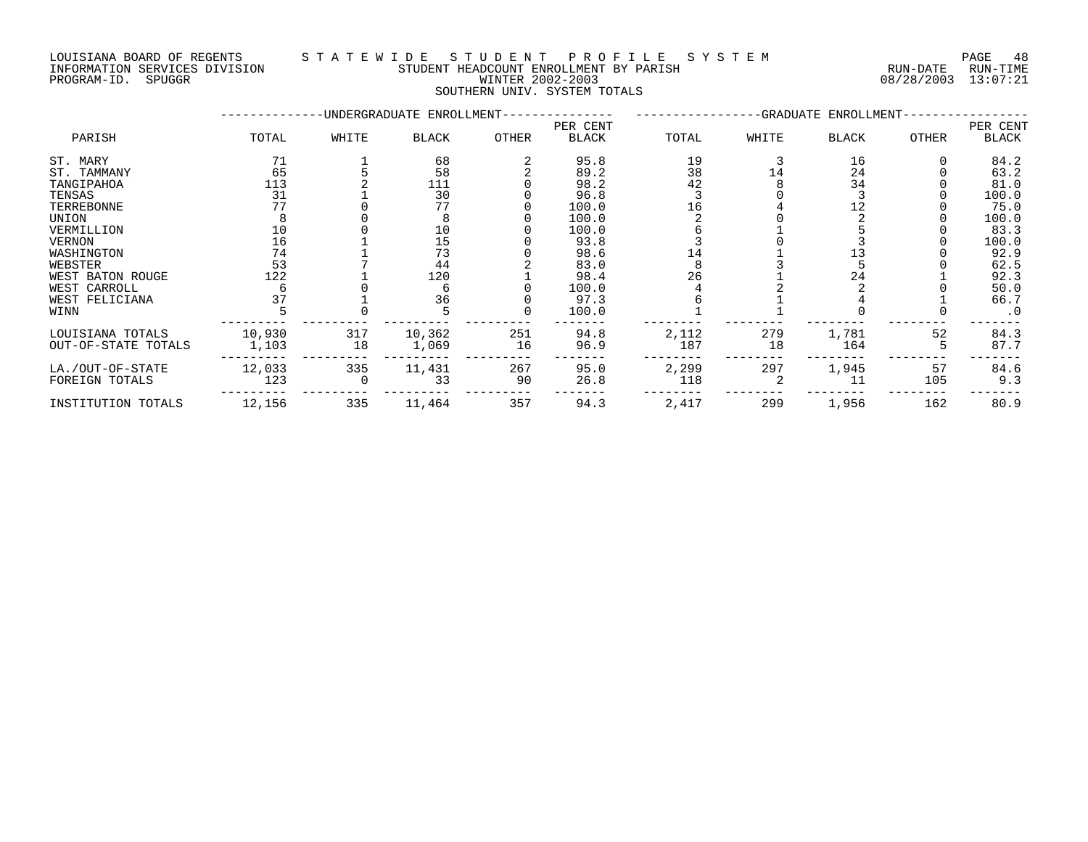INFORMATION SERVICES DIVISION STUDENT HEADCOUNT ENROLLMENT BY PARISH RUN-DATE RUN-TIME DOULSTANA BOARD OF REGENTS<br>INFORMATION SERVICES DIVISION TRANSMITICATION STUDENT HEADCOUNT ENROLLMENT BY PARISH THE CONFORMATION SERVICES<br>PROGRAM-ID. SPUGGR PROGRAM-ID. SPUGGR

# LOUISIANA BOARD OF REGENTS S T A T E W I D E S T U D E N T P R O F I L E S Y S T E M PAGE 48

SOUTHERN UNIV. SYSTEM TOTALS

|                     |        |       | -UNDERGRADUATE ENROLLMENT- |              |                          |       | -GRADUATE ENROLLMENT- |              |              |                   |
|---------------------|--------|-------|----------------------------|--------------|--------------------------|-------|-----------------------|--------------|--------------|-------------------|
| PARISH              | TOTAL  | WHITE | <b>BLACK</b>               | <b>OTHER</b> | PER CENT<br><b>BLACK</b> | TOTAL | WHITE                 | <b>BLACK</b> | <b>OTHER</b> | PER CENT<br>BLACK |
|                     |        |       |                            |              |                          |       |                       |              |              |                   |
| ST. MARY            | 71     |       | 68                         |              | 95.8                     | 19    |                       | 16           |              | 84.2              |
| ST. TAMMANY         | 65     |       | 58                         |              | 89.2                     | 38    | 14                    | 24           |              | 63.2              |
| TANGIPAHOA          | 113    |       | 111                        |              | 98.2                     | 42    |                       | 34           |              | 81.0              |
| TENSAS              | 31     |       | 30                         |              | 96.8                     |       |                       |              |              | 100.0             |
| TERREBONNE          |        |       | 77                         |              | 100.0                    |       |                       |              |              | 75.0              |
| UNION               |        |       |                            |              | 100.0                    |       |                       |              |              | 100.0             |
| VERMILLION          | 10     |       | 10                         |              | 100.0                    |       |                       |              |              | 83.3              |
| <b>VERNON</b>       | 16     |       | 15                         |              | 93.8                     |       |                       |              |              | 100.0             |
| WASHINGTON          | 74     |       | 73                         |              | 98.6                     | 14    |                       | 13           |              | 92.9              |
| WEBSTER             | 53     |       | 44                         |              | 83.0                     |       |                       |              |              | 62.5              |
| WEST BATON ROUGE    | 122    |       | 120                        |              | 98.4                     | 26    |                       | 24           |              | 92.3              |
| WEST CARROLL        |        |       |                            |              | 100.0                    |       |                       |              |              | 50.0              |
| WEST FELICIANA      |        |       | 36                         |              | 97.3                     |       |                       |              |              | 66.7              |
| WINN                |        |       |                            |              | 100.0                    |       |                       |              |              | $\cdot$ 0         |
| LOUISIANA TOTALS    | 10,930 | 317   | 10,362                     | 251          | 94.8                     | 2,112 | 279                   | 1,781        | 52           | 84.3              |
| OUT-OF-STATE TOTALS | 1,103  | 18    | 1,069                      | 16           | 96.9                     | 187   | 18                    | 164          |              | 87.7              |
| LA./OUT-OF-STATE    | 12,033 | 335   | 11,431                     | 267          | 95.0                     | 2,299 | 297                   | 1,945        | 57           | 84.6              |
| FOREIGN TOTALS      | 123    |       | 33                         | 90           | 26.8                     | 118   |                       | 11           | 105          | 9.3               |
| INSTITUTION TOTALS  | 12,156 | 335   | 11,464                     | 357          | 94.3                     | 2,417 | 299                   | 1,956        | 162          | 80.9              |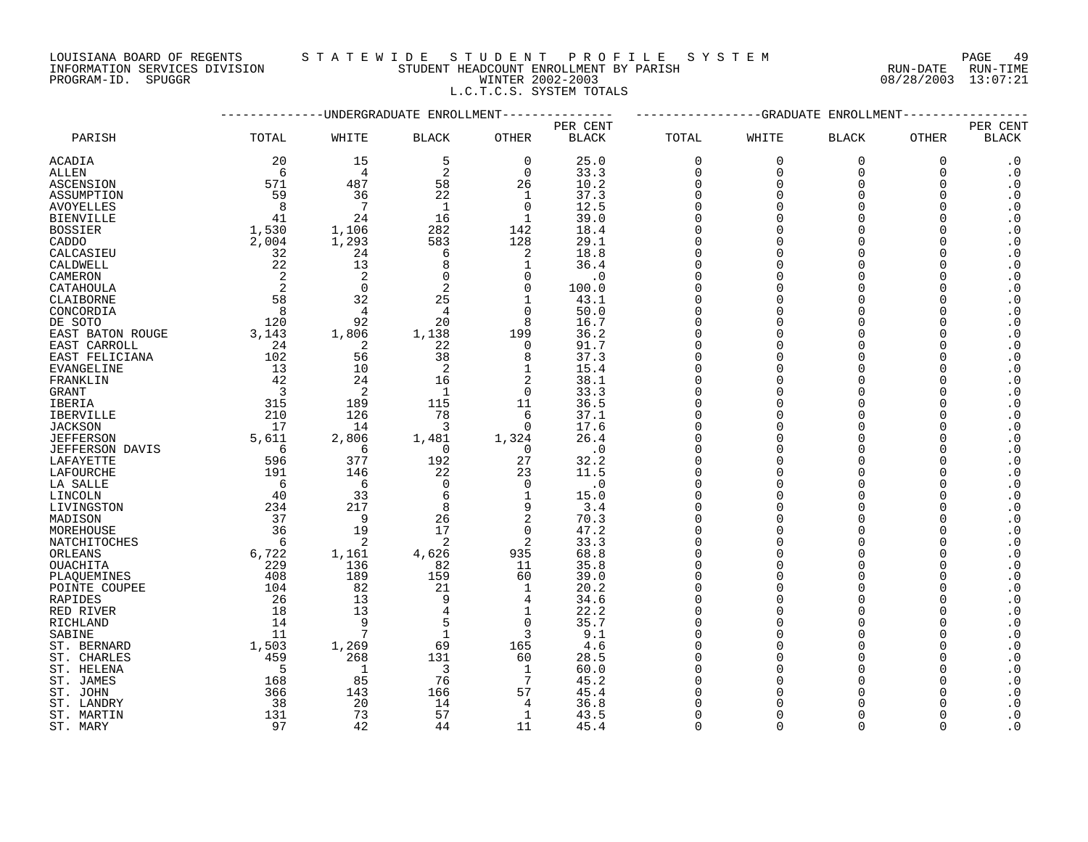# LOUISIANA BOARD OF REGENTS STATEWIDE STUDE STUDENT PROFILE SYSTEM PAGE 49<br>INFORMATION SERVICES DIVISION STUDENT HEADCOUNT ENROLLMENT BY PARISH STUDENT HEADCOUNT ENROLLMENT BY PARISH INFORMATION SERVICES DIVISION SALL AND STUDENT HEADCOUNT ENROLLMENT BY PARISH PROGRAM-ID. SPUGGR WINTER 2002-2003 08/28/2003 13:07:21

L.C.T.C.S. SYSTEM TOTALS

|                        |                          |                 | ---------UNDERGRADUATE ENROLLMENT |                |              | -----------GRADUATE<br>ENROLLMENT |             |                    |             |                        |
|------------------------|--------------------------|-----------------|-----------------------------------|----------------|--------------|-----------------------------------|-------------|--------------------|-------------|------------------------|
|                        |                          |                 |                                   |                | PER CENT     |                                   |             |                    |             | PER CENT               |
| PARISH                 | TOTAL                    | WHITE           | <b>BLACK</b>                      | OTHER          | <b>BLACK</b> | TOTAL                             | WHITE       | <b>BLACK</b>       | OTHER       | <b>BLACK</b>           |
| ACADIA                 | 20                       | 15              | 5                                 | $\Omega$       | 25.0         | $\Omega$                          | $\mathbf 0$ | $\mathbf 0$        | $\mathbf 0$ | $\cdot$ 0              |
| <b>ALLEN</b>           | 6                        | $\overline{4}$  | 2                                 | $\Omega$       | 33.3         | $\Omega$                          | $\Omega$    | $\Omega$           | $\Omega$    | $\cdot$ 0              |
| ASCENSION              | 571                      | 487             | 58                                | 26             | 10.2         | $\Omega$                          | $\Omega$    | $\mathbf 0$        | ∩           | $\cdot$ 0              |
| ASSUMPTION             | 59                       | 36              | 22                                | 1              | 37.3         | $\Omega$                          | $\Omega$    | $\Omega$           |             | $\cdot$ 0              |
| <b>AVOYELLES</b>       | 8                        | $\overline{7}$  | $\mathbf{1}$                      | $\Omega$       | 12.5         | $\Omega$                          | $\Omega$    | $\Omega$           |             | $\cdot$ 0              |
| <b>BIENVILLE</b>       | 41                       | 24              | 16                                | 1              | 39.0         | $\Omega$                          | $\Omega$    | $\Omega$           |             | $\cdot$ 0              |
| <b>BOSSIER</b>         | 1,530                    | 1,106           | 282                               | 142            | 18.4         | $\Omega$                          | $\cap$      | $\Omega$           |             | $\cdot$ 0              |
| CADDO                  | 2,004                    | 1,293           | 583                               | 128            | 29.1         | $\Omega$                          | $\Omega$    | $\Omega$           |             | $\boldsymbol{\cdot}$ 0 |
| CALCASIEU              | 32                       | 24              | 6                                 | 2              | 18.8         | $\Omega$                          | $\Omega$    | $\Omega$           |             | $\cdot$ 0              |
| CALDWELL               | 22                       | 13              | 8                                 | 1              | 36.4         | $\Omega$                          | $\Omega$    | $\Omega$           |             | $\cdot$ 0              |
| CAMERON                | 2                        | 2               | $\Omega$                          | $\Omega$       | $\cdot$ 0    | $\Omega$                          | $\Omega$    | $\Omega$           |             | $\cdot$ 0              |
| CATAHOULA              | 2                        | $\Omega$        | 2                                 | $\Omega$       | 100.0        | $\Omega$                          | $\Omega$    | $\cap$             |             | $\cdot$ 0              |
| CLAIBORNE              | 58                       | 32              | 25                                | $\mathbf{1}$   | 43.1         | $\Omega$                          | $\Omega$    | $\cap$             |             | $\cdot$ 0              |
| CONCORDIA              | $\overline{8}$           | $\overline{4}$  | $\overline{4}$                    | $\Omega$       | 50.0         | $\Omega$                          | $\Omega$    | $\Omega$           |             | $\cdot$ 0              |
| DE SOTO                | 120                      | 92              | 20                                | 8              | 16.7         | $\Omega$                          | $\Omega$    | $\cap$             |             | $\cdot$ 0              |
| EAST BATON ROUGE       | 3,143                    | 1,806           | 1,138                             | 199            | 36.2         | $\Omega$                          | $\Omega$    | $\Omega$           |             | $\cdot$ 0              |
| EAST CARROLL           | 24                       | 2               | 22                                | $\Omega$       | 91.7         | $\Omega$                          | $\Omega$    | $\Omega$           |             | $\cdot$ 0              |
| EAST FELICIANA         | 102                      | 56              | 38                                | 8              | 37.3         | $\Omega$                          | $\Omega$    |                    |             | $\cdot$ 0              |
| EVANGELINE             | 13                       | 10              | 2                                 | 1              | 15.4         | $\Omega$                          | $\Omega$    | $\Omega$           |             | $\cdot$ 0              |
| FRANKLIN               | 42                       | 24              | 16                                | 2              | 38.1         | $\cap$                            | $\cap$      | $\Omega$           |             | $\cdot$ 0              |
| GRANT                  | $\overline{\phantom{a}}$ | 2               | -1                                | $\overline{0}$ | 33.3         | $\Omega$                          | $\Omega$    | $\Omega$           |             | $\cdot$ 0              |
| IBERIA                 | 315                      | 189             | 115                               | 11             | 36.5         | $\Omega$                          | $\Omega$    | $\Omega$           |             | $\cdot$ 0              |
| <b>IBERVILLE</b>       | 210                      | 126             | 78                                | 6              | 37.1         | $\cap$                            | $\Omega$    | $\Omega$           |             | $\cdot$ 0              |
| <b>JACKSON</b>         | 17                       | 14              | 3                                 | $\Omega$       | 17.6         | $\Omega$                          | $\Omega$    | $\Omega$           |             | $\cdot$ 0              |
| <b>JEFFERSON</b>       | 5,611                    | 2,806           | 1,481                             | 1,324          | 26.4         | $\Omega$                          | $\Omega$    | $\Omega$           |             | $\boldsymbol{\cdot}$ 0 |
| <b>JEFFERSON DAVIS</b> | -6                       | 6               | $\Omega$                          | $\Omega$       | $\cdot$ 0    | $\Omega$                          | $\Omega$    | $\Omega$           |             | $\cdot$ 0              |
| LAFAYETTE              | 596                      | 377             | 192                               | 27             | 32.2         | $\Omega$                          | $\Omega$    | $\Omega$           |             | $\cdot$ 0              |
|                        |                          | 146             |                                   |                | 11.5         | $\Omega$                          | $\Omega$    | $\cap$             |             | $\cdot$ 0              |
| LAFOURCHE              | 191<br>6                 | 6               | 22<br>$\Omega$                    | 23<br>$\Omega$ | $\cdot$ 0    | $\Omega$                          | $\Omega$    | $\cap$             |             | $\cdot$ 0              |
| LA SALLE               |                          |                 |                                   |                |              | $\Omega$                          | $\Omega$    |                    |             |                        |
| LINCOLN                | 40                       | 33              | 6<br>8                            | 1<br>9         | 15.0         | $\Omega$                          | $\Omega$    | $\Omega$<br>$\cap$ |             | $\cdot$ 0              |
| LIVINGSTON             | 234                      | 217             |                                   |                | 3.4          | $\Omega$                          | $\cap$      | $\Omega$           |             | $\cdot$ 0              |
| MADISON                | 37                       | 9               | 26                                | 2              | 70.3         |                                   |             |                    |             | $\cdot$ 0              |
| MOREHOUSE              | 36                       | 19              | 17                                | $\Omega$       | 47.2         | $\Omega$                          | $\Omega$    | $\Omega$           |             | $\cdot$ 0              |
| NATCHITOCHES           | - 6                      | 2               | 2                                 | 2              | 33.3         | $\Omega$                          | $\Omega$    | $\cap$             |             | $\cdot$ 0              |
| ORLEANS                | 6,722                    | 1,161           | 4,626                             | 935            | 68.8         | $\Omega$                          | $\Omega$    | $\Omega$           |             | $\cdot$ 0              |
| <b>OUACHITA</b>        | 229                      | 136             | 82                                | 11             | 35.8         | $\Omega$                          | $\Omega$    | $\Omega$           |             | $\cdot$ 0              |
| PLAQUEMINES            | 408                      | 189             | 159                               | 60             | 39.0         | $\Omega$                          | $\Omega$    | $\cap$             |             | $\cdot$ 0              |
| POINTE COUPEE          | 104                      | 82              | 21                                | 1              | 20.2         | $\Omega$                          | $\Omega$    | $\Omega$           |             | $\cdot$ 0              |
| RAPIDES                | 26                       | 13              | 9                                 | 4              | 34.6         | $\Omega$                          | $\Omega$    | $\Omega$           |             | $\cdot$ 0              |
| RED RIVER              | 18                       | 13              | $\overline{4}$                    | 1              | 22.2         | $\Omega$                          | $\Omega$    | $\Omega$           |             | $\cdot$ 0              |
| RICHLAND               | 14                       | 9               | 5                                 | $\Omega$       | 35.7         | $\Omega$                          | $\Omega$    | $\cap$             |             | $\cdot$ 0              |
| SABINE                 | 11                       | $7\phantom{.0}$ | $\mathbf{1}$                      | 3              | 9.1          | $\Omega$                          | $\Omega$    | $\Omega$           |             | $\cdot$ 0              |
| ST. BERNARD            | 1,503                    | 1,269           | 69                                | 165            | 4.6          | $\Omega$                          | $\Omega$    | $\cap$             |             | $\cdot$ 0              |
| ST. CHARLES            | 459                      | 268             | 131                               | 60             | 28.5         | $\Omega$                          | $\Omega$    | $\cap$             |             | $\cdot$ 0              |
| ST. HELENA             | 5                        | 1               | 3                                 | $\mathbf{1}$   | 60.0         | $\Omega$                          | $\Omega$    | $\Omega$           |             | $\cdot$ 0              |
| ST. JAMES              | 168                      | 85              | 76                                | 7              | 45.2         | $\Omega$                          | $\Omega$    | $\cap$             |             | $\cdot$ 0              |
| ST. JOHN               | 366                      | 143             | 166                               | 57             | 45.4         |                                   | $\Omega$    |                    |             | $\cdot$ 0              |
| ST. LANDRY             | 38                       | 20              | 14                                | $\overline{4}$ | 36.8         | $\Omega$                          | $\Omega$    |                    |             | $\cdot$ 0              |
| ST. MARTIN             | 131                      | 73              | 57                                | $\mathbf{1}$   | 43.5         | $\Omega$                          | $\Omega$    |                    |             | $\cdot$ 0              |
| ST. MARY               | 97                       | 42              | 44                                | 11             | 45.4         | $\Omega$                          | $\Omega$    | $\Omega$           | $\Omega$    | $\boldsymbol{\cdot}$ 0 |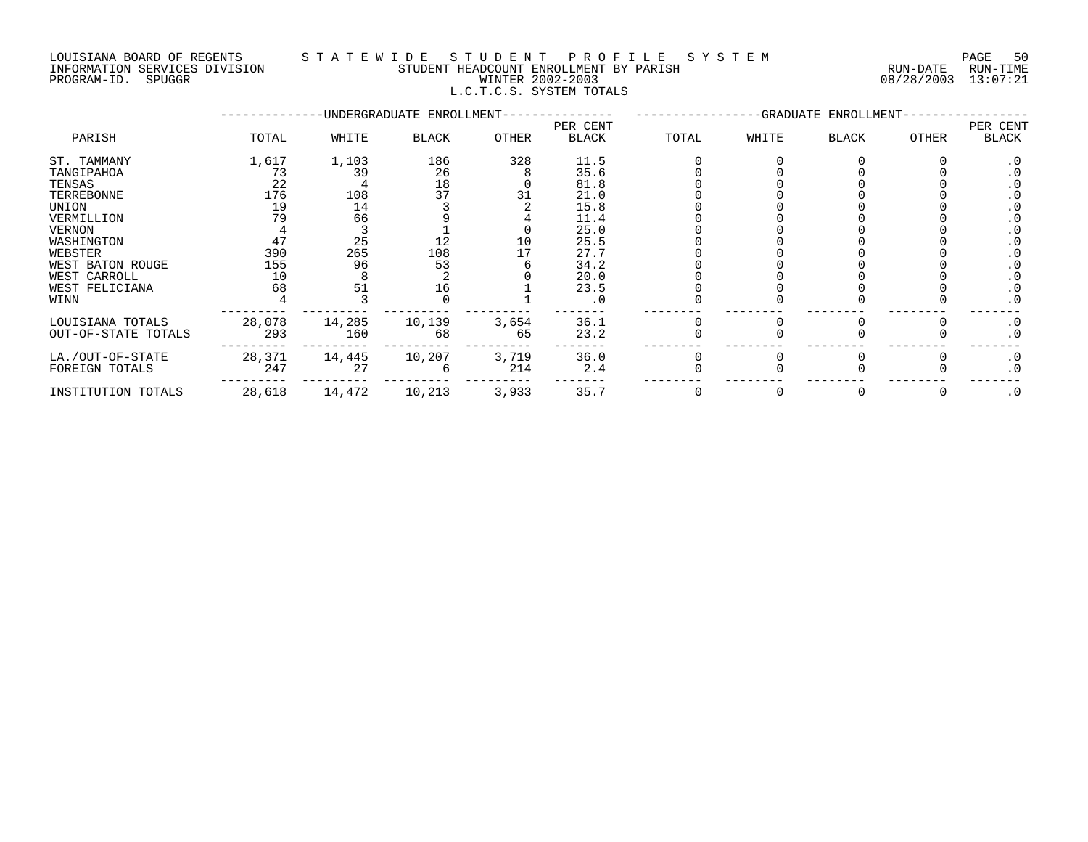## LOUISIANA BOARD OF REGENTS S T A T E W I D E S T U D E N T P R O F I L E S Y S T E M PAGE 50 INFORMATION SERVICES DIVISION STUDENT HEADCOUNT ENROLLMENT BY PARISH RUN-DATE RUN-TIME PROGRAM-ID. SPUGGR WINTER 2002-2003 08/28/2003 13:07:21 L.C.T.C.S. SYSTEM TOTALS

|                     |        |        | -UNDERGRADUATE ENROLLMENT- |       | -GRADUATE ENROLLMENT-    |       |       |       |       |                   |
|---------------------|--------|--------|----------------------------|-------|--------------------------|-------|-------|-------|-------|-------------------|
| PARISH              | TOTAL  | WHITE  | <b>BLACK</b>               | OTHER | PER CENT<br><b>BLACK</b> | TOTAL | WHITE | BLACK | OTHER | PER CENT<br>BLACK |
| ST. TAMMANY         | 1,617  | 1,103  | 186                        | 328   | 11.5                     |       |       |       |       | . 0               |
| TANGIPAHOA          | 73     | 39     | 26                         |       | 35.6                     |       |       |       |       |                   |
| TENSAS              | 22     |        | 18                         |       | 81.8                     |       |       |       |       |                   |
| TERREBONNE          | 176    | 108    | 37                         |       | 21.0                     |       |       |       |       |                   |
| UNION               | 19     | 14     |                            |       | 15.8                     |       |       |       |       |                   |
| VERMILLION          | 79     | 66     |                            |       | 11.4                     |       |       |       |       |                   |
| VERNON              |        |        |                            |       | 25.0                     |       |       |       |       |                   |
| WASHINGTON          | 47     | 25     | 12                         | 10    | 25.5                     |       |       |       |       |                   |
| WEBSTER             | 390    | 265    | 108                        |       | 27.7                     |       |       |       |       |                   |
| WEST BATON ROUGE    | 155    | 96     | 53                         |       | 34.2                     |       |       |       |       |                   |
| WEST CARROLL        | 10     |        |                            |       | 20.0                     |       |       |       |       |                   |
| WEST FELICIANA      | 68     | 51     | 16                         |       | 23.5                     |       |       |       |       |                   |
| WINN                |        |        |                            |       | . 0                      |       |       |       |       | . 0               |
| LOUISIANA TOTALS    | 28,078 | 14,285 | 10,139                     | 3,654 | 36.1                     |       |       |       |       | $\cdot$ 0         |
| OUT-OF-STATE TOTALS | 293    | 160    | 68                         | 65    | 23.2                     |       |       |       |       | $\cdot$ 0         |
| LA./OUT-OF-STATE    | 28,371 | 14,445 | 10,207                     | 3,719 | 36.0                     |       |       |       |       | $\cdot$ 0         |
| FOREIGN TOTALS      | 247    | 27     |                            | 214   | 2.4                      |       |       |       |       | . 0               |
| INSTITUTION TOTALS  | 28,618 | 14,472 | 10,213                     | 3,933 | 35.7                     |       |       |       |       | $\cdot$ 0         |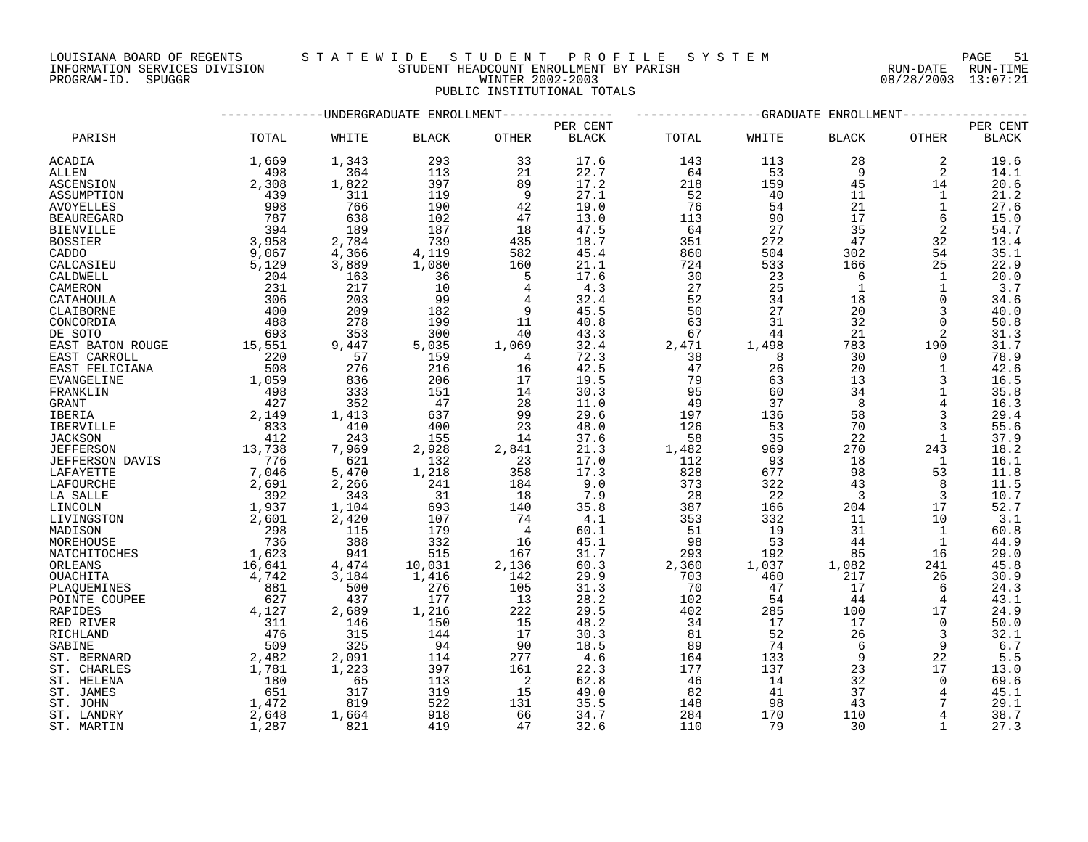LOUISIANA BOARD OF REGENTS S T A T E W I D E S T U D E N T P R O F I L E S Y S T E M PAGE 51 PROGRAM-ID. SPUGGR WINTER 2002-2003 08/28/2003 13:07:21

# INFORMATION SERVICES DIVISION STUDENT HEADCOUNT ENROLLMENT BY PARISH RUN-DATE RUN-TIME PUBLIC INSTITUTIONAL TOTALS

|                   | ---------UNDERGRADUATE ENROLLMENT-                     | ----------------GRADUATE ENROLLMENT-             |               |                            |              |          |       |                         |                |                        |
|-------------------|--------------------------------------------------------|--------------------------------------------------|---------------|----------------------------|--------------|----------|-------|-------------------------|----------------|------------------------|
|                   |                                                        |                                                  |               |                            | PER CENT     |          |       |                         |                | PER CENT               |
| PARISH            | TOTAL                                                  | WHITE                                            | <b>BLACK</b>  | OTHER                      | <b>BLACK</b> | TOTAL    | WHITE | <b>BLACK</b>            | OTHER          | $\operatorname{BLACK}$ |
| ACADIA            | 1,669                                                  | 1,343                                            | 293           | 33                         | 17.6         | 143      | 113   | 28                      | 2              | 19.6                   |
| ALLEN             | 498                                                    | 364                                              | 113           | 21                         | 22.7         | 64       | 53    | - 9                     | 2              | 14.1                   |
| <b>ASCENSION</b>  | 2,308                                                  | 1,822                                            | 397           | 89                         | 17.2         | 218      | 159   | 45                      | 14             | 20.6                   |
| ASSUMPTION        | 439                                                    | 311                                              | 119           | 9                          | 27.1         | 52       | 40    | 11                      | 1              | 21.2                   |
| AVOYELLES         | 998                                                    | 766                                              | 190           | 42                         | 19.0         | 76       | 54    | 21                      | $\mathbf{1}$   | 27.6                   |
| <b>BEAUREGARD</b> | 787                                                    | 638                                              | 102           | 47                         | 13.0         | 113      | 90    | 17                      | 6              | 15.0                   |
| <b>BIENVILLE</b>  | 394                                                    | 189                                              | 187           | 18                         | 47.5         | 64       | 27    | 35                      | 2              | 54.7                   |
| <b>BOSSIER</b>    | 3,958                                                  | 2,784                                            | 739           |                            | 18.7         | 351      | 272   | 47                      | 32             | 13.4                   |
| CADDO             | 9,067                                                  | 4,366                                            | 4,119         | 435<br>582<br>160          | 45.4         | 860      | 504   | 302                     | 54             | 35.1                   |
| CALCASIEU         | 5,129                                                  | 3,889                                            | 1,080         |                            | 21.1         | 724      | 533   | 166                     | 25             | 22.9                   |
| CALDWELL          | 204                                                    | 163                                              | 36            | - 5                        | 17.6         | 30       | 23    | 6                       | 1              | 20.0                   |
| CAMERON           | 231                                                    | 217                                              | 10            | 4                          | 4.3          | 27       | 25    | $\overline{1}$          | $\mathbf{1}$   | 3.7                    |
| CATAHOULA         | 306                                                    | 203                                              | 99            |                            | 32.4         | 52       | 34    | 18                      | $\Omega$       | 34.6                   |
| CLAIBORNE         | 400                                                    | 209                                              | 182           | 9                          | 45.5         | 50       | 27    | 20                      | 3              | 40.0                   |
| CONCORDIA         |                                                        | 278                                              | 199           | 11                         | 40.8         | 63       | 31    | 32                      | $\Omega$       | 50.8                   |
| DE SOTO           | 488<br>693                                             | 353                                              | 300           | 40                         | 43.3         | 67       | 44    | 21                      | 2              | 31.3                   |
| EAST BATON ROUGE  |                                                        | 9,447                                            | 5,035         | 1,069                      | 32.4         | 2,471    | 1,498 | 783                     | 190            | 31.7                   |
|                   | 15,551                                                 | 57                                               | 159           |                            | 72.3         |          | 8     |                         | $\mathbf 0$    |                        |
| EAST CARROLL      | $\begin{array}{r} 220 \\ 508 \\ 1,059 \end{array}$     |                                                  | 216           | $\overline{4}$             | 42.5         | 38<br>47 |       | 30<br>20                |                | 78.9                   |
| EAST FELICIANA    |                                                        | 276                                              |               | 16                         |              |          | 26    |                         | 1              | 42.6                   |
| EVANGELINE        |                                                        | 836                                              | 206           | 17                         | 19.5         | 79       | 63    | 13                      |                | 16.5                   |
| FRANKLIN          | 498                                                    | 333                                              | 151           | 14                         | 30.3         | 95       | 60    | 34                      | $\mathbf{1}$   | 35.8                   |
| GRANT             | 427                                                    | 352                                              | 47            | 28                         | 11.0         | 49       | 37    | 8                       |                | 16.3                   |
| IBERIA            | 2,149                                                  | 1,413                                            | 637           | 99                         | 29.6         | 197      | 136   | 58                      |                | 29.4                   |
| IBERVILLE         | $\begin{array}{r} 833 \\ 412 \end{array}$              | 410                                              | 400           | 23                         | 48.0         | 126      | 53    | 70                      |                | 55.6                   |
| <b>JACKSON</b>    |                                                        | 243                                              | 155           | 14                         | 37.6         | 58       | 35    | 22                      | 1              | 37.9                   |
| <b>JEFFERSON</b>  | 13,738                                                 | 7,969                                            | 2,928         | 2,841                      | 21.3         | 1,482    | 969   | 270                     | 243            | 18.2                   |
| JEFFERSON DAVIS   |                                                        | 621                                              | 132           | $\frac{1}{23}$             | 17.0         | 112      | 93    | 18                      | $\overline{1}$ | 16.1                   |
| LAFAYETTE         |                                                        | 5,470                                            | 1,218         |                            | 17.3         | 828      | 677   | 98                      | 53             | 11.8                   |
| LAFOURCHE         | $\begin{array}{r} 776 \\ 776 \\ 2,691 \end{array}$     | 2,266                                            | 241           | 184                        | 9.0          | 373      | 322   | 43                      | 8              | 11.5                   |
| LA SALLE          | 392                                                    | $\begin{array}{r} 2,266 \\ 343 \\ 1 \end{array}$ | 31            | 18                         | 7.9          | 28       | 22    | $\overline{\mathbf{3}}$ | 3              | 10.7                   |
| LINCOLN           | 1,937                                                  |                                                  | 693           | 140                        | 35.8         | 387      | 166   | 204                     | 17             | 52.7                   |
| LIVINGSTON        | 2,601                                                  | 2,420                                            | 107           | 74                         | 4.1          | 353      | 332   | 11                      | 10             | 3.1                    |
| MADISON           | $\frac{298}{1}$                                        | 115                                              | 179           | $\overline{4}$             | 60.1         | 51       | 19    | 31                      | 1              | 60.8                   |
| MOREHOUSE         | 736                                                    | 388                                              | 332           | 16                         | 45.1         | 98       | 53    | 44                      | 1              | 44.9                   |
| NATCHITOCHES      | 1,623<br>16,641                                        | 941                                              | 515           | 167                        | 31.7         | 293      | 192   | 85                      | 16             | 29.0                   |
| ORLEANS           |                                                        | 4,474                                            | دıc<br>10,031 | 2,136                      | 60.3         | 2,360    | 1,037 | 1,082                   | 241            | 45.8                   |
| <b>OUACHITA</b>   | 4,742                                                  | 3,184                                            | 1,416         | 142                        | 29.9         | 703      | 460   | 217                     | 26             | 30.9                   |
| PLAQUEMINES       | $\begin{array}{c} 881 \\ 627 \end{array}$              | 500                                              | 276           | 105                        | 31.3         | 70       | 47    | 17                      | 6              | 24.3                   |
| POINTE COUPEE     |                                                        | 437                                              | 177           | 13                         | 28.2         | 102      | 54    | 44                      | 4              | 43.1                   |
| RAPIDES           | 4,127                                                  | 2,689                                            | 1,216         | 222                        | 29.5         | 402      | 285   | 100                     | 17             | 24.9                   |
| RED RIVER         |                                                        | 146                                              | 150           | 15                         | 48.2         | 34       | 17    | 17                      | $\Omega$       | 50.0                   |
| RICHLAND          | $\begin{array}{r} 11 \\ 311 \\ 476 \\ 509 \end{array}$ | 315                                              | 144           | 17                         | 30.3         | 81       | 52    | 26                      |                | 32.1                   |
| SABINE            |                                                        | 325                                              | 94            | 90                         | 18.5         | 89       | 74    | 6                       | 9              | 6.7                    |
| ST. BERNARD       | 2,482                                                  | 2,091                                            | 114           | 277                        | 4.6          | 164      | 133   | 9                       | 22             | 5.5                    |
| ST. CHARLES       | 1,781                                                  | 1,223                                            | 397           | 161                        | 22.3         | 177      | 137   | 23                      | 17             | 13.0                   |
| ST. HELENA        | 180                                                    | 65                                               | 113           | $\overline{\phantom{a}}$ 2 | 62.8         | 46       | 14    | 32                      | $\Omega$       | 69.6                   |
| ST. JAMES         | 651                                                    | 317                                              | 319           | 15                         | 49.0         | 82       | 41    | 37                      |                | 45.1                   |
| ST. JOHN          | 1,472                                                  | 819                                              | 522           | 131                        | 35.5         | 148      | 98    | 43                      |                | 29.1                   |
| ST. LANDRY        | 2,648                                                  | 1,664                                            | 918           | 66                         | 34.7         | 284      | 170   | 110                     |                | 38.7                   |
| ST. MARTIN        | 1,287                                                  | 821                                              | 419           | 47                         | 32.6         | 110      | 79    | 30                      | $\mathbf{1}$   | 27.3                   |